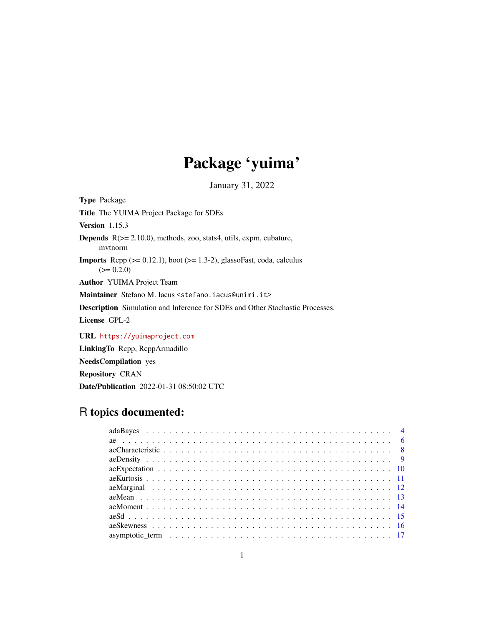# Package 'yuima'

January 31, 2022

<span id="page-0-0"></span>Type Package Title The YUIMA Project Package for SDEs Version 1.15.3 Depends R(>= 2.10.0), methods, zoo, stats4, utils, expm, cubature, mvtnorm **Imports** Rcpp  $(>= 0.12.1)$ , boot  $(>= 1.3-2)$ , glassoFast, coda, calculus  $(>= 0.2.0)$ Author YUIMA Project Team Maintainer Stefano M. Iacus <stefano.iacus@unimi.it> Description Simulation and Inference for SDEs and Other Stochastic Processes. License GPL-2 URL <https://yuimaproject.com> LinkingTo Rcpp, RcppArmadillo NeedsCompilation yes

Repository CRAN

Date/Publication 2022-01-31 08:50:02 UTC

# R topics documented: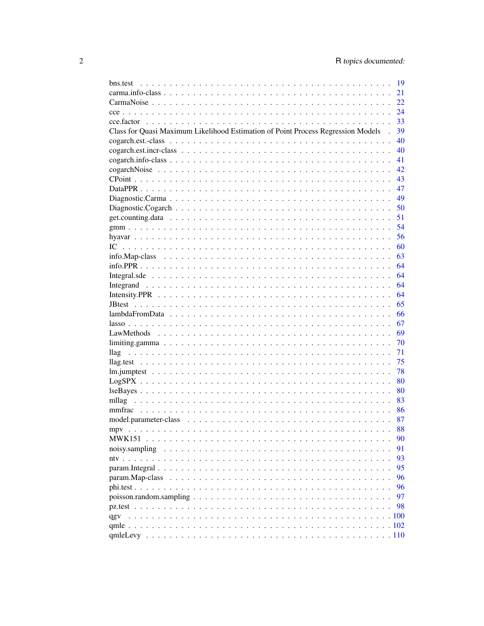|                                                                                  | - 19 |
|----------------------------------------------------------------------------------|------|
|                                                                                  | 21   |
|                                                                                  | 22   |
|                                                                                  | 24   |
|                                                                                  |      |
| Class for Quasi Maximum Likelihood Estimation of Point Process Regression Models | 39   |
|                                                                                  | 40   |
|                                                                                  |      |
|                                                                                  |      |
|                                                                                  |      |
|                                                                                  |      |
|                                                                                  |      |
|                                                                                  | 49   |
|                                                                                  |      |
|                                                                                  |      |
|                                                                                  | 54   |
|                                                                                  | 56   |
|                                                                                  | 60   |
|                                                                                  | 63   |
|                                                                                  | 64   |
|                                                                                  | 64   |
|                                                                                  | 64   |
|                                                                                  |      |
|                                                                                  |      |
|                                                                                  |      |
|                                                                                  | 67   |
|                                                                                  |      |
|                                                                                  | 70   |
|                                                                                  | 71   |
|                                                                                  | 75   |
|                                                                                  | 78   |
|                                                                                  | 80   |
|                                                                                  |      |
|                                                                                  |      |
|                                                                                  |      |
|                                                                                  |      |
|                                                                                  |      |
| MWK151                                                                           | 90   |
|                                                                                  | 91   |
|                                                                                  | 93   |
|                                                                                  | 95   |
|                                                                                  | 96   |
|                                                                                  | 96   |
|                                                                                  | 97   |
|                                                                                  | 98   |
|                                                                                  |      |
|                                                                                  |      |
|                                                                                  |      |
|                                                                                  |      |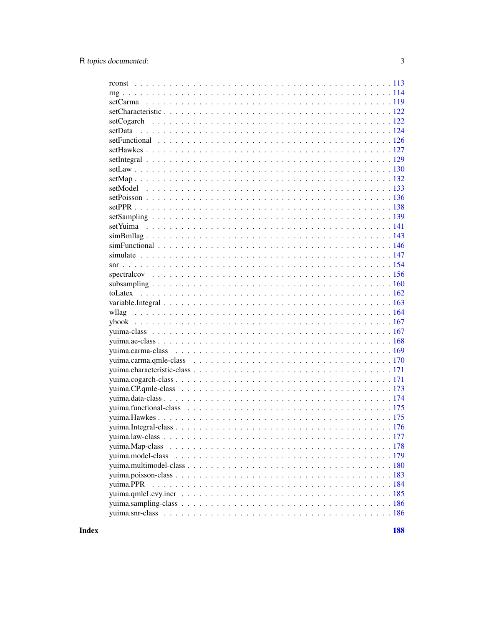**Index**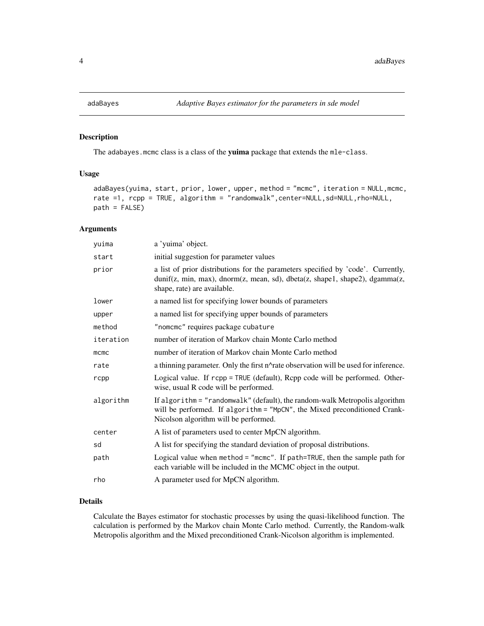<span id="page-3-0"></span>

# Description

The adabayes.mcmc class is a class of the yuima package that extends the mle-class.

# Usage

```
adaBayes(yuima, start, prior, lower, upper, method = "mcmc", iteration = NULL,mcmc,
rate =1, rcpp = TRUE, algorithm = "randomwalk", center=NULL, sd=NULL, rho=NULL,
path = FALSE)
```
# Arguments

| yuima     | a 'yuima' object.                                                                                                                                                                                 |
|-----------|---------------------------------------------------------------------------------------------------------------------------------------------------------------------------------------------------|
| start     | initial suggestion for parameter values                                                                                                                                                           |
| prior     | a list of prior distributions for the parameters specified by 'code'. Currently,<br>dunif(z, min, max), dnorm(z, mean, sd), dbeta(z, shape1, shape2), dgamma(z,<br>shape, rate) are available.    |
| lower     | a named list for specifying lower bounds of parameters                                                                                                                                            |
| upper     | a named list for specifying upper bounds of parameters                                                                                                                                            |
| method    | "nomcmc" requires package cubature                                                                                                                                                                |
| iteration | number of iteration of Markov chain Monte Carlo method                                                                                                                                            |
| mcmc      | number of iteration of Markov chain Monte Carlo method                                                                                                                                            |
| rate      | a thinning parameter. Only the first n^rate observation will be used for inference.                                                                                                               |
| rcpp      | Logical value. If rcpp = TRUE (default), Rcpp code will be performed. Other-<br>wise, usual R code will be performed.                                                                             |
| algorithm | If algorithm = "randomwalk" (default), the random-walk Metropolis algorithm<br>will be performed. If algorithm = "MpCN", the Mixed preconditioned Crank-<br>Nicolson algorithm will be performed. |
| center    | A list of parameters used to center MpCN algorithm.                                                                                                                                               |
| sd        | A list for specifying the standard deviation of proposal distributions.                                                                                                                           |
| path      | Logical value when method = "mcmc". If path=TRUE, then the sample path for<br>each variable will be included in the MCMC object in the output.                                                    |
| rho       | A parameter used for MpCN algorithm.                                                                                                                                                              |

# Details

Calculate the Bayes estimator for stochastic processes by using the quasi-likelihood function. The calculation is performed by the Markov chain Monte Carlo method. Currently, the Random-walk Metropolis algorithm and the Mixed preconditioned Crank-Nicolson algorithm is implemented.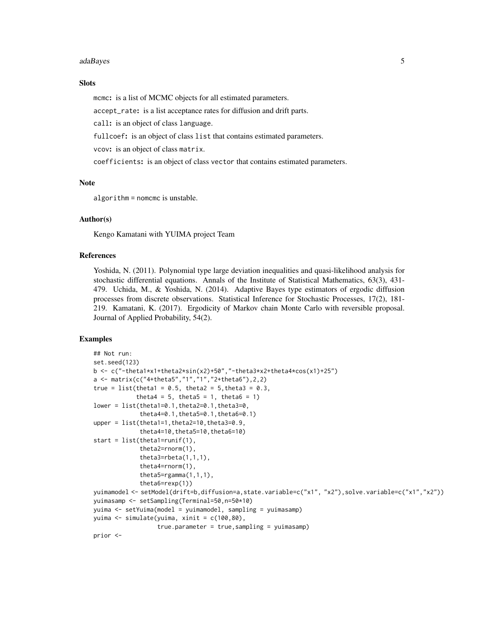#### adaBayes 5

# **Slots**

mcmc: is a list of MCMC objects for all estimated parameters.

accept\_rate: is a list acceptance rates for diffusion and drift parts.

call: is an object of class language.

fullcoef: is an object of class list that contains estimated parameters.

vcov: is an object of class matrix.

coefficients: is an object of class vector that contains estimated parameters.

# Note

algorithm = nomcmc is unstable.

#### Author(s)

Kengo Kamatani with YUIMA project Team

# References

Yoshida, N. (2011). Polynomial type large deviation inequalities and quasi-likelihood analysis for stochastic differential equations. Annals of the Institute of Statistical Mathematics, 63(3), 431- 479. Uchida, M., & Yoshida, N. (2014). Adaptive Bayes type estimators of ergodic diffusion processes from discrete observations. Statistical Inference for Stochastic Processes, 17(2), 181- 219. Kamatani, K. (2017). Ergodicity of Markov chain Monte Carlo with reversible proposal. Journal of Applied Probability, 54(2).

```
## Not run:
set.seed(123)
b \leq c("-theta1*x1+theta2*sin(x2)+50","-theta3*x2+theta4*cos(x1)+25")
a <- matrix(c("4+theta5","1","1","2+theta6"),2,2)
true = list(theta1 = 0.5, theta2 = 5, theta3 = 0.3,
            theta4 = 5, theta5 = 1, theta6 = 1)
lower = list(theta1=0.1,theta2=0.1,theta3=0,
             theta4=0.1,theta5=0.1,theta6=0.1)
upper = list(theta1=1,theta2=10,theta3=0.9,
             theta4=10,theta5=10,theta6=10)
start = list(theta1=runif(1),
             theta2=rnorm(1),
             theta3=rbeta(1,1,1),
             theta4=rnorm(1),
             theta5=rgamma(1,1,1),
             theta6=rexp(1))
yuimamodel <- setModel(drift=b,diffusion=a,state.variable=c("x1", "x2"),solve.variable=c("x1","x2"))
yuimasamp <- setSampling(Terminal=50,n=50*10)
yuima <- setYuima(model = yuimamodel, sampling = yuimasamp)
yuima <- simulate(yuima, xinit = c(100,80),
                  true.parameter = true,sampling = yuimasamp)
prior <-
```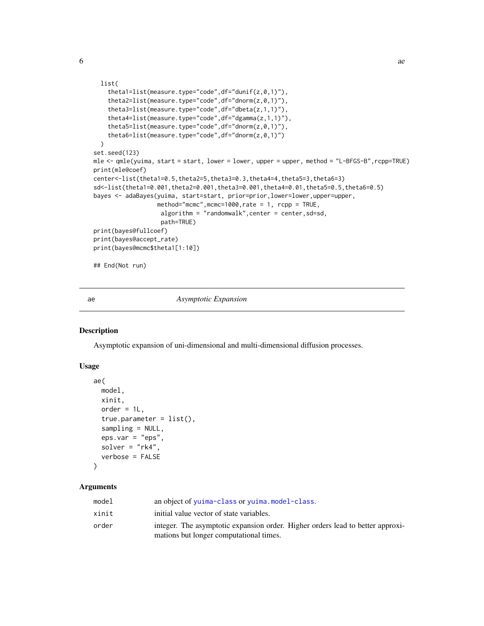```
list(
    theta1=list(measure.type="code",df="dunif(z,0,1)"),
    theta2=list(measure.type="code",df="dnorm(z,0,1)"),
    theta3=list(measure.type="code",df="dbeta(z,1,1)"),
    theta4=list(measure.type="code",df="dgamma(z,1,1)"),
    theta5=list(measure.type="code",df="dnorm(z,0,1)"),
    theta6=list(measure.type="code",df="dnorm(z,0,1)")
 )
set.seed(123)
mle <- qmle(yuima, start = start, lower = lower, upper = upper, method = "L-BFGS-B", rcpp=TRUE)
print(mle@coef)
center<-list(theta1=0.5,theta2=5,theta3=0.3,theta4=4,theta5=3,theta6=3)
sd<-list(theta1=0.001,theta2=0.001,theta3=0.001,theta4=0.01,theta5=0.5,theta6=0.5)
bayes <- adaBayes(yuima, start=start, prior=prior,lower=lower,upper=upper,
                  method="mcmc",mcmc=1000,rate = 1, rcpp = TRUE,
                   algorithm = "randomwalk",center = center,sd=sd,
                   path=TRUE)
print(bayes@fullcoef)
print(bayes@accept_rate)
print(bayes@mcmc$theta1[1:10])
## End(Not run)
```
# ae *Asymptotic Expansion*

# Description

Asymptotic expansion of uni-dimensional and multi-dimensional diffusion processes.

# Usage

```
ae(
  model,
  xinit,
  order = 1L,
  true.parenter = list(),
  sampling = NULL,
  eps.var = "eps",solver = "rk4",
  verbose = FALSE
\mathcal{L}
```
# Arguments

| model | an object of yuima-class or yuima.model-class.                                                                            |
|-------|---------------------------------------------------------------------------------------------------------------------------|
| xinit | initial value vector of state variables.                                                                                  |
| order | integer. The asymptotic expansion order. Higher orders lead to better approxi-<br>mations but longer computational times. |

<span id="page-5-0"></span>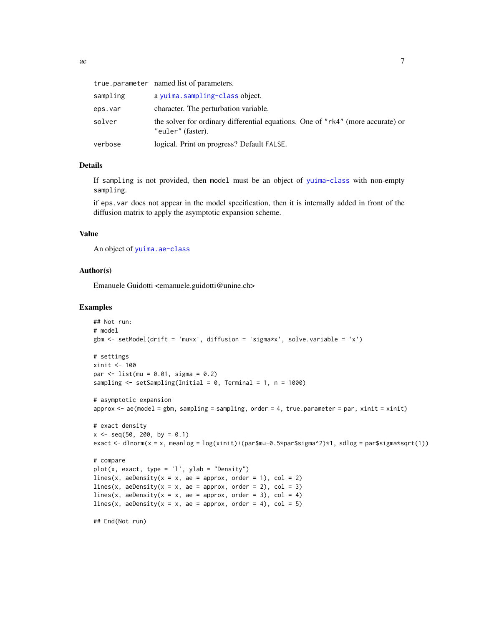|          | true.parameter named list of parameters.                                                             |
|----------|------------------------------------------------------------------------------------------------------|
| sampling | a yuima.sampling-class object.                                                                       |
| eps.var  | character. The perturbation variable.                                                                |
| solver   | the solver for ordinary differential equations. One of "rk4" (more accurate) or<br>"euler" (faster). |
| verbose  | logical. Print on progress? Default FALSE.                                                           |

# Details

If sampling is not provided, then model must be an object of [yuima-class](#page-166-1) with non-empty sampling.

if eps.var does not appear in the model specification, then it is internally added in front of the diffusion matrix to apply the asymptotic expansion scheme.

# Value

An object of [yuima.ae-class](#page-167-1)

#### Author(s)

Emanuele Guidotti <emanuele.guidotti@unine.ch>

```
## Not run:
# model
gbm <- setModel(drift = 'mu*x', diffusion = 'sigma*x', solve.variable = 'x')
# settings
xinit <- 100
par <- list(mu = 0.01, sigma = 0.2)
sampling <- setSampling(Initial = 0, Terminal = 1, n = 1000)
# asymptotic expansion
approx < -ae(model = gbm, sampling = sampling, order = 4, true.parameter = par, xinit = xinit)
# exact density
x \le - seq(50, 200, by = 0.1)
exact <- dlnorm(x = x, meanlog = log(xinit)+(par$mu-0.5*par$sigma^2)*1, sdlog = par$sigma*sqrt(1))
# compare
plot(x, exact, type = 'l', ylab = "Density")lines(x, aeDensity(x = x, ae = approx, order = 1), col = 2)
lines(x, aeDensity(x = x, ae = approx, order = 2), col = 3)
lines(x, aeDensity(x = x, ae = approx, order = 3), col = 4)
lines(x, aeDensity(x = x, ae = approx, order = 4), col = 5)
## End(Not run)
```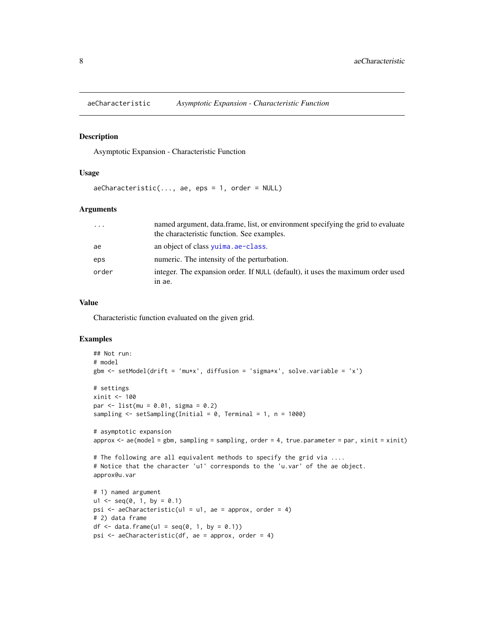<span id="page-7-0"></span>

#### Description

Asymptotic Expansion - Characteristic Function

#### Usage

 $aeCharacteristic(..., ae,eps = 1, order = NULL)$ 

# Arguments

| $\ddots$ . | named argument, data.frame, list, or environment specifying the grid to evaluate<br>the characteristic function. See examples. |
|------------|--------------------------------------------------------------------------------------------------------------------------------|
| ae         | an object of class $yujma$ . ae-class.                                                                                         |
| eps        | numeric. The intensity of the perturbation.                                                                                    |
| order      | integer. The expansion order. If NULL (default), it uses the maximum order used<br>in ae.                                      |

# Value

Characteristic function evaluated on the given grid.

```
## Not run:
# model
gbm <- setModel(drift = 'mu*x', diffusion = 'sigma*x', solve.variable = 'x')
# settings
xinit <- 100
par <- list(mu = 0.01, sigma = 0.2)
sampling <- setSampling(Initial = 0, Terminal = 1, n = 1000)
# asymptotic expansion
approx <- ae(model = gbm, sampling = sampling, order = 4, true.parameter = par, xinit = xinit)
# The following are all equivalent methods to specify the grid via ....
# Notice that the character 'u1' corresponds to the 'u.var' of the ae object.
approx@u.var
# 1) named argument
u1 \leq -\text{seq}(0, 1, \text{ by } = 0.1)psi \leq aeCharacteristic(u1 = u1, ae = approx, order = 4)
# 2) data frame
df \le data.frame(u1 = seq(0, 1, by = 0.1))
psi <- aeCharacteristic(df, ae = approx, order = 4)
```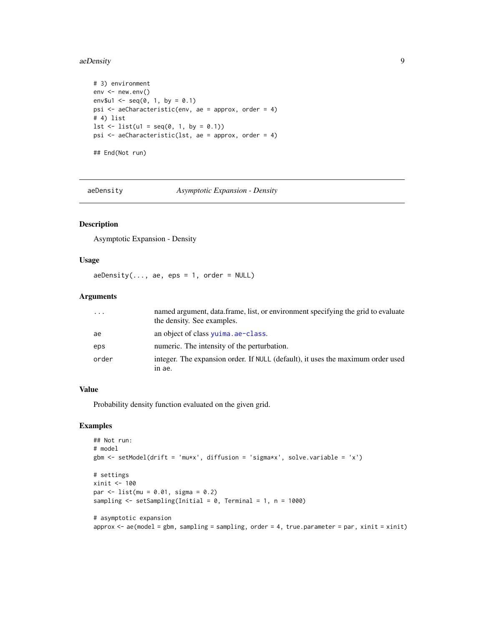#### <span id="page-8-0"></span>aeDensity 9

```
# 3) environment
env <- new.env()
env$u1 <- seq(0, 1, by = 0.1)
psi <- aeCharacteristic(env, ae = approx, order = 4)
# 4) list
lst \leftarrow list(ul = seq(0, 1, by = 0.1))psi <- aeCharacteristic(lst, ae = approx, order = 4)
## End(Not run)
```
aeDensity *Asymptotic Expansion - Density*

# Description

Asymptotic Expansion - Density

# Usage

 $aebensity(..., ae,eps = 1, order = NULL)$ 

#### Arguments

| $\cdots$ | named argument, data.frame, list, or environment specifying the grid to evaluate<br>the density. See examples. |
|----------|----------------------------------------------------------------------------------------------------------------|
| ae       | an object of class yuima. ae-class.                                                                            |
| eps      | numeric. The intensity of the perturbation.                                                                    |
| order    | integer. The expansion order. If NULL (default), it uses the maximum order used<br>in ae.                      |

# Value

Probability density function evaluated on the given grid.

```
## Not run:
# model
gbm <- setModel(drift = 'mu*x', diffusion = 'sigma*x', solve.variable = 'x')
# settings
xinit <- 100
par \le list(mu = 0.01, sigma = 0.2)
sampling \le setSampling(Initial = 0, Terminal = 1, n = 1000)
# asymptotic expansion
approx \leq - ae(model = gbm, sampling = sampling, order = 4, true.parameter = par, xinit = xinit)
```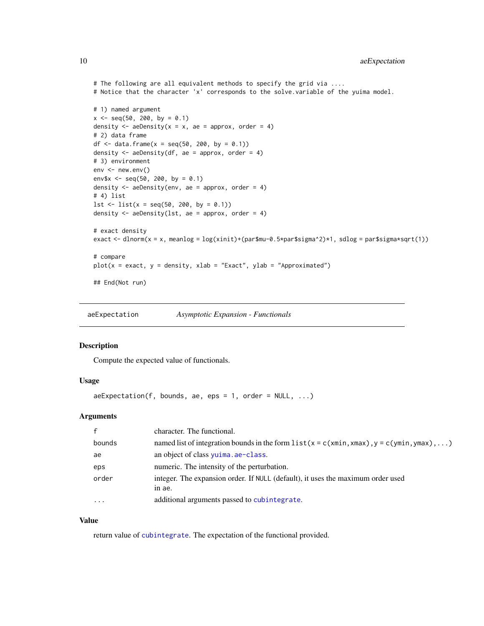```
# The following are all equivalent methods to specify the grid via ....
# Notice that the character 'x' corresponds to the solve.variable of the yuima model.
# 1) named argument
x \le - seq(50, 200, by = 0.1)
density \leq aeDensity(x = x, ae = approx, order = 4)
# 2) data frame
df <- data.frame(x = \text{seq}(50, 200, \text{ by } = 0.1))
density \leq aeDensity(df, ae = approx, order = 4)
# 3) environment
env <- new.env()
env$x <- seq(50, 200, by = 0.1)
density <- aeDensity(env, ae = approx, order = 4)
# 4) list
lst \leftarrow list(x = seq(50, 200, by = 0.1))density <- aeDensity(lst, ae = approx, order = 4)
# exact density
exact <- dlnorm(x = x, meanlog = log(xinit)+(par$mu-0.5*par$sigma^2)*1, sdlog = par$sigma*sqrt(1))
# compare
plot(x = exact, y = density, xlab = "Exact", ylab = "Approximated")## End(Not run)
```
aeExpectation *Asymptotic Expansion - Functionals*

# Description

Compute the expected value of functionals.

#### Usage

```
a \inExpectation(f, bounds, ae, eps = 1, order = NULL, ...)
```
# Arguments

| $\mathbf{f}$ | character. The functional.                                                                  |
|--------------|---------------------------------------------------------------------------------------------|
| bounds       | named list of integration bounds in the form $list(x = c(xmin, xmax), y = c(ymin, ymax), )$ |
| ae           | an object of class yuima. ae-class.                                                         |
| eps          | numeric. The intensity of the perturbation.                                                 |
| order        | integer. The expansion order. If NULL (default), it uses the maximum order used<br>in ae.   |
| $\cdots$     | additional arguments passed to cubintegrate.                                                |

# Value

return value of [cubintegrate](#page-0-0). The expectation of the functional provided.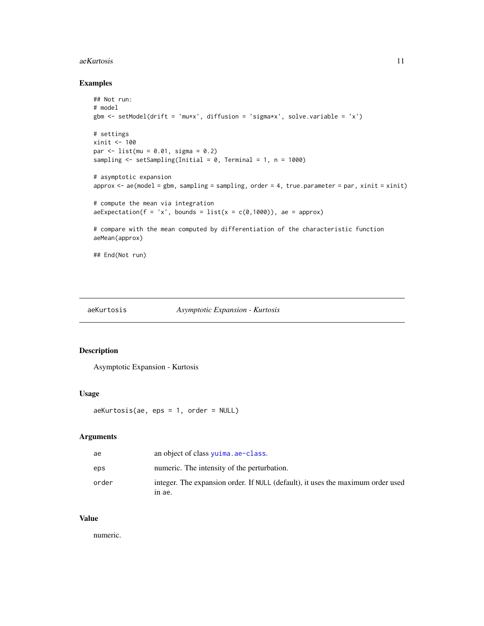#### <span id="page-10-0"></span>aeKurtosis 11

# Examples

```
## Not run:
# model
gbm <- setModel(drift = 'mu*x', diffusion = 'sigma*x', solve.variable = 'x')
# settings
xinit <- 100
par <- list(mu = 0.01, sigma = 0.2)
sampling <- setSampling(Initial = 0, Terminal = 1, n = 1000)
# asymptotic expansion
approx \leq - ae(model = gbm, sampling = sampling, order = 4, true.parameter = par, xinit = xinit)
# compute the mean via integration
a \inExpectation(f = 'x', bounds = list(x = c(0,1000)), ae = approx)
# compare with the mean computed by differentiation of the characteristic function
aeMean(approx)
```
## End(Not run)

```
aeKurtosis Asymptotic Expansion - Kurtosis
```
# Description

Asymptotic Expansion - Kurtosis

#### Usage

aeKurtosis(ae, eps = 1, order = NULL)

# Arguments

| ae    | an object of class yuima. ae-class.                                                       |
|-------|-------------------------------------------------------------------------------------------|
| eps   | numeric. The intensity of the perturbation.                                               |
| order | integer. The expansion order. If NULL (default), it uses the maximum order used<br>in ae. |

# Value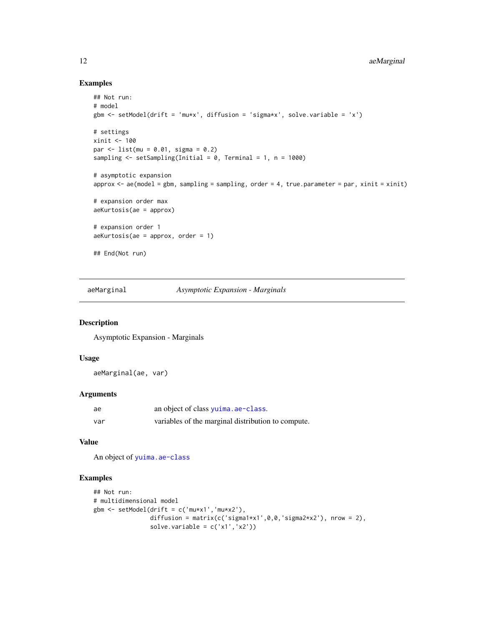# Examples

```
## Not run:
# model
gbm <- setModel(drift = 'mu*x', diffusion = 'sigma*x', solve.variable = 'x')
# settings
xinit <- 100
par <- list(mu = 0.01, sigma = 0.2)
sampling \le setSampling(Initial = 0, Terminal = 1, n = 1000)
# asymptotic expansion
approx < -ae(model = gbm, sampling = sampling, order = 4, true.parameter = par, xinit = xinit)
# expansion order max
aeKurtosis(ae = approx)
# expansion order 1
aeKurtosis(ae = approx, order = 1)
## End(Not run)
```
aeMarginal *Asymptotic Expansion - Marginals*

# Description

Asymptotic Expansion - Marginals

# Usage

aeMarginal(ae, var)

#### Arguments

| ae  | an object of class yuima. ae-class.                |
|-----|----------------------------------------------------|
| var | variables of the marginal distribution to compute. |

# Value

An object of [yuima.ae-class](#page-167-1)

```
## Not run:
# multidimensional model
gbm <- setModel(drift = c('mu*x1','mu*x2'),
                diffusion = matrix(c('sigma1*x1',0,0,'sigma2*x2'), nrow = 2),
                solve.variable = c('x1', 'x2'))
```
<span id="page-11-0"></span>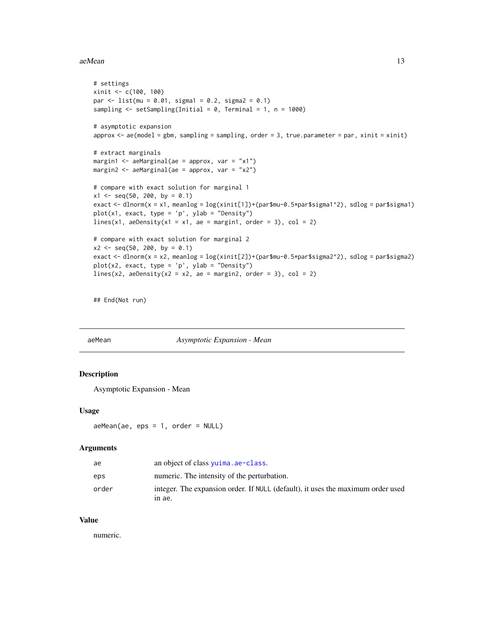#### <span id="page-12-0"></span>aeMean  $13$

```
# settings
xinit <- c(100, 100)
par \le list(mu = 0.01, sigma1 = 0.2, sigma2 = 0.1)
sampling \leq setSampling(Initial = 0, Terminal = 1, n = 1000)
# asymptotic expansion
approx \leq - ae(model = gbm, sampling = sampling, order = 3, true.parameter = par, xinit = xinit)
# extract marginals
margin1 <- aeMarginal(ae = approx, var = "x1")
margin2 <- aeMarginal(ae = approx, var = "x2")
# compare with exact solution for marginal 1
x1 \leq -\text{seq}(50, 200, \text{ by } = 0.1)exact <- dlnorm(x = x1, meanlog = log(xinit[1])+(par$mu-0.5*par$sigma1^2), sdlog = par$sigma1)
plot(x1, exact, type = 'p', ylab = "Density")
lines(x1, aeDensity(x1 = x1, ae = margin1, order = 3), col = 2)
# compare with exact solution for marginal 2
x2 \le - seq(50, 200, by = 0.1)
exact <- dlnorm(x = x2, meanlog = log(xinit[2])+(par$mu-0.5*par$sigma2^2), sdlog = par$sigma2)
plot(x2, exact, type = 'p', ylab = "Density")lines(x2, aeDensity(x2 = x2, ae = margin2, order = 3), col = 2)
```
## End(Not run)

# aeMean *Asymptotic Expansion - Mean*

# Description

Asymptotic Expansion - Mean

#### Usage

aeMean(ae, eps = 1, order = NULL)

#### Arguments

| ae    | an object of class yuima. ae-class.                                                       |
|-------|-------------------------------------------------------------------------------------------|
| eps   | numeric. The intensity of the perturbation.                                               |
| order | integer. The expansion order. If NULL (default), it uses the maximum order used<br>in ae. |

# Value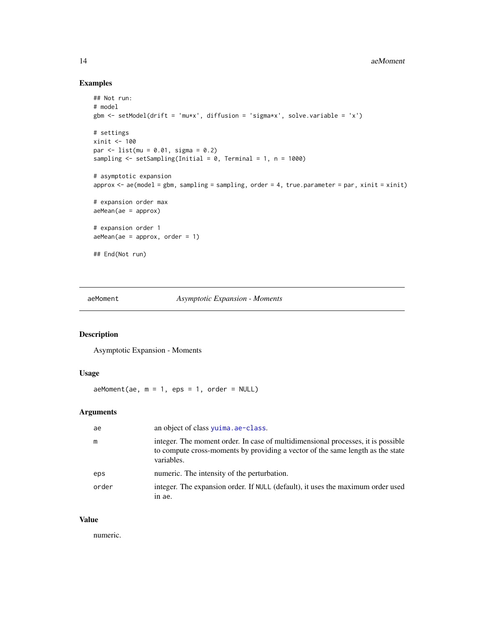# Examples

```
## Not run:
# model
gbm <- setModel(drift = 'mu*x', diffusion = 'sigma*x', solve.variable = 'x')
# settings
xinit <- 100
par <- list(mu = 0.01, sigma = 0.2)
sampling <- setSampling(Initial = 0, Terminal = 1, n = 1000)
# asymptotic expansion
approx <- ae(model = gbm, sampling = sampling, order = 4, true.parameter = par, xinit = xinit)
# expansion order max
aeMean(ae = approx)
# expansion order 1
aeMean(ae = approx, order = 1)## End(Not run)
```
aeMoment *Asymptotic Expansion - Moments*

# Description

Asymptotic Expansion - Moments

# Usage

 $a$ eMoment( $a$ e, m = 1, eps = 1, order = NULL)

# Arguments

| ae    | an object of class yuima. ae-class.                                                                                                                                              |
|-------|----------------------------------------------------------------------------------------------------------------------------------------------------------------------------------|
| m     | integer. The moment order. In case of multidimensional processes, it is possible<br>to compute cross-moments by providing a vector of the same length as the state<br>variables. |
| eps   | numeric. The intensity of the perturbation.                                                                                                                                      |
| order | integer. The expansion order. If NULL (default), it uses the maximum order used<br>in ae.                                                                                        |

# Value

<span id="page-13-0"></span>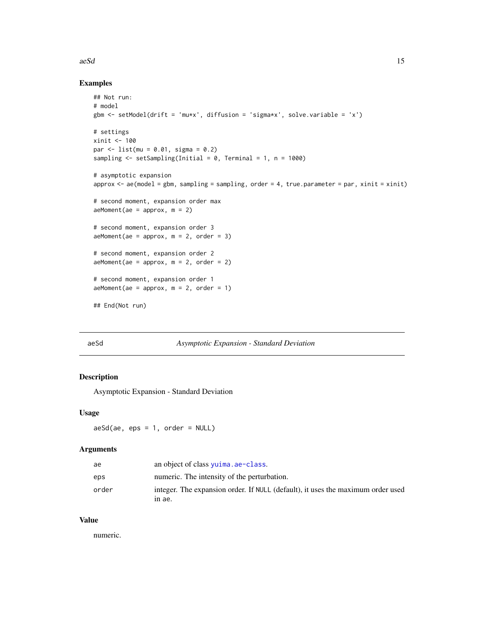#### <span id="page-14-0"></span> $a$ eSd  $15$

# Examples

```
## Not run:
# model
gbm <- setModel(drift = 'mu*x', diffusion = 'sigma*x', solve.variable = 'x')
# settings
xinit <- 100
par <- list(mu = 0.01, sigma = 0.2)
sampling \le setSampling(Initial = 0, Terminal = 1, n = 1000)
# asymptotic expansion
approx \leq - ae(model = gbm, sampling = sampling, order = 4, true.parameter = par, xinit = xinit)
# second moment, expansion order max
aeMoment(ae = approx, m = 2)
# second moment, expansion order 3
aeMoment(ae = approx, m = 2, order = 3)
# second moment, expansion order 2
aeMoment(ae = approx, m = 2, order = 2)
# second moment, expansion order 1
aeMoment(ae = approx, m = 2, order = 1)
## End(Not run)
```
# aeSd *Asymptotic Expansion - Standard Deviation*

# Description

Asymptotic Expansion - Standard Deviation

#### Usage

 $aeSd(ae, eps = 1, order = NULL)$ 

# Arguments

| ae    | an object of class $yujma$ . ae-class.                                          |
|-------|---------------------------------------------------------------------------------|
| eps   | numeric. The intensity of the perturbation.                                     |
| order | integer. The expansion order. If NULL (default), it uses the maximum order used |
|       | in ae.                                                                          |

# Value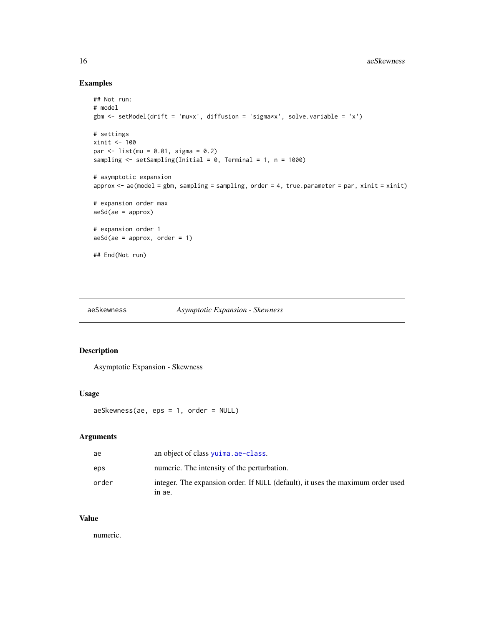# Examples

```
## Not run:
# model
gbm <- setModel(drift = 'mu*x', diffusion = 'sigma*x', solve.variable = 'x')
# settings
xinit <- 100
par <- list(mu = 0.01, sigma = 0.2)
sampling <- setSampling(Initial = 0, Terminal = 1, n = 1000)
# asymptotic expansion
approx \leq - ae(model = gbm, sampling = sampling, order = 4, true.parameter = par, xinit = xinit)
# expansion order max
a e S d(ae = approx)# expansion order 1
aeSd(ae = approx, order = 1)## End(Not run)
```

```
aeSkewness Asymptotic Expansion - Skewness
```
# Description

Asymptotic Expansion - Skewness

#### Usage

aeSkewness(ae, eps = 1, order = NULL)

# Arguments

| ae    | an object of class yuima. ae-class.                                                       |
|-------|-------------------------------------------------------------------------------------------|
| eps   | numeric. The intensity of the perturbation.                                               |
| order | integer. The expansion order. If NULL (default), it uses the maximum order used<br>in ae. |

# Value

<span id="page-15-0"></span>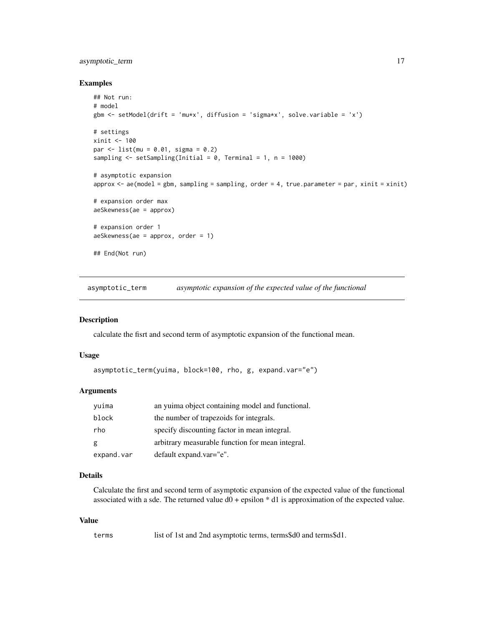# <span id="page-16-0"></span>asymptotic\_term 17

#### Examples

```
## Not run:
# model
gbm <- setModel(drift = 'mu*x', diffusion = 'sigma*x', solve.variable = 'x')
# settings
xinit <- 100
par <- list(mu = 0.01, sigma = 0.2)
sampling \le setSampling(Initial = 0, Terminal = 1, n = 1000)
# asymptotic expansion
approx \leq - ae(model = gbm, sampling = sampling, order = 4, true.parameter = par, xinit = xinit)
# expansion order max
aeSkewness(ae = approx)
# expansion order 1
aeSkewness(ae = approx, order = 1)
## End(Not run)
```
asymptotic\_term *asymptotic expansion of the expected value of the functional*

#### Description

calculate the fisrt and second term of asymptotic expansion of the functional mean.

# Usage

```
asymptotic_term(yuima, block=100, rho, g, expand.var="e")
```
# Arguments

| vuima      | an yuima object containing model and functional. |
|------------|--------------------------------------------------|
| block      | the number of trapezoids for integrals.          |
| rho        | specify discounting factor in mean integral.     |
| g          | arbitrary measurable function for mean integral. |
| expand.var | default expand.var="e".                          |

# Details

Calculate the first and second term of asymptotic expansion of the expected value of the functional associated with a sde. The returned value d0 + epsilon \* d1 is approximation of the expected value.

# Value

terms list of 1st and 2nd asymptotic terms, terms\$d0 and terms\$d1.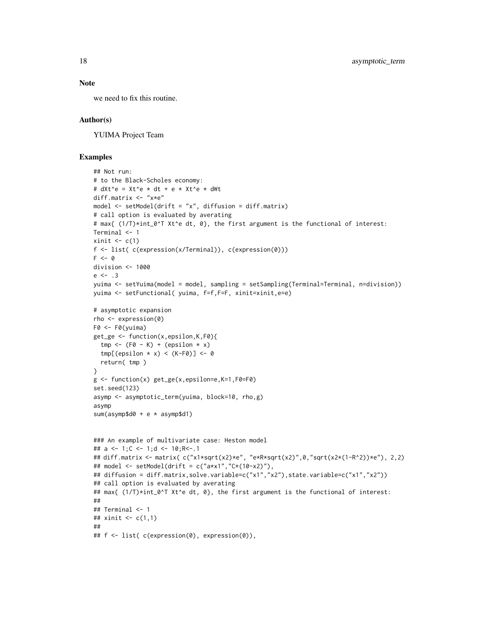# Note

we need to fix this routine.

#### Author(s)

YUIMA Project Team

```
## Not run:
# to the Black-Scholes economy:
# dXt^e = Xt^e * dt + e * Xt^e * dWt
diff.matrix <- "x*e"
model \le setModel(drift = "x", diffusion = diff.matrix)
# call option is evaluated by averating
# max{ (1/T)*int_0^T Xt^e dt, 0}, the first argument is the functional of interest:
Terminal <- 1
xinit \leq c(1)f <- list( c(expression(x/Terminal)), c(expression(0)))
F \le -0division <- 1000
e \le -13yuima <- setYuima(model = model, sampling = setSampling(Terminal=Terminal, n=division))
yuima <- setFunctional( yuima, f=f,F=F, xinit=xinit,e=e)
# asymptotic expansion
rho <- expression(0)
F0 <- F0(yuima)
get_ge <- function(x,epsilon,K,F0){
  tmp \leftarrow (F0 - K) + (epsilon \times x)tmp[(epsilon x \times x) < (K-F0)] < -0return( tmp )
}
g \leftarrow function(x) get\_ge(x, epsilon=ee,K=1,F0=F0)set.seed(123)
asymp <- asymptotic_term(yuima, block=10, rho,g)
asymp
sum(asymp$d0 + e * asymp$d1)
### An example of multivariate case: Heston model
## a <- 1;C <- 1;d <- 10;R<-.1
## diff.matrix <- matrix( c("x1*sqrt(x2)*e", "e*R*sqrt(x2)",0,"sqrt(x2*(1-R^2))*e"), 2,2)
## model <- setModel(drift = c("a*x1","C*(10-x2)"),
## diffusion = diff.matrix,solve.variable=c("x1","x2"),state.variable=c("x1","x2"))
## call option is evaluated by averating
## max{ (1/T)*int_0^T Xt^e dt, 0}, the first argument is the functional of interest:
##
## Terminal <- 1
## xinit <- c(1,1)
##
## f <- list( c(expression(0), expression(0)),
```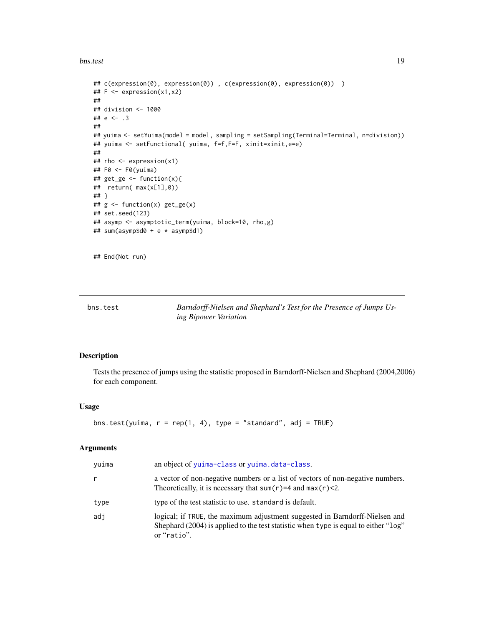<span id="page-18-0"></span>bns.test 19

```
## c(expression(0), expression(0)) , c(expression(0), expression(0)) )
## F <- expression(x1,x2)
##
## division <- 1000
## e <- .3
##
## yuima <- setYuima(model = model, sampling = setSampling(Terminal=Terminal, n=division))
## yuima <- setFunctional( yuima, f=f,F=F, xinit=xinit,e=e)
##
## rho <- expression(x1)
## F0 <- F0(yuima)
## get_ge <- function(x){
## return( max(x[1],0))
## }
## g <- function(x) get_ge(x)
## set.seed(123)
## asymp <- asymptotic_term(yuima, block=10, rho,g)
## sum(asymp$d0 + e * asymp$d1)
```
## End(Not run)

bns.test *Barndorff-Nielsen and Shephard's Test for the Presence of Jumps Using Bipower Variation*

# **Description**

Tests the presence of jumps using the statistic proposed in Barndorff-Nielsen and Shephard (2004,2006) for each component.

#### Usage

```
bns.test(yuima, r = rep(1, 4), type = "standard", adj = TRUE)
```
# Arguments

| yuima | an object of yuima-class or yuima.data-class.                                                                                                                                     |
|-------|-----------------------------------------------------------------------------------------------------------------------------------------------------------------------------------|
| r     | a vector of non-negative numbers or a list of vectors of non-negative numbers.<br>Theoretically, it is necessary that sum( $r$ )=4 and max( $r$ )<2.                              |
| type  | type of the test statistic to use. standard is default.                                                                                                                           |
| adi   | logical; if TRUE, the maximum adjustment suggested in Barndorff-Nielsen and<br>Shephard (2004) is applied to the test statistic when type is equal to either "log"<br>or "ratio". |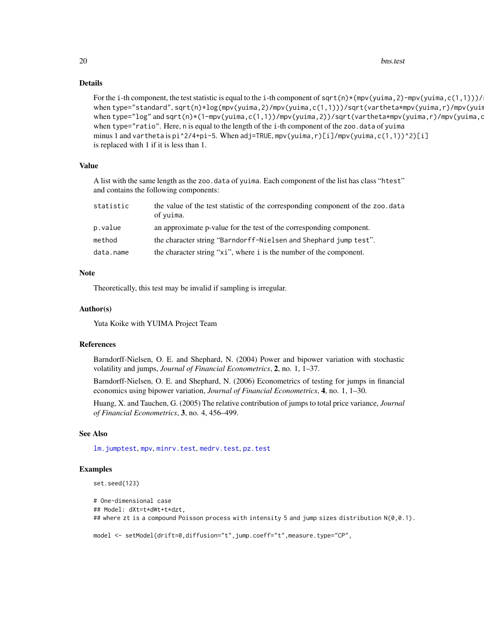# Details

```
For the i-th component, the test statistic is equal to the i-th component of sqrt(n)*(mpv(yuima, 2)-mpv(yuima, c(1,1)))/
when type="standard", sqrt(n)*log(mpv(yuima,2)/mpv(yuima,c(1,1)))/sqrt(vartheta*mpv(yuima,r)/mpv(yuin
when type="log" and sqrt(n)*(1-mpv(yuima,c(1,1))/mpv(yuima,2))/sqrt(vartheta*mpv(yuima,r)/mpv(yuima,c
when type="ratio". Here, n is equal to the length of the i-th component of the zoo.data of yuima
minus 1 and vartheta is pi^2/4+pi-5. When adj=TRUE, mpv(yuima,r)[i]/mpv(yuima,c(1,1))^2)[i]
is replaced with 1 if it is less than 1.
```
# Value

A list with the same length as the zoo.data of yuima. Each component of the list has class "htest" and contains the following components:

| statistic | the value of the test statistic of the corresponding component of the zoo.data<br>of yuima. |
|-----------|---------------------------------------------------------------------------------------------|
| p.value   | an approximate p-value for the test of the corresponding component.                         |
| method    | the character string "Barndorff-Nielsen and Shephard jump test".                            |
| data.name | the character string "xi", where i is the number of the component.                          |

# **Note**

Theoretically, this test may be invalid if sampling is irregular.

#### Author(s)

Yuta Koike with YUIMA Project Team

#### References

Barndorff-Nielsen, O. E. and Shephard, N. (2004) Power and bipower variation with stochastic volatility and jumps, *Journal of Financial Econometrics*, 2, no. 1, 1–37.

Barndorff-Nielsen, O. E. and Shephard, N. (2006) Econometrics of testing for jumps in financial economics using bipower variation, *Journal of Financial Econometrics*, 4, no. 1, 1–30.

Huang, X. and Tauchen, G. (2005) The relative contribution of jumps to total price variance, *Journal of Financial Econometrics*, 3, no. 4, 456–499.

# See Also

[lm.jumptest](#page-77-1), [mpv](#page-87-1), [minrv.test](#page-92-1), [medrv.test](#page-92-1), [pz.test](#page-97-1)

# Examples

```
set.seed(123)
```

```
# One-dimensional case
## Model: dXt=t*dWt+t*dzt,
## where zt is a compound Poisson process with intensity 5 and jump sizes distribution N(0,0.1).
```
model <- setModel(drift=0,diffusion="t",jump.coeff="t",measure.type="CP",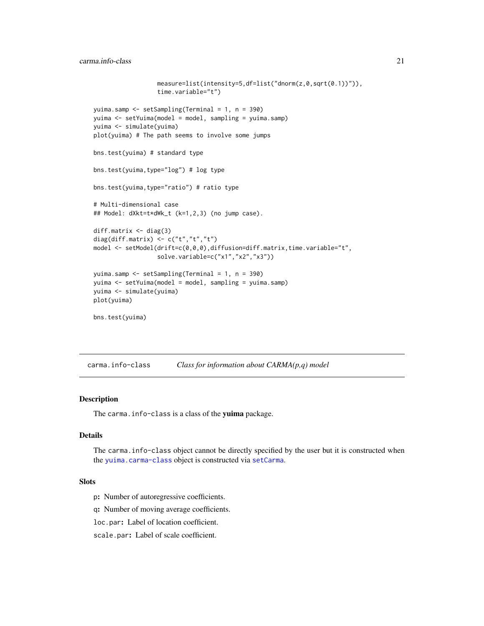<span id="page-20-0"></span>carma.info-class 21

```
measure=list(intensity=5,df=list("dnorm(z,0,sqrt(0.1))")),
                  time.variable="t")
yuima.samp <- setSampling(Terminal = 1, n = 390)
yuima <- setYuima(model = model, sampling = yuima.samp)
yuima <- simulate(yuima)
plot(yuima) # The path seems to involve some jumps
bns.test(yuima) # standard type
bns.test(yuima,type="log") # log type
bns.test(yuima,type="ratio") # ratio type
# Multi-dimensional case
## Model: dXkt=t*dWk_t (k=1,2,3) (no jump case).
diff.matrix <- diag(3)
diag(diff.matrix) <- c("t","t","t")
model <- setModel(drift=c(0,0,0),diffusion=diff.matrix,time.variable="t",
                  solve.variable=c("x1","x2","x3"))
yuima.samp <- setSampling(Terminal = 1, n = 390)
yuima <- setYuima(model = model, sampling = yuima.samp)
yuima <- simulate(yuima)
plot(yuima)
bns.test(yuima)
```
carma.info-class *Class for information about CARMA(p,q) model*

#### Description

The carma. info-class is a class of the yuima package.

# Details

The carma.info-class object cannot be directly specified by the user but it is constructed when the [yuima.carma-class](#page-168-1) object is constructed via [setCarma](#page-118-1).

#### **Slots**

p: Number of autoregressive coefficients.

q: Number of moving average coefficients.

loc.par: Label of location coefficient.

scale.par: Label of scale coefficient.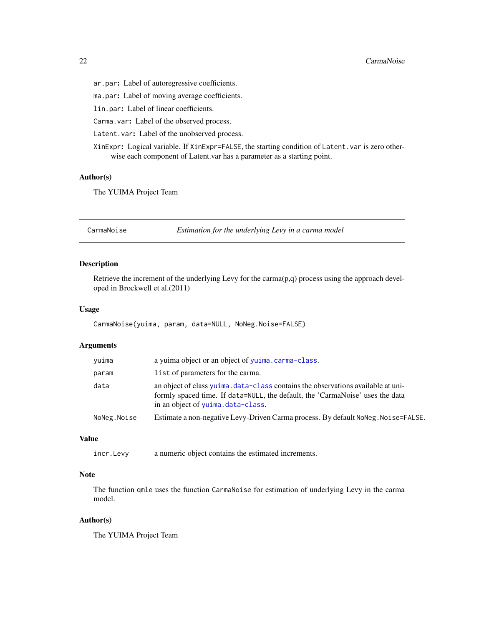<span id="page-21-0"></span>ar.par: Label of autoregressive coefficients.

ma.par: Label of moving average coefficients.

lin.par: Label of linear coefficients.

Carma.var: Label of the observed process.

Latent.var: Label of the unobserved process.

XinExpr: Logical variable. If XinExpr=FALSE, the starting condition of Latent.var is zero otherwise each component of Latent.var has a parameter as a starting point.

#### Author(s)

The YUIMA Project Team

CarmaNoise *Estimation for the underlying Levy in a carma model*

# Description

Retrieve the increment of the underlying Levy for the carma $(p,q)$  process using the approach developed in Brockwell et al.(2011)

# Usage

CarmaNoise(yuima, param, data=NULL, NoNeg.Noise=FALSE)

#### Arguments

| yuima       | a yuima object or an object of yuima.carma-class.                                                                                                                                                      |  |
|-------------|--------------------------------------------------------------------------------------------------------------------------------------------------------------------------------------------------------|--|
| param       | list of parameters for the carma.                                                                                                                                                                      |  |
| data        | an object of class yuima. data-class contains the observations available at uni-<br>formly spaced time. If data=NULL, the default, the 'CarmaNoise' uses the data<br>in an object of yuima.data-class. |  |
| NoNeg.Noise | Estimate a non-negative Levy-Driven Carma process. By default NoNeg. Noise=FALSE.                                                                                                                      |  |
|             |                                                                                                                                                                                                        |  |

# Value

incr.Levy a numeric object contains the estimated increments.

# Note

The function qmle uses the function CarmaNoise for estimation of underlying Levy in the carma model.

# Author(s)

The YUIMA Project Team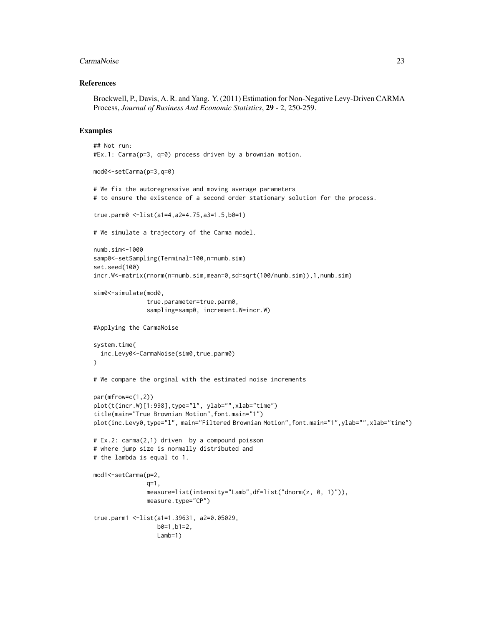#### CarmaNoise 23

#### References

Brockwell, P., Davis, A. R. and Yang. Y. (2011) Estimation for Non-Negative Levy-Driven CARMA Process, *Journal of Business And Economic Statistics*, 29 - 2, 250-259.

```
## Not run:
#Ex.1: Carma(p=3, q=0) process driven by a brownian motion.
mod0<-setCarma(p=3,q=0)
# We fix the autoregressive and moving average parameters
# to ensure the existence of a second order stationary solution for the process.
true.parm0 <-list(a1=4,a2=4.75,a3=1.5,b0=1)
# We simulate a trajectory of the Carma model.
numb.sim<-1000
samp0<-setSampling(Terminal=100,n=numb.sim)
set.seed(100)
incr.W<-matrix(rnorm(n=numb.sim,mean=0,sd=sqrt(100/numb.sim)),1,numb.sim)
sim0<-simulate(mod0,
               true.parameter=true.parm0,
               sampling=samp0, increment.W=incr.W)
#Applying the CarmaNoise
system.time(
  inc.Levy0<-CarmaNoise(sim0,true.parm0)
)
# We compare the orginal with the estimated noise increments
par(mfrow=c(1,2))
plot(t(incr.W)[1:998],type="l", ylab="",xlab="time")
title(main="True Brownian Motion",font.main="1")
plot(inc.Levy0,type="l", main="Filtered Brownian Motion",font.main="1",ylab="",xlab="time")
# Ex.2: carma(2,1) driven by a compound poisson
# where jump size is normally distributed and
# the lambda is equal to 1.
mod1<-setCarma(p=2,
               q=1,
               measure=list(intensity="Lamb",df=list("dnorm(z, 0, 1)")),
               measure.type="CP")
true.parm1 <-list(a1=1.39631, a2=0.05029,
                  b0=1,b1=2,
                  Lamb=1)
```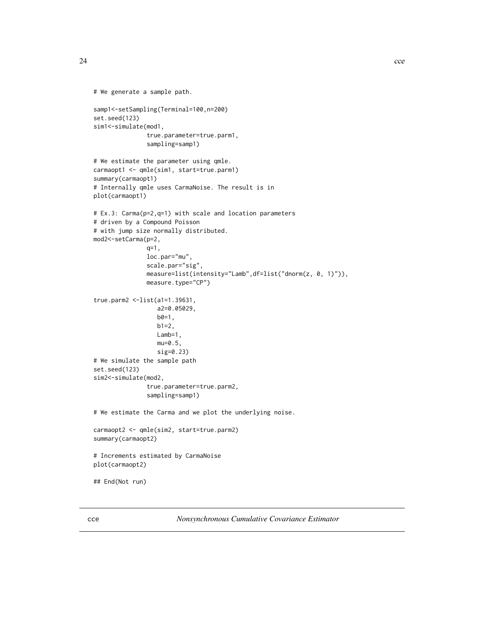24 cce

```
# We generate a sample path.
samp1<-setSampling(Terminal=100,n=200)
set.seed(123)
sim1<-simulate(mod1,
               true.parameter=true.parm1,
               sampling=samp1)
# We estimate the parameter using qmle.
carmaopt1 <- qmle(sim1, start=true.parm1)
summary(carmaopt1)
# Internally qmle uses CarmaNoise. The result is in
plot(carmaopt1)
# Ex.3: Carma(p=2,q=1) with scale and location parameters
# driven by a Compound Poisson
# with jump size normally distributed.
mod2<-setCarma(p=2,
               q=1,
               loc.par="mu",
               scale.par="sig",
               measure=list(intensity="Lamb",df=list("dnorm(z, 0, 1)")),
               measure.type="CP")
true.parm2 <-list(a1=1.39631,
                  a2=0.05029,
                  b0=1,
                  b1=2,
                  Lamb=1,
                  mu=0.5,
                  sig=0.23)
# We simulate the sample path
set.seed(123)
sim2<-simulate(mod2,
               true.parameter=true.parm2,
               sampling=samp1)
# We estimate the Carma and we plot the underlying noise.
carmaopt2 <- qmle(sim2, start=true.parm2)
summary(carmaopt2)
# Increments estimated by CarmaNoise
plot(carmaopt2)
## End(Not run)
```
<span id="page-23-1"></span>cce *Nonsynchronous Cumulative Covariance Estimator*

<span id="page-23-0"></span>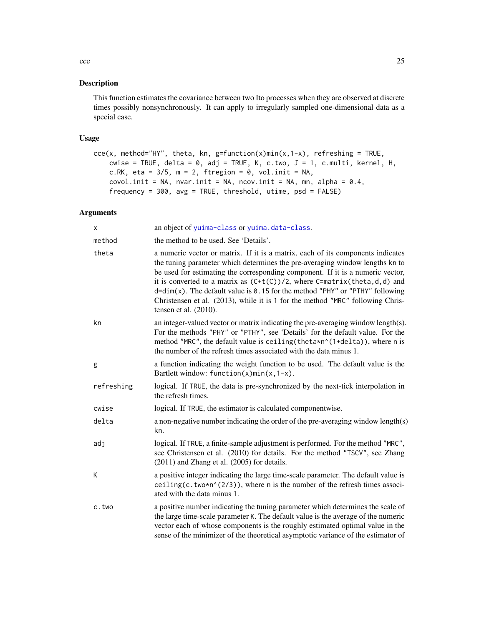# Description

This function estimates the covariance between two Ito processes when they are observed at discrete times possibly nonsynchronously. It can apply to irregularly sampled one-dimensional data as a special case.

# Usage

```
ccc(x, method='HY", theta, kn, g=function(x)min(x, 1-x), referring = TRUE,cwise = TRUE, delta = 0, adj = TRUE, K, c.two, J = 1, c.multi, kernel, H,
   c.RK, eta = 3/5, m = 2, ftregion = 0, vol.init = NA,
   covol.init = NA, nvar.init = NA, ncov.init = NA, mn, alpha = 0.4,
   frequency = 300, avg = TRUE, threshold, utime, psd = FALSE)
```
# Arguments

| х          | an object of yuima-class or yuima.data-class.                                                                                                                                                                                                                                                                                                                                                                                                                                                                                     |
|------------|-----------------------------------------------------------------------------------------------------------------------------------------------------------------------------------------------------------------------------------------------------------------------------------------------------------------------------------------------------------------------------------------------------------------------------------------------------------------------------------------------------------------------------------|
| method     | the method to be used. See 'Details'.                                                                                                                                                                                                                                                                                                                                                                                                                                                                                             |
| theta      | a numeric vector or matrix. If it is a matrix, each of its components indicates<br>the tuning parameter which determines the pre-averaging window lengths kn to<br>be used for estimating the corresponding component. If it is a numeric vector,<br>it is converted to a matrix as $(C+t(C))/2$ , where C=matrix(theta,d,d) and<br>$d=dim(x)$ . The default value is 0.15 for the method "PHY" or "PTHY" following<br>Christensen et al. (2013), while it is 1 for the method "MRC" following Chris-<br>tensen et al. $(2010)$ . |
| kn         | an integer-valued vector or matrix indicating the pre-averaging window length(s).<br>For the methods "PHY" or "PTHY", see 'Details' for the default value. For the<br>method "MRC", the default value is ceiling (theta*n^(1+delta)), where n is<br>the number of the refresh times associated with the data minus 1.                                                                                                                                                                                                             |
| g          | a function indicating the weight function to be used. The default value is the<br>Bartlett window: function(x)min(x, $1-x$ ).                                                                                                                                                                                                                                                                                                                                                                                                     |
| refreshing | logical. If TRUE, the data is pre-synchronized by the next-tick interpolation in<br>the refresh times.                                                                                                                                                                                                                                                                                                                                                                                                                            |
| cwise      | logical. If TRUE, the estimator is calculated componentwise.                                                                                                                                                                                                                                                                                                                                                                                                                                                                      |
| delta      | a non-negative number indicating the order of the pre-averaging window length(s)<br>kn.                                                                                                                                                                                                                                                                                                                                                                                                                                           |
| adj        | logical. If TRUE, a finite-sample adjustment is performed. For the method "MRC",<br>see Christensen et al. (2010) for details. For the method "TSCV", see Zhang<br>$(2011)$ and Zhang et al. $(2005)$ for details.                                                                                                                                                                                                                                                                                                                |
| K          | a positive integer indicating the large time-scale parameter. The default value is<br>ceiling(c.two*n^(2/3)), where n is the number of the refresh times associ-<br>ated with the data minus 1.                                                                                                                                                                                                                                                                                                                                   |
| c.two      | a positive number indicating the tuning parameter which determines the scale of<br>the large time-scale parameter K. The default value is the average of the numeric<br>vector each of whose components is the roughly estimated optimal value in the<br>sense of the minimizer of the theoretical asymptotic variance of the estimator of                                                                                                                                                                                        |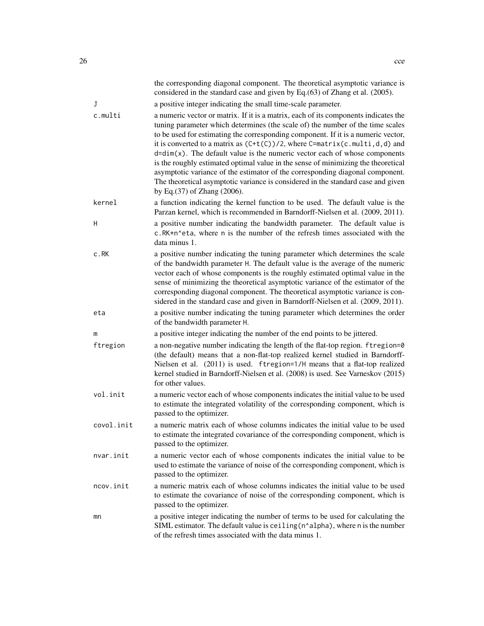|            | the corresponding diagonal component. The theoretical asymptotic variance is<br>considered in the standard case and given by Eq.(63) of Zhang et al. (2005).                                                                                                                                                                                                                                                                                                                                                                                                                                                                                                                                                           |
|------------|------------------------------------------------------------------------------------------------------------------------------------------------------------------------------------------------------------------------------------------------------------------------------------------------------------------------------------------------------------------------------------------------------------------------------------------------------------------------------------------------------------------------------------------------------------------------------------------------------------------------------------------------------------------------------------------------------------------------|
| J          | a positive integer indicating the small time-scale parameter.                                                                                                                                                                                                                                                                                                                                                                                                                                                                                                                                                                                                                                                          |
| c.multi    | a numeric vector or matrix. If it is a matrix, each of its components indicates the<br>tuning parameter which determines (the scale of) the number of the time scales<br>to be used for estimating the corresponding component. If it is a numeric vector,<br>it is converted to a matrix as $(C+t(C))/2$ , where C=matrix(c.multi,d,d) and<br>$d=dim(x)$ . The default value is the numeric vector each of whose components<br>is the roughly estimated optimal value in the sense of minimizing the theoretical<br>asymptotic variance of the estimator of the corresponding diagonal component.<br>The theoretical asymptotic variance is considered in the standard case and given<br>by Eq. (37) of Zhang (2006). |
| kernel     | a function indicating the kernel function to be used. The default value is the<br>Parzan kernel, which is recommended in Barndorff-Nielsen et al. (2009, 2011).                                                                                                                                                                                                                                                                                                                                                                                                                                                                                                                                                        |
| Н          | a positive number indicating the bandwidth parameter. The default value is<br>c.RK*n^eta, where n is the number of the refresh times associated with the<br>data minus 1.                                                                                                                                                                                                                                                                                                                                                                                                                                                                                                                                              |
| c.RK       | a positive number indicating the tuning parameter which determines the scale<br>of the bandwidth parameter H. The default value is the average of the numeric<br>vector each of whose components is the roughly estimated optimal value in the<br>sense of minimizing the theoretical asymptotic variance of the estimator of the<br>corresponding diagonal component. The theoretical asymptotic variance is con-<br>sidered in the standard case and given in Barndorff-Nielsen et al. (2009, 2011).                                                                                                                                                                                                                 |
| eta        | a positive number indicating the tuning parameter which determines the order<br>of the bandwidth parameter H.                                                                                                                                                                                                                                                                                                                                                                                                                                                                                                                                                                                                          |
| m          | a positive integer indicating the number of the end points to be jittered.                                                                                                                                                                                                                                                                                                                                                                                                                                                                                                                                                                                                                                             |
| ftregion   | a non-negative number indicating the length of the flat-top region. ftregion=0<br>(the default) means that a non-flat-top realized kernel studied in Barndorff-<br>Nielsen et al. (2011) is used. ftregion=1/H means that a flat-top realized<br>kernel studied in Barndorff-Nielsen et al. (2008) is used. See Varneskov (2015)<br>for other values.                                                                                                                                                                                                                                                                                                                                                                  |
| vol.init   | a numeric vector each of whose components indicates the initial value to be used<br>to estimate the integrated volatility of the corresponding component, which is<br>passed to the optimizer.                                                                                                                                                                                                                                                                                                                                                                                                                                                                                                                         |
| covol.init | a numeric matrix each of whose columns indicates the initial value to be used<br>to estimate the integrated covariance of the corresponding component, which is<br>passed to the optimizer.                                                                                                                                                                                                                                                                                                                                                                                                                                                                                                                            |
| nvar.init  | a numeric vector each of whose components indicates the initial value to be<br>used to estimate the variance of noise of the corresponding component, which is<br>passed to the optimizer.                                                                                                                                                                                                                                                                                                                                                                                                                                                                                                                             |
| ncov.init  | a numeric matrix each of whose columns indicates the initial value to be used<br>to estimate the covariance of noise of the corresponding component, which is<br>passed to the optimizer.                                                                                                                                                                                                                                                                                                                                                                                                                                                                                                                              |
| mn         | a positive integer indicating the number of terms to be used for calculating the<br>SIML estimator. The default value is ceiling (n^alpha), where n is the number<br>of the refresh times associated with the data minus 1.                                                                                                                                                                                                                                                                                                                                                                                                                                                                                            |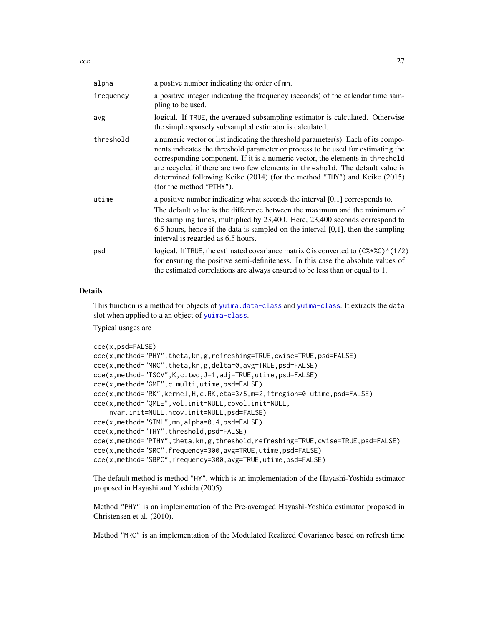| alpha     | a postive number indicating the order of mn.                                                                                                                                                                                                                                                                                                                                                                                                      |
|-----------|---------------------------------------------------------------------------------------------------------------------------------------------------------------------------------------------------------------------------------------------------------------------------------------------------------------------------------------------------------------------------------------------------------------------------------------------------|
| frequency | a positive integer indicating the frequency (seconds) of the calendar time sam-<br>pling to be used.                                                                                                                                                                                                                                                                                                                                              |
| avg       | logical. If TRUE, the averaged subsampling estimator is calculated. Otherwise<br>the simple sparsely subsampled estimator is calculated.                                                                                                                                                                                                                                                                                                          |
| threshold | a numeric vector or list indicating the threshold parameter(s). Each of its compo-<br>nents indicates the threshold parameter or process to be used for estimating the<br>corresponding component. If it is a numeric vector, the elements in threshold<br>are recycled if there are two few elements in threshold. The default value is<br>determined following Koike (2014) (for the method "THY") and Koike (2015)<br>(for the method "PTHY"). |
| utime     | a positive number indicating what seconds the interval $[0,1]$ corresponds to.<br>The default value is the difference between the maximum and the minimum of<br>the sampling times, multiplied by $23,400$ . Here, $23,400$ seconds correspond to<br>$6.5$ hours, hence if the data is sampled on the interval $[0,1]$ , then the sampling<br>interval is regarded as 6.5 hours.                                                                  |
| psd       | logical. If TRUE, the estimated covariance matrix C is converted to $(C\$ * $(C\$ (1/2)<br>for ensuring the positive semi-definiteness. In this case the absolute values of<br>the estimated correlations are always ensured to be less than or equal to 1.                                                                                                                                                                                       |

# Details

This function is a method for objects of [yuima.data-class](#page-173-1) and [yuima-class](#page-166-1). It extracts the data slot when applied to a an object of [yuima-class](#page-166-1).

Typical usages are

```
cce(x,psd=FALSE)
cce(x,method="PHY",theta,kn,g,refreshing=TRUE,cwise=TRUE,psd=FALSE)
cce(x,method="MRC",theta,kn,g,delta=0,avg=TRUE,psd=FALSE)
cce(x,method="TSCV",K,c.two,J=1,adj=TRUE,utime,psd=FALSE)
cce(x,method="GME",c.multi,utime,psd=FALSE)
cce(x,method="RK",kernel,H,c.RK,eta=3/5,m=2,ftregion=0,utime,psd=FALSE)
cce(x,method="QMLE",vol.init=NULL,covol.init=NULL,
    nvar.init=NULL,ncov.init=NULL,psd=FALSE)
cce(x,method="SIML",mn,alpha=0.4,psd=FALSE)
cce(x,method="THY",threshold,psd=FALSE)
cce(x,method="PTHY",theta,kn,g,threshold,refreshing=TRUE,cwise=TRUE,psd=FALSE)
cce(x,method="SRC",frequency=300,avg=TRUE,utime,psd=FALSE)
cce(x,method="SBPC",frequency=300,avg=TRUE,utime,psd=FALSE)
```
The default method is method "HY", which is an implementation of the Hayashi-Yoshida estimator proposed in Hayashi and Yoshida (2005).

Method "PHY" is an implementation of the Pre-averaged Hayashi-Yoshida estimator proposed in Christensen et al. (2010).

Method "MRC" is an implementation of the Modulated Realized Covariance based on refresh time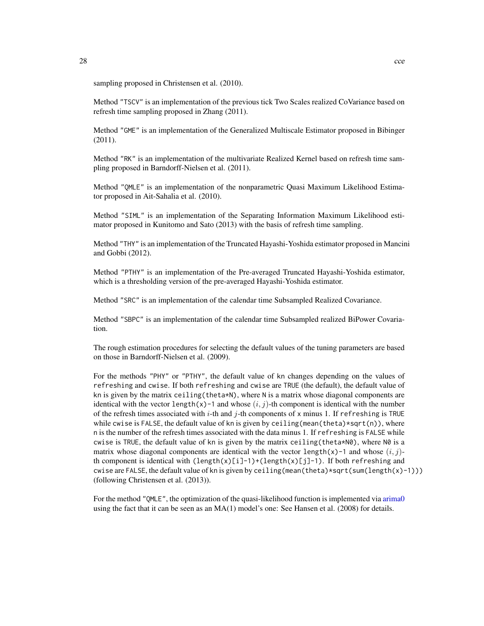sampling proposed in Christensen et al. (2010).

Method "TSCV" is an implementation of the previous tick Two Scales realized CoVariance based on refresh time sampling proposed in Zhang (2011).

Method "GME" is an implementation of the Generalized Multiscale Estimator proposed in Bibinger (2011).

Method "RK" is an implementation of the multivariate Realized Kernel based on refresh time sampling proposed in Barndorff-Nielsen et al. (2011).

Method "QMLE" is an implementation of the nonparametric Quasi Maximum Likelihood Estimator proposed in Ait-Sahalia et al. (2010).

Method "SIML" is an implementation of the Separating Information Maximum Likelihood estimator proposed in Kunitomo and Sato (2013) with the basis of refresh time sampling.

Method "THY" is an implementation of the Truncated Hayashi-Yoshida estimator proposed in Mancini and Gobbi (2012).

Method "PTHY" is an implementation of the Pre-averaged Truncated Hayashi-Yoshida estimator, which is a thresholding version of the pre-averaged Hayashi-Yoshida estimator.

Method "SRC" is an implementation of the calendar time Subsampled Realized Covariance.

Method "SBPC" is an implementation of the calendar time Subsampled realized BiPower Covariation.

The rough estimation procedures for selecting the default values of the tuning parameters are based on those in Barndorff-Nielsen et al. (2009).

For the methods "PHY" or "PTHY", the default value of kn changes depending on the values of refreshing and cwise. If both refreshing and cwise are TRUE (the default), the default value of kn is given by the matrix ceiling (theta\*N), where N is a matrix whose diagonal components are identical with the vector length(x)-1 and whose  $(i, j)$ -th component is identical with the number of the refresh times associated with i-th and j-th components of x minus 1. If refreshing is TRUE while cwise is FALSE, the default value of kn is given by ceiling (mean(theta)\*sqrt(n)), where n is the number of the refresh times associated with the data minus 1. If refreshing is FALSE while cwise is TRUE, the default value of kn is given by the matrix ceiling (theta\*N0), where N0 is a matrix whose diagonal components are identical with the vector length(x)-1 and whose  $(i, j)$ th component is identical with  $\text{length}(x)[i]-1)+\text{length}(x)[j]-1$ . If both refreshing and cwise are FALSE, the default value of kn is given by ceiling (mean(theta)\*sqrt(sum(length(x)-1))) (following Christensen et al. (2013)).

For the method "QMLE", the optimization of the quasi-likelihood function is implemented via [arima0](#page-0-0) using the fact that it can be seen as an MA(1) model's one: See Hansen et al. (2008) for details.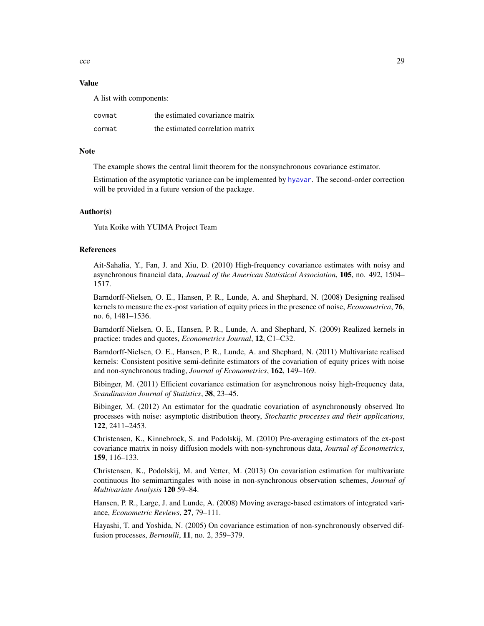$\csc 29$ 

# Value

A list with components:

| covmat | the estimated covariance matrix  |
|--------|----------------------------------|
| cormat | the estimated correlation matrix |

# **Note**

The example shows the central limit theorem for the nonsynchronous covariance estimator.

Estimation of the asymptotic variance can be implemented by [hyavar](#page-55-1). The second-order correction will be provided in a future version of the package.

# Author(s)

Yuta Koike with YUIMA Project Team

#### References

Ait-Sahalia, Y., Fan, J. and Xiu, D. (2010) High-frequency covariance estimates with noisy and asynchronous financial data, *Journal of the American Statistical Association*, 105, no. 492, 1504– 1517.

Barndorff-Nielsen, O. E., Hansen, P. R., Lunde, A. and Shephard, N. (2008) Designing realised kernels to measure the ex-post variation of equity prices in the presence of noise, *Econometrica*, 76, no. 6, 1481–1536.

Barndorff-Nielsen, O. E., Hansen, P. R., Lunde, A. and Shephard, N. (2009) Realized kernels in practice: trades and quotes, *Econometrics Journal*, 12, C1–C32.

Barndorff-Nielsen, O. E., Hansen, P. R., Lunde, A. and Shephard, N. (2011) Multivariate realised kernels: Consistent positive semi-definite estimators of the covariation of equity prices with noise and non-synchronous trading, *Journal of Econometrics*, 162, 149–169.

Bibinger, M. (2011) Efficient covariance estimation for asynchronous noisy high-frequency data, *Scandinavian Journal of Statistics*, 38, 23–45.

Bibinger, M. (2012) An estimator for the quadratic covariation of asynchronously observed Ito processes with noise: asymptotic distribution theory, *Stochastic processes and their applications*, 122, 2411–2453.

Christensen, K., Kinnebrock, S. and Podolskij, M. (2010) Pre-averaging estimators of the ex-post covariance matrix in noisy diffusion models with non-synchronous data, *Journal of Econometrics*, 159, 116–133.

Christensen, K., Podolskij, M. and Vetter, M. (2013) On covariation estimation for multivariate continuous Ito semimartingales with noise in non-synchronous observation schemes, *Journal of Multivariate Analysis* 120 59–84.

Hansen, P. R., Large, J. and Lunde, A. (2008) Moving average-based estimators of integrated variance, *Econometric Reviews*, 27, 79–111.

Hayashi, T. and Yoshida, N. (2005) On covariance estimation of non-synchronously observed diffusion processes, *Bernoulli*, 11, no. 2, 359–379.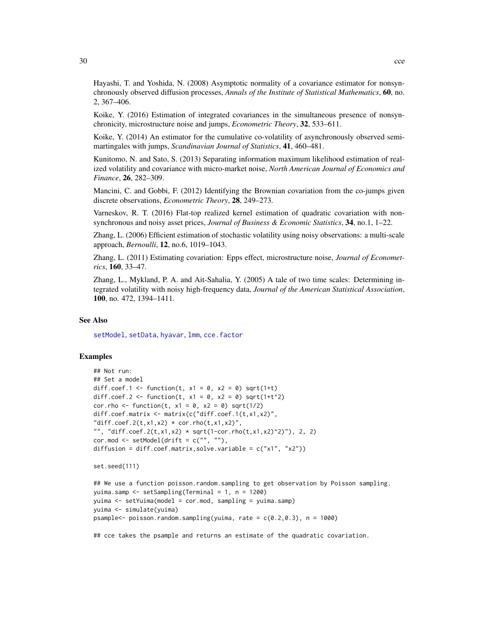Hayashi, T. and Yoshida, N. (2008) Asymptotic normality of a covariance estimator for nonsynchronously observed diffusion processes, *Annals of the Institute of Statistical Mathematics*, 60, no. 2, 367–406.

Koike, Y. (2016) Estimation of integrated covariances in the simultaneous presence of nonsynchronicity, microstructure noise and jumps, *Econometric Theory*, 32, 533–611.

Koike, Y. (2014) An estimator for the cumulative co-volatility of asynchronously observed semimartingales with jumps, *Scandinavian Journal of Statistics*, 41, 460–481.

Kunitomo, N. and Sato, S. (2013) Separating information maximum likelihood estimation of realized volatility and covariance with micro-market noise, *North American Journal of Economics and Finance*, 26, 282–309.

Mancini, C. and Gobbi, F. (2012) Identifying the Brownian covariation from the co-jumps given discrete observations, *Econometric Theory*, 28, 249–273.

Varneskov, R. T. (2016) Flat-top realized kernel estimation of quadratic covariation with nonsynchronous and noisy asset prices, *Journal of Business & Economic Statistics*, 34, no.1, 1–22.

Zhang, L. (2006) Efficient estimation of stochastic volatility using noisy observations: a multi-scale approach, *Bernoulli*, 12, no.6, 1019–1043.

Zhang, L. (2011) Estimating covariation: Epps effect, microstructure noise, *Journal of Econometrics*, 160, 33–47.

Zhang, L., Mykland, P. A. and Ait-Sahalia, Y. (2005) A tale of two time scales: Determining integrated volatility with noisy high-frequency data, *Journal of the American Statistical Association*, 100, no. 472, 1394–1411.

# See Also

[setModel](#page-132-1), [setData](#page-123-1), [hyavar](#page-55-1), [lmm](#page-155-1), [cce.factor](#page-32-1)

# Examples

```
## Not run:
## Set a model
diff.coef.1 <- function(t, x1 = 0, x2 = 0) sqrt(1+t)
diff.coef.2 <- function(t, x1 = 0, x2 = 0) sqrt(1+t^2)
cor.rho <- function(t, x1 = 0, x2 = 0) sqrt(1/2)
diff.coef.matrix <- matrix(c("diff.coef.1(t,x1,x2)",
"diff.coef.2(t,x1,x2) * cor.rho(t,x1,x2)",
"", "diff.coef.2(t,x1,x2) * sqrt(1-cor.rho(t,x1,x2)^2)"), 2, 2)
cor.mod \leq setModel(drift = c("", ""),
diffusion = diff.coef.matrix,solve.variable = c("x1", "x2"))
```

```
set.seed(111)
```

```
## We use a function poisson.random.sampling to get observation by Poisson sampling.
yuima.samp <- setSampling(Terminal = 1, n = 1200)
yuima <- setYuima(model = cor.mod, sampling = yuima.samp)
yuima <- simulate(yuima)
psample<- poisson.random.sampling(yuima, rate = c(0.2,0.3), n = 1000)
```
## cce takes the psample and returns an estimate of the quadratic covariation.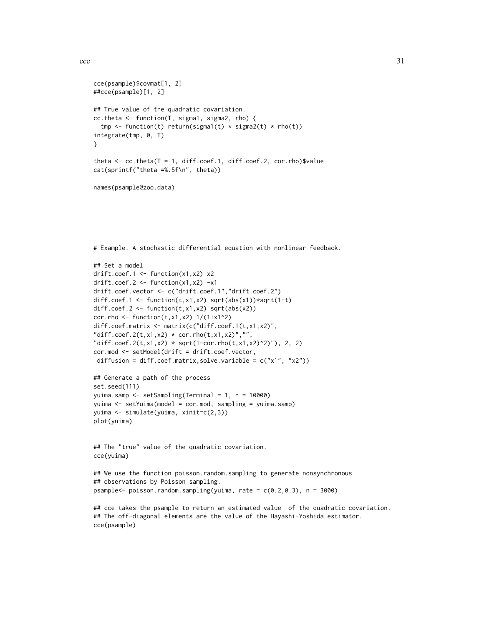$\text{cce}$  31

```
cce(psample)$covmat[1, 2]
##cce(psample)[1, 2]
## True value of the quadratic covariation.
cc.theta <- function(T, sigma1, sigma2, rho) {
 tmp <- function(t) return(sigma1(t) * sigma2(t) * rho(t))
integrate(tmp, 0, T)
}
theta \leq cc.theta(T = 1, diff.coef.1, diff.coef.2, cor.rho)$value
cat(sprintf("theta =%.5f\n", theta))
names(psample@zoo.data)
# Example. A stochastic differential equation with nonlinear feedback.
## Set a model
drift.coef.1 <- function(x1,x2) x2
drift.coef.2 <- function(x1, x2) -x1drift.coef.vector <- c("drift.coef.1","drift.coef.2")
diff.coef.1 <- function(t,x1,x2) sqrt(abs(x1))*sqrt(1+t)
diff.coef.2 <- function(t, x1, x2) sqrt(abs(x2))
cor.rho <- function(t, x1, x2) 1/(1+x1^2)
diff.coef.matrix <- matrix(c("diff.coef.1(t,x1,x2)",
"diff.coef.2(t, x1, x2) * cor.rho(t, x1, x2)", "","diff.coef.2(t,x1,x2) * sqrt(1-cor.rho(t,x1,x2)^2)"), 2, 2)
cor.mod <- setModel(drift = drift.coef.vector,
diffusion = diff.coef.matrix,solve.variable = c("x1", "x2"))## Generate a path of the process
set.seed(111)
yuima.samp <- setSampling(Terminal = 1, n = 10000)
yuima <- setYuima(model = cor.mod, sampling = yuima.samp)
yuima <- simulate(yuima, xinit=c(2,3))
plot(yuima)
## The "true" value of the quadratic covariation.
cce(yuima)
## We use the function poisson.random.sampling to generate nonsynchronous
## observations by Poisson sampling.
psample<- poisson.random.sampling(yuima, rate = c(0.2,0.3), n = 3000)
## cce takes the psample to return an estimated value of the quadratic covariation.
## The off-diagonal elements are the value of the Hayashi-Yoshida estimator.
```
cce(psample)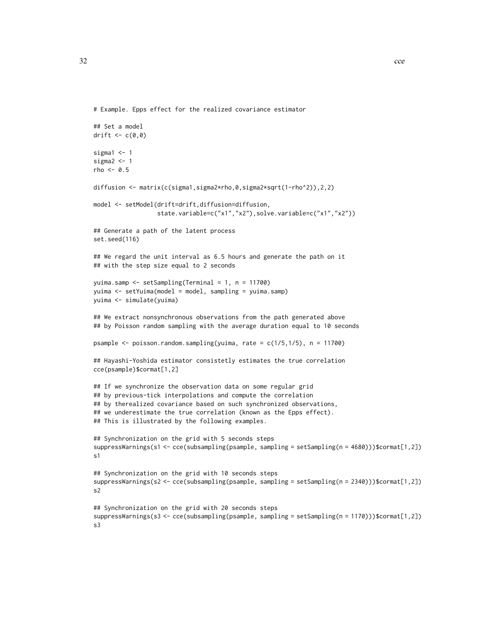```
32 cce
```

```
# Example. Epps effect for the realized covariance estimator
```

```
## Set a model
drift \leq c(0,0)sigma1 < -1sigma2 < -1rho < -0.5diffusion <- matrix(c(sigma1,sigma2*rho,0,sigma2*sqrt(1-rho^2)),2,2)
model <- setModel(drift=drift,diffusion=diffusion,
                  state.variable=c("x1","x2"),solve.variable=c("x1","x2"))
## Generate a path of the latent process
set.seed(116)
## We regard the unit interval as 6.5 hours and generate the path on it
## with the step size equal to 2 seconds
yuima.samp <- setSampling(Terminal = 1, n = 11700)
yuima <- setYuima(model = model, sampling = yuima.samp)
yuima <- simulate(yuima)
## We extract nonsynchronous observations from the path generated above
## by Poisson random sampling with the average duration equal to 10 seconds
psample \leq poisson.random.sampling(yuima, rate = c(1/5,1/5), n = 11700)
## Hayashi-Yoshida estimator consistetly estimates the true correlation
cce(psample)$cormat[1,2]
## If we synchronize the observation data on some regular grid
## by previous-tick interpolations and compute the correlation
## by therealized covariance based on such synchronized observations,
## we underestimate the true correlation (known as the Epps effect).
## This is illustrated by the following examples.
## Synchronization on the grid with 5 seconds steps
suppressWarnings(s1 <- cce(subsampling(psample, sampling = setSampling(n = 4680)))$cormat[1,2])
s1
## Synchronization on the grid with 10 seconds steps
suppressWarnings(s2 <- cce(subsampling(psample, sampling = setSampling(n = 2340)))$cormat[1,2])
s2
## Synchronization on the grid with 20 seconds steps
suppressWarnings(s3 <- cce(subsampling(psample, sampling = setSampling(n = 1170)))$cormat[1,2])
s3
```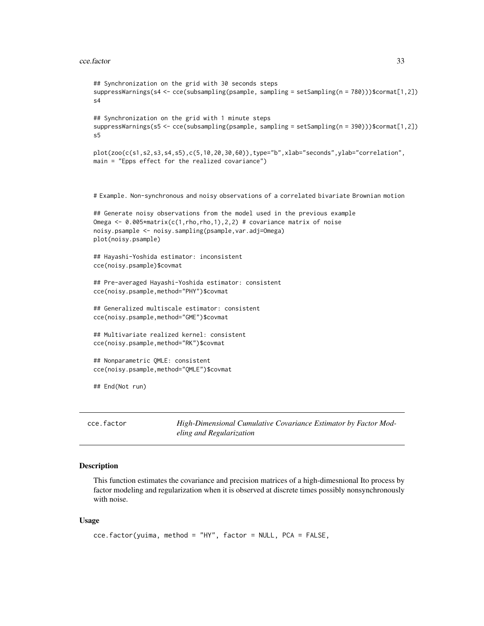```
## Synchronization on the grid with 30 seconds steps
suppressWarnings(s4 <- cce(subsampling(psample, sampling = setSampling(n = 780)))$cormat[1,2])
s4
## Synchronization on the grid with 1 minute steps
suppressWarnings(s5 <- cce(subsampling(psample, sampling = setSampling(n = 390)))$cormat[1,2])
s5
plot(zoo(c(s1,s2,s3,s4,s5),c(5,10,20,30,60)),type="b",xlab="seconds",ylab="correlation",
main = "Epps effect for the realized covariance")
# Example. Non-synchronous and noisy observations of a correlated bivariate Brownian motion
## Generate noisy observations from the model used in the previous example
Omega <- 0.005*matrix(c(1,rho,rho,1),2,2) # covariance matrix of noise
noisy.psample <- noisy.sampling(psample,var.adj=Omega)
plot(noisy.psample)
## Hayashi-Yoshida estimator: inconsistent
cce(noisy.psample)$covmat
## Pre-averaged Hayashi-Yoshida estimator: consistent
cce(noisy.psample,method="PHY")$covmat
## Generalized multiscale estimator: consistent
cce(noisy.psample,method="GME")$covmat
## Multivariate realized kernel: consistent
cce(noisy.psample,method="RK")$covmat
## Nonparametric QMLE: consistent
cce(noisy.psample,method="QMLE")$covmat
## End(Not run)
```
<span id="page-32-1"></span>cce.factor *High-Dimensional Cumulative Covariance Estimator by Factor Modeling and Regularization*

#### Description

This function estimates the covariance and precision matrices of a high-dimesnional Ito process by factor modeling and regularization when it is observed at discrete times possibly nonsynchronously with noise.

# Usage

```
cce.factor(yuima, method = "HY", factor = NULL, PCA = FALSE,
```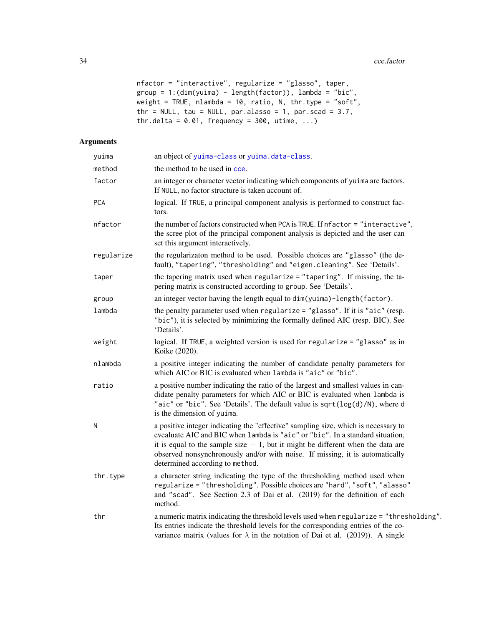```
nfactor = "interactive", regularize = "glasso", taper,
group = 1:(dim(yuima) - length(factor)), lambda = "bic",weight = TRUE, nlambda = 10, ratio, N, thr.type = "soft",
thr = NULL, tau = NULL, par.alasso = 1, par.scad = 3.7,
thr.delta = 0.01, frequency = 300, utime, ...)
```
# Arguments

| yuima      | an object of yuima-class or yuima.data-class.                                                                                                                                                                                                                                                                                                                               |  |
|------------|-----------------------------------------------------------------------------------------------------------------------------------------------------------------------------------------------------------------------------------------------------------------------------------------------------------------------------------------------------------------------------|--|
| method     | the method to be used in cce.                                                                                                                                                                                                                                                                                                                                               |  |
| factor     | an integer or character vector indicating which components of yuima are factors.<br>If NULL, no factor structure is taken account of.                                                                                                                                                                                                                                       |  |
| <b>PCA</b> | logical. If TRUE, a principal component analysis is performed to construct fac-<br>tors.                                                                                                                                                                                                                                                                                    |  |
| nfactor    | the number of factors constructed when PCA is TRUE. If nfactor = "interactive",<br>the scree plot of the principal component analysis is depicted and the user can<br>set this argument interactively.                                                                                                                                                                      |  |
| regularize | the regularizaton method to be used. Possible choices are "glasso" (the de-<br>fault), "tapering", "thresholding" and "eigen.cleaning". See 'Details'.                                                                                                                                                                                                                      |  |
| taper      | the tapering matrix used when regularize = "tapering". If missing, the ta-<br>pering matrix is constructed according to group. See 'Details'.                                                                                                                                                                                                                               |  |
| group      | an integer vector having the length equal to dim(yuima)-length(factor).                                                                                                                                                                                                                                                                                                     |  |
| lambda     | the penalty parameter used when regularize = "glasso". If it is "aic" (resp.<br>"bic"), it is selected by minimizing the formally defined AIC (resp. BIC). See<br>'Details'.                                                                                                                                                                                                |  |
| weight     | logical. If TRUE, a weighted version is used for regularize = "glasso" as in<br>Koike (2020).                                                                                                                                                                                                                                                                               |  |
| nlambda    | a positive integer indicating the number of candidate penalty parameters for<br>which AIC or BIC is evaluated when lambda is "aic" or "bic".                                                                                                                                                                                                                                |  |
| ratio      | a positive number indicating the ratio of the largest and smallest values in can-<br>didate penalty parameters for which AIC or BIC is evaluated when lambda is<br>"aic" or "bic". See 'Details'. The default value is sqrt(log(d)/N), where d<br>is the dimension of yuima.                                                                                                |  |
| Ν          | a positive integer indicating the "effective" sampling size, which is necessary to<br>evealuate AIC and BIC when lambda is "aic" or "bic". In a standard situation,<br>it is equal to the sample size $-1$ , but it might be different when the data are<br>observed nonsynchronously and/or with noise. If missing, it is automatically<br>determined according to method. |  |
| thr.type   | a character string indicating the type of the thresholding method used when<br>regularize = "thresholding". Possible choices are "hard", "soft", "alasso"<br>and "scad". See Section 2.3 of Dai et al. (2019) for the definition of each<br>method.                                                                                                                         |  |
| thr        | a numeric matrix indicating the threshold levels used when regularize = "thresholding".<br>Its entries indicate the threshold levels for the corresponding entries of the co-<br>variance matrix (values for $\lambda$ in the notation of Dai et al. (2019)). A single                                                                                                      |  |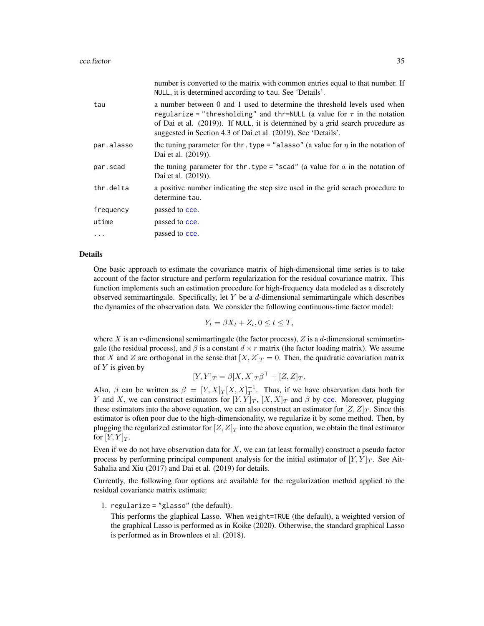|            | number is converted to the matrix with common entries equal to that number. If<br>NULL, it is determined according to tau. See 'Details'.                                                                                                                                                                    |
|------------|--------------------------------------------------------------------------------------------------------------------------------------------------------------------------------------------------------------------------------------------------------------------------------------------------------------|
| tau        | a number between 0 and 1 used to determine the threshold levels used when<br>regularize = "thresholding" and thr=NULL (a value for $\tau$ in the notation<br>of Dai et al. (2019)). If NULL, it is determined by a grid search procedure as<br>suggested in Section 4.3 of Dai et al. (2019). See 'Details'. |
| par.alasso | the tuning parameter for thr. type = "alasso" (a value for $\eta$ in the notation of<br>Dai et al. (2019)).                                                                                                                                                                                                  |
| par.scad   | the tuning parameter for thr. type = "scad" (a value for $a$ in the notation of<br>Dai et al. (2019)).                                                                                                                                                                                                       |
| thr.delta  | a positive number indicating the step size used in the grid serach procedure to<br>determine tau.                                                                                                                                                                                                            |
| frequency  | passed to cce.                                                                                                                                                                                                                                                                                               |
| utime      | passed to cce.                                                                                                                                                                                                                                                                                               |
| $\cdots$   | passed to cce.                                                                                                                                                                                                                                                                                               |

#### Details

One basic approach to estimate the covariance matrix of high-dimensional time series is to take account of the factor structure and perform regularization for the residual covariance matrix. This function implements such an estimation procedure for high-frequency data modeled as a discretely observed semimartingale. Specifically, let  $Y$  be a  $d$ -dimensional semimartingale which describes the dynamics of the observation data. We consider the following continuous-time factor model:

$$
Y_t = \beta X_t + Z_t, 0 \le t \le T,
$$

where X is an r-dimensional semimartingale (the factor process),  $Z$  is a d-dimensional semimartingale (the residual process), and  $\beta$  is a constant  $d \times r$  matrix (the factor loading matrix). We assume that X and Z are orthogonal in the sense that  $[X, Z]_T = 0$ . Then, the quadratic covariation matrix of  $Y$  is given by

$$
[Y,Y]_T = \beta [X,X]_T \beta^{\top} + [Z,Z]_T.
$$

Also,  $\beta$  can be written as  $\beta = [Y, X]_T [X, X]_T^{-1}$ . Thus, if we have observation data both for Y and X, we can construct estimators for  $[Y, Y]_T$ ,  $[X, X]_T$  and  $\beta$  by [cce](#page-23-1). Moreover, plugging these estimators into the above equation, we can also construct an estimator for  $[Z, Z]_T$ . Since this estimator is often poor due to the high-dimensionality, we regularize it by some method. Then, by plugging the regularized estimator for  $[Z, Z]_T$  into the above equation, we obtain the final estimator for  $[Y, Y]_T$ .

Even if we do not have observation data for  $X$ , we can (at least formally) construct a pseudo factor process by performing principal component analysis for the initial estimator of  $[Y, Y]_T$ . See Ait-Sahalia and Xiu (2017) and Dai et al. (2019) for details.

Currently, the following four options are available for the regularization method applied to the residual covariance matrix estimate:

1. regularize = "glasso" (the default).

This performs the glaphical Lasso. When weight=TRUE (the default), a weighted version of the graphical Lasso is performed as in Koike (2020). Otherwise, the standard graphical Lasso is performed as in Brownlees et al. (2018).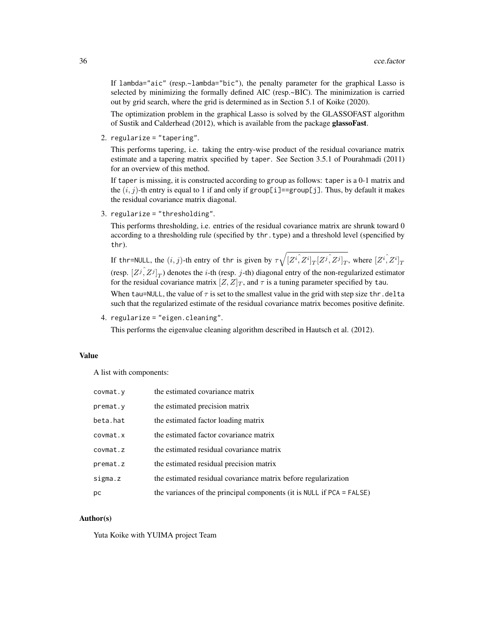If lambda="aic" (resp.~lambda="bic"), the penalty parameter for the graphical Lasso is selected by minimizing the formally defined AIC (resp.~BIC). The minimization is carried out by grid search, where the grid is determined as in Section 5.1 of Koike (2020).

The optimization problem in the graphical Lasso is solved by the GLASSOFAST algorithm of Sustik and Calderhead (2012), which is available from the package glassoFast.

2. regularize = "tapering".

This performs tapering, i.e. taking the entry-wise product of the residual covariance matrix estimate and a tapering matrix specified by taper. See Section 3.5.1 of Pourahmadi (2011) for an overview of this method.

If taper is missing, it is constructed according to group as follows: taper is a 0-1 matrix and the  $(i, j)$ -th entry is equal to 1 if and only if group[i]==group[j]. Thus, by default it makes the residual covariance matrix diagonal.

3. regularize = "thresholding".

This performs thresholding, i.e. entries of the residual covariance matrix are shrunk toward 0 according to a thresholding rule (specified by thr.type) and a threshold level (spencified by thr).

If thr=NULL, the  $(i,j)$ -th entry of thr is given by  $\tau\sqrt{[Z^i,\overline{Z^i}]_T [Z^j,\overline{Z^j}]_T},$  where  $[Z^i,\overline{Z^i}]_T$ (resp.  $[Z^j, Z^j]_T$ ) denotes the *i*-th (resp. *j*-th) diagonal entry of the non-regularized estimator for the residual covariance matrix  $[Z, Z]_T$ , and  $\tau$  is a tuning parameter specified by tau. When tau=NULL, the value of  $\tau$  is set to the smallest value in the grid with step size thr.delta such that the regularized estimate of the residual covariance matrix becomes positive definite.

4. regularize = "eigen.cleaning".

This performs the eigenvalue cleaning algorithm described in Hautsch et al. (2012).

# Value

A list with components:

| covmat.y | the estimated covariance matrix                                       |
|----------|-----------------------------------------------------------------------|
| premat.y | the estimated precision matrix                                        |
| beta.hat | the estimated factor loading matrix                                   |
| covmat.x | the estimated factor covariance matrix                                |
| covmat.z | the estimated residual covariance matrix                              |
| premat.z | the estimated residual precision matrix                               |
| sigma.z  | the estimated residual covariance matrix before regularization        |
| рc       | the variances of the principal components (it is NULL if PCA = FALSE) |

# Author(s)

Yuta Koike with YUIMA project Team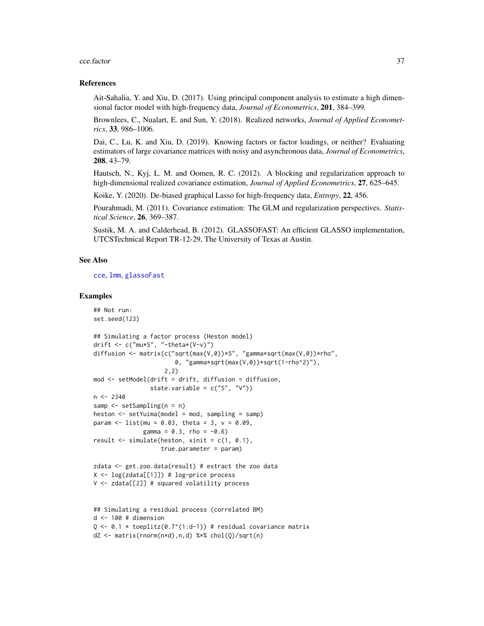#### cce.factor 37

### References

Ait-Sahalia, Y. and Xiu, D. (2017). Using principal component analysis to estimate a high dimensional factor model with high-frequency data, *Journal of Econometrics*, 201, 384–399.

Brownlees, C., Nualart, E. and Sun, Y. (2018). Realized networks, *Journal of Applied Econometrics*, 33, 986–1006.

Dai, C., Lu, K. and Xiu, D. (2019). Knowing factors or factor loadings, or neither? Evaluating estimators of large covariance matrices with noisy and asynchronous data, *Journal of Econometrics*, 208, 43–79.

Hautsch, N., Kyj, L. M. and Oomen, R. C. (2012). A blocking and regularization approach to high-dimensional realized covariance estimation, *Journal of Applied Econometrics*, 27, 625–645.

Koike, Y. (2020). De-biased graphical Lasso for high-frequency data, *Entropy*, 22, 456.

Pourahmadi, M. (2011). Covariance estimation: The GLM and regularization perspectives. *Statistical Science*, 26, 369–387.

Sustik, M. A. and Calderhead, B. (2012). GLASSOFAST: An efficient GLASSO implementation, UTCSTechnical Report TR-12-29, The University of Texas at Austin.

### See Also

[cce](#page-23-0), [lmm](#page-155-0), [glassoFast](#page-0-0)

```
## Not run:
set.seed(123)
## Simulating a factor process (Heston model)
drift \leq c("mu*S", "-theta*(V-v)")
diffusion <- matrix(c("sqrt(max(V,0))*S", "gamma*sqrt(max(V,0))*rho",
                        0, "gamma*sqrt(max(V,0))*sqrt(1-rho^2)"),
                     2,2)
mod <- setModel(drift = drift, diffusion = diffusion,
                state.variable = c("S", "V")n < -2340samp <- setSampling(n = n)
heston <- setYuima(model = mod, sampling = samp)
param \leq 1 ist(mu = 0.03, theta = 3, v = 0.09,
              gamma = 0.3, rho = -0.6)
result \le simulate(heston, xinit = c(1, 0.1),
                    true.parameter = param)
zdata <- get.zoo.data(result) # extract the zoo data
X \leftarrow \log(zdata[[1]]) + \log-price process
V <- zdata[[2]] # squared volatility process
## Simulating a residual process (correlated BM)
d \le -100 # dimension
Q \le -0.1 \times \text{to} toeplitz(0.7^(1:d-1)) # residual covariance matrix
dZ <- matrix(rnorm(n*d),n,d) %*% chol(Q)/sqrt(n)
```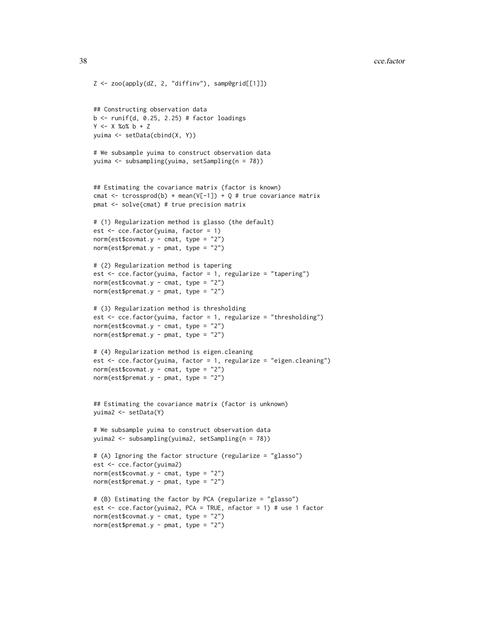```
Z <- zoo(apply(dZ, 2, "diffinv"), samp@grid[[1]])
## Constructing observation data
b \le runif(d, 0.25, 2.25) # factor loadings
Y <- X %o% b + Z
yuima <- setData(cbind(X, Y))
# We subsample yuima to construct observation data
yuima <- subsampling(yuima, setSampling(n = 78))
## Estimating the covariance matrix (factor is known)
cmat \leq tcrossprod(b) \star mean(V[-1]) + Q # true covariance matrix
pmat <- solve(cmat) # true precision matrix
# (1) Regularization method is glasso (the default)
est <- cce.factor(yuima, factor = 1)
norm(est$covmat.y - cmat, type = "2")
norm(est$premat.y - pmat, type = "2")# (2) Regularization method is tapering
est <- cce.factor(yuima, factor = 1, regularize = "tapering")
norm(est$covmat.y - cmat, type = "2")
norm(est$premat.y - pmat, type = "2")
# (3) Regularization method is thresholding
est \leq cce.factor(yuima, factor = 1, regularize = "thresholding")
norm(est$covmat.y - cmat, type = "2")
norm(est$premat.y - pmat, type = "2")
# (4) Regularization method is eigen.cleaning
est <- cce.factor(yuima, factor = 1, regularize = "eigen.cleaning")
norm(est$covmat.y - cmat, type = "2")
norm(est$premat.y - pmat, type = "2")
## Estimating the covariance matrix (factor is unknown)
yuima2 <- setData(Y)
# We subsample yuima to construct observation data
yuima2 <- subsampling(yuima2, setSampling(n = 78))
# (A) Ignoring the factor structure (regularize = "glasso")
est <- cce.factor(yuima2)
norm(est$covmat.y - cmat, type = "2")norm(est$premat.y - pmat, type = "2")
# (B) Estimating the factor by PCA (regularize = "glasso")
est <- cce.factor(yuima2, PCA = TRUE, nfactor = 1) # use 1 factor
norm(est$covmat.y - cmat, type = "2")
norm(est$premat.y - pmat, type = "2")
```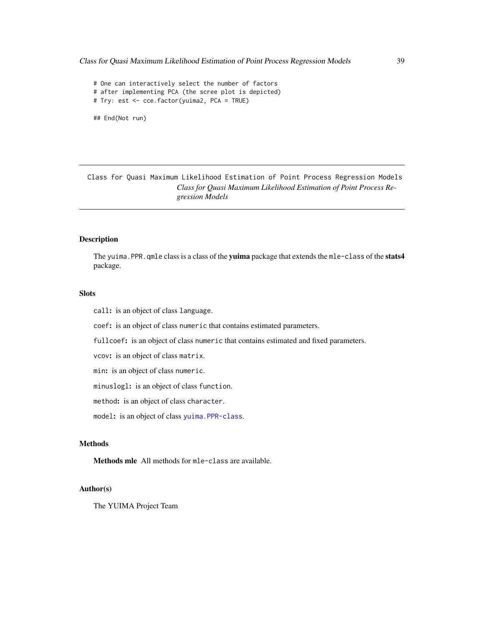```
# One can interactively select the number of factors
# after implementing PCA (the scree plot is depicted)
# Try: est <- cce.factor(yuima2, PCA = TRUE)
```
## End(Not run)

Class for Quasi Maximum Likelihood Estimation of Point Process Regression Models *Class for Quasi Maximum Likelihood Estimation of Point Process Regression Models*

# Description

The yuima. PPR. qmle class is a class of the yuima package that extends the mle-class of the stats4 package.

### Slots

call: is an object of class language.

coef: is an object of class numeric that contains estimated parameters.

fullcoef: is an object of class numeric that contains estimated and fixed parameters.

vcov: is an object of class matrix.

min: is an object of class numeric.

minuslogl: is an object of class function.

method: is an object of class character.

model: is an object of class [yuima.PPR-class](#page-183-0).

# Methods

Methods mle All methods for mle-class are available.

## Author(s)

The YUIMA Project Team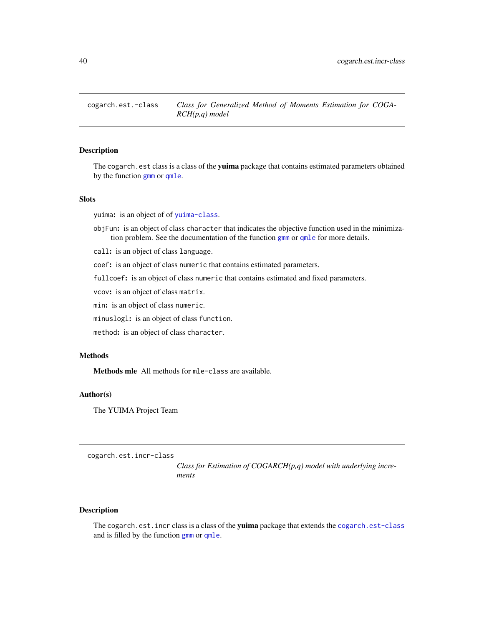### <span id="page-39-0"></span>Description

The cogarch.est class is a class of the yuima package that contains estimated parameters obtained by the function [gmm](#page-53-0) or [qmle](#page-101-0).

### **Slots**

yuima: is an object of of [yuima-class](#page-166-0).

- objFun: is an object of class character that indicates the objective function used in the minimization problem. See the documentation of the function [gmm](#page-53-0) or [qmle](#page-101-0) for more details.
- call: is an object of class language.

coef: is an object of class numeric that contains estimated parameters.

fullcoef: is an object of class numeric that contains estimated and fixed parameters.

vcov: is an object of class matrix.

min: is an object of class numeric.

minuslogl: is an object of class function.

method: is an object of class character.

# **Methods**

Methods mle All methods for mle-class are available.

### Author(s)

The YUIMA Project Team

<span id="page-39-1"></span>cogarch.est.incr-class

*Class for Estimation of COGARCH(p,q) model with underlying increments*

## Description

The cogarch.est.incr class is a class of the yuima package that extends the [cogarch.est-class](#page-39-0) and is filled by the function [gmm](#page-53-0) or [qmle](#page-101-0).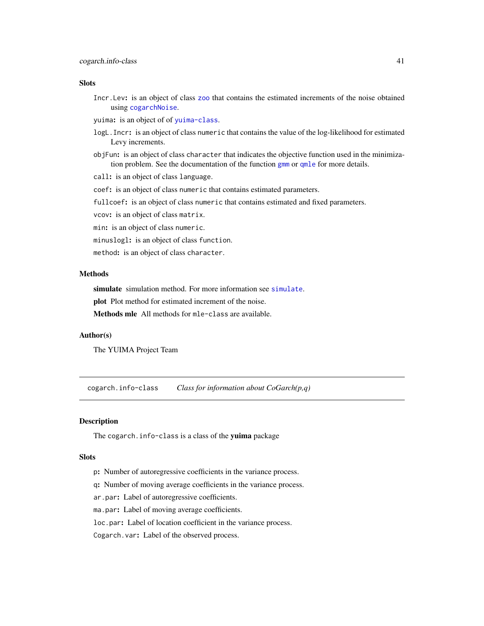### **Slots**

Incr.Lev: is an object of class [zoo](#page-0-0) that contains the estimated increments of the noise obtained using [cogarchNoise](#page-41-0).

yuima: is an object of of [yuima-class](#page-166-0).

- logL.Incr: is an object of class numeric that contains the value of the log-likelihood for estimated Levy increments.
- objFun: is an object of class character that indicates the objective function used in the minimization problem. See the documentation of the function [gmm](#page-53-0) or [qmle](#page-101-0) for more details.

call: is an object of class language.

coef: is an object of class numeric that contains estimated parameters.

fullcoef: is an object of class numeric that contains estimated and fixed parameters.

vcov: is an object of class matrix.

min: is an object of class numeric.

minuslogl: is an object of class function.

method: is an object of class character.

# Methods

[simulate](#page-146-0) simulation method. For more information see simulate.

plot Plot method for estimated increment of the noise.

Methods mle All methods for mle-class are available.

### Author(s)

The YUIMA Project Team

cogarch.info-class *Class for information about CoGarch(p,q)*

### Description

The cogarch. info-class is a class of the yuima package

#### **Slots**

- p: Number of autoregressive coefficients in the variance process.
- q: Number of moving average coefficients in the variance process.
- ar.par: Label of autoregressive coefficients.
- ma.par: Label of moving average coefficients.

loc.par: Label of location coefficient in the variance process.

Cogarch.var: Label of the observed process.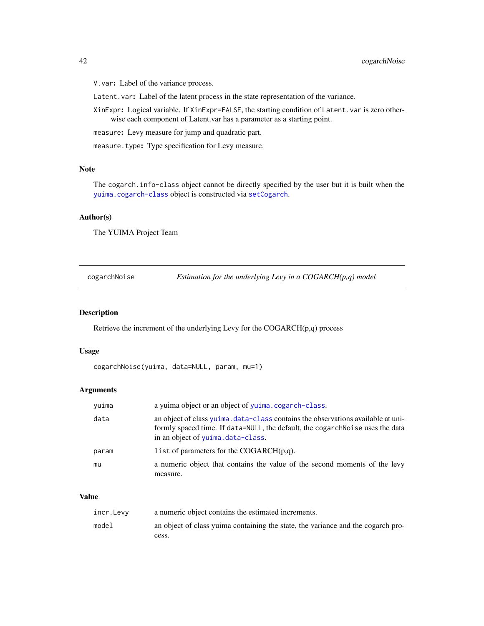V.var: Label of the variance process.

Latent.var: Label of the latent process in the state representation of the variance.

XinExpr: Logical variable. If XinExpr=FALSE, the starting condition of Latent.var is zero otherwise each component of Latent.var has a parameter as a starting point.

measure: Levy measure for jump and quadratic part.

measure.type: Type specification for Levy measure.

### Note

The cogarch.info-class object cannot be directly specified by the user but it is built when the [yuima.cogarch-class](#page-170-0) object is constructed via [setCogarch](#page-121-0).

### Author(s)

The YUIMA Project Team

<span id="page-41-0"></span>

| cogarchNoise | Estimation for the underlying Levy in a $COGARCH(p,q)$ model |
|--------------|--------------------------------------------------------------|
|              |                                                              |

# Description

Retrieve the increment of the underlying Levy for the COGARCH(p,q) process

## Usage

```
cogarchNoise(yuima, data=NULL, param, mu=1)
```
#### Arguments

| yuima | a yuima object or an object of yuima.cogarch-class.                                                                                                                                                     |
|-------|---------------------------------------------------------------------------------------------------------------------------------------------------------------------------------------------------------|
| data  | an object of class yuima, data-class contains the observations available at uni-<br>formly spaced time. If data=NULL, the default, the cogarch Noise uses the data<br>in an object of yuima.data-class. |
| param | list of parameters for the COGARCH $(p,q)$ .                                                                                                                                                            |
| mu    | a numeric object that contains the value of the second moments of the levy<br>measure.                                                                                                                  |

### Value

| incr.Levy | a numeric object contains the estimated increments.                              |
|-----------|----------------------------------------------------------------------------------|
| model     | an object of class yuima containing the state, the variance and the cogarch pro- |
|           | cess.                                                                            |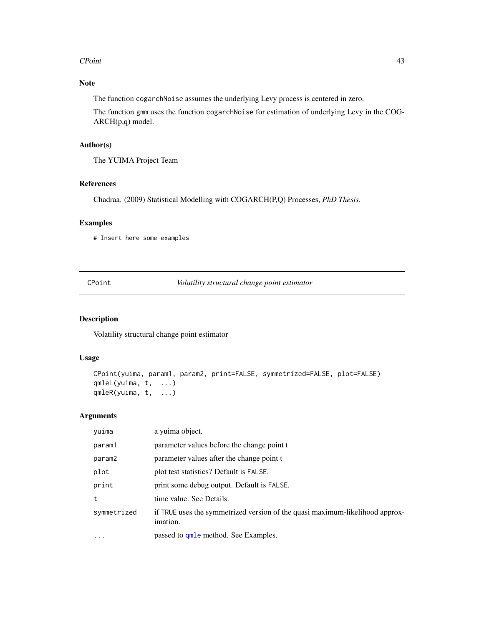#### CPoint 43

# Note

The function cogarchNoise assumes the underlying Levy process is centered in zero.

The function gmm uses the function cogarchNoise for estimation of underlying Levy in the COG-ARCH(p,q) model.

# Author(s)

The YUIMA Project Team

### References

Chadraa. (2009) Statistical Modelling with COGARCH(P,Q) Processes, *PhD Thesis*.

### Examples

# Insert here some examples

| CPoint |  |
|--------|--|
|        |  |

Volatility structural change point estimator

# Description

Volatility structural change point estimator

### Usage

```
CPoint(yuima, param1, param2, print=FALSE, symmetrized=FALSE, plot=FALSE)
qmleL(yuima, t, ...)
qmleR(yuima, t, ...)
```
# Arguments

| yuima       | a yuima object.                                                                          |
|-------------|------------------------------------------------------------------------------------------|
| param1      | parameter values before the change point t                                               |
| param2      | parameter values after the change point t                                                |
| plot        | plot test statistics? Default is FALSE.                                                  |
| print       | print some debug output. Default is FALSE.                                               |
| t           | time value. See Details.                                                                 |
| symmetrized | if TRUE uses the symmetrized version of the quasi maximum-likelihood approx-<br>imation. |
| $\ddotsc$   | passed to <b>qmle</b> method. See Examples.                                              |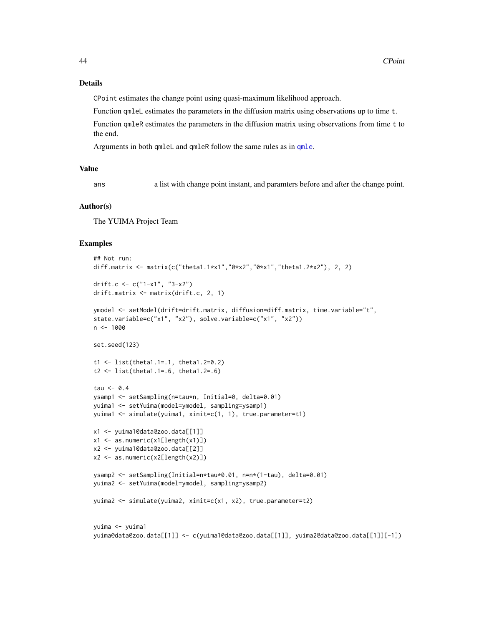### Details

CPoint estimates the change point using quasi-maximum likelihood approach.

Function qmleL estimates the parameters in the diffusion matrix using observations up to time t.

Function qmleR estimates the parameters in the diffusion matrix using observations from time t to the end.

Arguments in both qmleL and qmleR follow the same rules as in [qmle](#page-101-0).

#### Value

ans a list with change point instant, and paramters before and after the change point.

#### Author(s)

The YUIMA Project Team

```
## Not run:
diff.matrix <- matrix(c("theta1.1*x1","0*x2","0*x1","theta1.2*x2"), 2, 2)
drift.c <- c("1-x1", "3-x2")
drift.matrix <- matrix(drift.c, 2, 1)
ymodel <- setModel(drift=drift.matrix, diffusion=diff.matrix, time.variable="t",
state.variable=c("x1", "x2"), solve.variable=c("x1", "x2"))
n < - 1000set.seed(123)
t1 <- list(theta1.1=.1, theta1.2=0.2)
t2 <- list(theta1.1=.6, theta1.2=.6)
tau <-0.4ysamp1 <- setSampling(n=tau*n, Initial=0, delta=0.01)
yuima1 <- setYuima(model=ymodel, sampling=ysamp1)
yuima1 <- simulate(yuima1, xinit=c(1, 1), true.parameter=t1)
x1 <- yuima1@data@zoo.data[[1]]
x1 <- as.numeric(x1[length(x1)])
x2 <- yuima1@data@zoo.data[[2]]
x2 <- as.numeric(x2[length(x2)])
ysamp2 <- setSampling(Initial=n*tau*0.01, n=n*(1-tau), delta=0.01)
yuima2 <- setYuima(model=ymodel, sampling=ysamp2)
yuima2 <- simulate(yuima2, xinit=c(x1, x2), true.parameter=t2)
yuima <- yuima1
yuima@data@zoo.data[[1]] <- c(yuima1@data@zoo.data[[1]], yuima2@data@zoo.data[[1]][-1])
```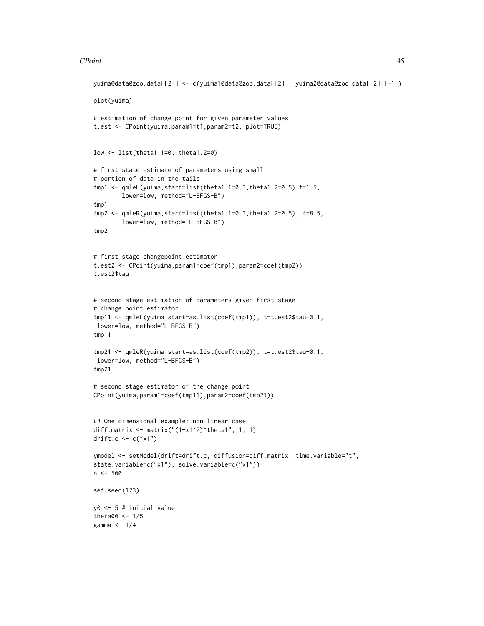#### CPoint 45

```
yuima@data@zoo.data[[2]] <- c(yuima1@data@zoo.data[[2]], yuima2@data@zoo.data[[2]][-1])
plot(yuima)
# estimation of change point for given parameter values
t.est <- CPoint(yuima,param1=t1,param2=t2, plot=TRUE)
low <- list(theta1.1=0, theta1.2=0)
# first state estimate of parameters using small
# portion of data in the tails
tmp1 <- qmleL(yuima,start=list(theta1.1=0.3,theta1.2=0.5),t=1.5,
        lower=low, method="L-BFGS-B")
tmp1
tmp2 <- qmleR(yuima,start=list(theta1.1=0.3,theta1.2=0.5), t=8.5,
        lower=low, method="L-BFGS-B")
tmp2
# first stage changepoint estimator
t.est2 <- CPoint(yuima,param1=coef(tmp1),param2=coef(tmp2))
t.est2$tau
# second stage estimation of parameters given first stage
# change point estimator
tmp11 <- qmleL(yuima,start=as.list(coef(tmp1)), t=t.est2$tau-0.1,
lower=low, method="L-BFGS-B")
tmp11
tmp21 <- qmleR(yuima,start=as.list(coef(tmp2)), t=t.est2$tau+0.1,
lower=low, method="L-BFGS-B")
tmp21
# second stage estimator of the change point
CPoint(yuima,param1=coef(tmp11),param2=coef(tmp21))
## One dimensional example: non linear case
diff.matrix <- matrix("(1+x1^2)^theta1", 1, 1)
drift.c <- c("x1")
ymodel <- setModel(drift=drift.c, diffusion=diff.matrix, time.variable="t",
state.variable=c("x1"), solve.variable=c("x1"))
n <- 500
set.seed(123)
y0 <- 5 # initial value
theta00 <-1/5gamma <- 1/4
```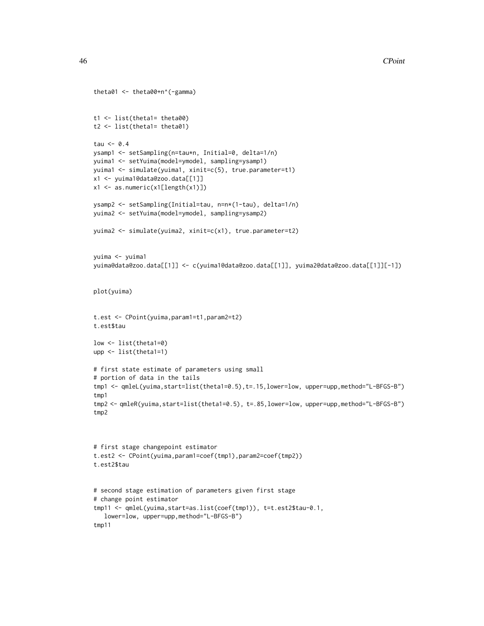```
theta01 <- theta00+n^(-gamma)
t1 <- list(theta1= theta00)
t2 <- list(theta1= theta01)
tau <- 0.4
ysamp1 <- setSampling(n=tau*n, Initial=0, delta=1/n)
yuima1 <- setYuima(model=ymodel, sampling=ysamp1)
yuima1 <- simulate(yuima1, xinit=c(5), true.parameter=t1)
x1 <- yuima1@data@zoo.data[[1]]
x1 <- as.numeric(x1[length(x1)])
ysamp2 <- setSampling(Initial=tau, n=n*(1-tau), delta=1/n)
yuima2 <- setYuima(model=ymodel, sampling=ysamp2)
yuima2 <- simulate(yuima2, xinit=c(x1), true.parameter=t2)
yuima <- yuima1
yuima@data@zoo.data[[1]] <- c(yuima1@data@zoo.data[[1]], yuima2@data@zoo.data[[1]][-1])
plot(yuima)
t.est <- CPoint(yuima,param1=t1,param2=t2)
t.est$tau
low <- list(theta1=0)
upp <- list(theta1=1)
# first state estimate of parameters using small
# portion of data in the tails
tmp1 <- qmleL(yuima,start=list(theta1=0.5),t=.15,lower=low, upper=upp,method="L-BFGS-B")
tmp1
tmp2 <- qmleR(yuima,start=list(theta1=0.5), t=.85,lower=low, upper=upp,method="L-BFGS-B")
tmp2
# first stage changepoint estimator
t.est2 <- CPoint(yuima,param1=coef(tmp1),param2=coef(tmp2))
t.est2$tau
# second stage estimation of parameters given first stage
# change point estimator
tmp11 <- qmleL(yuima,start=as.list(coef(tmp1)), t=t.est2$tau-0.1,
   lower=low, upper=upp,method="L-BFGS-B")
tmp11
```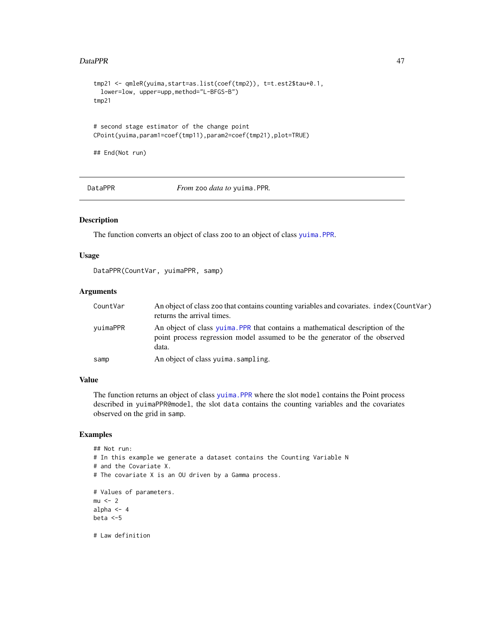### DataPPR 47

```
tmp21 <- qmleR(yuima,start=as.list(coef(tmp2)), t=t.est2$tau+0.1,
 lower=low, upper=upp,method="L-BFGS-B")
tmp21
# second stage estimator of the change point
CPoint(yuima,param1=coef(tmp11),param2=coef(tmp21),plot=TRUE)
## End(Not run)
```
DataPPR *From* zoo *data to* yuima.PPR*.*

### Description

The function converts an object of class zoo to an object of class [yuima.PPR](#page-183-1).

### Usage

DataPPR(CountVar, yuimaPPR, samp)

# Arguments

| CountVar | An object of class zoo that contains counting variables and covariates. index (CountVar)<br>returns the arrival times.                                               |
|----------|----------------------------------------------------------------------------------------------------------------------------------------------------------------------|
| yuimaPPR | An object of class yuima. PPR that contains a mathematical description of the<br>point process regression model assumed to be the generator of the observed<br>data. |
| samp     | An object of class yuima.sampling.                                                                                                                                   |

#### Value

The function returns an object of class [yuima.PPR](#page-183-1) where the slot model contains the Point process described in yuimaPPR@model, the slot data contains the counting variables and the covariates observed on the grid in samp.

```
## Not run:
# In this example we generate a dataset contains the Counting Variable N
# and the Covariate X.
# The covariate X is an OU driven by a Gamma process.
# Values of parameters.
mu < - 2alpha <-4beta <-5
```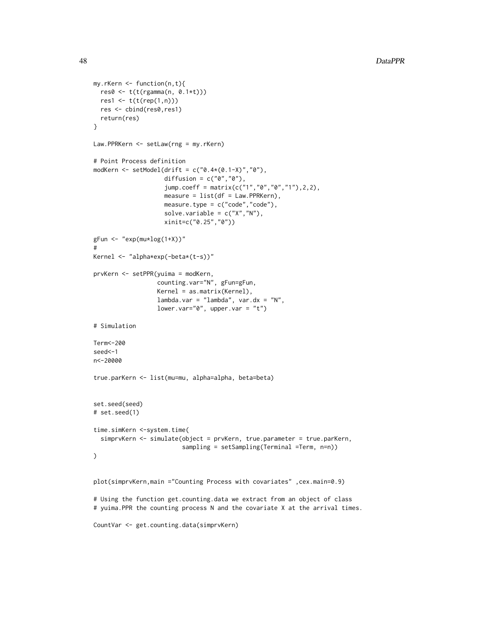```
my.rKern <- function(n,t){
  res0 <- t(t(rgamma(n, 0.1*t)))
 res1 <- t(t(rep(1,n)))
 res <- cbind(res0,res1)
  return(res)
}
Law.PPRKern <- setLaw(rng = my.rKern)
# Point Process definition
modKern <- setModel(drift = c("0.4*(0.1-X)","0"),
                    diffusion = c("0", "0"),
                    jump.coeff = matrix(c("1","0","0","1"),2,2),
                    measure = list(df = Law.PPRKern),measure.type = c("code","code"),
                    solve.variable = c("X", "N"),
                    xinit=c("0.25","0"))
gFun <- "exp(mu*log(1+X))"
#
Kernel <- "alpha*exp(-beta*(t-s))"
prvKern <- setPPR(yuima = modKern,
                  counting.var="N", gFun=gFun,
                  Kernel = as.matrix(Kernel),
                  lambda.var = "lambda", var.dx = "N",
                  lower-var="0", upper-var = "t")# Simulation
Term<-200
seed<-1
n<-20000
true.parKern <- list(mu=mu, alpha=alpha, beta=beta)
set.seed(seed)
# set.seed(1)
time.simKern <-system.time(
  simprvKern <- simulate(object = prvKern, true.parameter = true.parKern,
                         sampling = setSampling(Terminal =Term, n=n))
)
plot(simprvKern,main ="Counting Process with covariates" ,cex.main=0.9)
# Using the function get.counting.data we extract from an object of class
```
# yuima.PPR the counting process N and the covariate X at the arrival times.

```
CountVar <- get.counting.data(simprvKern)
```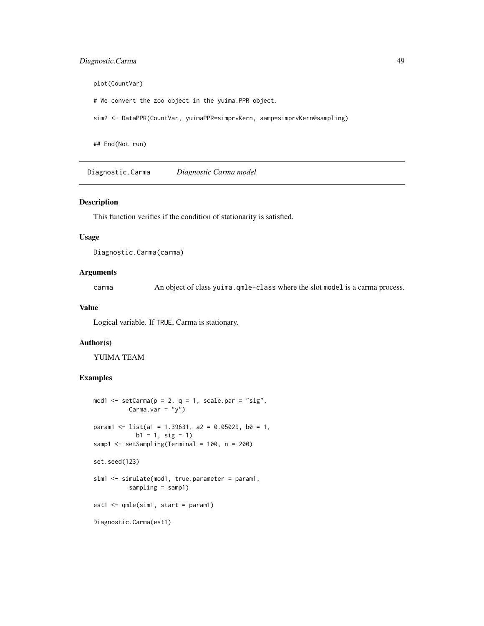# Diagnostic.Carma 49

plot(CountVar)

# We convert the zoo object in the yuima.PPR object.

sim2 <- DataPPR(CountVar, yuimaPPR=simprvKern, samp=simprvKern@sampling)

## End(Not run)

Diagnostic.Carma *Diagnostic Carma model*

#### Description

This function verifies if the condition of stationarity is satisfied.

#### Usage

Diagnostic.Carma(carma)

#### Arguments

carma An object of class yuima.qmle-class where the slot model is a carma process.

### Value

Logical variable. If TRUE, Carma is stationary.

### Author(s)

YUIMA TEAM

```
mod1 \le setCarma(p = 2, q = 1, scale.par = "sig",
          Carma.var = "y")
param1 <- list(a1 = 1.39631, a2 = 0.05029, b0 = 1,
            b1 = 1, sig = 1)
samp1 <- setSampling(Terminal = 100, n = 200)
set.seed(123)
sim1 <- simulate(mod1, true.parameter = param1,
          sampling = samp1)
est1 <- qmle(sim1, start = param1)
Diagnostic.Carma(est1)
```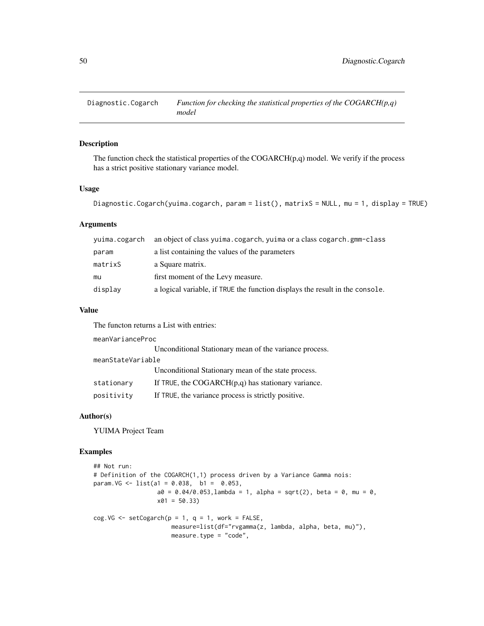Diagnostic.Cogarch *Function for checking the statistical properties of the COGARCH(p,q) model*

### Description

The function check the statistical properties of the  $COGARCH(p,q)$  model. We verify if the process has a strict positive stationary variance model.

#### Usage

```
Diagnostic.Cogarch(yuima.cogarch, param = list(), matrixS = NULL, mu = 1, display = TRUE)
```
# Arguments

| yuima.cogarch | an object of class yuima.cogarch, yuima or a class cogarch.gmm-class         |
|---------------|------------------------------------------------------------------------------|
| param         | a list containing the values of the parameters                               |
| matrixS       | a Square matrix.                                                             |
| mu            | first moment of the Levy measure.                                            |
| display       | a logical variable, if TRUE the function displays the result in the console. |

#### Value

The functon returns a List with entries:

meanVarianceProc

|                   | Unconditional Stationary mean of the variance process. |  |
|-------------------|--------------------------------------------------------|--|
| meanStateVariable |                                                        |  |
|                   | Unconditional Stationary mean of the state process.    |  |
| stationary        | If TRUE, the $COGARCH(p,q)$ has stationary variance.   |  |
| positivity        | If TRUE, the variance process is strictly positive.    |  |

### Author(s)

YUIMA Project Team

```
## Not run:
# Definition of the COGARCH(1,1) process driven by a Variance Gamma nois:
param.VG <- list(a1 = 0.038, b1 = 0.053,
                  a0 = 0.04/0.053, lambda = 1, alpha = sqrt(2), beta = 0, mu = 0,
                  x01 = 50.33)
cog.VG \leq -setCogarch(p = 1, q = 1, work = FALSE,measure=list(df="rvgamma(z, lambda, alpha, beta, mu)"),
                      measure.type = "code",
```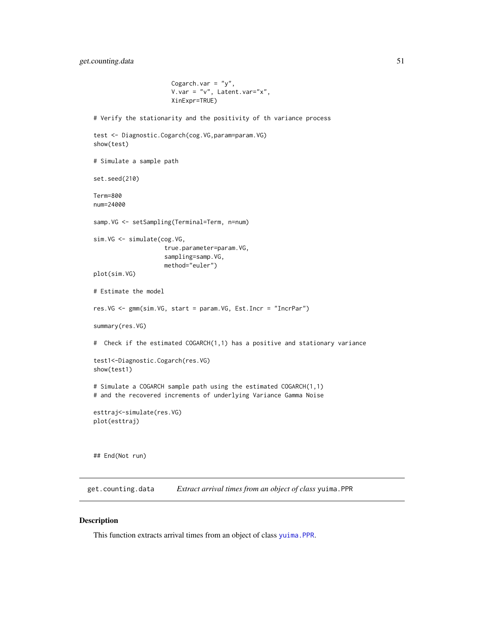```
Cogarch.var = "y",V.var = "v", Latent.var = "x",XinExpr=TRUE)
# Verify the stationarity and the positivity of th variance process
test <- Diagnostic.Cogarch(cog.VG,param=param.VG)
show(test)
# Simulate a sample path
set.seed(210)
Term=800
num=24000
samp.VG <- setSampling(Terminal=Term, n=num)
sim.VG <- simulate(cog.VG,
                    true.parameter=param.VG,
                    sampling=samp.VG,
                    method="euler")
plot(sim.VG)
# Estimate the model
res.VG <- gmm(sim.VG, start = param.VG, Est.Incr = "IncrPar")
summary(res.VG)
# Check if the estimated COGARCH(1,1) has a positive and stationary variance
test1<-Diagnostic.Cogarch(res.VG)
show(test1)
# Simulate a COGARCH sample path using the estimated COGARCH(1,1)
# and the recovered increments of underlying Variance Gamma Noise
esttraj<-simulate(res.VG)
plot(esttraj)
## End(Not run)
```
get.counting.data *Extract arrival times from an object of class* yuima.PPR

### Description

This function extracts arrival times from an object of class [yuima.PPR](#page-183-1).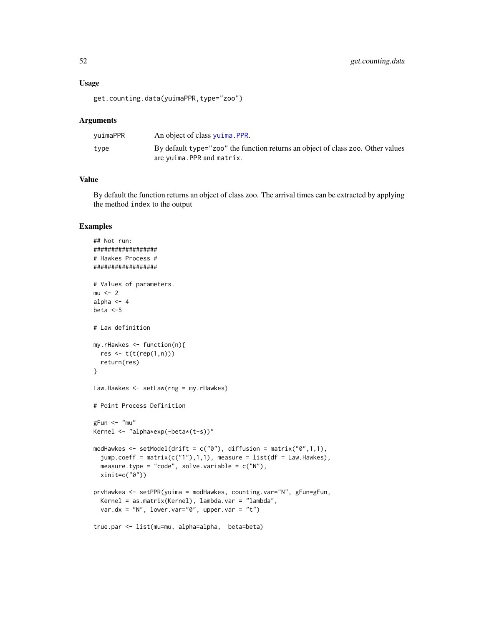#### Usage

get.counting.data(yuimaPPR,type="zoo")

### Arguments

| vuimaPPR | An object of class yuima. PPR.                                                                                |
|----------|---------------------------------------------------------------------------------------------------------------|
| type     | By default type="zoo" the function returns an object of class zoo. Other values<br>are yuima. PPR and matrix. |

# Value

By default the function returns an object of class zoo. The arrival times can be extracted by applying the method index to the output

```
## Not run:
##################
# Hawkes Process #
##################
# Values of parameters.
mu < - 2alpha <-4beta <-5
# Law definition
my.rHawkes <- function(n){
  res <- t(t(rep(1,n)))
  return(res)
}
Law.Hawkes <- setLaw(rng = my.rHawkes)
# Point Process Definition
gFun < - "mu"
Kernel <- "alpha*exp(-beta*(t-s))"
modHawkes \leq setModel(drift = c("0"), diffusion = matrix("0",1,1),
  jump.coeff = matrix(c("1"),1,1), measure = list(df = Law.Hawkes),
  measure.type = "code", solve.variable = c("N"),
  xinit=c("0"))
prvHawkes <- setPPR(yuima = modHawkes, counting.var="N", gFun=gFun,
  Kernel = as.matrix(Kernel), lambda.var = "lambda",
  var.dx = "N", lower.var="0", upper.var = "t")
true.par <- list(mu=mu, alpha=alpha, beta=beta)
```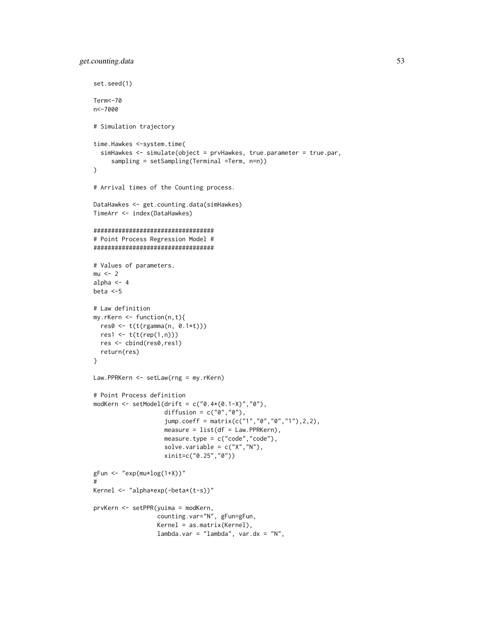```
set.seed(1)
Term<-70
n<-7000
# Simulation trajectory
time.Hawkes <-system.time(
  simHawkes <- simulate(object = prvHawkes, true.parameter = true.par,
     sampling = setSampling(Terminal =Term, n=n))
)
# Arrival times of the Counting process.
DataHawkes <- get.counting.data(simHawkes)
TimeArr <- index(DataHawkes)
##################################
# Point Process Regression Model #
##################################
# Values of parameters.
mu < - 2alpha <-4beta <-5
# Law definition
my.rKern <- function(n,t){
 res0 <- t(t(rgamma(n, 0.1*t)))
 res1 <- t(t(rep(1,n)))
 res <- cbind(res0,res1)
  return(res)
}
Law.PPRKern <- setLaw(rng = my.rKern)
# Point Process definition
modKern <- setModel(drift = c("0.4*(0.1-X)","0"),
                    diffusion = c("0", "0"),
                    jump.coeff = matrix(c("1","0","0","1"),2,2),
                    measure = list(df = Law.PPRKern),measure.type = c("code","code"),
                    solve.variable = c("X","N"),
                    xinit=c("0.25","0"))
gFun \leftarrow "exp(mu * log(1+X))"#
Kernel <- "alpha*exp(-beta*(t-s))"
prvKern <- setPPR(yuima = modKern,
                  counting.var="N", gFun=gFun,
                  Kernel = as.matrix(Kernel),
                  lambda.var = "lambda", var.dx = "N",
```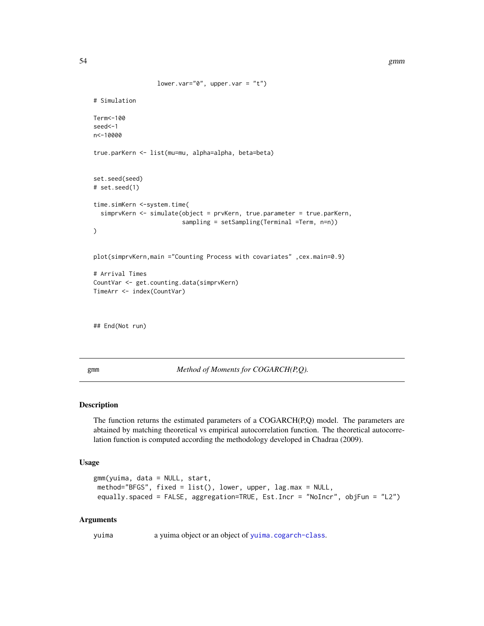```
lower.var="0", upper.var = "t")
# Simulation
Term<-100
seed<-1
n<-10000
true.parKern <- list(mu=mu, alpha=alpha, beta=beta)
set.seed(seed)
# set.seed(1)
time.simKern <-system.time(
  simprvKern <- simulate(object = prvKern, true.parameter = true.parKern,
                         sampling = setSampling(Terminal =Term, n=n))
)
plot(simprvKern,main ="Counting Process with covariates" ,cex.main=0.9)
# Arrival Times
CountVar <- get.counting.data(simprvKern)
TimeArr <- index(CountVar)
```
## End(Not run)

<span id="page-53-0"></span>gmm *Method of Moments for COGARCH(P,Q).*

### Description

The function returns the estimated parameters of a COGARCH(P,Q) model. The parameters are abtained by matching theoretical vs empirical autocorrelation function. The theoretical autocorrelation function is computed according the methodology developed in Chadraa (2009).

#### Usage

```
gmm(yuima, data = NULL, start,
method="BFGS", fixed = list(), lower, upper, lag.max = NULL,
equally.spaced = FALSE, aggregation=TRUE, Est.Incr = "NoIncr", objFun = "L2")
```
### Arguments

yuima a yuima object or an object of [yuima.cogarch-class](#page-170-0).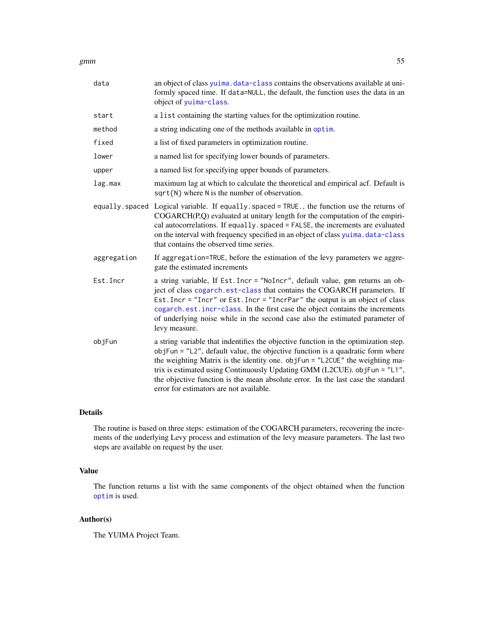#### gmm 55

| data        | an object of class yuima. data-class contains the observations available at uni-<br>formly spaced time. If data=NULL, the default, the function uses the data in an<br>object of yuima-class.                                                                                                                                                                                                                                                                     |
|-------------|-------------------------------------------------------------------------------------------------------------------------------------------------------------------------------------------------------------------------------------------------------------------------------------------------------------------------------------------------------------------------------------------------------------------------------------------------------------------|
| start       | a list containing the starting values for the optimization routine.                                                                                                                                                                                                                                                                                                                                                                                               |
| method      | a string indicating one of the methods available in optim.                                                                                                                                                                                                                                                                                                                                                                                                        |
| fixed       | a list of fixed parameters in optimization routine.                                                                                                                                                                                                                                                                                                                                                                                                               |
| lower       | a named list for specifying lower bounds of parameters.                                                                                                                                                                                                                                                                                                                                                                                                           |
| upper       | a named list for specifying upper bounds of parameters.                                                                                                                                                                                                                                                                                                                                                                                                           |
| lag.max     | maximum lag at which to calculate the theoretical and empirical acf. Default is<br>$sqrt(N)$ where N is the number of observation.                                                                                                                                                                                                                                                                                                                                |
|             | equally spaced Logical variable. If equally spaced = TRUE., the function use the returns of<br>COGARCH(P,Q) evaluated at unitary length for the computation of the empiri-<br>cal autocorrelations. If equally spaced = FALSE, the increments are evaluated<br>on the interval with frequency specified in an object of class yuima. data-class<br>that contains the observed time series.                                                                        |
| aggregation | If aggregation=TRUE, before the estimation of the levy parameters we aggre-<br>gate the estimated increments                                                                                                                                                                                                                                                                                                                                                      |
| Est. Incr   | a string variable, If Est. Incr = "NoIncr", default value, gmm returns an ob-<br>ject of class cogarch.est-class that contains the COGARCH parameters. If<br>Est. Incr = "Incr" or Est. Incr = "IncrPar" the output is an object of class<br>cogarch.est.incr-class. In the first case the object contains the increments<br>of underlying noise while in the second case also the estimated parameter of<br>levy measure.                                        |
| objFun      | a string variable that indentifies the objective function in the optimization step.<br>objFun = "L2", default value, the objective function is a quadratic form where<br>the weighting Matrix is the identity one. objFun = "L2CUE" the weighting ma-<br>trix is estimated using Continuously Updating GMM (L2CUE). objFun = "L1",<br>the objective function is the mean absolute error. In the last case the standard<br>error for estimators are not available. |

### Details

The routine is based on three steps: estimation of the COGARCH parameters, recovering the increments of the underlying Levy process and estimation of the levy measure parameters. The last two steps are available on request by the user.

# Value

The function returns a list with the same components of the object obtained when the function [optim](#page-0-0) is used.

# Author(s)

The YUIMA Project Team.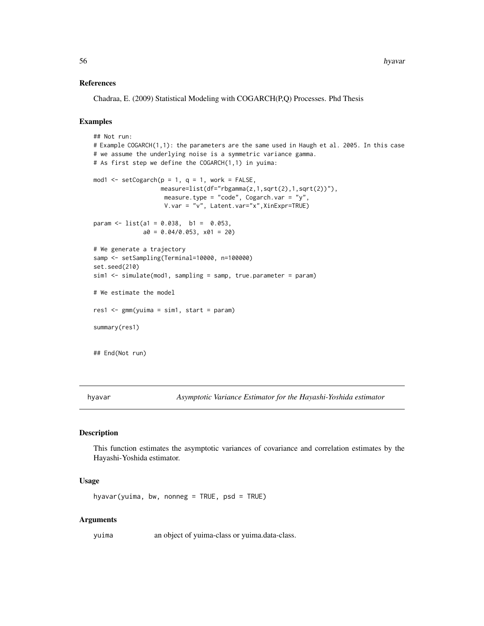### References

Chadraa, E. (2009) Statistical Modeling with COGARCH(P,Q) Processes. Phd Thesis

# Examples

```
## Not run:
# Example COGARCH(1,1): the parameters are the same used in Haugh et al. 2005. In this case
# we assume the underlying noise is a symmetric variance gamma.
# As first step we define the COGARCH(1,1) in yuima:
mod1 <- setCogarch(p = 1, q = 1, work = FALSE,
                   measure=list(df="rbgamma(z,1,sqrt(2),1,sqrt(2))"),
                    measure.type = "code", Cogarch.var = "y",
                    V.var = "v", Latent.var="x",XinExpr=TRUE)
param \le list(a1 = 0.038, b1 = 0.053,
              a0 = 0.04/0.053, x01 = 20# We generate a trajectory
samp <- setSampling(Terminal=10000, n=100000)
set.seed(210)
sim1 <- simulate(mod1, sampling = samp, true.parameter = param)
# We estimate the model
res1 <- gmm(yuima = sim1, start = param)
summary(res1)
## End(Not run)
```
<span id="page-55-0"></span>hyavar *Asymptotic Variance Estimator for the Hayashi-Yoshida estimator*

#### Description

This function estimates the asymptotic variances of covariance and correlation estimates by the Hayashi-Yoshida estimator.

### Usage

hyavar(yuima, bw, nonneg = TRUE,  $psd = TRUE$ )

#### Arguments

yuima an object of yuima-class or yuima.data-class.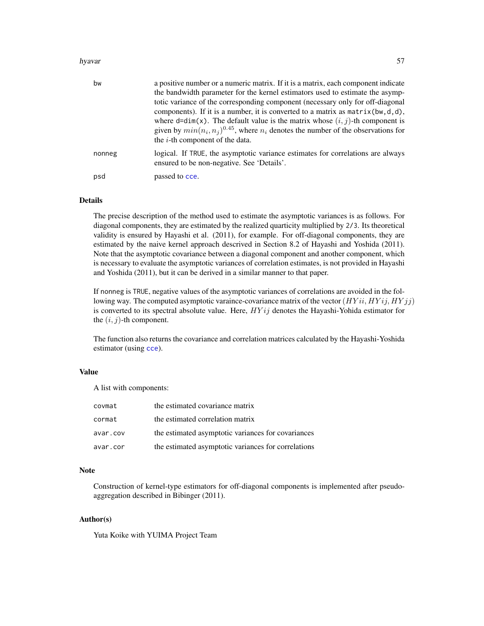#### hyavar 57

| bw     | a positive number or a numeric matrix. If it is a matrix, each component indicate<br>the bandwidth parameter for the kernel estimators used to estimate the asymp-<br>totic variance of the corresponding component (necessary only for off-diagonal<br>components). If it is a number, it is converted to a matrix as $matrix(x, d, d)$ ,<br>where $d=dim(x)$ . The default value is the matrix whose $(i, j)$ -th component is |
|--------|----------------------------------------------------------------------------------------------------------------------------------------------------------------------------------------------------------------------------------------------------------------------------------------------------------------------------------------------------------------------------------------------------------------------------------|
|        | given by $min(n_i, n_i)^{0.45}$ , where $n_i$ denotes the number of the observations for<br>the $i$ -th component of the data.                                                                                                                                                                                                                                                                                                   |
| nonneg | logical. If TRUE, the asymptotic variance estimates for correlations are always<br>ensured to be non-negative. See 'Details'.                                                                                                                                                                                                                                                                                                    |
| psd    | passed to cce.                                                                                                                                                                                                                                                                                                                                                                                                                   |

### Details

The precise description of the method used to estimate the asymptotic variances is as follows. For diagonal components, they are estimated by the realized quarticity multiplied by 2/3. Its theoretical validity is ensured by Hayashi et al. (2011), for example. For off-diagonal components, they are estimated by the naive kernel approach descrived in Section 8.2 of Hayashi and Yoshida (2011). Note that the asymptotic covariance between a diagonal component and another component, which is necessary to evaluate the asymptotic variances of correlation estimates, is not provided in Hayashi and Yoshida (2011), but it can be derived in a similar manner to that paper.

If nonneg is TRUE, negative values of the asymptotic variances of correlations are avoided in the following way. The computed asymptotic varaince-covariance matrix of the vector  $(HYii, HYij, HYjj)$ is converted to its spectral absolute value. Here,  $HYij$  denotes the Hayashi-Yohida estimator for the  $(i, j)$ -th component.

The function also returns the covariance and correlation matrices calculated by the Hayashi-Yoshida estimator (using [cce](#page-23-0)).

### Value

A list with components:

| covmat   | the estimated covariance matrix                     |
|----------|-----------------------------------------------------|
| cormat   | the estimated correlation matrix                    |
| avar.cov | the estimated asymptotic variances for covariances  |
| avar.cor | the estimated asymptotic variances for correlations |

## Note

Construction of kernel-type estimators for off-diagonal components is implemented after pseudoaggregation described in Bibinger (2011).

### Author(s)

Yuta Koike with YUIMA Project Team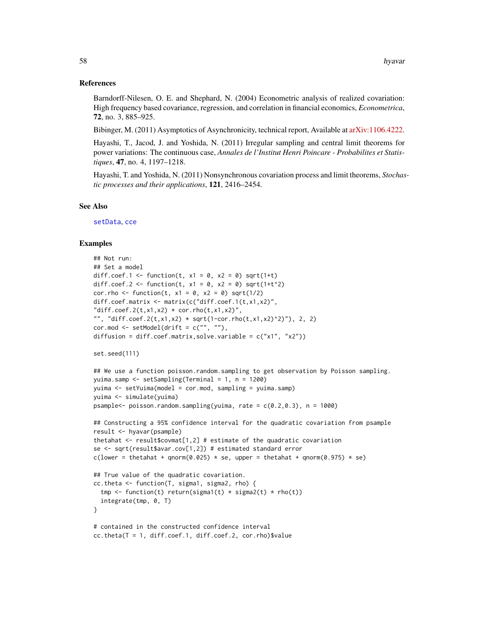#### References

Barndorff-Nilesen, O. E. and Shephard, N. (2004) Econometric analysis of realized covariation: High frequency based covariance, regression, and correlation in financial economics, *Econometrica*, 72, no. 3, 885–925.

Bibinger, M. (2011) Asymptotics of Asynchronicity, technical report, Available at [arXiv:1106.4222.](https://arxiv.org/abs/1106.4222)

Hayashi, T., Jacod, J. and Yoshida, N. (2011) Irregular sampling and central limit theorems for power variations: The continuous case, *Annales de l'Institut Henri Poincare - Probabilites et Statistiques*, 47, no. 4, 1197–1218.

Hayashi, T. and Yoshida, N. (2011) Nonsynchronous covariation process and limit theorems, *Stochastic processes and their applications*, 121, 2416–2454.

### See Also

[setData](#page-123-0), [cce](#page-23-0)

```
## Not run:
## Set a model
diff.coef.1 <- function(t, x1 = 0, x2 = 0) sqrt(1+t)
diff.coef.2 <- function(t, x1 = 0, x2 = 0) sqrt(1+t^2)
cor.rho <- function(t, x1 = 0, x2 = 0) sqrt(1/2)
diff.coef.matrix <- matrix(c("diff.coef.1(t,x1,x2)",
"diff.coef.2(t,x1,x2) * cor.rho(t,x1,x2)",
"", "diff.coef.2(t,x1,x2) * sqrt(1-cor.rho(t,x1,x2)^2)"), 2, 2)
cor.mod \le - setModel(drift = c("", ""),
diffusion = diff.coef.matrix,solve.variable = c("x1", "x2"))set.seed(111)
## We use a function poisson.random.sampling to get observation by Poisson sampling.
yuima.samp <- setSampling(Terminal = 1, n = 1200)
yuima <- setYuima(model = cor.mod, sampling = yuima.samp)
yuima <- simulate(yuima)
psample<- poisson.random.sampling(yuima, rate = c(0.2,0.3), n = 1000)
## Constructing a 95% confidence interval for the quadratic covariation from psample
result <- hyavar(psample)
thetahat \leq result$covmat[1,2] # estimate of the quadratic covariation
se <- sqrt(result$avar.cov[1,2]) # estimated standard error
c(lower = thetahat + qnorm(0.025) * se, upper = thetahat + qnorm(0.975) * se)
## True value of the quadratic covariation.
cc.theta <- function(T, sigma1, sigma2, rho) {
  tmp <- function(t) return(sigma1(t) * sigma2(t) * rho(t))
  integrate(tmp, 0, T)
}
# contained in the constructed confidence interval
cc.theta(T = 1, diff.coef.1, diff.coef.2, cor.rho)$value
```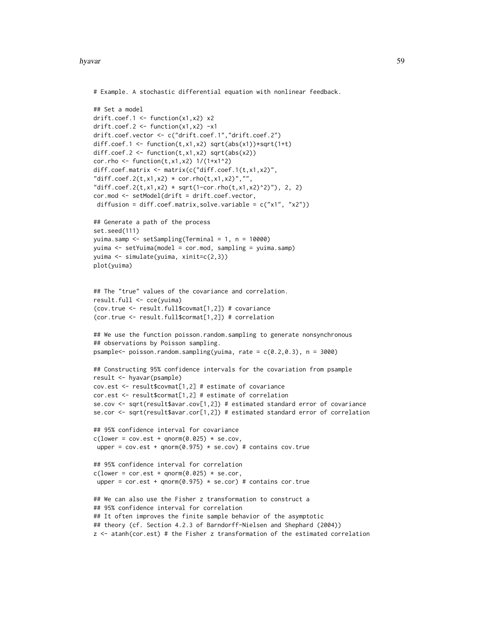#### hyavar 59

```
# Example. A stochastic differential equation with nonlinear feedback.
## Set a model
drift.coef.1 <- function(x1,x2) x2
drift.coef.2 \leftarrow function(x1,x2) -x1
drift.coef.vector <- c("drift.coef.1","drift.coef.2")
diff.coef.1 <- function(t,x1,x2) sqrt(abs(x1))*sqrt(1+t)
diff.coef.2 <- function(t, x1, x2) sqrt(abs(x2))
cor.rho <- function(t, x1, x2) 1/(1+x1^2)
diff.coef.matrix <- matrix(c("diff.coef.1(t,x1,x2)",
"diff.coef.2(t,x1,x2) * cor.rho(t,x1,x2)", """diff.coef.2(t,x1,x2) * sqrt(1-cor.rho(t,x1,x2)^2)"), 2, 2)
cor.mod <- setModel(drift = drift.coef.vector,
 diffusion = diff.coef.matrix,solve.variable = c("x1", "x2"))## Generate a path of the process
set.seed(111)
yuima.samp <- setSampling(Terminal = 1, n = 10000)
yuima <- setYuima(model = cor.mod, sampling = yuima.samp)
yuima <- simulate(yuima, xinit=c(2,3))
plot(yuima)
## The "true" values of the covariance and correlation.
result.full <- cce(yuima)
(cov.true <- result.full$covmat[1,2]) # covariance
(cor.true <- result.full$cormat[1,2]) # correlation
## We use the function poisson.random.sampling to generate nonsynchronous
## observations by Poisson sampling.
psample<- poisson.random.sampling(yuima, rate = c(0.2, 0.3), n = 3000)
## Constructing 95% confidence intervals for the covariation from psample
result <- hyavar(psample)
cov.est <- result$covmat[1,2] # estimate of covariance
cor.est <- result$cormat[1,2] # estimate of correlation
se.cov <- sqrt(result$avar.cov[1,2]) # estimated standard error of covariance
se.cor <- sqrt(result$avar.cor[1,2]) # estimated standard error of correlation
## 95% confidence interval for covariance
c(lower = cov.est + qnorm(0.025) * se.cov,upper = cov.est + qnorm(0.975) * se.cov # contains cov. true## 95% confidence interval for correlation
c(lower = cor.est + qnorm(0.025) * se.cor,upper = cor.set + qnorm(0.975) * sec.c. # contains cor.true
## We can also use the Fisher z transformation to construct a
## 95% confidence interval for correlation
## It often improves the finite sample behavior of the asymptotic
## theory (cf. Section 4.2.3 of Barndorff-Nielsen and Shephard (2004))
z <- atanh(cor.est) # the Fisher z transformation of the estimated correlation
```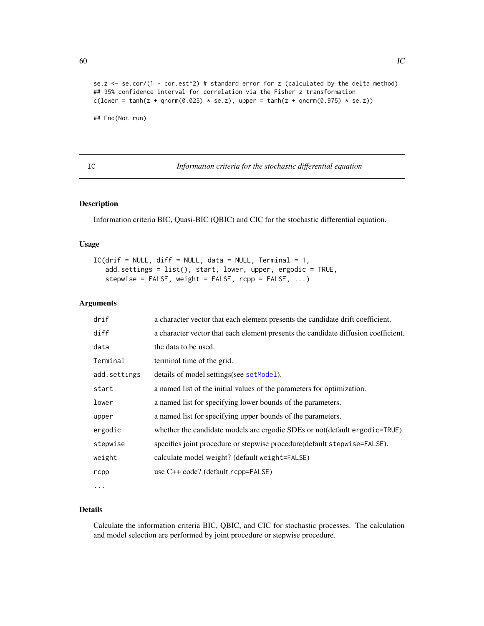```
se.z \le se.cor/(1 - cor.est^2) # standard error for z (calculated by the delta method)
## 95% confidence interval for correlation via the Fisher z transformation
c(lower = tanh(z + qnorm(0.025) * se.z), upper = tanh(z + qnorm(0.975) * se.z))
```
## End(Not run)

IC *Information criteria for the stochastic differential equation*

# Description

Information criteria BIC, Quasi-BIC (QBIC) and CIC for the stochastic differential equation.

### Usage

```
IC(drif = NULL, diff = NULL, data = NULL, Terminal = 1,add.settings = list(), start, lower, upper, ergodic = TRUE,
   stepwise = FALSE, weight = FALSE, rcpp = FALSE, ...)
```
# Arguments

| drif         | a character vector that each element presents the candidate drift coefficient.     |
|--------------|------------------------------------------------------------------------------------|
| diff         | a character vector that each element presents the candidate diffusion coefficient. |
| data         | the data to be used.                                                               |
| Terminal     | terminal time of the grid.                                                         |
| add.settings | details of model settings (see setModel).                                          |
| start        | a named list of the initial values of the parameters for optimization.             |
| lower        | a named list for specifying lower bounds of the parameters.                        |
| upper        | a named list for specifying upper bounds of the parameters.                        |
| ergodic      | whether the candidate models are ergodic SDEs or not(default ergodic=TRUE).        |
| stepwise     | specifies joint procedure or stepwise procedure(default stepwise=FALSE).           |
| weight       | calculate model weight? (default weight=FALSE)                                     |
| rcpp         | use C++ code? (default rcpp=FALSE)                                                 |
| $\cdots$     |                                                                                    |

Details

Calculate the information criteria BIC, QBIC, and CIC for stochastic processes. The calculation and model selection are performed by joint procedure or stepwise procedure.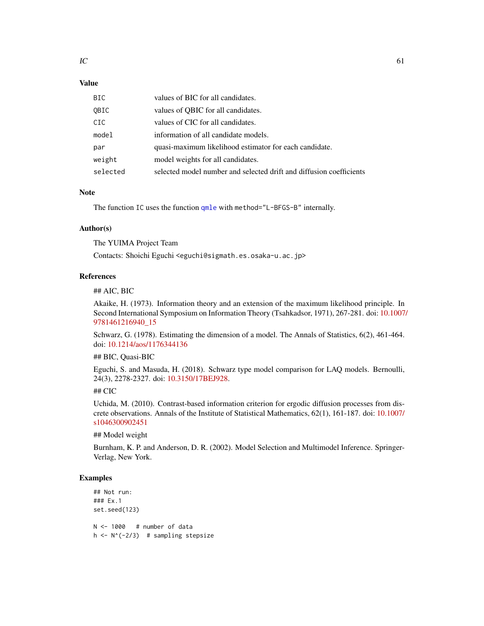# Value

| BIC.     | values of BIC for all candidates.                                   |
|----------|---------------------------------------------------------------------|
| OBIC     | values of QBIC for all candidates.                                  |
| CIC      | values of CIC for all candidates.                                   |
| model    | information of all candidate models.                                |
| par      | quasi-maximum likelihood estimator for each candidate.              |
| weight   | model weights for all candidates.                                   |
| selected | selected model number and selected drift and diffusion coefficients |

### Note

The function IC uses the function [qmle](#page-101-0) with method="L-BFGS-B" internally.

### Author(s)

The YUIMA Project Team

Contacts: Shoichi Eguchi <eguchi@sigmath.es.osaka-u.ac.jp>

### References

### ## AIC, BIC

Akaike, H. (1973). Information theory and an extension of the maximum likelihood principle. In Second International Symposium on Information Theory (Tsahkadsor, 1971), 267-281. doi: [10.1007](https://doi.org/10.1007/978-1-4612-1694-0_15)/ [9781461216940\\_15](https://doi.org/10.1007/978-1-4612-1694-0_15)

Schwarz, G. (1978). Estimating the dimension of a model. The Annals of Statistics, 6(2), 461-464. doi: [10.1214/aos/1176344136](https://doi.org/10.1214/aos/1176344136)

#### ## BIC, Quasi-BIC

Eguchi, S. and Masuda, H. (2018). Schwarz type model comparison for LAQ models. Bernoulli, 24(3), 2278-2327. doi: [10.3150/17BEJ928.](https://doi.org/10.3150/17-BEJ928)

# ## CIC

Uchida, M. (2010). Contrast-based information criterion for ergodic diffusion processes from discrete observations. Annals of the Institute of Statistical Mathematics, 62(1), 161-187. doi: [10.1007/](https://doi.org/10.1007/s10463-009-0245-1) [s1046300902451](https://doi.org/10.1007/s10463-009-0245-1)

#### ## Model weight

Burnham, K. P. and Anderson, D. R. (2002). Model Selection and Multimodel Inference. Springer-Verlag, New York.

```
## Not run:
### Ex.1
set.seed(123)
N < - 1000 # number of data
h \leftarrow N^(-2/3) # sampling stepsize
```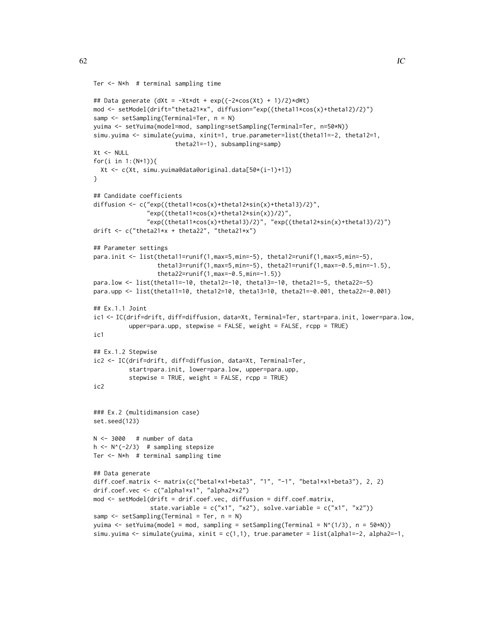```
Ter <- N*h # terminal sampling time
```

```
## Data generate (dXt = -Xt*dt + exp((-2*cos(Xt) + 1)/2)*dWt)
mod <- setModel(drift="theta21*x", diffusion="exp((theta11*cos(x)+theta12)/2)")
samp <- setSampling(Terminal=Ter, n = N)
yuima <- setYuima(model=mod, sampling=setSampling(Terminal=Ter, n=50*N))
simu.yuima <- simulate(yuima, xinit=1, true.parameter=list(theta11=-2, theta12=1,
                       theta21=-1), subsampling=samp)
Xt <- NULL
for(i in 1:(N+1)){
  Xt <- c(Xt, simu.yuima@data@original.data[50*(i-1)+1])
}
## Candidate coefficients
diffusion <- c("exp((theta11*cos(x)+theta12*sin(x)+theta13)/2)",
               "exp((theta11*cos(x)+theta12*sin(x))/2)",
               "exp((theta11*cos(x)+theta13)/2)", "exp((theta12*sin(x)+theta13)/2)")
drift <- c("theta21*x + theta22", "theta21*x")
## Parameter settings
para.init <- list(theta11=runif(1,max=5,min=-5), theta12=runif(1,max=5,min=-5),
                  theta13=runif(1,max=5,min=-5), theta21=runif(1,max=-0.5,min=-1.5),
                  theta22=runif(1,max=-0.5,min=-1.5))
para.low <- list(theta11=-10, theta12=-10, theta13=-10, theta21=-5, theta22=-5)
para.upp <- list(theta11=10, theta12=10, theta13=10, theta21=-0.001, theta22=-0.001)
## Ex.1.1 Joint
ic1 <- IC(drif=drift, diff=diffusion, data=Xt, Terminal=Ter, start=para.init, lower=para.low,
          upper=para.upp, stepwise = FALSE, weight = FALSE, rcpp = TRUE)
ic1
## Ex.1.2 Stepwise
ic2 <- IC(drif=drift, diff=diffusion, data=Xt, Terminal=Ter,
          start=para.init, lower=para.low, upper=para.upp,
          stepwise = TRUE, weight = FALSE, rcpp = TRUE)
ic2
### Ex.2 (multidimansion case)
set.seed(123)
N < -3000 # number of data
h \leq N^(-2/3) # sampling stepsize
Ter <- N*h # terminal sampling time
## Data generate
diff.coef.matrix <- matrix(c("beta1*x1+beta3", "1", "-1", "beta1*x1+beta3"), 2, 2)
drif.coef.vec <- c("alpha1*x1", "alpha2*x2")
mod <- setModel(drift = drif.coef.vec, diffusion = diff.coef.matrix,
                state.variable = c("x1", "x2"), solve.variable = c("x1", "x2"))samp <- setSampling(Terminal = Ter, n = N)
yuima <- setYuima(model = mod, sampling = setSampling(Terminal = N^(1/3), n = 50*N))
simu.yuima \le simulate(yuima, xinit = c(1,1), true.parameter = list(alpha1=-2, alpha2=-1,
```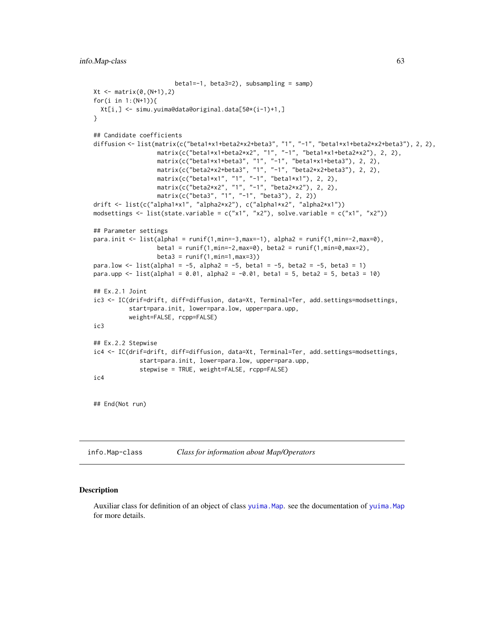```
beta1=-1, beta3=2), subsampling = samp)
Xt <- matrix(0,(N+1),2)
for(i in 1:(N+1)){
 Xt[i,] <- simu.yuima@data@original.data[50*(i-1)+1,]
}
## Candidate coefficients
diffusion <- list(matrix(c("beta1*x1+beta2*x2+beta3", "1", "-1", "beta1*x1+beta2*x2+beta3"), 2, 2),
                  matrix(c("beta1*x1+beta2*x2", "1", "-1", "beta1*x1+beta2*x2"), 2, 2),
                  matrix(c("beta1*x1+beta3", "1", "-1", "beta1*x1+beta3"), 2, 2),
                  matrix(c("beta2*x2+beta3", "1", "-1", "beta2*x2+beta3"), 2, 2),
                  matrix(c("beta1*x1", "1", "-1", "beta1*x1"), 2, 2),
                  matrix(c("beta2*x2", "1", "-1", "beta2*x2"), 2, 2),
                  matrix(c("beta3", "1", "-1", "beta3"), 2, 2))
drift <- list(c("alpha1*x1", "alpha2*x2"), c("alpha1*x2", "alpha2*x1"))
modsettings <- list(state.variable = c("x1", "x2"), solve.variable = c("x1", "x2"))
## Parameter settings
para.init <- list(alpha1 = runif(1,min=-3,max=-1), alpha2 = runif(1,min=-2,max=0),
                  beta = runif(1, min=-2, max=0), beta2 = runif(1, min=0, max=2),beta3 = runif(1, min=1, max=3))para.low \le list(alpha1 = -5, alpha2 = -5, beta1 = -5, beta2 = -5, beta3 = 1)
para.upp <- list(alpha1 = 0.01, alpha2 = -0.01, beta1 = 5, beta2 = 5, beta3 = 10)
## Ex.2.1 Joint
ic3 <- IC(drif=drift, diff=diffusion, data=Xt, Terminal=Ter, add.settings=modsettings,
          start=para.init, lower=para.low, upper=para.upp,
          weight=FALSE, rcpp=FALSE)
ic3
## Ex.2.2 Stepwise
ic4 <- IC(drif=drift, diff=diffusion, data=Xt, Terminal=Ter, add.settings=modsettings,
             start=para.init, lower=para.low, upper=para.upp,
             stepwise = TRUE, weight=FALSE, rcpp=FALSE)
ic4
## End(Not run)
```
info.Map-class *Class for information about Map/Operators*

### Description

Auxiliar class for definition of an object of class [yuima.Map](#page-177-0). see the documentation of [yuima.Map](#page-177-0) for more details.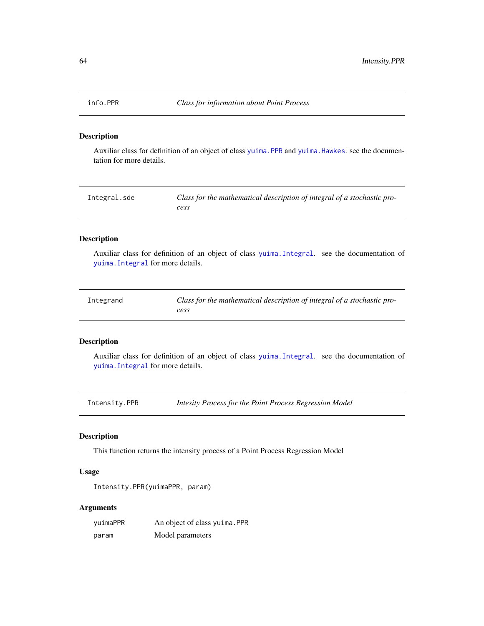### Description

Auxiliar class for definition of an object of class [yuima.PPR](#page-183-1) and [yuima.Hawkes](#page-174-0). see the documentation for more details.

| Integral.sde | Class for the mathematical description of integral of a stochastic pro- |
|--------------|-------------------------------------------------------------------------|
|              | cess                                                                    |

# Description

Auxiliar class for definition of an object of class [yuima.Integral](#page-175-0). see the documentation of [yuima.Integral](#page-175-0) for more details.

| Integrand | Class for the mathematical description of integral of a stochastic pro- |
|-----------|-------------------------------------------------------------------------|
|           | cess                                                                    |

### Description

Auxiliar class for definition of an object of class [yuima.Integral](#page-175-0). see the documentation of [yuima.Integral](#page-175-0) for more details.

Intensity.PPR *Intesity Process for the Point Process Regression Model*

# Description

This function returns the intensity process of a Point Process Regression Model

### Usage

```
Intensity.PPR(yuimaPPR, param)
```
# Arguments

| yuimaPPR | An object of class yuima. PPR |
|----------|-------------------------------|
| param    | Model parameters              |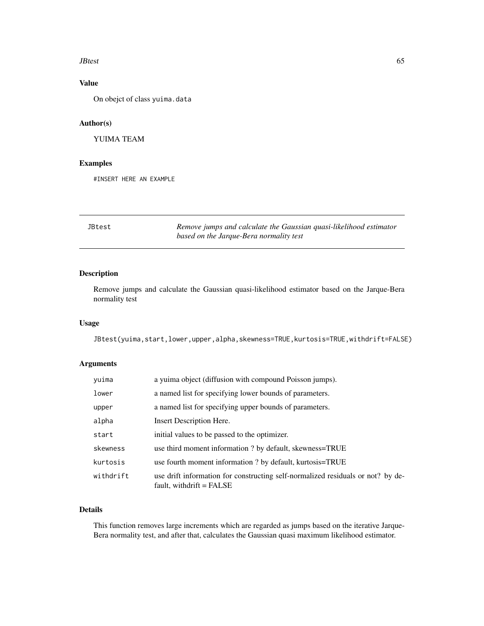#### **JBtest** 65

# Value

On obejct of class yuima.data

# Author(s)

YUIMA TEAM

## Examples

#INSERT HERE AN EXAMPLE

JBtest *Remove jumps and calculate the Gaussian quasi-likelihood estimator based on the Jarque-Bera normality test*

# Description

Remove jumps and calculate the Gaussian quasi-likelihood estimator based on the Jarque-Bera normality test

## Usage

JBtest(yuima,start,lower,upper,alpha,skewness=TRUE,kurtosis=TRUE,withdrift=FALSE)

# Arguments

| yuima     | a yuima object (diffusion with compound Poisson jumps).                                                       |
|-----------|---------------------------------------------------------------------------------------------------------------|
| lower     | a named list for specifying lower bounds of parameters.                                                       |
| upper     | a named list for specifying upper bounds of parameters.                                                       |
| alpha     | Insert Description Here.                                                                                      |
| start     | initial values to be passed to the optimizer.                                                                 |
| skewness  | use third moment information ? by default, skewness=TRUE                                                      |
| kurtosis  | use fourth moment information ? by default, kurtosis=TRUE                                                     |
| withdrift | use drift information for constructing self-normalized residuals or not? by de-<br>fault, withdrift $=$ FALSE |

# Details

This function removes large increments which are regarded as jumps based on the iterative Jarque-Bera normality test, and after that, calculates the Gaussian quasi maximum likelihood estimator.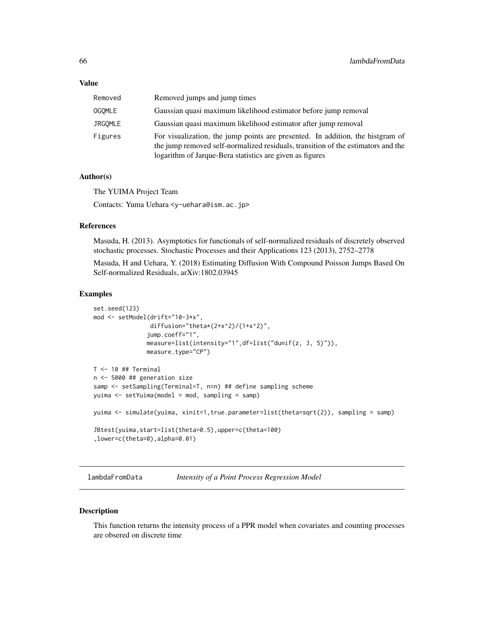#### Value

| Removed        | Removed jumps and jump times                                                                                                                                                                                                   |
|----------------|--------------------------------------------------------------------------------------------------------------------------------------------------------------------------------------------------------------------------------|
| <b>OGOMLE</b>  | Gaussian quasi maximum likelihood estimator before jump removal                                                                                                                                                                |
| <b>JRGOMLE</b> | Gaussian quasi maximum likelihood estimator after jump removal                                                                                                                                                                 |
| Figures        | For visualization, the jump points are presented. In addition, the histgram of<br>the jump removed self-normalized residuals, transition of the estimators and the<br>logarithm of Jarque-Bera statistics are given as figures |

### Author(s)

The YUIMA Project Team

Contacts: Yuma Uehara <y-uehara@ism.ac.jp>

# References

Masuda, H. (2013). Asymptotics for functionals of self-normalized residuals of discretely observed stochastic processes. Stochastic Processes and their Applications 123 (2013), 2752–2778

Masuda, H and Uehara, Y. (2018) Estimating Diffusion With Compound Poisson Jumps Based On Self-normalized Residuals, arXiv:1802.03945

#### Examples

```
set.seed(123)
mod <- setModel(drift="10-3*x",
               diffusion="theta*(2+x^2)/(1+x^2)",
               jump.coeff="1",
              measure=list(intensity="1",df=list("dunif(z, 3, 5)")),
              measure.type="CP")
T <- 10 ## Terminal
n <- 5000 ## generation size
samp <- setSampling(Terminal=T, n=n) ## define sampling scheme
yuima <- setYuima(model = mod, sampling = samp)
yuima <- simulate(yuima, xinit=1,true.parameter=list(theta=sqrt(2)), sampling = samp)
JBtest(yuima,start=list(theta=0.5),upper=c(theta=100)
,lower=c(theta=0),alpha=0.01)
```
lambdaFromData *Intensity of a Point Process Regression Model*

### Description

This function returns the intensity process of a PPR model when covariates and counting processes are obsered on discrete time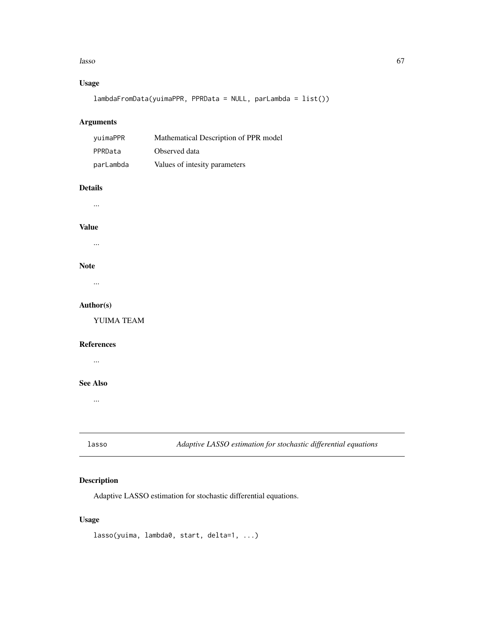#### lasso 67

# Usage

lambdaFromData(yuimaPPR, PPRData = NULL, parLambda = list())

# Arguments

| vuimaPPR  | Mathematical Description of PPR model |
|-----------|---------------------------------------|
| PPRData   | Observed data                         |
| parLambda | Values of intesity parameters         |

# Details

...

#### Value

...

### Note

...

### Author(s)

YUIMA TEAM

#### References

...

### See Also

...

lasso *Adaptive LASSO estimation for stochastic differential equations*

# Description

Adaptive LASSO estimation for stochastic differential equations.

# Usage

lasso(yuima, lambda0, start, delta=1, ...)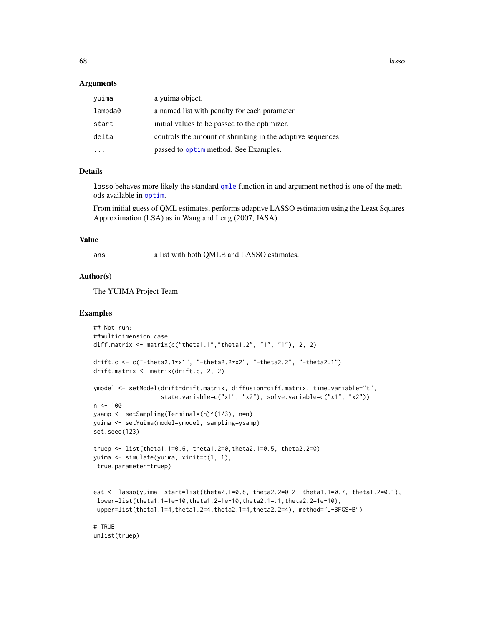**68** lasso and the contract of the contract of the contract of the contract of the contract of the contract of the contract of the contract of the contract of the contract of the contract of the contract of the contract of

#### Arguments

| yuima   | a yuima object.                                             |
|---------|-------------------------------------------------------------|
| lambda0 | a named list with penalty for each parameter.               |
| start   | initial values to be passed to the optimizer.               |
| delta   | controls the amount of shrinking in the adaptive sequences. |
|         | passed to optim method. See Examples.                       |

### Details

lasso behaves more likely the standard [qmle](#page-101-0) function in and argument method is one of the methods available in [optim](#page-0-0).

From initial guess of QML estimates, performs adaptive LASSO estimation using the Least Squares Approximation (LSA) as in Wang and Leng (2007, JASA).

### Value

ans a list with both QMLE and LASSO estimates.

#### Author(s)

The YUIMA Project Team

```
## Not run:
##multidimension case
diff.matrix <- matrix(c("theta1.1","theta1.2", "1", "1"), 2, 2)
drift.c <- c("-theta2.1*x1", "-theta2.2*x2", "-theta2.2", "-theta2.1")
drift.matrix <- matrix(drift.c, 2, 2)
ymodel <- setModel(drift=drift.matrix, diffusion=diff.matrix, time.variable="t",
                   state.variable=c("x1", "x2"), solve.variable=c("x1", "x2"))
n < - 100ysamp <- setSampling(Terminal=(n)^(1/3), n=n)
yuima <- setYuima(model=ymodel, sampling=ysamp)
set.seed(123)
truep <- list(theta1.1=0.6, theta1.2=0,theta2.1=0.5, theta2.2=0)
yuima <- simulate(yuima, xinit=c(1, 1),
 true.parameter=truep)
est <- lasso(yuima, start=list(theta2.1=0.8, theta2.2=0.2, theta1.1=0.7, theta1.2=0.1),
 lower=list(theta1.1=1e-10,theta1.2=1e-10,theta2.1=.1,theta2.2=1e-10),
 upper=list(theta1.1=4,theta1.2=4,theta2.1=4,theta2.2=4), method="L-BFGS-B")
# TRUE
unlist(truep)
```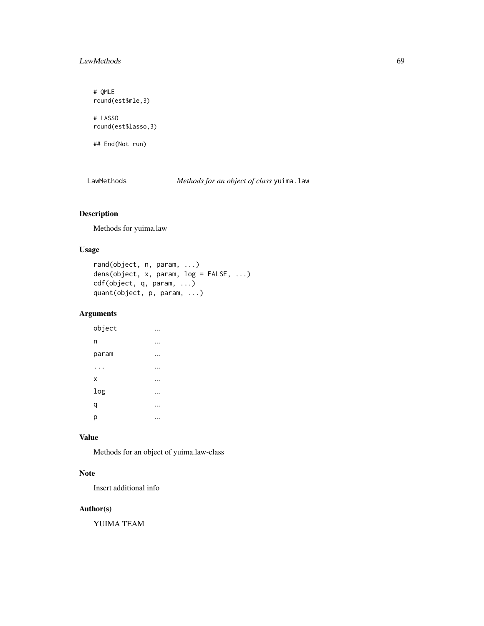# LawMethods 69

# QMLE round(est\$mle,3) # LASSO round(est\$lasso,3) ## End(Not run)

LawMethods *Methods for an object of class* yuima.law

# Description

Methods for yuima.law

## Usage

```
rand(object, n, param, ...)
dens(object, x, param, log = FALSE, ...)
cdf(object, q, param, ...)
quant(object, p, param, ...)
```
# Arguments

| object |  |
|--------|--|
| n      |  |
| param  |  |
|        |  |
| Χ      |  |
| log    |  |
| q      |  |
| р      |  |

### Value

Methods for an object of yuima.law-class

# Note

Insert additional info

## Author(s)

YUIMA TEAM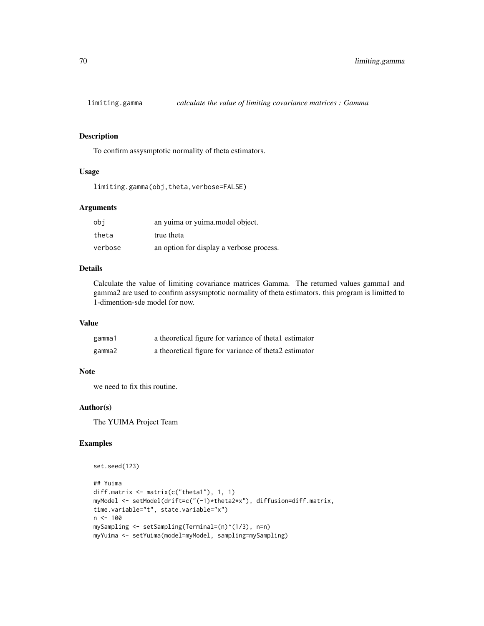### Description

To confirm assysmptotic normality of theta estimators.

### Usage

```
limiting.gamma(obj,theta,verbose=FALSE)
```
#### Arguments

| obi     | an yuima or yuima model object.          |
|---------|------------------------------------------|
| theta   | true theta                               |
| verbose | an option for display a verbose process. |

## Details

Calculate the value of limiting covariance matrices Gamma. The returned values gamma1 and gamma2 are used to confirm assysmptotic normality of theta estimators. this program is limitted to 1-dimention-sde model for now.

### Value

| gamma1 | a theoretical figure for variance of thetal estimator |
|--------|-------------------------------------------------------|
| gamma2 | a theoretical figure for variance of theta2 estimator |

### **Note**

we need to fix this routine.

### Author(s)

The YUIMA Project Team

```
set.seed(123)
## Yuima
diff.matrix <- matrix(c("theta1"), 1, 1)
myModel <- setModel(drift=c("(-1)*theta2*x"), diffusion=diff.matrix,
time.variable="t", state.variable="x")
n < - 100mySampling <- setSampling(Terminal=(n)^(1/3), n=n)
myYuima <- setYuima(model=myModel, sampling=mySampling)
```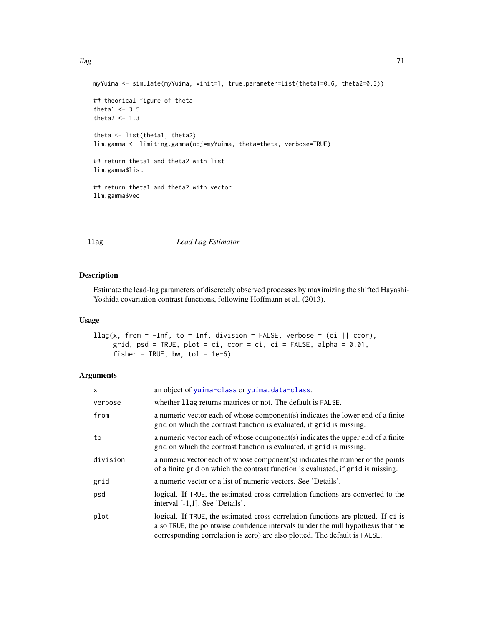```
myYuima <- simulate(myYuima, xinit=1, true.parameter=list(theta1=0.6, theta2=0.3))
## theorical figure of theta
theta1 <-3.5theta2 <-1.3theta <- list(theta1, theta2)
lim.gamma <- limiting.gamma(obj=myYuima, theta=theta, verbose=TRUE)
## return theta1 and theta2 with list
lim.gamma$list
## return theta1 and theta2 with vector
lim.gamma$vec
```
#### llag *Lead Lag Estimator*

### Description

Estimate the lead-lag parameters of discretely observed processes by maximizing the shifted Hayashi-Yoshida covariation contrast functions, following Hoffmann et al. (2013).

#### Usage

```
\text{llag}(x, \text{ from } = -\text{Inf}, \text{ to } = \text{Inf}, \text{ division } = \text{FALSE}, \text{ verbose } = (\text{ci } || \text{ ccor}),grid, psd = TRUE, plot = ci, ccor = ci, ci = FALSE, alpha = 0.01,
       fisher = TRUE, bw, tol = 1e-6)
```
#### Arguments

| X        | an object of yuima-class or yuima.data-class.                                                                                                                                                                                                        |
|----------|------------------------------------------------------------------------------------------------------------------------------------------------------------------------------------------------------------------------------------------------------|
| verbose  | whether 11ag returns matrices or not. The default is FALSE.                                                                                                                                                                                          |
| from     | a numeric vector each of whose component(s) indicates the lower end of a finite<br>grid on which the contrast function is evaluated, if grid is missing.                                                                                             |
| to       | a numeric vector each of whose component(s) indicates the upper end of a finite<br>grid on which the contrast function is evaluated, if grid is missing.                                                                                             |
| division | a numeric vector each of whose component(s) indicates the number of the points<br>of a finite grid on which the contrast function is evaluated, if grid is missing.                                                                                  |
| grid     | a numeric vector or a list of numeric vectors. See 'Details'.                                                                                                                                                                                        |
| psd      | logical. If TRUE, the estimated cross-correlation functions are converted to the<br>interval [-1,1]. See 'Details'.                                                                                                                                  |
| plot     | logical. If TRUE, the estimated cross-correlation functions are plotted. If ci is<br>also TRUE, the pointwise confidence intervals (under the null hypothesis that the<br>corresponding correlation is zero) are also plotted. The default is FALSE. |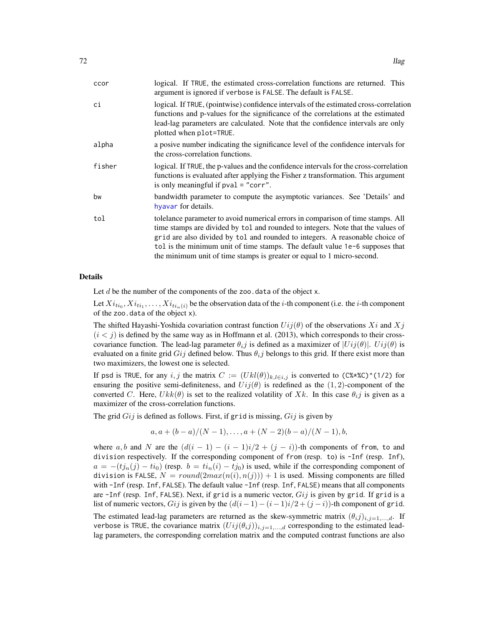| ccor   | logical. If TRUE, the estimated cross-correlation functions are returned. This<br>argument is ignored if verbose is FALSE. The default is FALSE.                                                                                                                                                                                                                                                             |
|--------|--------------------------------------------------------------------------------------------------------------------------------------------------------------------------------------------------------------------------------------------------------------------------------------------------------------------------------------------------------------------------------------------------------------|
| сi     | logical. If TRUE, (pointwise) confidence intervals of the estimated cross-correlation<br>functions and p-values for the significance of the correlations at the estimated<br>lead-lag parameters are calculated. Note that the confidence intervals are only<br>plotted when plot=TRUE.                                                                                                                      |
| alpha  | a posive number indicating the significance level of the confidence intervals for<br>the cross-correlation functions.                                                                                                                                                                                                                                                                                        |
| fisher | logical. If TRUE, the p-values and the confidence intervals for the cross-correlation<br>functions is evaluated after applying the Fisher z transformation. This argument<br>is only meaningful if $pval = "corr".$                                                                                                                                                                                          |
| bw     | bandwidth parameter to compute the asymptotic variances. See 'Details' and<br>hyavar for details.                                                                                                                                                                                                                                                                                                            |
| tol    | tolelance parameter to avoid numerical errors in comparison of time stamps. All<br>time stamps are divided by tol and rounded to integers. Note that the values of<br>grid are also divided by tol and rounded to integers. A reasonable choice of<br>tol is the minimum unit of time stamps. The default value 1e-6 supposes that<br>the minimum unit of time stamps is greater or equal to 1 micro-second. |

#### Details

Let  $d$  be the number of the components of the zoo.data of the object x.

Let  $Xi_{ti_0},Xi_{ti_1},\ldots,Xi_{ti_n(i)}$  be the observation data of the *i*-th component (i.e. the *i*-th component of the zoo.data of the object x).

The shifted Hayashi-Yoshida covariation contrast function  $Ui(i\theta)$  of the observations  $Xi$  and  $Xi$  $(i < j)$  is defined by the same way as in Hoffmann et al. (2013), which corresponds to their crosscovariance function. The lead-lag parameter  $\theta_i$  is defined as a maximizer of  $|Ui(\theta)|$ .  $Ui(\theta)$  is evaluated on a finite grid  $Gij$  defined below. Thus  $\theta_{ij}$  belongs to this grid. If there exist more than two maximizers, the lowest one is selected.

If psd is TRUE, for any i, j the matrix  $C := (U k l(\theta))_{k,l \in i,j}$  is converted to (C%\*%C)^(1/2) for ensuring the positive semi-definiteness, and  $U_{ij}(\theta)$  is redefined as the  $(1, 2)$ -component of the converted C. Here,  $Ukk(\theta)$  is set to the realized volatility of Xk. In this case  $\theta_{i,j}$  is given as a maximizer of the cross-correlation functions.

The grid  $Gij$  is defined as follows. First, if grid is missing,  $Gij$  is given by

$$
a, a + (b - a)/(N - 1), \ldots, a + (N - 2)(b - a)/(N - 1), b,
$$

where a, b and N are the  $(d(i - 1) - (i - 1)i/2 + (j - i))$ -th components of from, to and division respectively. If the corresponding component of from (resp. to) is -Inf (resp. Inf),  $a = -(tj_n(j) - ti_0)$  (resp.  $b = ti_n(i) - tj_0$ ) is used, while if the corresponding component of division is FALSE,  $N = round(2max(n(i), n(j))) + 1$  is used. Missing components are filled with -Inf (resp. Inf, FALSE). The default value -Inf (resp. Inf, FALSE) means that all components are  $-I$ nf (resp. Inf, FALSE). Next, if grid is a numeric vector,  $Gij$  is given by grid. If grid is a list of numeric vectors, Gij is given by the  $(d(i - 1) - (i - 1)i/2 + (j - i))$ -th component of grid.

The estimated lead-lag parameters are returned as the skew-symmetric matrix  $(\theta_i j)_{i,j=1,\dots,d}$ . If verbose is TRUE, the covariance matrix  $(U_{ij}(\theta_{ij}))_{i,j=1,\dots,d}$  corresponding to the estimated leadlag parameters, the corresponding correlation matrix and the computed contrast functions are also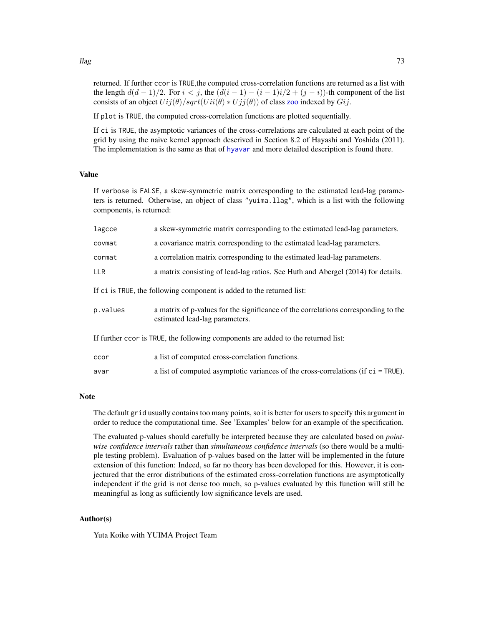returned. If further ccor is TRUE,the computed cross-correlation functions are returned as a list with the length  $d(d-1)/2$ . For  $i < j$ , the  $(d(i-1)-(i-1)i/2+(j-i))$ -th component of the list consists of an object  $Uij(\theta)/sqrt(Uii(\theta) * Ujj(\theta))$  of class [zoo](#page-0-0) indexed by  $Gi$ .

If plot is TRUE, the computed cross-correlation functions are plotted sequentially.

If ci is TRUE, the asymptotic variances of the cross-correlations are calculated at each point of the grid by using the naive kernel approach descrived in Section 8.2 of Hayashi and Yoshida (2011). The implementation is the same as that of [hyavar](#page-55-0) and more detailed description is found there.

# Value

If verbose is FALSE, a skew-symmetric matrix corresponding to the estimated lead-lag parameters is returned. Otherwise, an object of class "yuima.llag", which is a list with the following components, is returned:

| lagcce                                                                            | a skew-symmetric matrix corresponding to the estimated lead-lag parameters.                                          |  |
|-----------------------------------------------------------------------------------|----------------------------------------------------------------------------------------------------------------------|--|
| covmat                                                                            | a covariance matrix corresponding to the estimated lead-lag parameters.                                              |  |
| cormat                                                                            | a correlation matrix corresponding to the estimated lead-lag parameters.                                             |  |
| <b>LLR</b>                                                                        | a matrix consisting of lead-lag ratios. See Huth and Abergel (2014) for details.                                     |  |
| If ci is TRUE, the following component is added to the returned list:             |                                                                                                                      |  |
| p.values                                                                          | a matrix of p-values for the significance of the correlations corresponding to the<br>estimated lead-lag parameters. |  |
| If further ccor is TRUE, the following components are added to the returned list: |                                                                                                                      |  |
| ccor                                                                              | a list of computed cross-correlation functions.                                                                      |  |
| avar                                                                              | a list of computed asymptotic variances of the cross-correlations (if $ci = TRUE$ ).                                 |  |

## Note

The default grid usually contains too many points, so it is better for users to specify this argument in order to reduce the computational time. See 'Examples' below for an example of the specification.

The evaluated p-values should carefully be interpreted because they are calculated based on *pointwise confidence intervals* rather than *simultaneous confidence intervals* (so there would be a multiple testing problem). Evaluation of p-values based on the latter will be implemented in the future extension of this function: Indeed, so far no theory has been developed for this. However, it is conjectured that the error distributions of the estimated cross-correlation functions are asymptotically independent if the grid is not dense too much, so p-values evaluated by this function will still be meaningful as long as sufficiently low significance levels are used.

#### Author(s)

Yuta Koike with YUIMA Project Team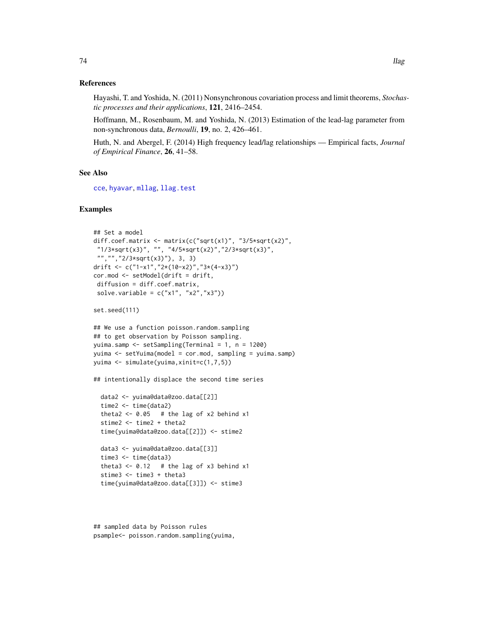Hayashi, T. and Yoshida, N. (2011) Nonsynchronous covariation process and limit theorems, *Stochastic processes and their applications*, 121, 2416–2454.

Hoffmann, M., Rosenbaum, M. and Yoshida, N. (2013) Estimation of the lead-lag parameter from non-synchronous data, *Bernoulli*, 19, no. 2, 426–461.

Huth, N. and Abergel, F. (2014) High frequency lead/lag relationships — Empirical facts, *Journal of Empirical Finance*, 26, 41–58.

## See Also

[cce](#page-23-0), [hyavar](#page-55-0), [mllag](#page-82-0), [llag.test](#page-74-0)

```
## Set a model
diff.coef.matrix <- matrix(c("sqrt(x1)", "3/5*sqrt(x2)",
"1/3*sqrt(x3)", "", "4/5*sqrt(x2)","2/3*sqrt(x3)",
"","","2/3*sqrt(x3)"), 3, 3)
drift <- c("1-x1","2*(10-x2)","3*(4-x3)")
cor.mod <- setModel(drift = drift,
diffusion = diff.coef.matrix,
solve.variable = c("x1", "x2", "x3"))set.seed(111)
## We use a function poisson.random.sampling
## to get observation by Poisson sampling.
yuima.samp <- setSampling(Terminal = 1, n = 1200)
yuima <- setYuima(model = cor.mod, sampling = yuima.samp)
yuima <- simulate(yuima,xinit=c(1,7,5))
## intentionally displace the second time series
 data2 <- yuima@data@zoo.data[[2]]
 time2 <- time(data2)
 theta2 <- 0.05 # the lag of x2 behind x1
 stime2 <- time2 + theta2
 time(yuima@data@zoo.data[[2]]) <- stime2
 data3 <- yuima@data@zoo.data[[3]]
 time3 <- time(data3)
 theta3 <- 0.12 # the lag of x3 behind x1
```

```
stime3 <- time3 + theta3
```

```
time(yuima@data@zoo.data[[3]]) <- stime3
```

```
## sampled data by Poisson rules
psample<- poisson.random.sampling(yuima,
```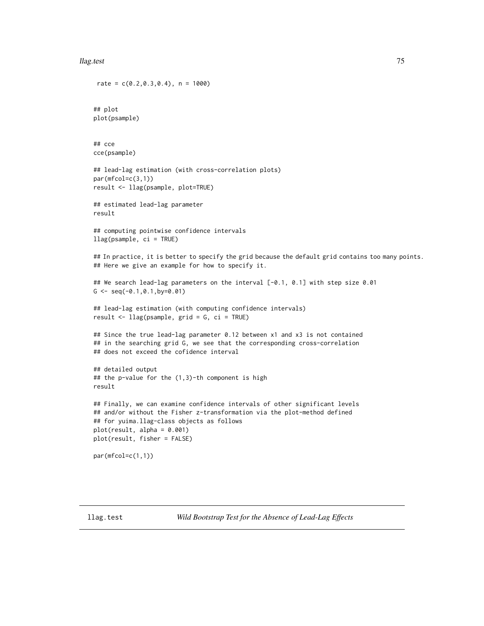### llag.test 75

```
rate = c(0.2, 0.3, 0.4), n = 1000)
## plot
plot(psample)
## cce
cce(psample)
## lead-lag estimation (with cross-correlation plots)
par(mfcol=c(3,1))
result <- llag(psample, plot=TRUE)
## estimated lead-lag parameter
result
## computing pointwise confidence intervals
llag(psample, ci = TRUE)
## In practice, it is better to specify the grid because the default grid contains too many points.
## Here we give an example for how to specify it.
## We search lead-lag parameters on the interval [-0.1, 0.1] with step size 0.01
G \leftarrow \text{seq}(-0.1, 0.1, \text{by=0.01})## lead-lag estimation (with computing confidence intervals)
result <- llag(psample, grid = G, ci = TRUE)
## Since the true lead-lag parameter 0.12 between x1 and x3 is not contained
## in the searching grid G, we see that the corresponding cross-correlation
## does not exceed the cofidence interval
## detailed output
## the p-value for the (1,3)-th component is high
result
## Finally, we can examine confidence intervals of other significant levels
## and/or without the Fisher z-transformation via the plot-method defined
## for yuima.llag-class objects as follows
plot(result, alpha = 0.001)
plot(result, fisher = FALSE)
par(mfcol=c(1,1))
```
<span id="page-74-0"></span>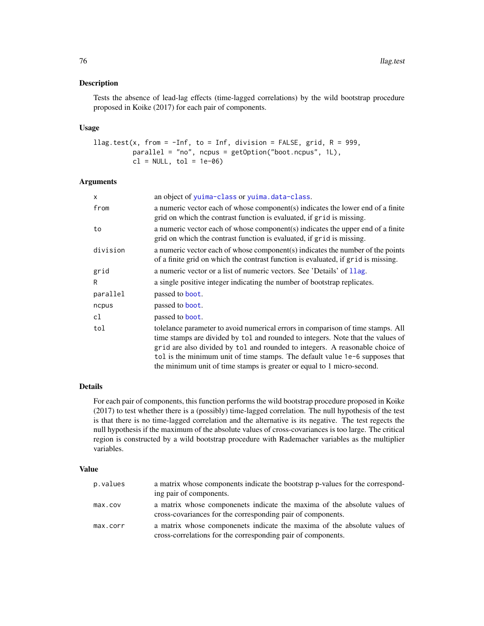## Description

Tests the absence of lead-lag effects (time-lagged correlations) by the wild bootstrap procedure proposed in Koike (2017) for each pair of components.

# Usage

```
llag.test(x, from = -Inf, to = Inf, division = FALSE, grid, R = 999,
         parallel = "no", ncpus = getOption("boot.ncpus", 1L),
         cl = NULL, tol = 1e-06
```
# Arguments

| $\mathsf{x}$ | an object of yuima-class or yuima.data-class.                                                                                                                                                                                                                                                                                                                                                                |
|--------------|--------------------------------------------------------------------------------------------------------------------------------------------------------------------------------------------------------------------------------------------------------------------------------------------------------------------------------------------------------------------------------------------------------------|
| from         | a numeric vector each of whose component(s) indicates the lower end of a finite<br>grid on which the contrast function is evaluated, if grid is missing.                                                                                                                                                                                                                                                     |
| to           | a numeric vector each of whose component(s) indicates the upper end of a finite<br>grid on which the contrast function is evaluated, if grid is missing.                                                                                                                                                                                                                                                     |
| division     | a numeric vector each of whose component(s) indicates the number of the points<br>of a finite grid on which the contrast function is evaluated, if grid is missing.                                                                                                                                                                                                                                          |
| grid         | a numeric vector or a list of numeric vectors. See 'Details' of 11ag.                                                                                                                                                                                                                                                                                                                                        |
| R            | a single positive integer indicating the number of bootstrap replicates.                                                                                                                                                                                                                                                                                                                                     |
| parallel     | passed to <b>boot</b> .                                                                                                                                                                                                                                                                                                                                                                                      |
| ncpus        | passed to boot.                                                                                                                                                                                                                                                                                                                                                                                              |
| cl           | passed to <b>boot</b> .                                                                                                                                                                                                                                                                                                                                                                                      |
| tol          | tolelance parameter to avoid numerical errors in comparison of time stamps. All<br>time stamps are divided by tol and rounded to integers. Note that the values of<br>grid are also divided by tol and rounded to integers. A reasonable choice of<br>tol is the minimum unit of time stamps. The default value 1e-6 supposes that<br>the minimum unit of time stamps is greater or equal to 1 micro-second. |

# Details

For each pair of components, this function performs the wild bootstrap procedure proposed in Koike (2017) to test whether there is a (possibly) time-lagged correlation. The null hypothesis of the test is that there is no time-lagged correlation and the alternative is its negative. The test regects the null hypothesis if the maximum of the absolute values of cross-covariances is too large. The critical region is constructed by a wild bootstrap procedure with Rademacher variables as the multiplier variables.

# Value

| p.values | a matrix whose components indicate the bootstrap p-values for the correspond-<br>ing pair of components.                                 |
|----------|------------------------------------------------------------------------------------------------------------------------------------------|
| max.cov  | a matrix whose componenets indicate the maxima of the absolute values of<br>cross-covariances for the corresponding pair of components.  |
| max.corr | a matrix whose componenets indicate the maxima of the absolute values of<br>cross-correlations for the corresponding pair of components. |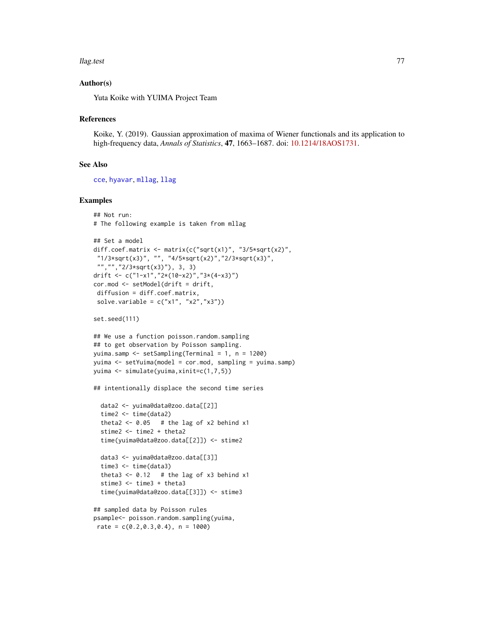### llag.test 77

# Author(s)

Yuta Koike with YUIMA Project Team

## References

Koike, Y. (2019). Gaussian approximation of maxima of Wiener functionals and its application to high-frequency data, *Annals of Statistics*, 47, 1663–1687. doi: [10.1214/18AOS1731.](https://doi.org/10.1214/18-AOS1731)

## See Also

[cce](#page-23-0), [hyavar](#page-55-0), [mllag](#page-82-0), [llag](#page-70-0)

## Examples

```
## Not run:
# The following example is taken from mllag
```

```
## Set a model
diff.coef.matrix <- matrix(c("sqrt(x1)", "3/5*sqrt(x2)",
"1/3*sqrt(x3)", "", "4/5*sqrt(x2)","2/3*sqrt(x3)",
 "","","2/3*sqrt(x3)"), 3, 3)
drift <- c("1-x1","2*(10-x2)","3*(4-x3)")
cor.mod <- setModel(drift = drift,
diffusion = diff.coef.matrix,
solve.variable = c("x1", "x2", "x3"))
```
set.seed(111)

```
## We use a function poisson.random.sampling
## to get observation by Poisson sampling.
yuima.samp <- setSampling(Terminal = 1, n = 1200)
yuima <- setYuima(model = cor.mod, sampling = yuima.samp)
yuima <- simulate(yuima,xinit=c(1,7,5))
```

```
## intentionally displace the second time series
```

```
data2 <- yuima@data@zoo.data[[2]]
time2 <- time(data2)
theta2 <- 0.05 # the lag of x2 behind x1
stime2 <- time2 + theta2
time(yuima@data@zoo.data[[2]]) <- stime2
data3 <- yuima@data@zoo.data[[3]]
```

```
time3 <- time(data3)
theta3 <- 0.12 # the lag of x3 behind x1
stime3 <- time3 + theta3
time(yuima@data@zoo.data[[3]]) <- stime3
```

```
## sampled data by Poisson rules
psample<- poisson.random.sampling(yuima,
rate = c(0.2, 0.3, 0.4), n = 1000)
```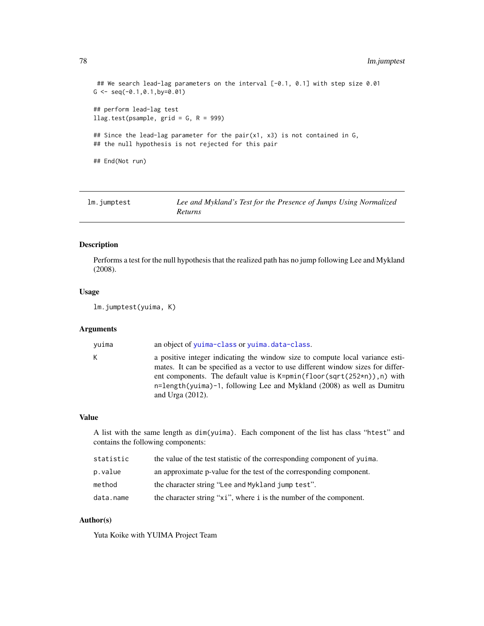```
## We search lead-lag parameters on the interval [-0.1, 0.1] with step size 0.01
G \leftarrow \text{seq}(-0.1, 0.1, \text{by=0.01})## perform lead-lag test
llag.test(psample, grid = G, R = 999)
## Since the lead-lag parameter for the pair(x1, x3) is not contained in G,
## the null hypothesis is not rejected for this pair
## End(Not run)
```
<span id="page-77-0"></span>

| lm.jumptest | Lee and Mykland's Test for the Presence of Jumps Using Normalized |
|-------------|-------------------------------------------------------------------|
|             | <i>Returns</i>                                                    |

# Description

Performs a test for the null hypothesis that the realized path has no jump following Lee and Mykland (2008).

## Usage

```
lm.jumptest(yuima, K)
```
# Arguments

yuima an object of [yuima-class](#page-166-0) or [yuima.data-class](#page-173-0).

K a positive integer indicating the window size to compute local variance estimates. It can be specified as a vector to use different window sizes for different components. The default value is K=pmin(floor(sqrt(252\*n)),n) with n=length(yuima)-1, following Lee and Mykland (2008) as well as Dumitru and Urga (2012).

## Value

A list with the same length as dim(yuima). Each component of the list has class "htest" and contains the following components:

| statistic | the value of the test statistic of the corresponding component of yuima. |
|-----------|--------------------------------------------------------------------------|
| p.value   | an approximate p-value for the test of the corresponding component.      |
| method    | the character string "Lee and Mykland jump test".                        |
| data.name | the character string "xi", where i is the number of the component.       |

## Author(s)

Yuta Koike with YUIMA Project Team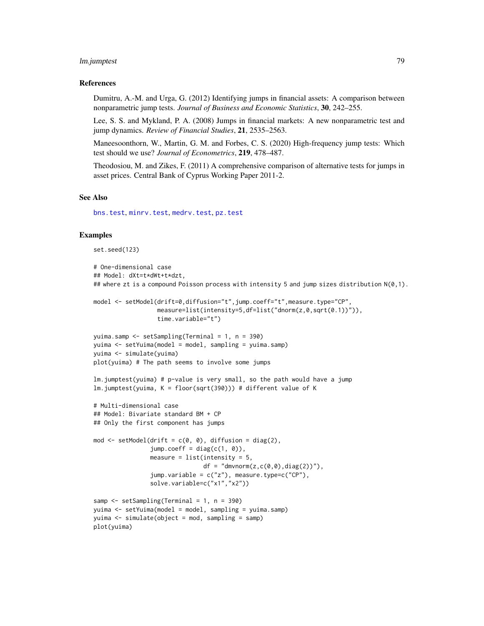# lm.jumptest 79

## References

Dumitru, A.-M. and Urga, G. (2012) Identifying jumps in financial assets: A comparison between nonparametric jump tests. *Journal of Business and Economic Statistics*, 30, 242–255.

Lee, S. S. and Mykland, P. A. (2008) Jumps in financial markets: A new nonparametric test and jump dynamics. *Review of Financial Studies*, 21, 2535–2563.

Maneesoonthorn, W., Martin, G. M. and Forbes, C. S. (2020) High-frequency jump tests: Which test should we use? *Journal of Econometrics*, 219, 478–487.

Theodosiou, M. and Zikes, F. (2011) A comprehensive comparison of alternative tests for jumps in asset prices. Central Bank of Cyprus Working Paper 2011-2.

### See Also

[bns.test](#page-18-0), [minrv.test](#page-92-0), [medrv.test](#page-92-0), [pz.test](#page-97-0)

```
set.seed(123)
# One-dimensional case
## Model: dXt=t*dWt+t*dzt,
## where zt is a compound Poisson process with intensity 5 and jump sizes distribution N(0,1).
model <- setModel(drift=0,diffusion="t",jump.coeff="t",measure.type="CP",
                  measure=list(intensity=5,df=list("dnorm(z,0,sqrt(0.1))")),
                  time.variable="t")
yuima.samp <- setSampling(Terminal = 1, n = 390)
yuima <- setYuima(model = model, sampling = yuima.samp)
yuima <- simulate(yuima)
plot(yuima) # The path seems to involve some jumps
lm.jumptest(yuima) # p-value is very small, so the path would have a jump
lm.jumptest(yuima, K = floor(sqrt(390))) # different value of K
# Multi-dimensional case
## Model: Bivariate standard BM + CP
## Only the first component has jumps
mod \le setModel(drift = c(0, 0), diffusion = diag(2),
                jump.coeff = diag(c(1, 0)),measure = list(intensity = 5,df = "dmvnorm(z,c(0,0),diag(2))"),
                jump.variable = c("z"), measure.type=c("CP"),
                solve.variable=c("x1","x2"))
samp <- setSampling(Terminal = 1, n = 390)
yuima <- setYuima(model = model, sampling = yuima.samp)
yuima <- simulate(object = mod, sampling = samp)
plot(yuima)
```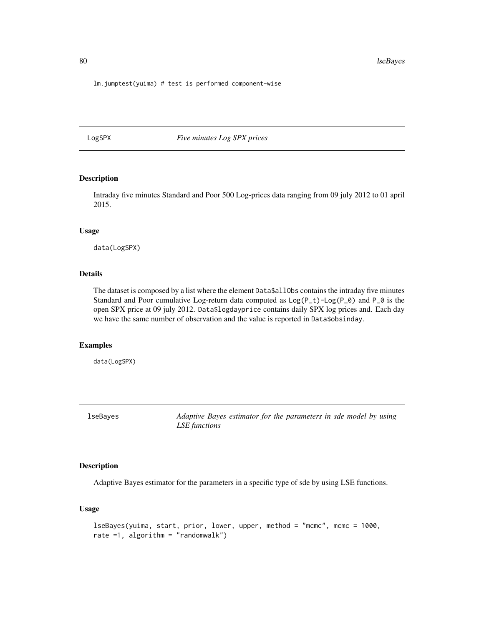80 lseBayes and the set of the set of the set of the set of the set of the set of the set of the set of the set of the set of the set of the set of the set of the set of the set of the set of the set of the set of the set

lm.jumptest(yuima) # test is performed component-wise

LogSPX *Five minutes Log SPX prices*

# Description

Intraday five minutes Standard and Poor 500 Log-prices data ranging from 09 july 2012 to 01 april 2015.

## Usage

data(LogSPX)

# Details

The dataset is composed by a list where the element Data\$allObs contains the intraday five minutes Standard and Poor cumulative Log-return data computed as  $Log(P_t)-Log(P_0)$  and  $P_0$  is the open SPX price at 09 july 2012. Data\$logdayprice contains daily SPX log prices and. Each day we have the same number of observation and the value is reported in Data\$obsinday.

# Examples

data(LogSPX)

lseBayes *Adaptive Bayes estimator for the parameters in sde model by using LSE functions*

# Description

Adaptive Bayes estimator for the parameters in a specific type of sde by using LSE functions.

#### Usage

```
lseBayes(yuima, start, prior, lower, upper, method = "mcmc", mcmc = 1000,
rate =1, algorithm = "randomwalk")
```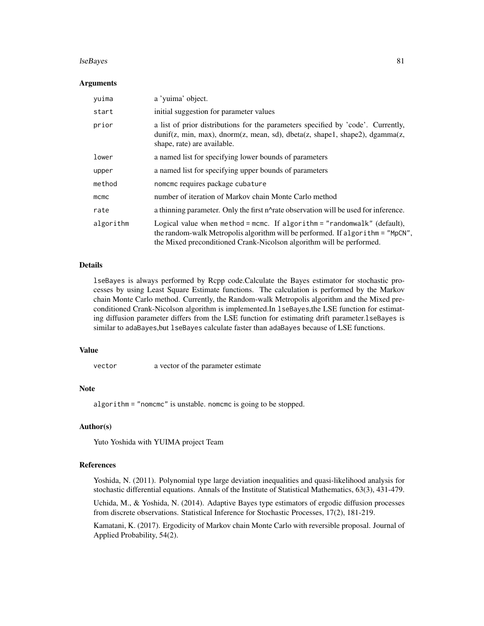### lseBayes 81

## Arguments

| yuima     | a 'yuima' object.                                                                                                                                                                                                                  |
|-----------|------------------------------------------------------------------------------------------------------------------------------------------------------------------------------------------------------------------------------------|
| start     | initial suggestion for parameter values                                                                                                                                                                                            |
| prior     | a list of prior distributions for the parameters specified by 'code'. Currently,<br>dunif(z, min, max), dnorm(z, mean, sd), dbeta(z, shape1, shape2), dgamma(z,<br>shape, rate) are available.                                     |
| lower     | a named list for specifying lower bounds of parameters                                                                                                                                                                             |
| upper     | a named list for specifying upper bounds of parameters                                                                                                                                                                             |
| method    | nomcmc requires package cubature                                                                                                                                                                                                   |
| $m$ cmc   | number of iteration of Markov chain Monte Carlo method                                                                                                                                                                             |
| rate      | a thinning parameter. Only the first n^rate observation will be used for inference.                                                                                                                                                |
| algorithm | Logical value when method = mcmc. If algorithm = "randomwalk" (default),<br>the random-walk Metropolis algorithm will be performed. If algorithm = "MpCN",<br>the Mixed preconditioned Crank-Nicolson algorithm will be performed. |

# Details

lseBayes is always performed by Rcpp code.Calculate the Bayes estimator for stochastic processes by using Least Square Estimate functions. The calculation is performed by the Markov chain Monte Carlo method. Currently, the Random-walk Metropolis algorithm and the Mixed preconditioned Crank-Nicolson algorithm is implemented.In lseBayes,the LSE function for estimating diffusion parameter differs from the LSE function for estimating drift parameter.lseBayes is similar to adaBayes, but 1 seBayes calculate faster than adaBayes because of LSE functions.

## Value

vector a vector of the parameter estimate

# Note

algorithm = "nomcmc" is unstable. nomcmc is going to be stopped.

# Author(s)

Yuto Yoshida with YUIMA project Team

# References

Yoshida, N. (2011). Polynomial type large deviation inequalities and quasi-likelihood analysis for stochastic differential equations. Annals of the Institute of Statistical Mathematics, 63(3), 431-479.

Uchida, M., & Yoshida, N. (2014). Adaptive Bayes type estimators of ergodic diffusion processes from discrete observations. Statistical Inference for Stochastic Processes, 17(2), 181-219.

Kamatani, K. (2017). Ergodicity of Markov chain Monte Carlo with reversible proposal. Journal of Applied Probability, 54(2).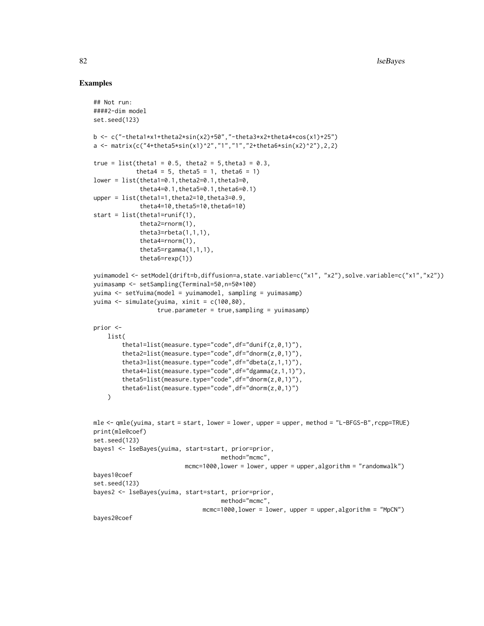```
## Not run:
####2-dim model
set.seed(123)
b <- c("-theta1*x1+theta2*sin(x2)+50","-theta3*x2+theta4*cos(x1)+25")
a <- matrix(c("4+theta5*sin(x1)^2","1","1","2+theta6*sin(x2)^2"),2,2)
true = list(theta1 = 0.5, theta2 = 5, theta3 = 0.3,
            theta4 = 5, theta5 = 1, theta6 = 1)
lower = list(theta1=0.1,theta2=0.1,theta3=0,
             theta4=0.1,theta5=0.1,theta6=0.1)
upper = list(theta1=1,theta2=10,theta3=0.9,
             theta4=10,theta5=10,theta6=10)
start = list(thetal=runif(1),
             theta2=rnorm(1),
             theta3=rbeta(1,1,1),
             theta4=rnorm(1),
             theta5 =rgamma(1,1,1),
             theta6=rexp(1))
yuimamodel <- setModel(drift=b,diffusion=a,state.variable=c("x1", "x2"),solve.variable=c("x1","x2"))
yuimasamp <- setSampling(Terminal=50,n=50*100)
yuima <- setYuima(model = yuimamodel, sampling = yuimasamp)
yuima <- simulate(yuima, xinit = c(100,80),
                  true.parameter = true,sampling = yuimasamp)
prior <-
   list(
        theta1=list(measure.type="code",df="dunif(z,0,1)"),
        theta2=list(measure.type="code",df="dnorm(z,0,1)"),
        theta3=list(measure.type="code",df="dbeta(z,1,1)"),
        theta4=list(measure.type="code",df="dgamma(z,1,1)"),
        theta5=list(measure.type="code",df="dnorm(z,0,1)"),
        theta6=list(measure.type="code",df="dnorm(z,0,1)")
   \lambdamle <- qmle(yuima, start = start, lower = lower, upper = upper, method = "L-BFGS-B",rcpp=TRUE)
print(mle@coef)
set.seed(123)
bayes1 <- lseBayes(yuima, start=start, prior=prior,
                                    method="mcmc",
                          mcmc=1000,lower = lower, upper = upper,algorithm = "randomwalk")
bayes1@coef
set.seed(123)
bayes2 <- lseBayes(yuima, start=start, prior=prior,
                                    method="mcmc",
                               mcmc=1000,lower = lower, upper = upper,algorithm = "MpCN")
bayes2@coef
```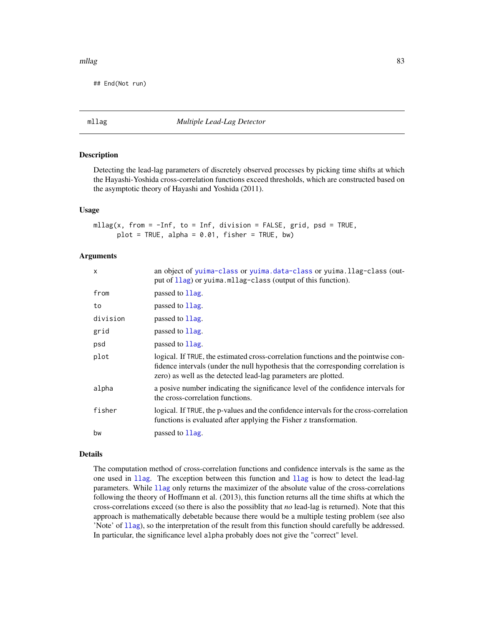## mllag 83

## End(Not run)

<span id="page-82-0"></span>mllag *Multiple Lead-Lag Detector*

# Description

Detecting the lead-lag parameters of discretely observed processes by picking time shifts at which the Hayashi-Yoshida cross-correlation functions exceed thresholds, which are constructed based on the asymptotic theory of Hayashi and Yoshida (2011).

## Usage

```
mllag(x, from = -Inf, to = Inf, division = FALSE, grid, psd = TRUE,plot = TRUE, alpha = 0.01, fisher = TRUE, bw)
```
# Arguments

| X        | an object of yuima-class or yuima.data-class or yuima.llag-class (out-<br>put of 11ag) or yuima.mllag-class (output of this function).                                                                                                     |
|----------|--------------------------------------------------------------------------------------------------------------------------------------------------------------------------------------------------------------------------------------------|
| from     | passed to 1 lag.                                                                                                                                                                                                                           |
| to       | passed to 1 lag.                                                                                                                                                                                                                           |
| division | passed to 1 lag.                                                                                                                                                                                                                           |
| grid     | passed to 1 lag.                                                                                                                                                                                                                           |
| psd      | passed to 1 lag.                                                                                                                                                                                                                           |
| plot     | logical. If TRUE, the estimated cross-correlation functions and the pointwise con-<br>fidence intervals (under the null hypothesis that the corresponding correlation is<br>zero) as well as the detected lead-lag parameters are plotted. |
| alpha    | a posive number indicating the significance level of the confidence intervals for<br>the cross-correlation functions.                                                                                                                      |
| fisher   | logical. If TRUE, the p-values and the confidence intervals for the cross-correlation<br>functions is evaluated after applying the Fisher z transformation.                                                                                |
| bw       | passed to 1 lag.                                                                                                                                                                                                                           |

# Details

The computation method of cross-correlation functions and confidence intervals is the same as the one used in [llag](#page-70-0). The exception between this function and [llag](#page-70-0) is how to detect the lead-lag parameters. While [llag](#page-70-0) only returns the maximizer of the absolute value of the cross-correlations following the theory of Hoffmann et al. (2013), this function returns all the time shifts at which the cross-correlations exceed (so there is also the possiblity that *no* lead-lag is returned). Note that this approach is mathematically debetable because there would be a multiple testing problem (see also 'Note' of [llag](#page-70-0)), so the interpretation of the result from this function should carefully be addressed. In particular, the significance level alpha probably does not give the "correct" level.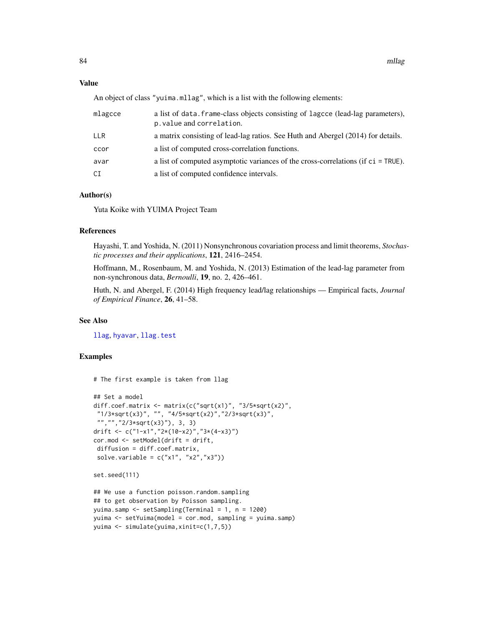# Value

An object of class "yuima.mllag", which is a list with the following elements:

| mlagcce    | a list of data. frame-class objects consisting of lagcce (lead-lag parameters),<br>p. value and correlation. |
|------------|--------------------------------------------------------------------------------------------------------------|
| <b>LLR</b> | a matrix consisting of lead-lag ratios. See Huth and Abergel (2014) for details.                             |
| ccor       | a list of computed cross-correlation functions.                                                              |
| avar       | a list of computed asymptotic variances of the cross-correlations (if c i = TRUE).                           |
| CI         | a list of computed confidence intervals.                                                                     |

# Author(s)

Yuta Koike with YUIMA Project Team

# References

Hayashi, T. and Yoshida, N. (2011) Nonsynchronous covariation process and limit theorems, *Stochastic processes and their applications*, 121, 2416–2454.

Hoffmann, M., Rosenbaum, M. and Yoshida, N. (2013) Estimation of the lead-lag parameter from non-synchronous data, *Bernoulli*, 19, no. 2, 426–461.

Huth, N. and Abergel, F. (2014) High frequency lead/lag relationships — Empirical facts, *Journal of Empirical Finance*, 26, 41–58.

# See Also

[llag](#page-70-0), [hyavar](#page-55-0), [llag.test](#page-74-0)

# Examples

# The first example is taken from llag

```
## Set a model
diff.coef.matrix <- matrix(c("sqrt(x1)", "3/5*sqrt(x2)",
"1/3*sqrt(x3)", "", "4/5*sqrt(x2)","2/3*sqrt(x3)",
 "","","2/3*sqrt(x3)"), 3, 3)
drift <- c("1-x1","2*(10-x2)","3*(4-x3)")
cor.mod <- setModel(drift = drift,
diffusion = diff.coef.matrix,
solve.variable = c("x1", "x2", "x3"))
```

```
set.seed(111)
```

```
## We use a function poisson.random.sampling
## to get observation by Poisson sampling.
yuima.samp <- setSampling(Terminal = 1, n = 1200)
yuima <- setYuima(model = cor.mod, sampling = yuima.samp)
yuima <- simulate(yuima,xinit=c(1,7,5))
```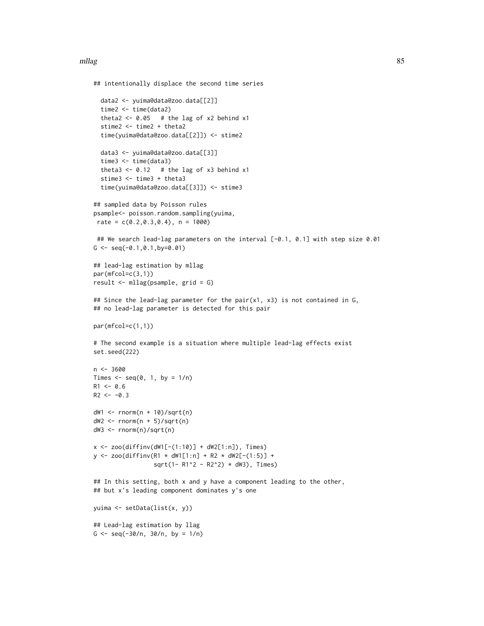### mllag 85

```
## intentionally displace the second time series
  data2 <- yuima@data@zoo.data[[2]]
  time2 <- time(data2)
  theta2 <- 0.05 # the lag of x2 behind x1
  stime2 <- time2 + theta2
  time(yuima@data@zoo.data[[2]]) <- stime2
  data3 <- yuima@data@zoo.data[[3]]
  time3 <- time(data3)
  theta3 <- 0.12 # the lag of x3 behind x1
  stime3 <- time3 + theta3
  time(yuima@data@zoo.data[[3]]) <- stime3
## sampled data by Poisson rules
psample<- poisson.random.sampling(yuima,
rate = c(0.2, 0.3, 0.4), n = 1000)
 ## We search lead-lag parameters on the interval [-0.1, 0.1] with step size 0.01
G \leq -\text{seq}(-0.1, 0.1, \text{by} = 0.01)## lead-lag estimation by mllag
par(mfcol=c(3,1))
result <- mllag(psample, grid = G)
## Since the lead-lag parameter for the pair(x1, x3) is not contained in G,
## no lead-lag parameter is detected for this pair
par(mfcol=c(1,1))
# The second example is a situation where multiple lead-lag effects exist
set.seed(222)
n <- 3600
Times \leq seq(0, 1, by = 1/n)
R1 < -0.6R2 < -0.3dW1 <- rnorm(n + 10)/sqrt(n)
dW2 \leq -rnorm(n + 5)/sqrt(n)dW3 <- rnorm(n)/sqrt(n)
x \le - zoo(diffinv(dW1[-(1:10)] + dW2[1:n]), Times)
y \le - zoo(diffinv(R1 * dW1[1:n] + R2 * dW2[-(1:5)] +
                 sqrt(1- R1^2 - R2^2) * dW3), Times)
## In this setting, both x and y have a component leading to the other,
## but x's leading component dominates y's one
yuima <- setData(list(x, y))
## Lead-lag estimation by llag
G <- seq(-30/n, 30/n, by = 1/n)
```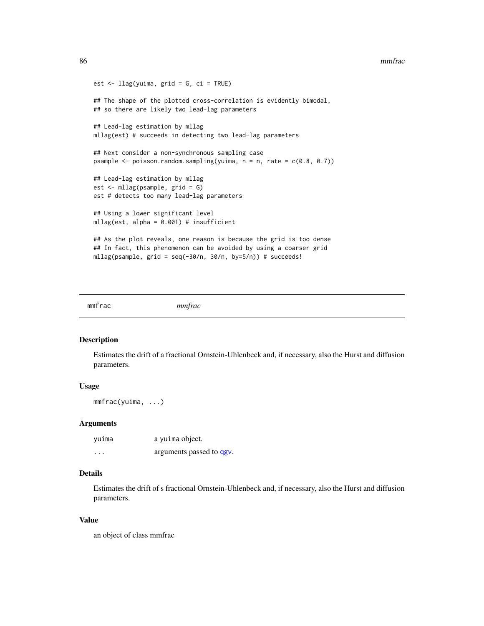### 86 mmfrac

```
est \le llag(yuima, grid = G, ci = TRUE)
## The shape of the plotted cross-correlation is evidently bimodal,
## so there are likely two lead-lag parameters
## Lead-lag estimation by mllag
mllag(est) # succeeds in detecting two lead-lag parameters
## Next consider a non-synchronous sampling case
psample \leq poisson.random.sampling(yuima, n = n, rate = c(0.8, 0.7))
## Lead-lag estimation by mllag
est <- mllag(psample, grid = G)
est # detects too many lead-lag parameters
## Using a lower significant level
mllag(est, alpha = 0.001) # insufficient
## As the plot reveals, one reason is because the grid is too dense
## In fact, this phenomenon can be avoided by using a coarser grid
mllag(psample, grid = seq(-30/n, 30/n, by=5/n)) # succeeds!
```
<span id="page-85-0"></span>mmfrac *mmfrac*

#### Description

Estimates the drift of a fractional Ornstein-Uhlenbeck and, if necessary, also the Hurst and diffusion parameters.

# Usage

mmfrac(yuima, ...)

## Arguments

| yuima    | a yuima object.          |
|----------|--------------------------|
| $\cdots$ | arguments passed to qgv. |

# Details

Estimates the drift of s fractional Ornstein-Uhlenbeck and, if necessary, also the Hurst and diffusion parameters.

# Value

an object of class mmfrac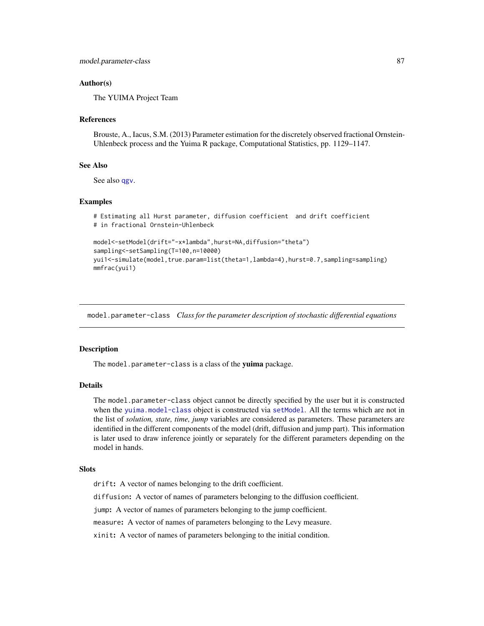# Author(s)

The YUIMA Project Team

## References

Brouste, A., Iacus, S.M. (2013) Parameter estimation for the discretely observed fractional Ornstein-Uhlenbeck process and the Yuima R package, Computational Statistics, pp. 1129–1147.

# See Also

See also [qgv](#page-99-0).

#### Examples

```
# Estimating all Hurst parameter, diffusion coefficient and drift coefficient
# in fractional Ornstein-Uhlenbeck
model<-setModel(drift="-x*lambda",hurst=NA,diffusion="theta")
sampling<-setSampling(T=100,n=10000)
yui1<-simulate(model,true.param=list(theta=1,lambda=4),hurst=0.7,sampling=sampling)
mmfrac(yui1)
```
model.parameter-class *Class for the parameter description of stochastic differential equations*

# **Description**

The model.parameter-class is a class of the yuima package.

## Details

The model.parameter-class object cannot be directly specified by the user but it is constructed when the [yuima.model-class](#page-178-0) object is constructed via [setModel](#page-132-0). All the terms which are not in the list of *solution, state, time, jump* variables are considered as parameters. These parameters are identified in the different components of the model (drift, diffusion and jump part). This information is later used to draw inference jointly or separately for the different parameters depending on the model in hands.

#### Slots

drift: A vector of names belonging to the drift coefficient.

diffusion: A vector of names of parameters belonging to the diffusion coefficient.

jump: A vector of names of parameters belonging to the jump coefficient.

measure: A vector of names of parameters belonging to the Levy measure.

xinit: A vector of names of parameters belonging to the initial condition.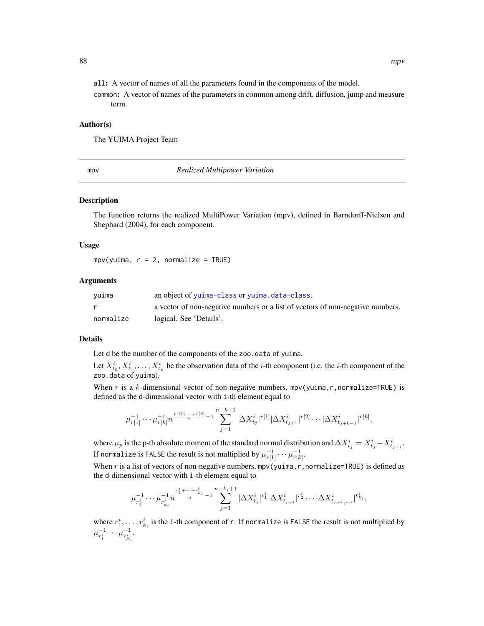all: A vector of names of all the parameters found in the components of the model.

common: A vector of names of the parameters in common among drift, diffusion, jump and measure term.

## Author(s)

The YUIMA Project Team

<span id="page-87-0"></span>mpv *Realized Multipower Variation*

# Description

The function returns the realized MultiPower Variation (mpv), defined in Barndorff-Nielsen and Shephard (2004), for each component.

#### Usage

 $mpv(yuima, r = 2, normalize = TRUE)$ 

## **Arguments**

| yuima     | an object of yuima-class or yuima.data-class.                                  |
|-----------|--------------------------------------------------------------------------------|
|           | a vector of non-negative numbers or a list of vectors of non-negative numbers. |
| normalize | logical. See 'Details'.                                                        |

# Details

Let d be the number of the components of the zoo.data of yuima.

Let  $X_{t_0}^i, X_{t_1}^i, \ldots, X_{t_n}^i$  be the observation data of the *i*-th component (i.e. the *i*-th component of the zoo.data of yuima).

When r is a k-dimensional vector of non-negative numbers, mpv(yuima, r, normalize=TRUE) is defined as the d-dimensional vector with i-th element equal to

$$
\mu_{r[1]}^{-1}\cdots \mu_{r[k]}^{-1}n^{\frac{r[1]+\cdots+r[k]}{2}-1}\sum_{j=1}^{n-k+1}|\Delta X^i_{t_j}|^{r[1]}|\Delta X^i_{t_{j+1}}|^{r[2]}\cdots |\Delta X^i_{t_{j+k-1}}|^{r[k]},
$$

where  $\mu_p$  is the p-th absolute moment of the standard normal distribution and  $\Delta X^i_{t_j} = X^i_{t_j} - X^i_{t_{j-1}}$ . If normalize is <code>FALSE</code> the result is not multiplied by  $\mu_{r[1]}^{-1} \cdots \mu_{r[k]}^{-1}.$ 

When r is a list of vectors of non-negative numbers,  $mpv$  (yuima, r, normalize=TRUE) is defined as the d-dimensional vector with i-th element equal to

$$
\mu_{r_1^i}^{-1}\cdots \mu_{r_{k_i}^i}^{-1}n^{\frac{r_1^i+\cdots+r_{k_i}^i}{2}-1}\sum_{j=1}^{n-k_i+1}|\Delta X^i_{t_j}|^{r_1^i}|\Delta X^i_{t_{j+1}}|^{r_2^i}\cdots |\Delta X^i_{t_{j+k_i-1}}|^{r_{k_i}^i},
$$

where  $r_1^i, \ldots, r_{k_i}^i$  is the i-th component of r. If normalize is FALSE the result is not multiplied by  $\mu_{n}^{-1}$  $\frac{1}{r_1^i} \cdots \mu_{r_{k_i}^i}^{-1}$  $\frac{-1}{r_{k_i}^i}$ .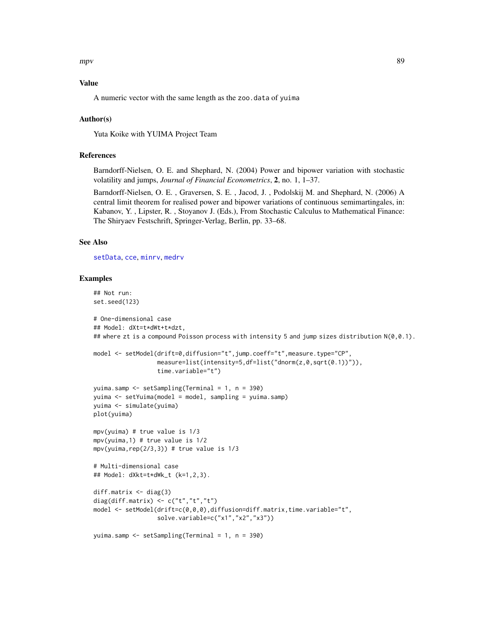$mpv$  89

# Value

A numeric vector with the same length as the zoo.data of yuima

# Author(s)

Yuta Koike with YUIMA Project Team

# References

Barndorff-Nielsen, O. E. and Shephard, N. (2004) Power and bipower variation with stochastic volatility and jumps, *Journal of Financial Econometrics*, 2, no. 1, 1–37.

Barndorff-Nielsen, O. E. , Graversen, S. E. , Jacod, J. , Podolskij M. and Shephard, N. (2006) A central limit theorem for realised power and bipower variations of continuous semimartingales, in: Kabanov, Y. , Lipster, R. , Stoyanov J. (Eds.), From Stochastic Calculus to Mathematical Finance: The Shiryaev Festschrift, Springer-Verlag, Berlin, pp. 33–68.

## See Also

[setData](#page-123-0), [cce](#page-23-0), [minrv](#page-92-0), [medrv](#page-92-0)

```
## Not run:
set.seed(123)
# One-dimensional case
## Model: dXt=t*dWt+t*dzt,
## where zt is a compound Poisson process with intensity 5 and jump sizes distribution N(0,0.1).
model <- setModel(drift=0,diffusion="t",jump.coeff="t",measure.type="CP",
                  measure=list(intensity=5,df=list("dnorm(z,0,sqrt(0.1))")),
                  time.variable="t")
yuima.samp <- setSampling(Terminal = 1, n = 390)
yuima <- setYuima(model = model, sampling = yuima.samp)
yuima <- simulate(yuima)
plot(yuima)
mpv(yuima) # true value is 1/3
mpv(yuima,1) # true value is 1/2
mpv(yuima, rep(2/3,3)) # true value is 1/3# Multi-dimensional case
## Model: dXkt=t*dWk_t (k=1,2,3).
diff.matrix <- diag(3)
diag(diff.matrix) \leq c("t","t","t")
model <- setModel(drift=c(0,0,0),diffusion=diff.matrix,time.variable="t",
                  solve.variable=c("x1","x2","x3"))
yuima.samp <- setSampling(Terminal = 1, n = 390)
```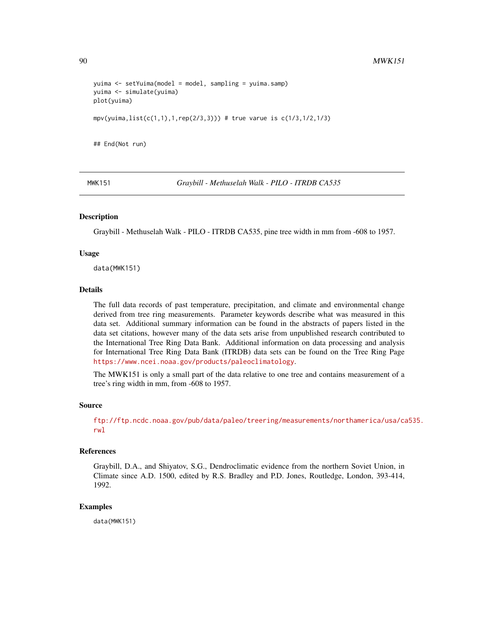```
yuima <- setYuima(model = model, sampling = yuima.samp)
yuima <- simulate(yuima)
plot(yuima)
mpv(yuima,list(c(1,1),1,rep(2/3,3))) # true varue is c(1/3,1/2,1/3)## End(Not run)
```
MWK151 *Graybill - Methuselah Walk - PILO - ITRDB CA535*

## Description

Graybill - Methuselah Walk - PILO - ITRDB CA535, pine tree width in mm from -608 to 1957.

#### Usage

data(MWK151)

## Details

The full data records of past temperature, precipitation, and climate and environmental change derived from tree ring measurements. Parameter keywords describe what was measured in this data set. Additional summary information can be found in the abstracts of papers listed in the data set citations, however many of the data sets arise from unpublished research contributed to the International Tree Ring Data Bank. Additional information on data processing and analysis for International Tree Ring Data Bank (ITRDB) data sets can be found on the Tree Ring Page <https://www.ncei.noaa.gov/products/paleoclimatology>.

The MWK151 is only a small part of the data relative to one tree and contains measurement of a tree's ring width in mm, from -608 to 1957.

# Source

[ftp://ftp.ncdc.noaa.gov/pub/data/paleo/treering/measurements/northamerica/usa/ca](ftp://ftp.ncdc.noaa.gov/pub/data/paleo/treering/measurements/northamerica/usa/ca535.rwl)535. [rwl](ftp://ftp.ncdc.noaa.gov/pub/data/paleo/treering/measurements/northamerica/usa/ca535.rwl)

# References

Graybill, D.A., and Shiyatov, S.G., Dendroclimatic evidence from the northern Soviet Union, in Climate since A.D. 1500, edited by R.S. Bradley and P.D. Jones, Routledge, London, 393-414, 1992.

#### Examples

data(MWK151)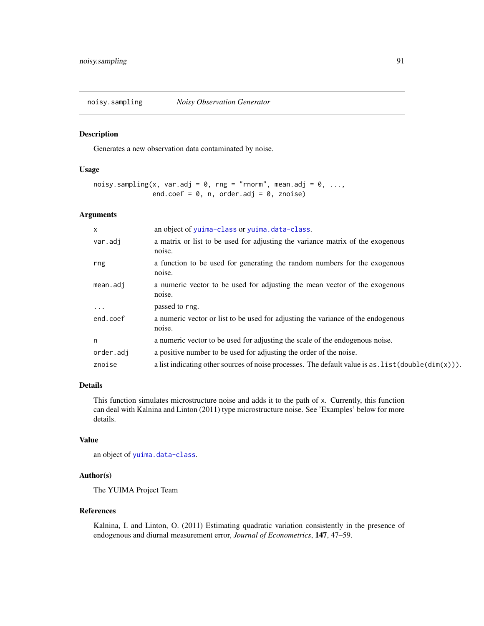noisy.sampling *Noisy Observation Generator*

# Description

Generates a new observation data contaminated by noise.

# Usage

```
noisy.sampling(x, var.adj = 0, rng = "rnorm", mean.adj = 0, ...,
               end.coef = 0, n, order.adj = 0, znoise)
```
# Arguments

| $\times$  | an object of yuima-class or yuima.data-class.                                                                             |
|-----------|---------------------------------------------------------------------------------------------------------------------------|
| var.adj   | a matrix or list to be used for adjusting the variance matrix of the exogenous<br>noise.                                  |
| rng       | a function to be used for generating the random numbers for the exogenous<br>noise.                                       |
| mean.add  | a numeric vector to be used for adjusting the mean vector of the exogenous<br>noise.                                      |
| $\cdots$  | passed to rng.                                                                                                            |
| end.coef  | a numeric vector or list to be used for adjusting the variance of the endogenous<br>noise.                                |
| n         | a numeric vector to be used for adjusting the scale of the endogenous noise.                                              |
| order.adj | a positive number to be used for adjusting the order of the noise.                                                        |
| znoise    | a list indicating other sources of noise processes. The default value is as $\text{list}(\text{double}(\text{dim}(x)))$ . |

# Details

This function simulates microstructure noise and adds it to the path of x. Currently, this function can deal with Kalnina and Linton (2011) type microstructure noise. See 'Examples' below for more details.

# Value

an object of [yuima.data-class](#page-173-0).

# Author(s)

The YUIMA Project Team

## References

Kalnina, I. and Linton, O. (2011) Estimating quadratic variation consistently in the presence of endogenous and diurnal measurement error, *Journal of Econometrics*, 147, 47–59.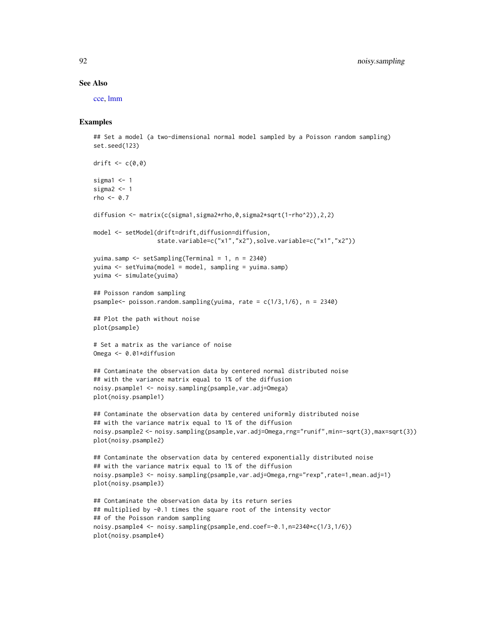#### See Also

[cce,](#page-23-0) [lmm](#page-155-0)

```
## Set a model (a two-dimensional normal model sampled by a Poisson random sampling)
set.seed(123)
```

```
drift \leq c(0,0)sigma1 < -1sigma2 < -1rho <-0.7diffusion <- matrix(c(sigma1,sigma2*rho,0,sigma2*sqrt(1-rho^2)),2,2)
model <- setModel(drift=drift,diffusion=diffusion,
                  state.variable=c("x1","x2"),solve.variable=c("x1","x2"))
yuima.samp <- setSampling(Terminal = 1, n = 2340)
yuima <- setYuima(model = model, sampling = yuima.samp)
yuima <- simulate(yuima)
## Poisson random sampling
psample<- poisson.random.sampling(yuima, rate = c(1/3,1/6), n = 2340)
## Plot the path without noise
plot(psample)
# Set a matrix as the variance of noise
Omega <- 0.01*diffusion
## Contaminate the observation data by centered normal distributed noise
## with the variance matrix equal to 1% of the diffusion
noisy.psample1 <- noisy.sampling(psample,var.adj=Omega)
plot(noisy.psample1)
## Contaminate the observation data by centered uniformly distributed noise
## with the variance matrix equal to 1% of the diffusion
noisy.psample2 <- noisy.sampling(psample,var.adj=Omega,rng="runif",min=-sqrt(3),max=sqrt(3))
plot(noisy.psample2)
## Contaminate the observation data by centered exponentially distributed noise
## with the variance matrix equal to 1% of the diffusion
noisy.psample3 <- noisy.sampling(psample,var.adj=Omega,rng="rexp",rate=1,mean.adj=1)
plot(noisy.psample3)
## Contaminate the observation data by its return series
## multiplied by -0.1 times the square root of the intensity vector
## of the Poisson random sampling
noisy.psample4 <- noisy.sampling(psample,end.coef=-0.1,n=2340*c(1/3,1/6))
plot(noisy.psample4)
```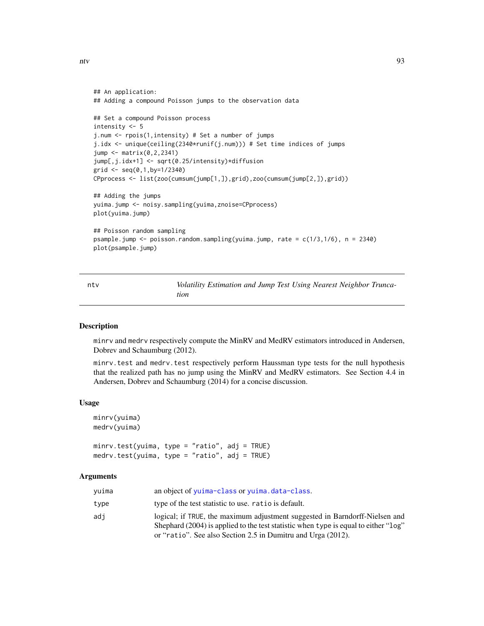ntv 93

```
## An application:
## Adding a compound Poisson jumps to the observation data
## Set a compound Poisson process
intensity <- 5
j.num <- rpois(1,intensity) # Set a number of jumps
j.idx <- unique(ceiling(2340*runif(j.num))) # Set time indices of jumps
jump <- matrix(0,2,2341)
jump[,j.idx+1] <- sqrt(0.25/intensity)*diffusion
grid \leq seq(0,1,by=1/2340)CPprocess <- list(zoo(cumsum(jump[1,]),grid),zoo(cumsum(jump[2,]),grid))
## Adding the jumps
yuima.jump <- noisy.sampling(yuima,znoise=CPprocess)
plot(yuima.jump)
## Poisson random sampling
psample.jump <- poisson.random.sampling(yuima.jump, rate = c(1/3,1/6), n = 2340)
plot(psample.jump)
```
ntv *Volatility Estimation and Jump Test Using Nearest Neighbor Truncation*

# <span id="page-92-0"></span>Description

minrv and medrv respectively compute the MinRV and MedRV estimators introduced in Andersen, Dobrev and Schaumburg (2012).

minrv.test and medrv.test respectively perform Haussman type tests for the null hypothesis that the realized path has no jump using the MinRV and MedRV estimators. See Section 4.4 in Andersen, Dobrev and Schaumburg (2014) for a concise discussion.

## Usage

```
minrv(yuima)
medrv(yuima)
```
minrv.test(yuima, type = "ratio", adj = TRUE) medrv.test(yuima, type = "ratio", adj = TRUE)

## Arguments

| vuima | an object of yuima-class or yuima.data-class.                                                                                                                          |
|-------|------------------------------------------------------------------------------------------------------------------------------------------------------------------------|
| type  | type of the test statistic to use. ratio is default.                                                                                                                   |
| adi   | logical; if TRUE, the maximum adjustment suggested in Barndorff-Nielsen and<br>Shephard (2004) is applied to the test statistic when type is equal to either " $log$ " |
|       | or "ratio". See also Section 2.5 in Dumitru and Urga (2012).                                                                                                           |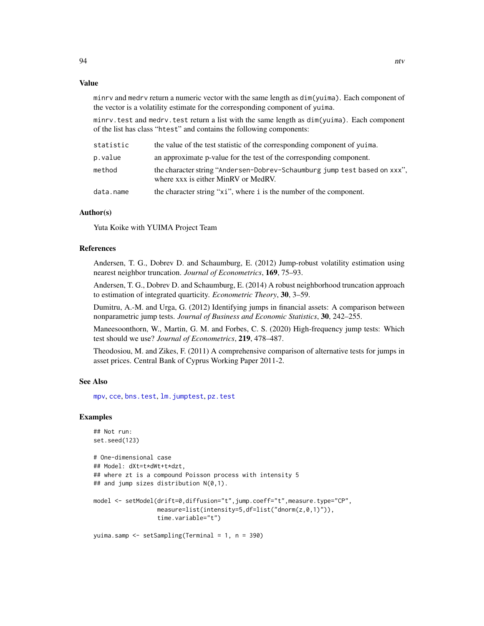## Value

minrv and medrv return a numeric vector with the same length as dim(yuima). Each component of the vector is a volatility estimate for the corresponding component of yuima.

minrv.test and medrv.test return a list with the same length as dim(yuima). Each component of the list has class "htest" and contains the following components:

| statistic | the value of the test statistic of the corresponding component of yuima.                                         |
|-----------|------------------------------------------------------------------------------------------------------------------|
| p.value   | an approximate p-value for the test of the corresponding component.                                              |
| method    | the character string "Andersen-Dobrev-Schaumburg jump test based on xxx".<br>where xxx is either MinRV or MedRV. |
| data.name | the character string " $xi$ ", where i is the number of the component.                                           |

# Author(s)

Yuta Koike with YUIMA Project Team

# References

Andersen, T. G., Dobrev D. and Schaumburg, E. (2012) Jump-robust volatility estimation using nearest neighbor truncation. *Journal of Econometrics*, 169, 75–93.

Andersen, T. G., Dobrev D. and Schaumburg, E. (2014) A robust neighborhood truncation approach to estimation of integrated quarticity. *Econometric Theory*, 30, 3–59.

Dumitru, A.-M. and Urga, G. (2012) Identifying jumps in financial assets: A comparison between nonparametric jump tests. *Journal of Business and Economic Statistics*, 30, 242–255.

Maneesoonthorn, W., Martin, G. M. and Forbes, C. S. (2020) High-frequency jump tests: Which test should we use? *Journal of Econometrics*, 219, 478–487.

Theodosiou, M. and Zikes, F. (2011) A comprehensive comparison of alternative tests for jumps in asset prices. Central Bank of Cyprus Working Paper 2011-2.

## See Also

[mpv](#page-87-0), [cce](#page-23-0), [bns.test](#page-18-0), [lm.jumptest](#page-77-0), [pz.test](#page-97-0)

```
## Not run:
set.seed(123)
# One-dimensional case
## Model: dXt=t*dWt+t*dzt,
## where zt is a compound Poisson process with intensity 5
## and jump sizes distribution N(0,1).
model <- setModel(drift=0,diffusion="t",jump.coeff="t",measure.type="CP",
                  measure=list(intensity=5,df=list("dnorm(z,0,1)")),
                  time.variable="t")
yuima.samp <- setSampling(Terminal = 1, n = 390)
```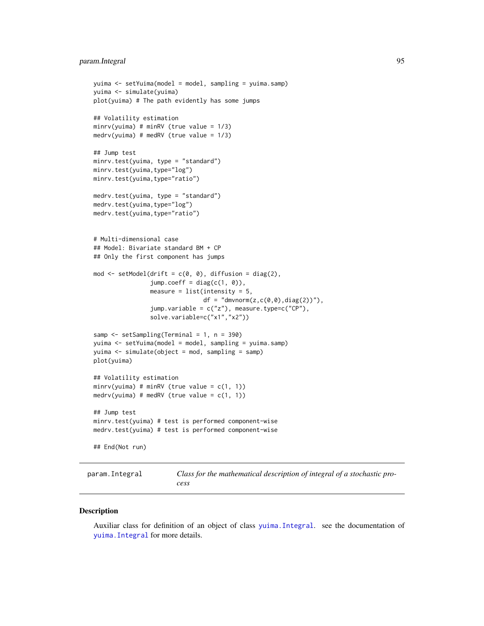# param.Integral 95

```
yuima <- setYuima(model = model, sampling = yuima.samp)
yuima <- simulate(yuima)
plot(yuima) # The path evidently has some jumps
## Volatility estimation
minrv(yuima) # minRV (true value = 1/3)
medrv(yuima) # medRV (true value = 1/3)
## Jump test
minrv.test(yuima, type = "standard")
minrv.test(yuima,type="log")
minrv.test(yuima,type="ratio")
medrv.test(yuima, type = "standard")
medrv.test(yuima,type="log")
medrv.test(yuima,type="ratio")
# Multi-dimensional case
## Model: Bivariate standard BM + CP
## Only the first component has jumps
mod \le setModel(drift = c(0, 0), diffusion = diag(2),
                jump.coeff = diag(c(1, 0)),measure = list(intensity = 5,df = "dmvnorm(z, c(0, 0), diag(2))"),
                jump.variable = c("z"), measure.type=c("CP"),
                solve.variable=c("x1","x2"))
samp <- setSampling(Terminal = 1, n = 390)
yuima <- setYuima(model = model, sampling = yuima.samp)
yuima <- simulate(object = mod, sampling = samp)
plot(yuima)
## Volatility estimation
minrv(yuima) # minRV (true value = c(1, 1))
medrv(yuima) # medRV (true value = c(1, 1))
## Jump test
minrv.test(yuima) # test is performed component-wise
medrv.test(yuima) # test is performed component-wise
## End(Not run)
```
param.Integral *Class for the mathematical description of integral of a stochastic process*

#### **Description**

Auxiliar class for definition of an object of class [yuima.Integral](#page-175-0). see the documentation of [yuima.Integral](#page-175-0) for more details.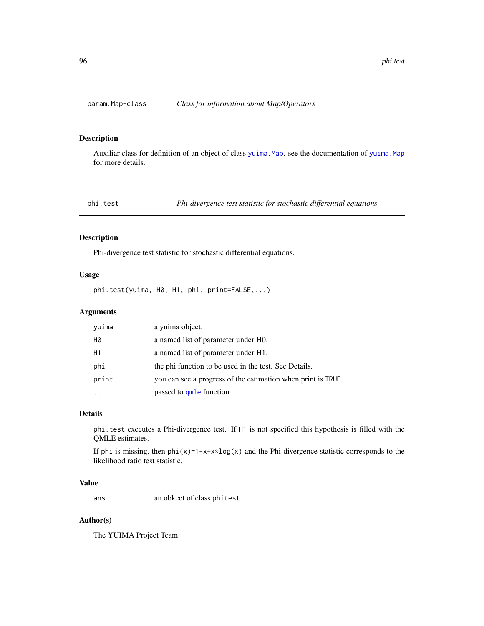# Description

Auxiliar class for definition of an object of class [yuima.Map](#page-177-0). see the documentation of [yuima.Map](#page-177-0) for more details.

phi.test *Phi-divergence test statistic for stochastic differential equations*

## Description

Phi-divergence test statistic for stochastic differential equations.

# Usage

phi.test(yuima, H0, H1, phi, print=FALSE,...)

# Arguments

| yuima     | a yuima object.                                              |
|-----------|--------------------------------------------------------------|
| <b>H0</b> | a named list of parameter under H0.                          |
| H1        | a named list of parameter under H1.                          |
| phi       | the phi function to be used in the test. See Details.        |
| print     | you can see a progress of the estimation when print is TRUE. |
|           | passed to qmle function.                                     |

## Details

phi.test executes a Phi-divergence test. If H1 is not specified this hypothesis is filled with the QMLE estimates.

If phi is missing, then  $phi(x)=1-x+x*log(x)$  and the Phi-divergence statistic corresponds to the likelihood ratio test statistic.

# Value

ans an obkect of class phitest.

## Author(s)

The YUIMA Project Team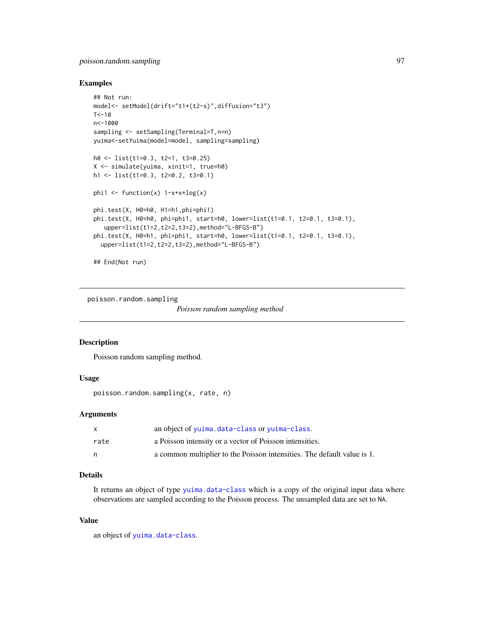# poisson.random.sampling 97

## Examples

```
## Not run:
model<- setModel(drift="t1*(t2-x)",diffusion="t3")
T < -10n<-1000
sampling <- setSampling(Terminal=T,n=n)
yuima<-setYuima(model=model, sampling=sampling)
h0 <- list(t1=0.3, t2=1, t3=0.25)
X <- simulate(yuima, xinit=1, true=h0)
h1 <- list(t1=0.3, t2=0.2, t3=0.1)
phi1 <- function(x) 1-x+x*log(x)phi.test(X, H0=h0, H1=h1,phi=phi1)
phi.test(X, H0=h0, phi=phi1, start=h0, lower=list(t1=0.1, t2=0.1, t3=0.1),
   upper=list(t1=2,t2=2,t3=2),method="L-BFGS-B")
phi. test(X, H0=h1, phi=phi1, start=h0, lower=list(t1=0.1, t2=0.1, t3=0.1),upper=list(t1=2,t2=2,t3=2),method="L-BFGS-B")
```
## End(Not run)

poisson.random.sampling

*Poisson random sampling method*

## Description

Poisson random sampling method.

# Usage

poisson.random.sampling(x, rate, n)

## Arguments

|      | an object of yuima.data-class or yuima-class.                           |
|------|-------------------------------------------------------------------------|
| rate | a Poisson intensity or a vector of Poisson intensities.                 |
| n    | a common multiplier to the Poisson intensities. The default value is 1. |

# Details

It returns an object of type [yuima.data-class](#page-173-0) which is a copy of the original input data where observations are sampled according to the Poisson process. The unsampled data are set to NA.

# Value

an object of [yuima.data-class](#page-173-0).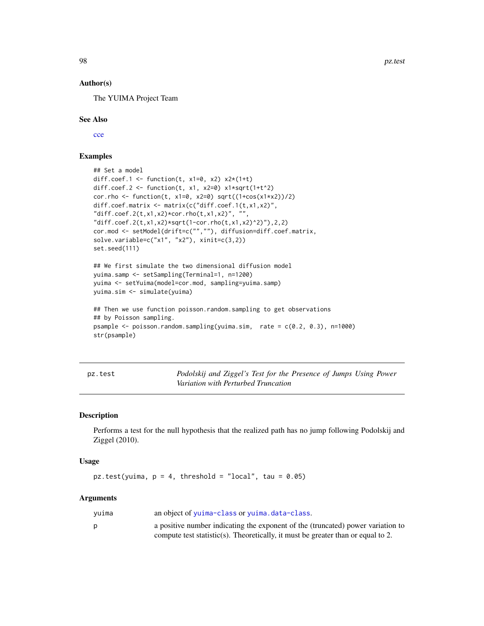98 pz.test and provide the control of the control of the control of the control of the control of the control of the control of the control of the control of the control of the control of the control of the control of the

## Author(s)

The YUIMA Project Team

## See Also

[cce](#page-23-0)

# Examples

```
## Set a model
diff.coef.1 <- function(t, x1=0, x2) x2*(1+t)diff.coef.2 <- function(t, x1, x2=0) x1*sqrt(1+t^2)cor.rho <- function(t, x1=0, x2=0) sqrt((1+cos(x1+x2))/2)diff.coef.matrix <- matrix(c("diff.coef.1(t,x1,x2)",
"diff.coef.2(t,x1,x2)*cor.rho(t,x1,x2)", "",
"diff.coef.2(t,x1,x2)*sqrt(1-cor.rho(t,x1,x2)^2)"),2,2)
cor.mod <- setModel(drift=c("",""), diffusion=diff.coef.matrix,
solve.variable=c("x1", "x2"), xinit=c(3,2))
set.seed(111)
## We first simulate the two dimensional diffusion model
yuima.samp <- setSampling(Terminal=1, n=1200)
yuima <- setYuima(model=cor.mod, sampling=yuima.samp)
yuima.sim <- simulate(yuima)
## Then we use function poisson.random.sampling to get observations
## by Poisson sampling.
psample <- poisson.random.sampling(yuima.sim, rate = c(0.2, 0.3), n=1000)
```
str(psample)

<span id="page-97-0"></span>pz.test *Podolskij and Ziggel's Test for the Presence of Jumps Using Power Variation with Perturbed Truncation*

## Description

Performs a test for the null hypothesis that the realized path has no jump following Podolskij and Ziggel (2010).

## Usage

```
pz.test(yuima, p = 4, threshold = "local", tau = 0.05)
```
## Arguments

| yuima | an object of yuima-class or yuima.data-class.                                    |
|-------|----------------------------------------------------------------------------------|
|       | a positive number indicating the exponent of the (truncated) power variation to  |
|       | compute test statistic(s). Theoretically, it must be greater than or equal to 2. |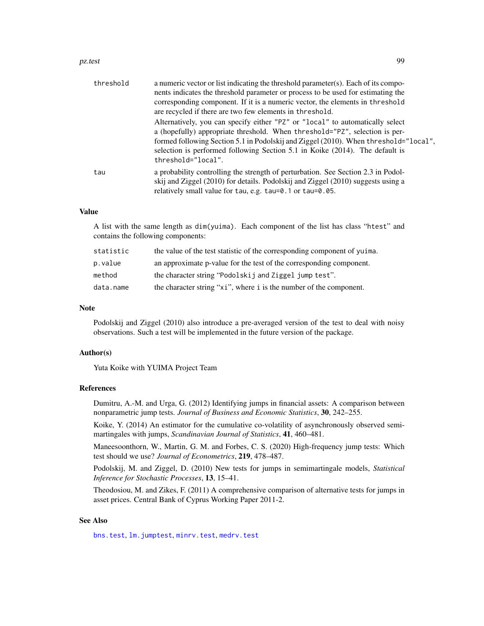### pz.test 99

| threshold | a numeric vector or list indicating the threshold parameter(s). Each of its compo-<br>nents indicates the threshold parameter or process to be used for estimating the<br>corresponding component. If it is a numeric vector, the elements in threshold<br>are recycled if there are two few elements in threshold.<br>Alternatively, you can specify either "PZ" or "local" to automatically select<br>a (hopefully) appropriate threshold. When threshold="PZ", selection is per-<br>formed following Section 5.1 in Podolskij and Ziggel (2010). When threshold="local",<br>selection is performed following Section 5.1 in Koike (2014). The default is<br>threshold="local". |
|-----------|-----------------------------------------------------------------------------------------------------------------------------------------------------------------------------------------------------------------------------------------------------------------------------------------------------------------------------------------------------------------------------------------------------------------------------------------------------------------------------------------------------------------------------------------------------------------------------------------------------------------------------------------------------------------------------------|
| tau       | a probability controlling the strength of perturbation. See Section 2.3 in Podol-<br>skij and Ziggel (2010) for details. Podolskij and Ziggel (2010) suggests using a<br>relatively small value for tau, e.g. tau=0.1 or tau=0.05.                                                                                                                                                                                                                                                                                                                                                                                                                                                |

# Value

A list with the same length as dim(yuima). Each component of the list has class "htest" and contains the following components:

| statistic | the value of the test statistic of the corresponding component of yuima. |
|-----------|--------------------------------------------------------------------------|
| p.value   | an approximate p-value for the test of the corresponding component.      |
| method    | the character string "Podolskij and Ziggel jump test".                   |
| data.name | the character string "xi", where i is the number of the component.       |

# Note

Podolskij and Ziggel (2010) also introduce a pre-averaged version of the test to deal with noisy observations. Such a test will be implemented in the future version of the package.

## Author(s)

Yuta Koike with YUIMA Project Team

#### References

Dumitru, A.-M. and Urga, G. (2012) Identifying jumps in financial assets: A comparison between nonparametric jump tests. *Journal of Business and Economic Statistics*, 30, 242–255.

Koike, Y. (2014) An estimator for the cumulative co-volatility of asynchronously observed semimartingales with jumps, *Scandinavian Journal of Statistics*, 41, 460–481.

Maneesoonthorn, W., Martin, G. M. and Forbes, C. S. (2020) High-frequency jump tests: Which test should we use? *Journal of Econometrics*, 219, 478–487.

Podolskij, M. and Ziggel, D. (2010) New tests for jumps in semimartingale models, *Statistical Inference for Stochastic Processes*, 13, 15–41.

Theodosiou, M. and Zikes, F. (2011) A comprehensive comparison of alternative tests for jumps in asset prices. Central Bank of Cyprus Working Paper 2011-2.

# See Also

[bns.test](#page-18-0), [lm.jumptest](#page-77-0), [minrv.test](#page-92-0), [medrv.test](#page-92-0)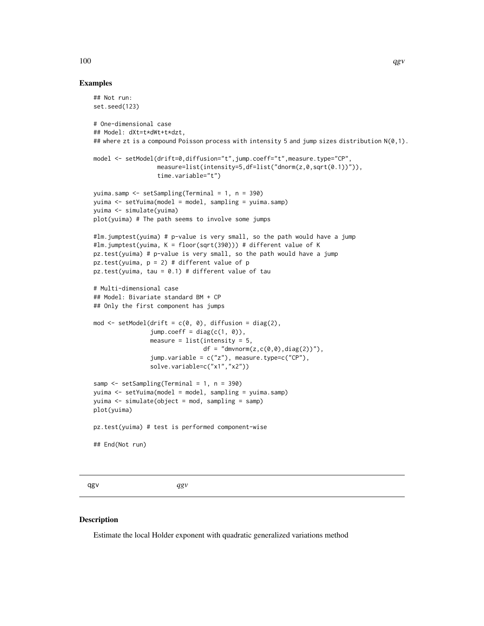# Examples

```
## Not run:
set.seed(123)
# One-dimensional case
## Model: dXt=t*dWt+t*dzt,
## where zt is a compound Poisson process with intensity 5 and jump sizes distribution N(\emptyset,1).
model <- setModel(drift=0,diffusion="t",jump.coeff="t",measure.type="CP",
                  measure=list(intensity=5,df=list("dnorm(z,0,sqrt(0.1))")),
                  time.variable="t")
yuima.samp <- setSampling(Terminal = 1, n = 390)
yuima <- setYuima(model = model, sampling = yuima.samp)
yuima <- simulate(yuima)
plot(yuima) # The path seems to involve some jumps
#lm.jumptest(yuima) # p-value is very small, so the path would have a jump
#lm.jumptest(yuima, K = floor(sqrt(390))) # different value of K
pz.test(yuima) # p-value is very small, so the path would have a jump
pz.test(yuima, p = 2) # different value of p
pz.test(yuima, tau = 0.1) # different value of tau
# Multi-dimensional case
## Model: Bivariate standard BM + CP
## Only the first component has jumps
mod \le setModel(drift = c(0, 0), diffusion = diag(2),
                jump.coeff = diag(c(1, 0)),measure = list(intensity = 5,df = "dmvnorm(z, c(0, 0), diag(2))"),
                jump.variable = c("z"), measure.type=c("CP"),
                solve.variable=c("x1","x2"))
samp \le setSampling(Terminal = 1, n = 390)
yuima <- setYuima(model = model, sampling = yuima.samp)
yuima <- simulate(object = mod, sampling = samp)
plot(yuima)
pz.test(yuima) # test is performed component-wise
## End(Not run)
```
<span id="page-99-0"></span>

qgv *qgv*

#### Description

Estimate the local Holder exponent with quadratic generalized variations method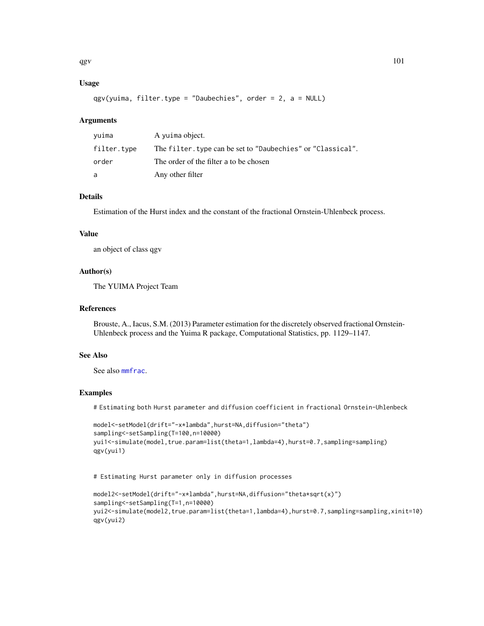# Usage

qgv(yuima, filter.type = "Daubechies", order = 2, a = NULL)

# **Arguments**

| yuima       | A yuima object.                                             |
|-------------|-------------------------------------------------------------|
| filter.type | The filter. type can be set to "Daubechies" or "Classical". |
| order       | The order of the filter a to be chosen                      |
| a           | Any other filter                                            |

# Details

Estimation of the Hurst index and the constant of the fractional Ornstein-Uhlenbeck process.

# Value

an object of class qgv

## Author(s)

The YUIMA Project Team

# References

Brouste, A., Iacus, S.M. (2013) Parameter estimation for the discretely observed fractional Ornstein-Uhlenbeck process and the Yuima R package, Computational Statistics, pp. 1129–1147.

# See Also

See also [mmfrac](#page-85-0).

# Examples

# Estimating both Hurst parameter and diffusion coefficient in fractional Ornstein-Uhlenbeck

```
model<-setModel(drift="-x*lambda",hurst=NA,diffusion="theta")
sampling<-setSampling(T=100,n=10000)
yui1<-simulate(model,true.param=list(theta=1,lambda=4),hurst=0.7,sampling=sampling)
qgv(yui1)
```
# Estimating Hurst parameter only in diffusion processes

```
model2<-setModel(drift="-x*lambda",hurst=NA,diffusion="theta*sqrt(x)")
sampling<-setSampling(T=1,n=10000)
yui2<-simulate(model2,true.param=list(theta=1,lambda=4),hurst=0.7,sampling=sampling,xinit=10)
qgv(yui2)
```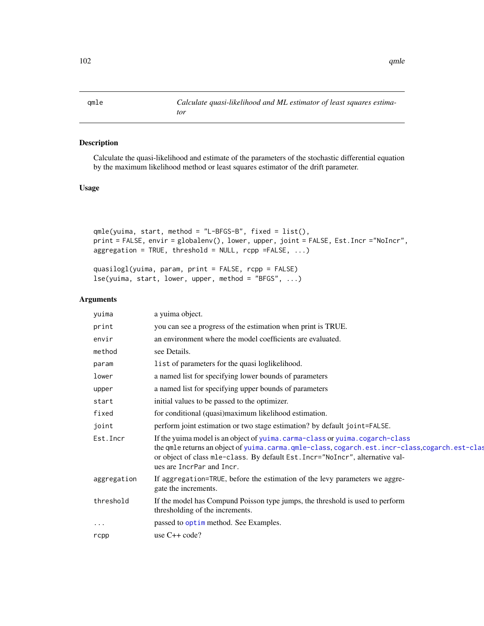<span id="page-101-0"></span>

# Description

Calculate the quasi-likelihood and estimate of the parameters of the stochastic differential equation by the maximum likelihood method or least squares estimator of the drift parameter.

# Usage

```
qmle(yuima, start, method = "L-BFGS-B", fixed = list(),
print = FALSE, envir = globalenv(), lower, upper, joint = FALSE, Est.Incr ="NoIncr",
aggregation = TRUE, threshold = NULL, rcpp = FALSE, ...)
```

```
quasilogl(yuima, param, print = FALSE, rcpp = FALSE)
lse(yuima, start, lower, upper, method = "BFGS", ...)
```
# Arguments

| yuima       | a yuima object.                                                                                                                                                                                                                                                                             |
|-------------|---------------------------------------------------------------------------------------------------------------------------------------------------------------------------------------------------------------------------------------------------------------------------------------------|
| print       | you can see a progress of the estimation when print is TRUE.                                                                                                                                                                                                                                |
| envir       | an environment where the model coefficients are evaluated.                                                                                                                                                                                                                                  |
| method      | see Details.                                                                                                                                                                                                                                                                                |
| param       | list of parameters for the quasi loglikelihood.                                                                                                                                                                                                                                             |
| lower       | a named list for specifying lower bounds of parameters                                                                                                                                                                                                                                      |
| upper       | a named list for specifying upper bounds of parameters                                                                                                                                                                                                                                      |
| start       | initial values to be passed to the optimizer.                                                                                                                                                                                                                                               |
| fixed       | for conditional (quasi)maximum likelihood estimation.                                                                                                                                                                                                                                       |
| joint       | perform joint estimation or two stage estimation? by default joint=FALSE.                                                                                                                                                                                                                   |
| Est. Incr   | If the yuima model is an object of yuima.carma-class or yuima.cogarch-class<br>the qmle returns an object of yuima.carma.qmle-class, cogarch.est.incr-class, cogarch.est-clas<br>or object of class mle-class. By default Est. Incr="NoIncr", alternative val-<br>ues are IncrPar and Incr. |
| aggregation | If aggregation=TRUE, before the estimation of the levy parameters we aggre-<br>gate the increments.                                                                                                                                                                                         |
| threshold   | If the model has Compund Poisson type jumps, the threshold is used to perform<br>thresholding of the increments.                                                                                                                                                                            |
| $\cdots$    | passed to optim method. See Examples.                                                                                                                                                                                                                                                       |
| rcpp        | use $C++code$ ?                                                                                                                                                                                                                                                                             |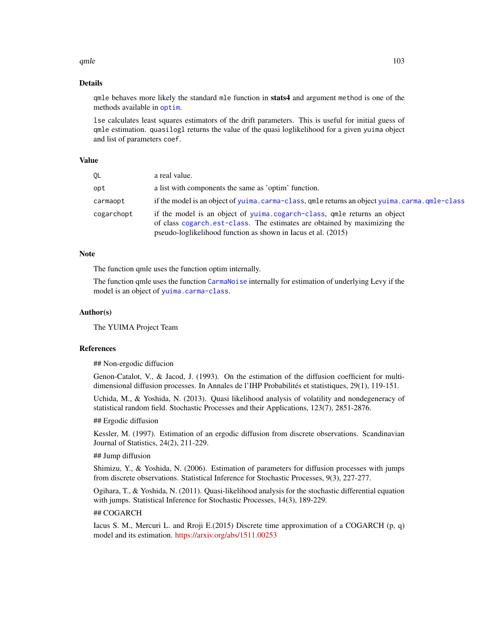### qmle $\qquad \qquad$  103

## Details

qmle behaves more likely the standard mle function in stats4 and argument method is one of the methods available in [optim](#page-0-0).

lse calculates least squares estimators of the drift parameters. This is useful for initial guess of qmle estimation. quasilogl returns the value of the quasi loglikelihood for a given yuima object and list of parameters coef.

# Value

| OL         | a real value.                                                                                                                                                                                                         |
|------------|-----------------------------------------------------------------------------------------------------------------------------------------------------------------------------------------------------------------------|
| opt        | a list with components the same as 'optim' function.                                                                                                                                                                  |
| carmaopt   | if the model is an object of yuima.carma-class, qmle returns an object yuima.carma.qmle-class                                                                                                                         |
| cogarchopt | if the model is an object of yuima.cogarch-class, qmle returns an object<br>of class cogarch est-class. The estimates are obtained by maximizing the<br>pseudo-loglikelihood function as shown in Iacus et al. (2015) |

#### Note

The function qmle uses the function optim internally.

The function qmle uses the function [CarmaNoise](#page-21-0) internally for estimation of underlying Levy if the model is an object of [yuima.carma-class](#page-168-0).

# Author(s)

The YUIMA Project Team

#### References

## Non-ergodic diffucion

Genon-Catalot, V., & Jacod, J. (1993). On the estimation of the diffusion coefficient for multidimensional diffusion processes. In Annales de l'IHP Probabilités et statistiques, 29(1), 119-151.

Uchida, M., & Yoshida, N. (2013). Quasi likelihood analysis of volatility and nondegeneracy of statistical random field. Stochastic Processes and their Applications, 123(7), 2851-2876.

#### ## Ergodic diffusion

Kessler, M. (1997). Estimation of an ergodic diffusion from discrete observations. Scandinavian Journal of Statistics, 24(2), 211-229.

# ## Jump diffusion

Shimizu, Y., & Yoshida, N. (2006). Estimation of parameters for diffusion processes with jumps from discrete observations. Statistical Inference for Stochastic Processes, 9(3), 227-277.

Ogihara, T., & Yoshida, N. (2011). Quasi-likelihood analysis for the stochastic differential equation with jumps. Statistical Inference for Stochastic Processes, 14(3), 189-229.

## ## COGARCH

Iacus S. M., Mercuri L. and Rroji E.(2015) Discrete time approximation of a COGARCH (p, q) model and its estimation. <https://arxiv.org/abs/1511.00253>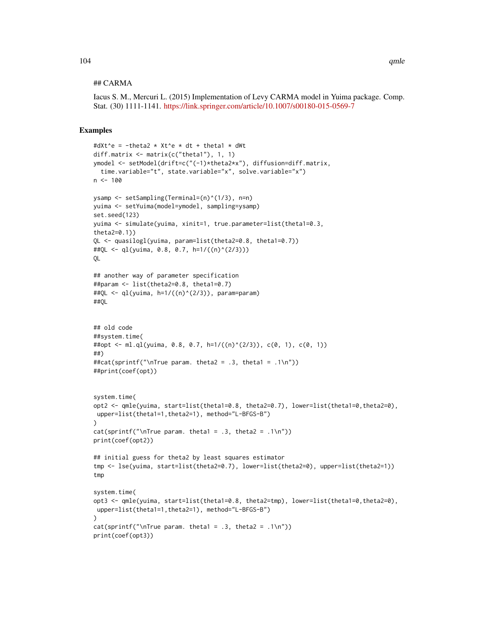## ## CARMA

Iacus S. M., Mercuri L. (2015) Implementation of Levy CARMA model in Yuima package. Comp. Stat. (30) 1111-1141. <https://link.springer.com/article/10.1007/s00180-015-0569-7>

```
#dXt^e = -theta2 * Xt^e * dt + theta1 * dWt
diff.matrix <- matrix(c("theta1"), 1, 1)
ymodel <- setModel(drift=c("(-1)*theta2*x"), diffusion=diff.matrix,
  time.variable="t", state.variable="x", solve.variable="x")
n < -100ysamp <- setSampling(Terminal=(n)^(1/3), n=n)
yuima <- setYuima(model=ymodel, sampling=ysamp)
set.seed(123)
yuima <- simulate(yuima, xinit=1, true.parameter=list(theta1=0.3,
theta2=0.1))
QL <- quasilogl(yuima, param=list(theta2=0.8, theta1=0.7))
##QL <- ql(yuima, 0.8, 0.7, h=1/((n)^(2/3)))
QL
## another way of parameter specification
##param <- list(theta2=0.8, theta1=0.7)
##QL <- ql(yuima, h=1/((n)^(2/3)), param=param)
##QL
## old code
##system.time(
##opt <- ml.ql(yuima, 0.8, 0.7, h=1/((n)^(2/3)), c(0, 1), c(0, 1))
##)
##cat(sprintf("\nTrue param. theta2 = .3, theta1 = .1\n"))
##print(coef(opt))
system.time(
opt2 <- qmle(yuima, start=list(theta1=0.8, theta2=0.7), lower=list(theta1=0,theta2=0),
upper=list(theta1=1,theta2=1), method="L-BFGS-B")
)
cat(sprintf("\nTrue param. theta1 = .3, theta2 = .1\n"))
print(coef(opt2))
## initial guess for theta2 by least squares estimator
tmp <- lse(yuima, start=list(theta2=0.7), lower=list(theta2=0), upper=list(theta2=1))
tmp
system.time(
opt3 <- qmle(yuima, start=list(theta1=0.8, theta2=tmp), lower=list(theta1=0,theta2=0),
upper=list(theta1=1,theta2=1), method="L-BFGS-B")
\lambdacat(sprintf("nTrue param. theta1 = .3, theta2 = .1\n")print(coef(opt3))
```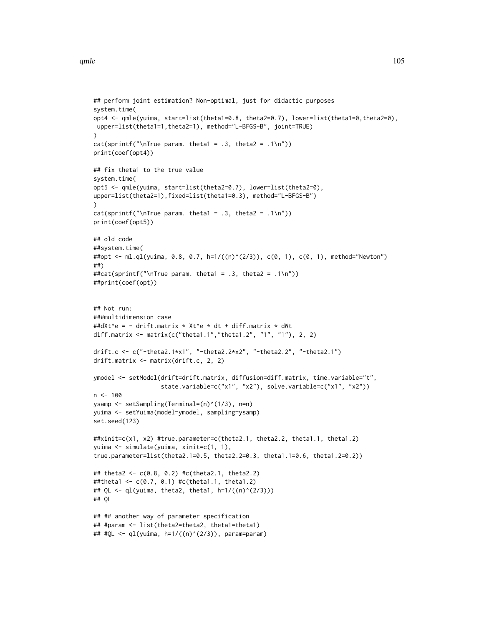```
## perform joint estimation? Non-optimal, just for didactic purposes
system.time(
opt4 <- qmle(yuima, start=list(theta1=0.8, theta2=0.7), lower=list(theta1=0,theta2=0),
upper=list(theta1=1,theta2=1), method="L-BFGS-B", joint=TRUE)
)
cat(sprintf("\prime\T{rue param. theta1 = .3, theta2 = .1\n'})print(coef(opt4))
## fix theta1 to the true value
system.time(
opt5 <- qmle(yuima, start=list(theta2=0.7), lower=list(theta2=0),
upper=list(theta2=1),fixed=list(theta1=0.3), method="L-BFGS-B")
\lambdacat(sprintf("nTrue param. theta1 = .3, theta2 = .1\n")print(coef(opt5))
## old code
##system.time(
##opt <- ml.ql(yuima, 0.8, 0.7, h=1/((n)^(2/3)), c(0, 1), c(0, 1), method="Newton")
##)
##cat(sprintf("\nTrue param. theta1 = .3, theta2 = .1\n"))
##print(coef(opt))
## Not run:
###multidimension case
##dXt^e = - drift.matrix * Xt^e * dt + diff.matrix * dWt
diff.matrix <- matrix(c("theta1.1","theta1.2", "1", "1"), 2, 2)
drift.c <- c("-theta2.1*x1", "-theta2.2*x2", "-theta2.2", "-theta2.1")
drift.matrix <- matrix(drift.c, 2, 2)
ymodel <- setModel(drift=drift.matrix, diffusion=diff.matrix, time.variable="t",
                   state.variable=c("x1", "x2"), solve.variable=c("x1", "x2"))
n < - 100ysamp <- setSampling(Terminal=(n)^(1/3), n=n)
yuima <- setYuima(model=ymodel, sampling=ysamp)
set.seed(123)
##xinit=c(x1, x2) #true.parameter=c(theta2.1, theta2.2, theta1.1, theta1.2)
yuima <- simulate(yuima, xinit=c(1, 1),
true.parameter=list(theta2.1=0.5, theta2.2=0.3, theta1.1=0.6, theta1.2=0.2))
## theta2 <- c(0.8, 0.2) #c(theta2.1, theta2.2)
##theta1 <- c(0.7, 0.1) #c(theta1.1, theta1.2)
## QL <- ql(yuima, theta2, theta1, h=1/((n)^{(2/3)}))## QL
## ## another way of parameter specification
## #param <- list(theta2=theta2, theta1=theta1)
## #QL <- ql(yuima, h=1/((n)^(2/3)), param=param)
```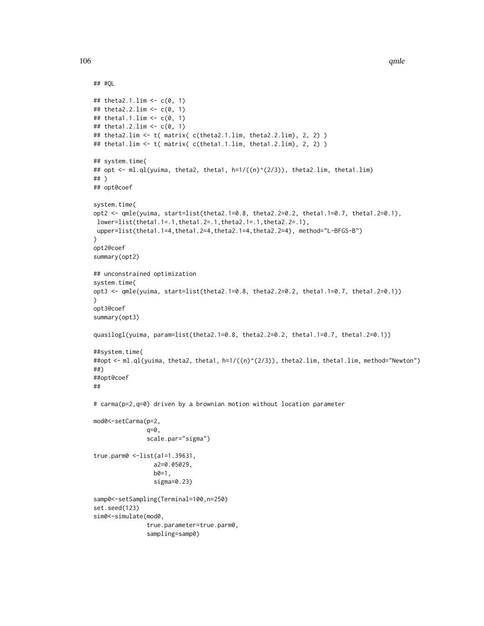```
## #QL
## theta2.1.lim <- c(0, 1)
## theta2.2.lim <- c(0, 1)
## theta1.1.lim <- c(0, 1)
## theta1.2.lim <- c(0, 1)
## theta2.lim <- t( matrix( c(theta2.1.lim, theta2.2.lim), 2, 2) )
## theta1.lim <- t( matrix( c(theta1.1.lim, theta1.2.lim), 2, 2) )
## system.time(
## opt <- ml.ql(yuima, theta2, theta1, h=1/((n)^(2/3)), theta2.lim, theta1.lim)
## )
## opt@coef
system.time(
opt2 <- qmle(yuima, start=list(theta2.1=0.8, theta2.2=0.2, theta1.1=0.7, theta1.2=0.1),
lower=list(theta1.1=.1,theta1.2=.1,theta2.1=.1,theta2.2=.1),
upper=list(theta1.1=4,theta1.2=4,theta2.1=4,theta2.2=4), method="L-BFGS-B")
)
opt2@coef
summary(opt2)
## unconstrained optimization
system.time(
opt3 <- qmle(yuima, start=list(theta2.1=0.8, theta2.2=0.2, theta1.1=0.7, theta1.2=0.1))
)
opt3@coef
summary(opt3)
quasilogl(yuima, param=list(theta2.1=0.8, theta2.2=0.2, theta1.1=0.7, theta1.2=0.1))
##system.time(
##opt <- ml.ql(yuima, theta2, theta1, h=1/((n)^(2/3)), theta2.lim, theta1.lim, method="Newton")
##)
##opt@coef
##
# carma(p=2,q=0) driven by a brownian motion without location parameter
mod0<-setCarma(p=2,
               q=0,
               scale.par="sigma")
true.parm0 <-list(a1=1.39631,
                 a2=0.05029,
                 b0=1,
                 sigma=0.23)
samp0<-setSampling(Terminal=100,n=250)
set.seed(123)
sim0<-simulate(mod0,
               true.parameter=true.parm0,
               sampling=samp0)
```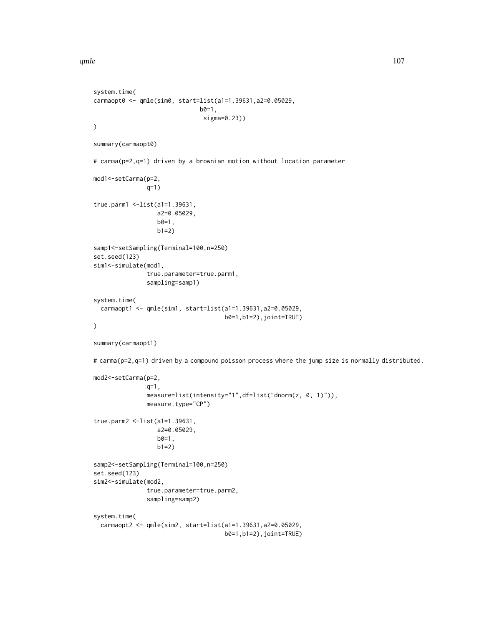qmle $107$ 

```
system.time(
carmaopt0 <- qmle(sim0, start=list(a1=1.39631,a2=0.05029,
                              b0=1,
                                sigma=0.23))
\overline{)}summary(carmaopt0)
# carma(p=2,q=1) driven by a brownian motion without location parameter
mod1<-setCarma(p=2,
               q=1)
true.parm1 <-list(a1=1.39631,
                  a2=0.05029,
                  b0=1,
                  b1=2)
samp1<-setSampling(Terminal=100,n=250)
set.seed(123)
sim1<-simulate(mod1,
               true.parameter=true.parm1,
               sampling=samp1)
system.time(
  carmaopt1 <- qmle(sim1, start=list(a1=1.39631,a2=0.05029,
                                      b0=1,b1=2),joint=TRUE)
)
summary(carmaopt1)
# carma(p=2,q=1) driven by a compound poisson process where the jump size is normally distributed.
mod2<-setCarma(p=2,
               q=1,
               measure=list(intensity="1",df=list("dnorm(z, 0, 1)")),
               measure.type="CP")
true.parm2 <-list(a1=1.39631,
                  a2=0.05029,
                  b0=1,
                  b1=2)samp2<-setSampling(Terminal=100,n=250)
set.seed(123)
sim2<-simulate(mod2,
               true.parameter=true.parm2,
               sampling=samp2)
system.time(
  carmaopt2 <- qmle(sim2, start=list(a1=1.39631,a2=0.05029,
                                      b0=1,b1=2),joint=TRUE)
```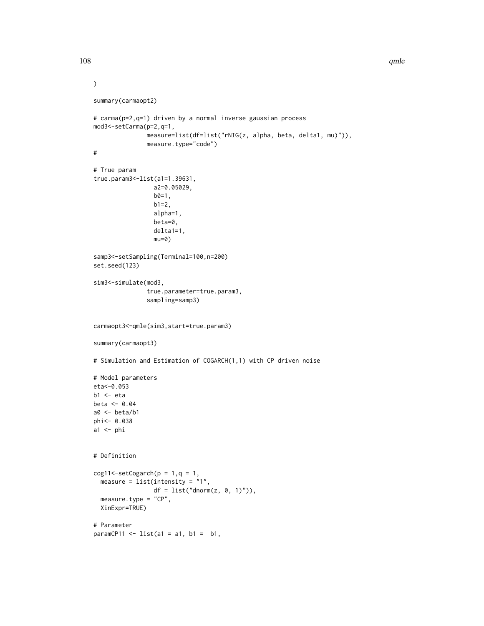```
)
summary(carmaopt2)
# carma(p=2,q=1) driven by a normal inverse gaussian process
mod3<-setCarma(p=2,q=1,
               measure=list(df=list("rNIG(z, alpha, beta, delta1, mu)")),
               measure.type="code")
#
# True param
true.param3<-list(a1=1.39631,
                 a2=0.05029,
                 b0=1,
                 b1=2,alpha=1,
                 beta=0,
                 delta1=1,
                 mu=0)samp3<-setSampling(Terminal=100,n=200)
set.seed(123)
sim3<-simulate(mod3,
               true.parameter=true.param3,
               sampling=samp3)
carmaopt3<-qmle(sim3,start=true.param3)
summary(carmaopt3)
# Simulation and Estimation of COGARCH(1,1) with CP driven noise
# Model parameters
eta<-0.053
b1 \leftarrow etabeta <- 0.04
a0 <- beta/b1
phi<- 0.038
a1 \leftarrow phi# Definition
cog11 \leq -setCogarch(p = 1, q = 1,measure = list(intensity = "1",df = list("dnorm(z, 0, 1)")),
  measure.type = "CP",
  XinExpr=TRUE)
# Parameter
paramCP11 \le list(a1 = a1, b1 = b1,
```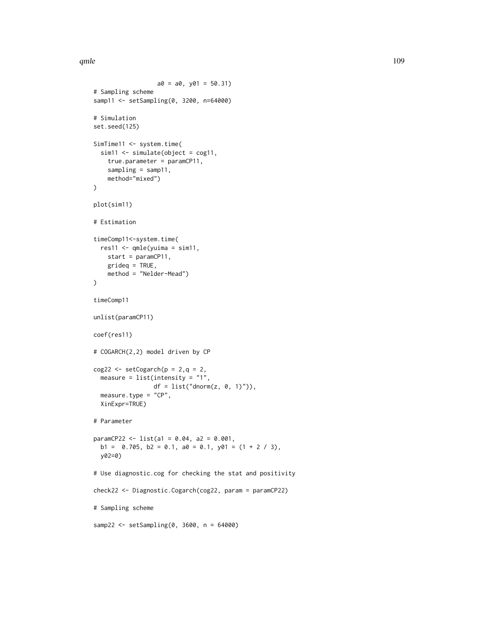qmle the contract of the contract of the contract of the contract of the contract of the contract of the contract of the contract of the contract of the contract of the contract of the contract of the contract of the contr

```
a0 = a0, y01 = 50.31# Sampling scheme
samp11 <- setSampling(0, 3200, n=64000)
# Simulation
set.seed(125)
SimTime11 <- system.time(
  sim11 \le simulate(object = cog11,
   true.parameter = paramCP11,
   sampling = samp11,
   method="mixed")
)
plot(sim11)
# Estimation
timeComp11<-system.time(
  res11 \leq - qmle(yuima = sim11,
   start = paramCP11,
   grideq = TRUE,
   method = "Nelder-Mead")
)
timeComp11
unlist(paramCP11)
coef(res11)
# COGARCH(2,2) model driven by CP
cog22 \leq setCogarch(p = 2, q = 2,measure = list(intensity = "1",df = list("dnorm(z, 0, 1)")),
  measure.type = "CP",
  XinExpr=TRUE)
# Parameter
paramCP22 <- list(a1 = 0.04, a2 = 0.001,
  b1 = 0.705, b2 = 0.1, a0 = 0.1, y01 = (1 + 2 / 3),
  y02=0)
# Use diagnostic.cog for checking the stat and positivity
check22 <- Diagnostic.Cogarch(cog22, param = paramCP22)
# Sampling scheme
samp22 <- setSampling(0, 3600, n = 64000)
```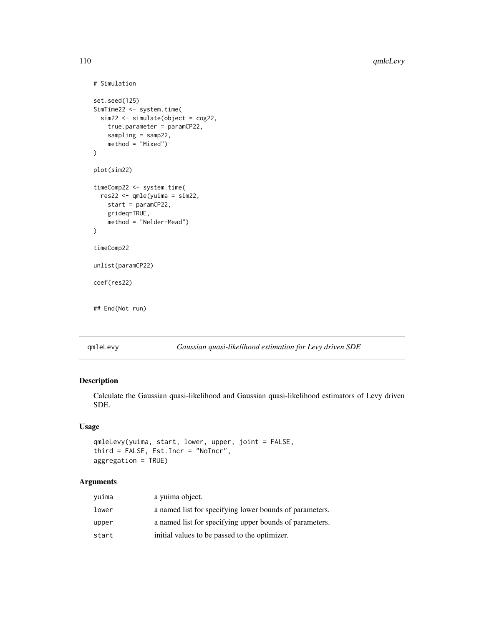```
# Simulation
set.seed(125)
SimTime22 <- system.time(
 sim22 <- simulate(object = cog22,
    true.parameter = paramCP22,
    sampling = samp22,
    method = "Mixed")
\mathcal{L}plot(sim22)
timeComp22 <- system.time(
  res22 <- qmle(yuima = sim22,
    start = paramCP22,
    grideq=TRUE,
    method = "Nelder-Mead")
)
timeComp22
unlist(paramCP22)
coef(res22)
## End(Not run)
```
qmleLevy *Gaussian quasi-likelihood estimation for Levy driven SDE*

# Description

Calculate the Gaussian quasi-likelihood and Gaussian quasi-likelihood estimators of Levy driven SDE.

# Usage

```
qmleLevy(yuima, start, lower, upper, joint = FALSE,
third = FALSE, Est.Incr = "NoIncr",
aggregation = TRUE)
```
# Arguments

| yuima | a vuima object.                                         |
|-------|---------------------------------------------------------|
| lower | a named list for specifying lower bounds of parameters. |
| upper | a named list for specifying upper bounds of parameters. |
| start | initial values to be passed to the optimizer.           |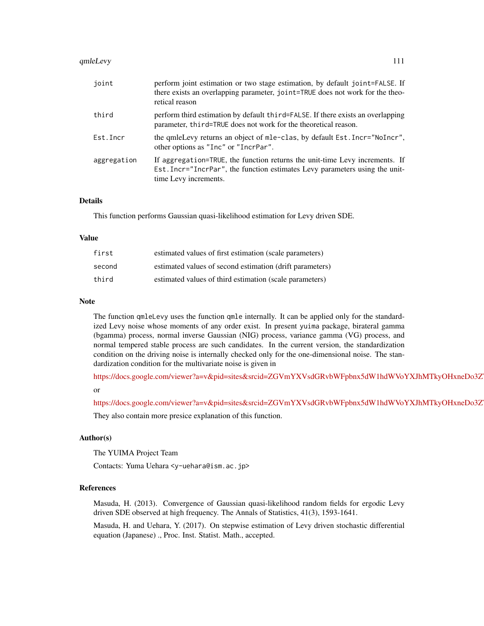#### qmleLevy 111

| joint       | perform joint estimation or two stage estimation, by default joint=FALSE. If<br>there exists an overlapping parameter, joint=TRUE does not work for the theo-<br>retical reason     |
|-------------|-------------------------------------------------------------------------------------------------------------------------------------------------------------------------------------|
| third       | perform third estimation by default third=FALSE. If there exists an overlapping<br>parameter, third=TRUE does not work for the theoretical reason.                                  |
| Est.Incr    | the qmleLevy returns an object of mle-clas, by default Est. Incr="NoIncr",<br>other options as "Inc" or "IncrPar".                                                                  |
| aggregation | If aggregation=TRUE, the function returns the unit-time Levy increments. If<br>Est. Incr="IncrPar", the function estimates Levy parameters using the unit-<br>time Levy increments. |

# Details

This function performs Gaussian quasi-likelihood estimation for Levy driven SDE.

#### Value

| first  | estimated values of first estimation (scale parameters)  |
|--------|----------------------------------------------------------|
| second | estimated values of second estimation (drift parameters) |
| third  | estimated values of third estimation (scale parameters)  |

#### Note

The function qmleLevy uses the function qmle internally. It can be applied only for the standardized Levy noise whose moments of any order exist. In present yuima package, birateral gamma (bgamma) process, normal inverse Gaussian (NIG) process, variance gamma (VG) process, and normal tempered stable process are such candidates. In the current version, the standardization condition on the driving noise is internally checked only for the one-dimensional noise. The standardization condition for the multivariate noise is given in

https://docs.google.com/viewer?a=v&pid=sites&srcid=ZGVmYXVsdGRvbWFpbnx5dW1hdWVoYXJhMTkyOHxneDo3Z or

https://docs.google.com/viewer?a=v&pid=sites&srcid=ZGVmYXVsdGRvbWFpbnx5dW1hdWVoYXJhMTkyOHxneDo3Z

They also contain more presice explanation of this function.

#### Author(s)

The YUIMA Project Team

Contacts: Yuma Uehara <y-uehara@ism.ac.jp>

### References

Masuda, H. (2013). Convergence of Gaussian quasi-likelihood random fields for ergodic Levy driven SDE observed at high frequency. The Annals of Statistics, 41(3), 1593-1641.

Masuda, H. and Uehara, Y. (2017). On stepwise estimation of Levy driven stochastic differential equation (Japanese) ., Proc. Inst. Statist. Math., accepted.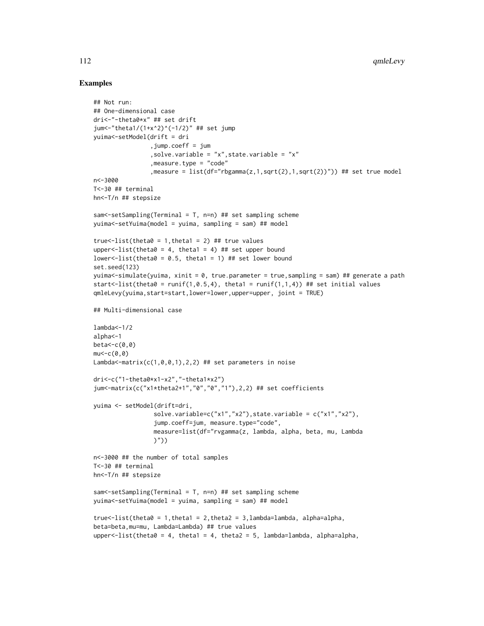```
## Not run:
## One-dimensional case
dri<-"-theta0*x" ## set drift
jum<-"theta1/(1+x^2)^(-1/2)" ## set jump
yuima<-setModel(drift = dri
                ,jump.coeff = jum
                ,solve.variable = "x",state.variable = "x"
                ,measure.type = "code"
                ,measure = list(df="rbgamma(z,1,sqrt(2),1,sqrt(2))")) ## set true model
n<-3000
T<-30 ## terminal
hn<-T/n ## stepsize
sam<-setSampling(Terminal = T, n=n) ## set sampling scheme
yuima<-setYuima(model = yuima, sampling = sam) ## model
true <- list(theta0 = 1, theta1 = 2) ## true values
upper \text{-}list (theta\theta = 4, theta1 = 4) ## set upper bound
lower<-list(theta0 = 0.5, theta1 = 1) ## set lower bound
set.seed(123)
yuima<-simulate(yuima, xinit = 0, true.parameter = true,sampling = sam) ## generate a path
start<-list(theta0 = runif(1,0.5,4), theta1 = runif(1,1,4)) ## set initial values
qmleLevy(yuima,start=start,lower=lower,upper=upper, joint = TRUE)
## Multi-dimensional case
lambda<-1/2alpha<-1
beta<-c(0,0)
mu < -c(0, 0)Lambda<-matrix(c(1,0,0,1),2,2) ## set parameters in noise
dri<-c("1-theta0*x1-x2","-theta1*x2")
jum<-matrix(c("x1*theta2+1","0","0","1"),2,2) ## set coefficients
yuima <- setModel(drift=dri,
                 solve.variable=c("x1","x2"),state.variable = c("x1","x2"),
                 jump.coeff=jum, measure.type="code",
                 measure=list(df="rvgamma(z, lambda, alpha, beta, mu, Lambda
                 )"))
n<-3000 ## the number of total samples
T<-30 ## terminal
hn<-T/n ## stepsize
sam<-setSampling(Terminal = T, n=n) ## set sampling scheme
yuima<-setYuima(model = yuima, sampling = sam) ## model
true \leftarrow list(the \cdot ta0 = 1, theta1 = 2, theta2 = 3, lambda=lambda, alpha=alpha,beta=beta,mu=mu, Lambda=Lambda) ## true values
upper \le-list(theta\theta = 4, theta1 = 4, theta2 = 5, lambda=lambda, alpha=alpha,
```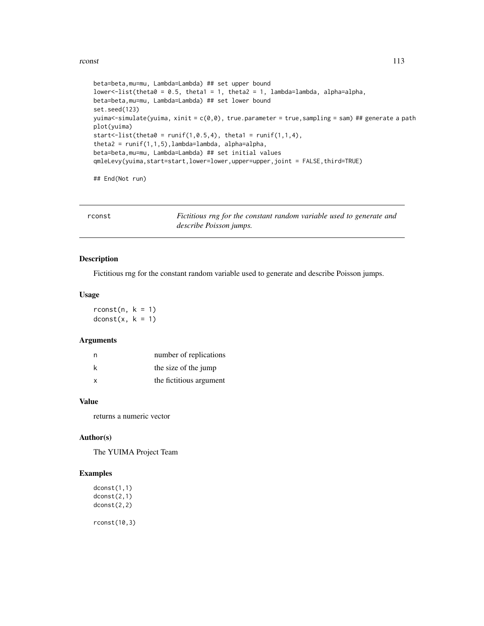#### rconst 113

```
beta=beta,mu=mu, Lambda=Lambda) ## set upper bound
lower<-list(theta0 = 0.5, theta1 = 1, theta2 = 1, lambda=lambda, alpha=alpha,
beta=beta,mu=mu, Lambda=Lambda) ## set lower bound
set.seed(123)
yuima <- simulate(yuima, xinit = c(\theta, \theta), true.parameter = true, sampling = sam) ## generate a path
plot(yuima)
start <- list(theta0 = runif(1, 0.5, 4), theta1 = runif(1,1,4),
theta2 = runif(1,1,5), lambda=lambda, alpha=alpha,
beta=beta,mu=mu, Lambda=Lambda) ## set initial values
qmleLevy(yuima,start=start,lower=lower,upper=upper,joint = FALSE,third=TRUE)
```
## End(Not run)

rconst *Fictitious rng for the constant random variable used to generate and describe Poisson jumps.*

## Description

Fictitious rng for the constant random variable used to generate and describe Poisson jumps.

## Usage

 $rconst(n, k = 1)$  $dconst(x, k = 1)$ 

#### Arguments

| n | number of replications  |
|---|-------------------------|
| k | the size of the jump    |
| X | the fictitious argument |

# Value

returns a numeric vector

#### Author(s)

The YUIMA Project Team

## Examples

dconst(1,1) dconst(2,1) dconst(2,2) rconst(10,3)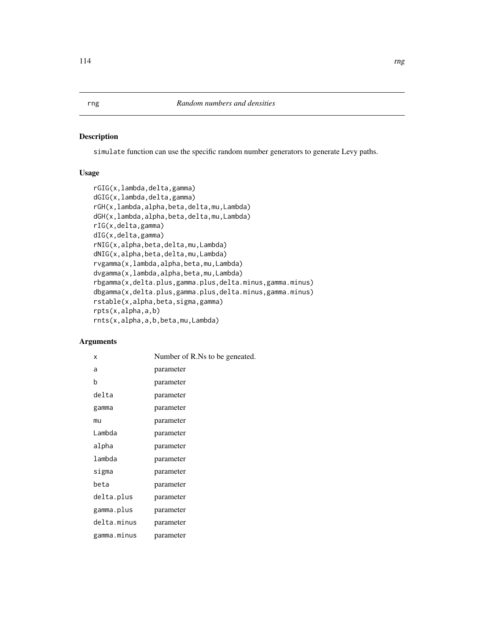## Description

simulate function can use the specific random number generators to generate Levy paths.

# Usage

```
rGIG(x,lambda,delta,gamma)
dGIG(x,lambda,delta,gamma)
rGH(x,lambda,alpha,beta,delta,mu,Lambda)
dGH(x,lambda,alpha,beta,delta,mu,Lambda)
rIG(x,delta,gamma)
dIG(x,delta,gamma)
rNIG(x,alpha,beta,delta,mu,Lambda)
dNIG(x,alpha,beta,delta,mu,Lambda)
rvgamma(x,lambda,alpha,beta,mu,Lambda)
dvgamma(x,lambda,alpha,beta,mu,Lambda)
rbgamma(x,delta.plus,gamma.plus,delta.minus,gamma.minus)
dbgamma(x,delta.plus,gamma.plus,delta.minus,gamma.minus)
rstable(x,alpha,beta,sigma,gamma)
rpts(x,alpha,a,b)
rnts(x,alpha,a,b,beta,mu,Lambda)
```
## Arguments

| x           | Number of R.Ns to be geneated. |
|-------------|--------------------------------|
| a           | parameter                      |
| b           | parameter                      |
| delta       | parameter                      |
| gamma       | parameter                      |
| mu          | parameter                      |
| Lambda      | parameter                      |
| alpha       | parameter                      |
| lambda      | parameter                      |
| sigma       | parameter                      |
| beta        | parameter                      |
| delta.plus  | parameter                      |
| gamma.plus  | parameter                      |
| delta.minus | parameter                      |
| gamma.minus | parameter                      |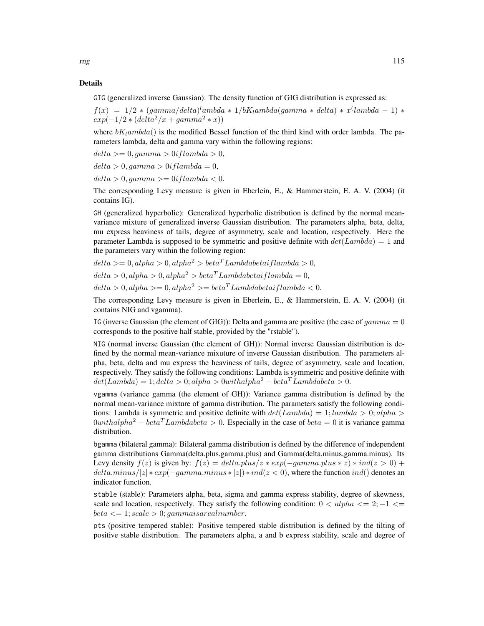GIG (generalized inverse Gaussian): The density function of GIG distribution is expressed as:

 $f(x) = 1/2 * (gamma/delta)^lambda * 1/bK_lambda(gamma * delta) * x^{(lambda - 1) *}$  $exp(-1/2 * (delta^2/x + gamma^2 * x))$ 

where  $bK_lambda$  is the modified Bessel function of the third kind with order lambda. The parameters lambda, delta and gamma vary within the following regions:

 $delta >= 0, qamma > 0$ i flambda > 0,

 $delta > 0$ , gamma  $> 0$ i flambda = 0,

 $delta > 0, gamma > = 0$ iflambda < 0.

The corresponding Levy measure is given in Eberlein, E., & Hammerstein, E. A. V. (2004) (it contains IG).

GH (generalized hyperbolic): Generalized hyperbolic distribution is defined by the normal meanvariance mixture of generalized inverse Gaussian distribution. The parameters alpha, beta, delta, mu express heaviness of tails, degree of asymmetry, scale and location, respectively. Here the parameter Lambda is supposed to be symmetric and positive definite with  $det(Lambda) = 1$  and the parameters vary within the following region:

 $delta > = 0$ ,  $alpha > 0$ ,  $alpha^2 > beta^T Lambdabetai filmbda > 0$ ,  $delta > 0$ , alpha  $> 0$ , alpha<sup>2</sup>  $> beta<sup>T</sup> Lambdabetai filmbda = 0$ ,  $delta > 0$ , alpha $\geq 0$ , alpha<sup>2</sup> $\geq 0$  beta<sup>T</sup> Lambdabetai flambda < 0.

The corresponding Levy measure is given in Eberlein, E., & Hammerstein, E. A. V. (2004) (it contains NIG and vgamma).

IG (inverse Gaussian (the element of GIG)): Delta and gamma are positive (the case of  $gamma = 0$ corresponds to the positive half stable, provided by the "rstable").

NIG (normal inverse Gaussian (the element of GH)): Normal inverse Gaussian distribution is defined by the normal mean-variance mixuture of inverse Gaussian distribution. The parameters alpha, beta, delta and mu express the heaviness of tails, degree of asymmetry, scale and location, respectively. They satisfy the following conditions: Lambda is symmetric and positive definite with  $det(Lambda) = 1; delta > 0; alpha > 0 with alpha<sup>2</sup> – beta<sup>T</sup> Lambdabeta > 0.$ 

vgamma (variance gamma (the element of GH)): Variance gamma distribution is defined by the normal mean-variance mixture of gamma distribution. The parameters satisfy the following conditions: Lambda is symmetric and positive definite with  $det(Lambda) = 1; lambda > 0; alpha > 0$  $0 with alpha<sup>2</sup> – beta<sup>T</sup> Lambda beta > 0$ . Especially in the case of  $beta = 0$  it is variance gamma distribution.

bgamma (bilateral gamma): Bilateral gamma distribution is defined by the difference of independent gamma distributions Gamma(delta.plus,gamma.plus) and Gamma(delta.minus,gamma.minus). Its Levy density  $f(z)$  is given by:  $f(z) = delta. plus/z * exp(-gamma. plus * z) * ind(z > 0) +$  $delta.minus/|z| * exp(-gamma.minus * |z|) * ind(z < 0)$ , where the function  $ind()$  denotes an indicator function.

stable (stable): Parameters alpha, beta, sigma and gamma express stability, degree of skewness, scale and location, respectively. They satisfy the following condition:  $0 < alpha \leq 2$ ;  $-1 \leq$  $beta \leq 1$ ; scale  $> 0$ ; gammaisarealnumber.

pts (positive tempered stable): Positive tempered stable distribution is defined by the tilting of positive stable distribution. The parameters alpha, a and b express stability, scale and degree of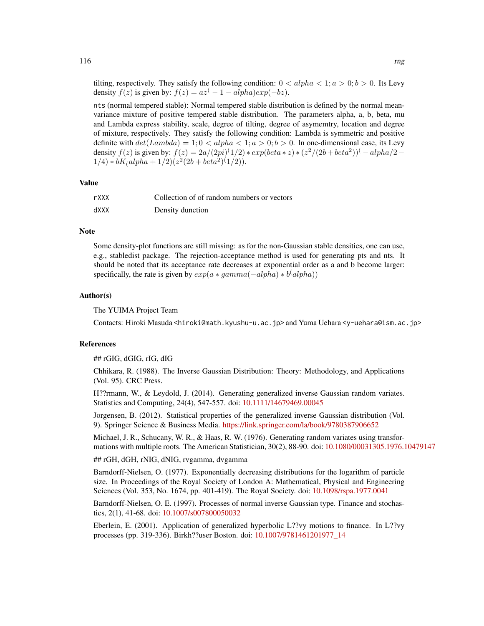tilting, respectively. They satisfy the following condition:  $0 < alpha < 1$ ;  $a > 0$ ;  $b > 0$ . Its Levy density  $f(z)$  is given by:  $f(z) = az^{(-1 - \alpha lph\alpha)exp(-bz)}$ .

nts (normal tempered stable): Normal tempered stable distribution is defined by the normal meanvariance mixture of positive tempered stable distribution. The parameters alpha, a, b, beta, mu and Lambda express stability, scale, degree of tilting, degree of asymemtry, location and degree of mixture, respectively. They satisfy the following condition: Lambda is symmetric and positive definite with  $det(Lambda) = 1; 0 < alpha < 1; a > 0; b > 0$ . In one-dimensional case, its Levy density  $f(z)$  is given by:  $f(z) = 2a/(2pi)^{(1/2)} * exp(beta * z) * (z^2/(2b + beta^2))^{(-\alpha)}$  $1/4$ ) \*  $bK$ <sub>(</sub>alpha + 1/2)( $z^2(2b + beta^2)^{(1/2)}$ ).

#### Value

| rXXX | Collection of of random numbers or vectors |
|------|--------------------------------------------|
| XXXb | Density dunction                           |

## **Note**

Some density-plot functions are still missing: as for the non-Gaussian stable densities, one can use, e.g., stabledist package. The rejection-acceptance method is used for generating pts and nts. It should be noted that its acceptance rate decreases at exponential order as a and b become larger: specifically, the rate is given by  $exp(a * gamma(-alpha) * b^(alpha))$ 

#### Author(s)

The YUIMA Project Team

Contacts: Hiroki Masuda <hiroki@math.kyushu-u.ac.jp> and Yuma Uehara <y-uehara@ism.ac.jp>

#### References

## rGIG, dGIG, rIG, dIG

Chhikara, R. (1988). The Inverse Gaussian Distribution: Theory: Methodology, and Applications (Vol. 95). CRC Press.

H??rmann, W., & Leydold, J. (2014). Generating generalized inverse Gaussian random variates. Statistics and Computing, 24(4), 547-557. doi: [10.1111/14679469.00045](https://doi.org/10.1111/1467-9469.00045)

Jorgensen, B. (2012). Statistical properties of the generalized inverse Gaussian distribution (Vol. 9). Springer Science & Business Media. <https://link.springer.com/la/book/9780387906652>

Michael, J. R., Schucany, W. R., & Haas, R. W. (1976). Generating random variates using transformations with multiple roots. The American Statistician, 30(2), 88-90. doi: [10.1080/00031305.1976.10479147](https://doi.org/10.1080/00031305.1976.10479147)

## rGH, dGH, rNIG, dNIG, rvgamma, dvgamma

Barndorff-Nielsen, O. (1977). Exponentially decreasing distributions for the logarithm of particle size. In Proceedings of the Royal Society of London A: Mathematical, Physical and Engineering Sciences (Vol. 353, No. 1674, pp. 401-419). The Royal Society. doi: [10.1098/rspa.1977.0041](https://doi.org/10.1098/rspa.1977.0041)

Barndorff-Nielsen, O. E. (1997). Processes of normal inverse Gaussian type. Finance and stochastics, 2(1), 41-68. doi: [10.1007/s007800050032](https://doi.org/10.1007/s007800050032)

Eberlein, E. (2001). Application of generalized hyperbolic L??vy motions to finance. In L??vy processes (pp. 319-336). Birkh??user Boston. doi: [10.1007/9781461201977\\_14](https://doi.org/10.1007/978-1-4612-0197-7_14)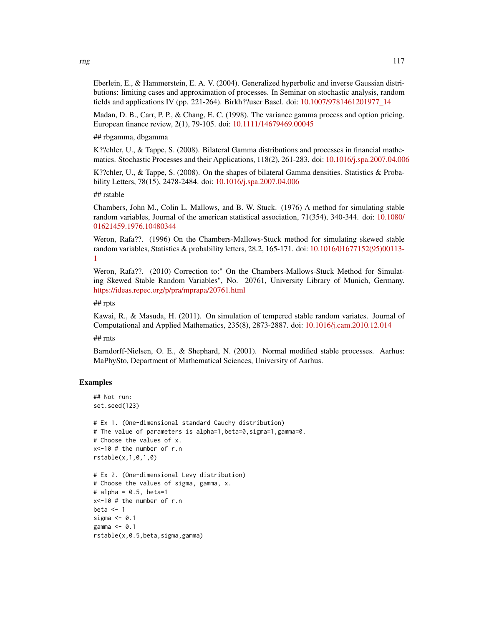Eberlein, E., & Hammerstein, E. A. V. (2004). Generalized hyperbolic and inverse Gaussian distributions: limiting cases and approximation of processes. In Seminar on stochastic analysis, random fields and applications IV (pp. 221-264). Birkh??user Basel. doi: [10.1007/9781461201977\\_14](https://doi.org/10.1007/978-1-4612-0197-7_14)

Madan, D. B., Carr, P. P., & Chang, E. C. (1998). The variance gamma process and option pricing. European finance review, 2(1), 79-105. doi: [10.1111/14679469.00045](https://doi.org/10.1111/1467-9469.00045)

## rbgamma, dbgamma

K??chler, U., & Tappe, S. (2008). Bilateral Gamma distributions and processes in financial mathematics. Stochastic Processes and their Applications, 118(2), 261-283. doi: [10.1016/j.spa.2007.04.006](https://doi.org/10.1016/j.spa.2007.04.006)

K??chler, U., & Tappe, S. (2008). On the shapes of bilateral Gamma densities. Statistics & Probability Letters, 78(15), 2478-2484. doi: [10.1016/j.spa.2007.04.006](https://doi.org/10.1016/j.spa.2007.04.006)

## rstable

Chambers, John M., Colin L. Mallows, and B. W. Stuck. (1976) A method for simulating stable random variables, Journal of the american statistical association, 71(354), 340-344. doi: [10.1080/](https://doi.org/10.1080/01621459.1976.10480344) [01621459.1976.10480344](https://doi.org/10.1080/01621459.1976.10480344)

Weron, Rafa??. (1996) On the Chambers-Mallows-Stuck method for simulating skewed stable random variables, Statistics & probability letters, 28.2, 165-171. doi: [10.1016/01677152\(95\)00113-](https://doi.org/10.1016/0167-7152(95)00113-1) [1](https://doi.org/10.1016/0167-7152(95)00113-1)

Weron, Rafa??. (2010) Correction to:" On the Chambers-Mallows-Stuck Method for Simulating Skewed Stable Random Variables", No. 20761, University Library of Munich, Germany. <https://ideas.repec.org/p/pra/mprapa/20761.html>

## rpts

Kawai, R., & Masuda, H. (2011). On simulation of tempered stable random variates. Journal of Computational and Applied Mathematics, 235(8), 2873-2887. doi: [10.1016/j.cam.2010.12.014](https://doi.org/10.1016/j.cam.2010.12.014)

## rnts

Barndorff-Nielsen, O. E., & Shephard, N. (2001). Normal modified stable processes. Aarhus: MaPhySto, Department of Mathematical Sciences, University of Aarhus.

```
## Not run:
set.seed(123)
```

```
# Ex 1. (One-dimensional standard Cauchy distribution)
# The value of parameters is alpha=1,beta=0,sigma=1,gamma=0.
# Choose the values of x.
x<-10 # the number of r.n
rstable(x,1,0,1,0)
# Ex 2. (One-dimensional Levy distribution)
# Choose the values of sigma, gamma, x.
# alpha = 0.5, beta=1
x<-10 # the number of r.n
beta <-1sigma <-0.1gamma \leq -0.1rstable(x,0.5,beta,sigma,gamma)
```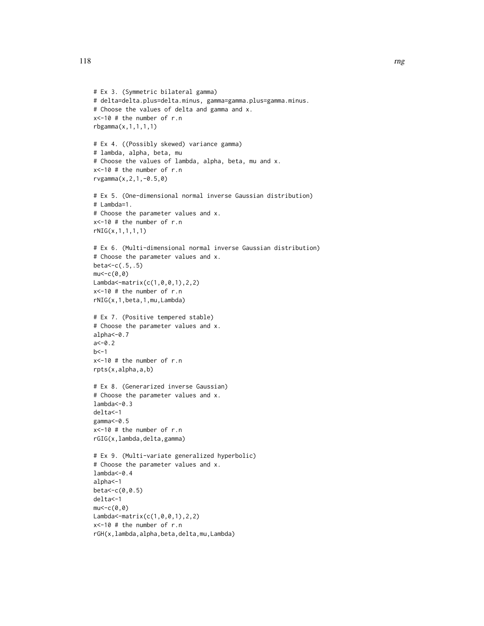```
# Ex 3. (Symmetric bilateral gamma)
# delta=delta.plus=delta.minus, gamma=gamma.plus=gamma.minus.
# Choose the values of delta and gamma and x.
x<-10 # the number of r.n
rbgamma(x,1,1,1,1)
# Ex 4. ((Possibly skewed) variance gamma)
# lambda, alpha, beta, mu
# Choose the values of lambda, alpha, beta, mu and x.
x<-10 # the number of r.n
rvgamma(x,2,1,-0.5,0)
# Ex 5. (One-dimensional normal inverse Gaussian distribution)
# Lambda=1.
# Choose the parameter values and x.
x<-10 # the number of r.n
rNIG(x,1,1,1,1)
# Ex 6. (Multi-dimensional normal inverse Gaussian distribution)
# Choose the parameter values and x.
beta<-c(.5,.5)
mu < -c(0, 0)Lambda<-matrix(c(1,0,0,1),2,2)
x<-10 # the number of r.n
rNIG(x,1,beta,1,mu,Lambda)
# Ex 7. (Positive tempered stable)
# Choose the parameter values and x.
alpha <- 0.7
a < -0.2h < -1x<-10 # the number of r.n
rpts(x,alpha,a,b)
# Ex 8. (Generarized inverse Gaussian)
# Choose the parameter values and x.
lambda<-0.3
delta<-1
gamma<-0.5
x<-10 # the number of r.n
rGIG(x,lambda,delta,gamma)
# Ex 9. (Multi-variate generalized hyperbolic)
# Choose the parameter values and x.
lambda<-0.4
alpha<-1
beta<-c(0,0.5)
delta<-1
mu < -c(0, 0)Lambda<-matrix(c(1,0,0,1),2,2)
x<-10 # the number of r.n
rGH(x,lambda,alpha,beta,delta,mu,Lambda)
```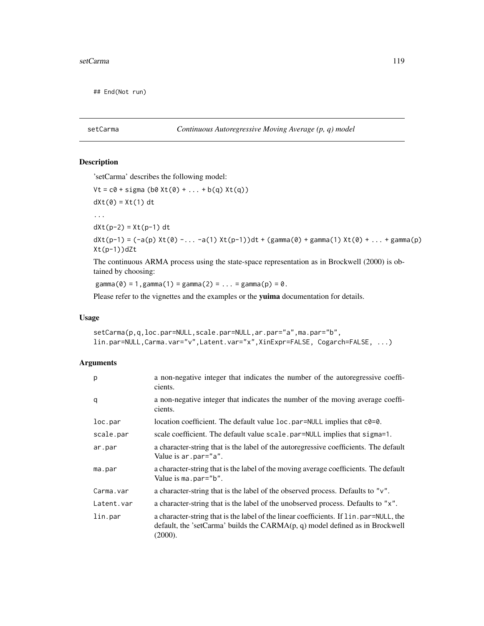## End(Not run)

# setCarma *Continuous Autoregressive Moving Average (p, q) model*

# Description

'setCarma' describes the following model:

 $Vt = c0 + sigma (b0 Xt(0) + ... + b(q) Xt(q))$ 

 $dXt(0) = Xt(1) dt$ 

...

 $dXt(p-2) = Xt(p-1) dt$ 

 $dXt(p-1) = (-a(p) Xt(0) - ... -a(1) Xt(p-1))dt + (gamma(0) + gamma(1) Xt(0) + ... + gamma(p)$ Xt(p-1))dZt

The continuous ARMA process using the state-space representation as in Brockwell (2000) is obtained by choosing:

 $gamma(0) = 1$ ,  $gamma(1) = gamma(2) = ... = gamma(p) = 0$ .

Please refer to the vignettes and the examples or the yuima documentation for details.

## Usage

```
setCarma(p,q,loc.par=NULL,scale.par=NULL,ar.par="a",ma.par="b",
lin.par=NULL,Carma.var="v",Latent.var="x",XinExpr=FALSE, Cogarch=FALSE, ...)
```
## Arguments

| p          | a non-negative integer that indicates the number of the autoregressive coeffi-<br>cients.                                                                                                         |
|------------|---------------------------------------------------------------------------------------------------------------------------------------------------------------------------------------------------|
| q          | a non-negative integer that indicates the number of the moving average coeffi-<br>cients.                                                                                                         |
| loc.par    | location coefficient. The default value loc.par=NULL implies that c0=0.                                                                                                                           |
| scale.par  | scale coefficient. The default value scale par=NULL implies that sigma=1.                                                                                                                         |
| ar.par     | a character-string that is the label of the autoregressive coefficients. The default<br>Value is ar.par="a".                                                                                      |
| ma.par     | a character-string that is the label of the moving average coefficients. The default<br>Value is ma.par="b".                                                                                      |
| Carma.var  | a character-string that is the label of the observed process. Defaults to "v".                                                                                                                    |
| Latent.var | a character-string that is the label of the unobserved process. Defaults to "x".                                                                                                                  |
| lin.par    | a character-string that is the label of the linear coefficients. If $\lim_{n \to \infty}$ =NULL, the<br>default, the 'setCarma' builds the $CARMA(p, q)$ model defined as in Brockwell<br>(2000). |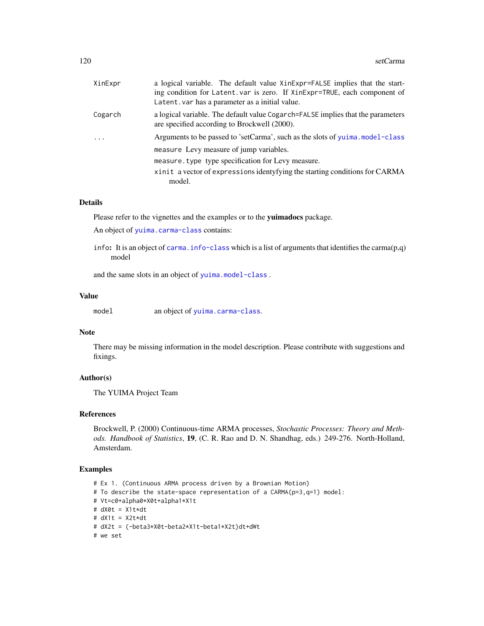| XinExpr | a logical variable. The default value XinExpr=FALSE implies that the start-<br>ing condition for Latent. var is zero. If XinExpr=TRUE, each component of<br>Latent. var has a parameter as a initial value. |
|---------|-------------------------------------------------------------------------------------------------------------------------------------------------------------------------------------------------------------|
| Cogarch | a logical variable. The default value Cogarch=FALSE implies that the parameters<br>are specified according to Brockwell (2000).                                                                             |
| $\cdot$ | Arguments to be passed to 'setCarma', such as the slots of yuima.model-class                                                                                                                                |
|         | measure Levy measure of jump variables.                                                                                                                                                                     |
|         | measure. type type specification for Levy measure.                                                                                                                                                          |
|         | xinit a vector of expressions identyfying the starting conditions for CARMA<br>model.                                                                                                                       |
|         |                                                                                                                                                                                                             |

#### Details

Please refer to the vignettes and the examples or to the yuimadocs package.

An object of [yuima.carma-class](#page-168-0) contains:

info: It is an object of carma. info-class which is a list of arguments that identifies the carma(p,q) model

and the same slots in an object of [yuima.model-class](#page-178-0) .

#### Value

| model |  | an object of yuima.carma-class. |
|-------|--|---------------------------------|
|-------|--|---------------------------------|

# Note

There may be missing information in the model description. Please contribute with suggestions and fixings.

# Author(s)

The YUIMA Project Team

# References

Brockwell, P. (2000) Continuous-time ARMA processes, *Stochastic Processes: Theory and Methods. Handbook of Statistics*, 19, (C. R. Rao and D. N. Shandhag, eds.) 249-276. North-Holland, Amsterdam.

```
# Ex 1. (Continuous ARMA process driven by a Brownian Motion)
# To describe the state-space representation of a CARMA(p=3,q=1) model:
# Vt=c0+alpha0*X0t+alpha1*X1t
# dX0t = X1t*dt
# dX1t = X2t*dt
# dX2t = (-beta3*X0t-beta2*X1t-beta1*X2t)dt+dWt
# we set
```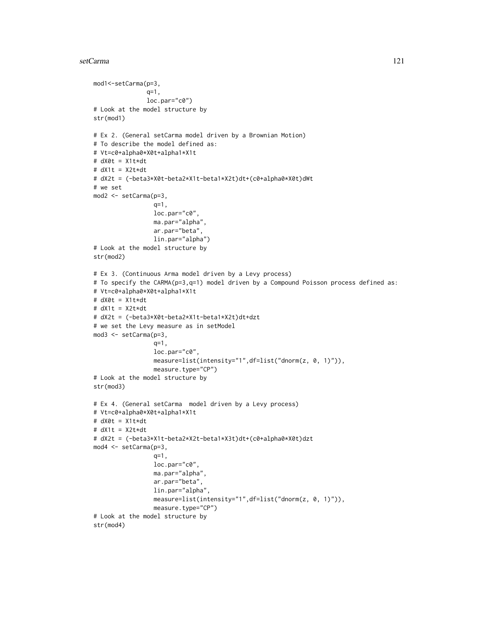#### setCarma 121

```
mod1<-setCarma(p=3,
               q=1,
               loc.par="c0")
# Look at the model structure by
str(mod1)
# Ex 2. (General setCarma model driven by a Brownian Motion)
# To describe the model defined as:
# Vt=c0+alpha0*X0t+alpha1*X1t
# dX0t = X1t*dt
# dX1t = X2t*dt
# dX2t = (-beta3*X0t-beta2*X1t-beta1*X2t)dt+(c0+alpha0*X0t)dWt
# we set
mod2 <- setCarma(p=3,
                 q=1,
                 loc.par="c0",
                 ma.par="alpha",
                 ar.par="beta",
                 lin.par="alpha")
# Look at the model structure by
str(mod2)
# Ex 3. (Continuous Arma model driven by a Levy process)
# To specify the CARMA(p=3,q=1) model driven by a Compound Poisson process defined as:
# Vt=c0+alpha0*X0t+alpha1*X1t
# dX0t = X1t*dt
# dX1t = X2t*dt
# dX2t = (-beta3*X0t-beta2*X1t-beta1*X2t)dt+dzt
# we set the Levy measure as in setModel
mod3 <- setCarma(p=3,
                 q=1,
                 loc.par="c0",
                 measure=list(intensity="1",df=list("dnorm(z, 0, 1)")),
                 measure.type="CP")
# Look at the model structure by
str(mod3)
# Ex 4. (General setCarma model driven by a Levy process)
# Vt=c0+alpha0*X0t+alpha1*X1t
# dX0t = X1t*dt
# dX1t = X2t*dt
# dX2t = (-beta3*X1t-beta2*X2t-beta1*X3t)dt+(c0+alpha0*X0t)dzt
mod4 <- setCarma(p=3,
                 q=1,
                 loc.par="c0",
                 ma.par="alpha",
                 ar.par="beta",
                 lin.par="alpha",
                 measure=list(intensity="1",df=list("dnorm(z, 0, 1)")),
                 measure.type="CP")
# Look at the model structure by
str(mod4)
```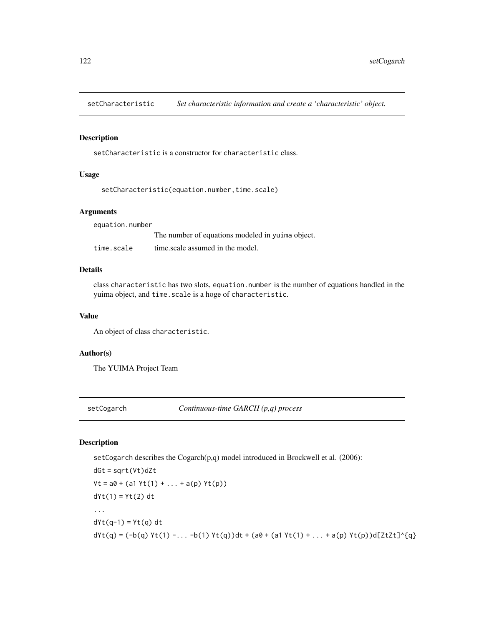setCharacteristic *Set characteristic information and create a 'characteristic' object.*

## Description

setCharacteristic is a constructor for characteristic class.

# Usage

```
setCharacteristic(equation.number,time.scale)
```
#### Arguments

equation.number The number of equations modeled in yuima object. time.scale time.scale assumed in the model.

# Details

class characteristic has two slots, equation.number is the number of equations handled in the yuima object, and time.scale is a hoge of characteristic.

## Value

An object of class characteristic.

# Author(s)

The YUIMA Project Team

setCogarch *Continuous-time GARCH (p,q) process*

# Description

setCogarch describes the Cogarch(p,q) model introduced in Brockwell et al. (2006):

```
dGt = sqrt(Vt)dZt
Vt = a0 + (a1 Yt(1) + ... + a(p) Yt(p))dYt(1) = Yt(2) dt...
dYt(q-1) = Yt(q) dtdYt(q) = (-b(q) Yt(1) - ... -b(1) Yt(q))dt + (a0 + (a1 Yt(1) + ... + a(p) Yt(p))d[ZtZt]^{(q)}
```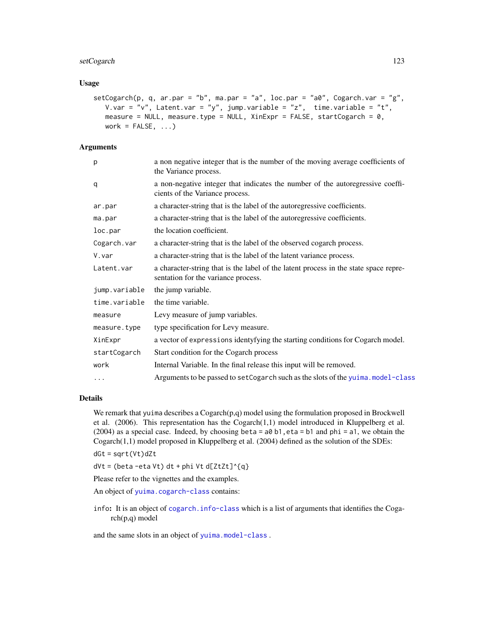# setCogarch 123

## Usage

```
setCogarch(p, q, ar.par = "b", ma.par = "a", loc.par = "a0", Cogarch.var = "g",
  V.var = "v", Latent.var = "y", jump.variable = "z", time.variable = "t",
   measure = NULL, measure.type = NULL, XinExpr = FALSE, startCogarch = 0,
  work = FALSE, ...)
```
# Arguments

| p             | a non negative integer that is the number of the moving average coefficients of<br>the Variance process.                    |
|---------------|-----------------------------------------------------------------------------------------------------------------------------|
| q             | a non-negative integer that indicates the number of the autoregressive coeffi-<br>cients of the Variance process.           |
| ar.par        | a character-string that is the label of the autoregressive coefficients.                                                    |
| ma.par        | a character-string that is the label of the autoregressive coefficients.                                                    |
| loc.par       | the location coefficient.                                                                                                   |
| Cogarch.var   | a character-string that is the label of the observed cogarch process.                                                       |
| V.var         | a character-string that is the label of the latent variance process.                                                        |
| Latent.var    | a character-string that is the label of the latent process in the state space repre-<br>sentation for the variance process. |
| jump.variable | the jump variable.                                                                                                          |
| time.variable | the time variable.                                                                                                          |
| measure       | Levy measure of jump variables.                                                                                             |
| measure.type  | type specification for Levy measure.                                                                                        |
| XinExpr       | a vector of expressions identyfying the starting conditions for Cogarch model.                                              |
| startCogarch  | Start condition for the Cogarch process                                                                                     |
| work          | Internal Variable. In the final release this input will be removed.                                                         |
| $\cdots$      | Arguments to be passed to set Cogarch such as the slots of the yuima. model-class                                           |

## Details

We remark that yuima describes a  $Cogarch(p,q)$  model using the formulation proposed in Brockwell et al. (2006). This representation has the Cogarch(1,1) model introduced in Kluppelberg et al.  $(2004)$  as a special case. Indeed, by choosing beta = a0 b1, eta = b1 and phi = a1, we obtain the Cogarch(1,1) model proposed in Kluppelberg et al. (2004) defined as the solution of the SDEs:

dGt = sqrt(Vt)dZt

 $dVt = (beta - eta Vt) dt + phi Vt d[ZtZt]^{(q)}$ 

Please refer to the vignettes and the examples.

An object of [yuima.cogarch-class](#page-170-0) contains:

info: It is an object of [cogarch.info-class](#page-40-0) which is a list of arguments that identifies the Cogarch(p,q) model

and the same slots in an object of [yuima.model-class](#page-178-0) .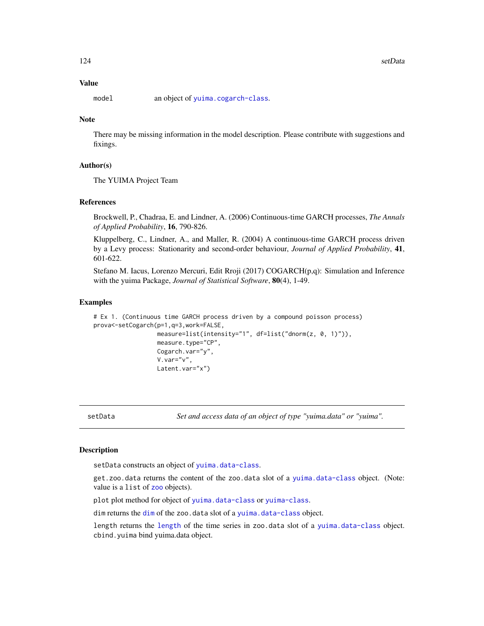# Value

model an object of [yuima.cogarch-class](#page-170-0).

# **Note**

There may be missing information in the model description. Please contribute with suggestions and fixings.

## Author(s)

The YUIMA Project Team

#### **References**

Brockwell, P., Chadraa, E. and Lindner, A. (2006) Continuous-time GARCH processes, *The Annals of Applied Probability*, 16, 790-826.

Kluppelberg, C., Lindner, A., and Maller, R. (2004) A continuous-time GARCH process driven by a Levy process: Stationarity and second-order behaviour, *Journal of Applied Probability*, 41, 601-622.

Stefano M. Iacus, Lorenzo Mercuri, Edit Rroji (2017) COGARCH(p,q): Simulation and Inference with the yuima Package, *Journal of Statistical Software*, 80(4), 1-49.

### Examples

```
# Ex 1. (Continuous time GARCH process driven by a compound poisson process)
prova<-setCogarch(p=1,q=3,work=FALSE,
                  measure=list(intensity="1", df=list("dnorm(z, 0, 1)")),
                  measure.type="CP",
                  Cogarch.var="y",
                  V.var="v",
                  Latent.var="x")
```
setData *Set and access data of an object of type "yuima.data" or "yuima".*

## <span id="page-123-0"></span>Description

setData constructs an object of [yuima.data-class](#page-173-0).

get.zoo.data returns the content of the zoo.data slot of a [yuima.data-class](#page-173-0) object. (Note: value is a list of [zoo](#page-0-0) objects).

plot plot method for object of [yuima.data-class](#page-173-0) or [yuima-class](#page-166-0).

[dim](#page-123-0) returns the dim of the zoo.data slot of a [yuima.data-class](#page-173-0) object.

length returns the [length](#page-123-0) of the time series in zoo.data slot of a [yuima.data-class](#page-173-0) object. cbind.yuima bind yuima.data object.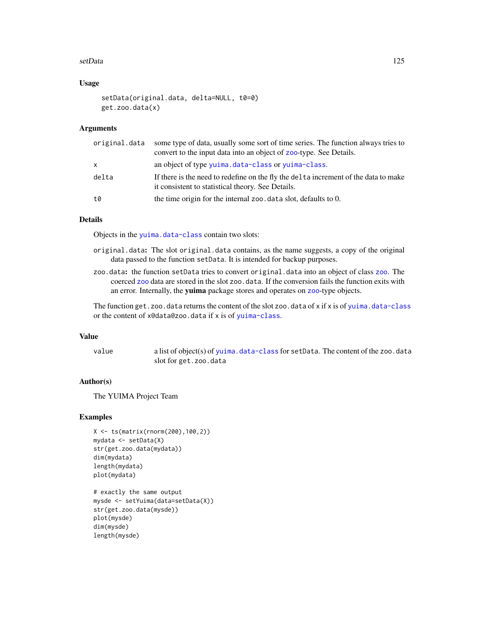#### setData 125

# Usage

```
setData(original.data, delta=NULL, t0=0)
get.zoo.data(x)
```
## **Arguments**

| original.data | some type of data, usually some sort of time series. The function always tries to<br>convert to the input data into an object of zoo-type. See Details. |
|---------------|---------------------------------------------------------------------------------------------------------------------------------------------------------|
| x             | an object of type yuima.data-class or yuima-class.                                                                                                      |
| delta         | If there is the need to redefine on the fly the delta increment of the data to make<br>it consistent to statistical theory. See Details.                |
| t0            | the time origin for the internal zoo data slot, defaults to 0.                                                                                          |
|               |                                                                                                                                                         |

# **Details**

Objects in the [yuima.data-class](#page-173-0) contain two slots:

- original.data: The slot original.data contains, as the name suggests, a copy of the original data passed to the function setData. It is intended for backup purposes.
- zoo.data: the function setData tries to convert original.data into an object of class [zoo](#page-0-0). The coerced [zoo](#page-0-0) data are stored in the slot zoo.data. If the conversion fails the function exits with an error. Internally, the yuima package stores and operates on [zoo](#page-0-0)-type objects.

The function get.zoo.data returns the content of the slot zoo.data of x if x is of [yuima.data-class](#page-173-0) or the content of x@data@zoo.data if x is of [yuima-class](#page-166-0).

## Value

value a list of object(s) of [yuima.data-class](#page-173-0) for setData. The content of the zoo.data slot for get.zoo.data

## Author(s)

The YUIMA Project Team

```
X <- ts(matrix(rnorm(200),100,2))
mydata <- setData(X)
str(get.zoo.data(mydata))
dim(mydata)
length(mydata)
plot(mydata)
# exactly the same output
mysde <- setYuima(data=setData(X))
```

```
str(get.zoo.data(mysde))
plot(mysde)
dim(mysde)
length(mysde)
```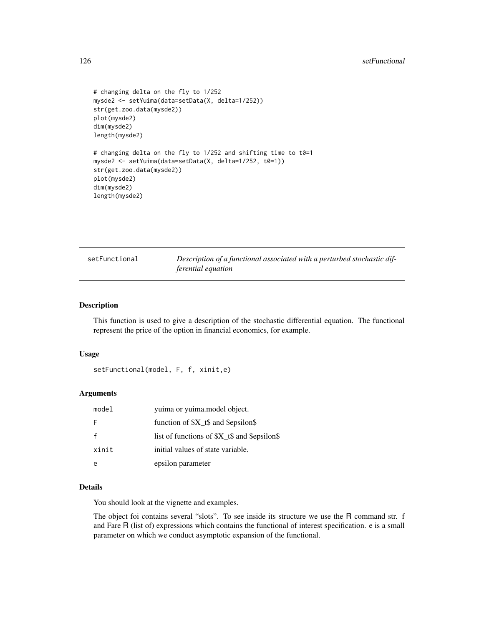```
# changing delta on the fly to 1/252
mysde2 <- setYuima(data=setData(X, delta=1/252))
str(get.zoo.data(mysde2))
plot(mysde2)
dim(mysde2)
length(mysde2)
# changing delta on the fly to 1/252 and shifting time to t0=1
mysde2 <- setYuima(data=setData(X, delta=1/252, t0=1))
str(get.zoo.data(mysde2))
plot(mysde2)
dim(mysde2)
```

| setFunctional |
|---------------|
|---------------|

length(mysde2)

Description of a functional associated with a perturbed stochastic dif*ferential equation*

## Description

This function is used to give a description of the stochastic differential equation. The functional represent the price of the option in financial economics, for example.

#### Usage

setFunctional(model, F, f, xinit,e)

#### Arguments

| model | yuima or yuima.model object.               |
|-------|--------------------------------------------|
| F     | function of $X_t$ and \$epsilon\$          |
|       | list of functions of $X_t$ and \$epsilon\$ |
| xinit | initial values of state variable.          |
|       | epsilon parameter                          |

# Details

You should look at the vignette and examples.

The object foi contains several "slots". To see inside its structure we use the R command str. f and Fare R (list of) expressions which contains the functional of interest specification. e is a small parameter on which we conduct asymptotic expansion of the functional.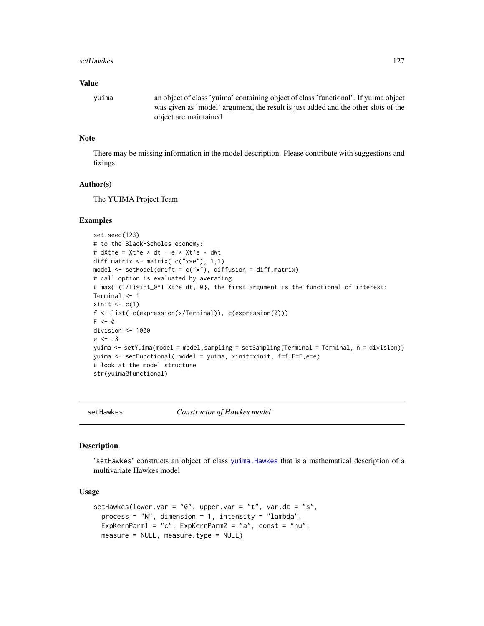#### setHawkes 2012 and the setHawkes 3127

#### Value

yuima an object of class 'yuima' containing object of class 'functional'. If yuima object was given as 'model' argument, the result is just added and the other slots of the object are maintained.

# Note

There may be missing information in the model description. Please contribute with suggestions and fixings.

#### Author(s)

The YUIMA Project Team

## Examples

```
set.seed(123)
# to the Black-Scholes economy:
# dXt^e = Xt^e * dt + e * Xt^e * dWt
diff.matrix <- matrix( c("x*e"), 1,1)
model <- setModel(drift = c("x"), diffusion = diff.matrix)
# call option is evaluated by averating
# max{ (1/T)*int_0^T Xt^e dt, 0}, the first argument is the functional of interest:
Terminal <- 1
xinit \leq c(1)f <- list( c(expression(x/Terminal)), c(expression(0)))
F \leftarrow 0division <- 1000
e \le - .3yuima <- setYuima(model = model,sampling = setSampling(Terminal = Terminal, n = division))
yuima <- setFunctional( model = yuima, xinit=xinit, f=f,F=F,e=e)
# look at the model structure
str(yuima@functional)
```
setHawkes *Constructor of Hawkes model*

# Description

'setHawkes' constructs an object of class [yuima.Hawkes](#page-174-0) that is a mathematical description of a multivariate Hawkes model

#### Usage

```
setHawkes(lower.var = "0", upper.var = "t", var.dt = "s",
 process = ''N'', dimension = 1, intensity = ''lambda",
 ExpKernParm1 = "c", ExpKernParm2 = "a", const = "nu",
 measure = NULL, measure.type = NULL)
```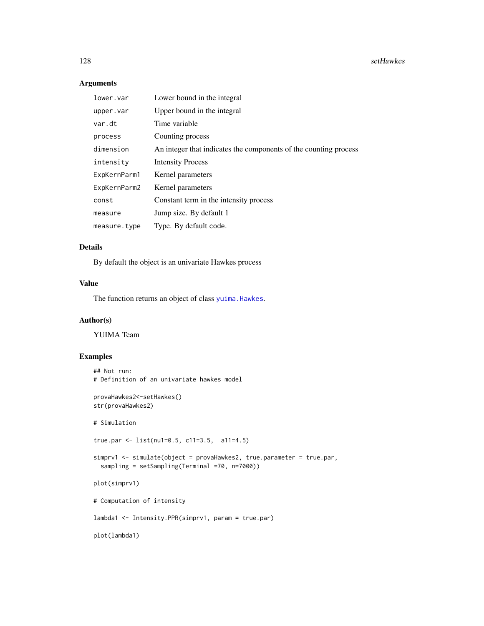# Arguments

| lower.var    | Lower bound in the integral                                      |
|--------------|------------------------------------------------------------------|
| upper.var    | Upper bound in the integral                                      |
| var.dt       | Time variable                                                    |
| process      | Counting process                                                 |
| dimension    | An integer that indicates the components of the counting process |
| intensity    | <b>Intensity Process</b>                                         |
| ExpKernParm1 | Kernel parameters                                                |
| ExpKernParm2 | Kernel parameters                                                |
| const        | Constant term in the intensity process                           |
| measure      | Jump size. By default 1                                          |
| measure.type | Type. By default code.                                           |

## Details

By default the object is an univariate Hawkes process

## Value

The function returns an object of class [yuima.Hawkes](#page-174-0).

# Author(s)

YUIMA Team

```
## Not run:
# Definition of an univariate hawkes model
provaHawkes2<-setHawkes()
str(provaHawkes2)
# Simulation
true.par <- list(nu1=0.5, c11=3.5, a11=4.5)
simprv1 <- simulate(object = provaHawkes2, true.parameter = true.par,
  sampling = setSampling(Terminal =70, n=7000))
plot(simprv1)
# Computation of intensity
lambda1 <- Intensity.PPR(simprv1, param = true.par)
plot(lambda1)
```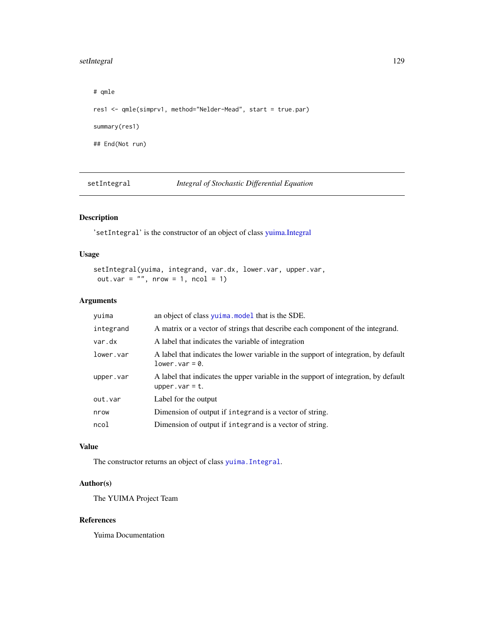# setIntegral 129

# qmle res1 <- qmle(simprv1, method="Nelder-Mead", start = true.par) summary(res1) ## End(Not run)

setIntegral *Integral of Stochastic Differential Equation*

# Description

'setIntegral' is the constructor of an object of class [yuima.Integral](#page-175-0)

# Usage

```
setIntegral(yuima, integrand, var.dx, lower.var, upper.var,
out.var = ", nrow = 1, ncol = 1)
```
# Arguments

| yuima     | an object of class yuima. model that is the SDE.                                                          |
|-----------|-----------------------------------------------------------------------------------------------------------|
| integrand | A matrix or a vector of strings that describe each component of the integrand.                            |
| var.dx    | A label that indicates the variable of integration                                                        |
| lower.var | A label that indicates the lower variable in the support of integration, by default<br>$lower-var = 0.$   |
| upper.var | A label that indicates the upper variable in the support of integration, by default<br>upper. $var = t$ . |
| out.var   | Label for the output                                                                                      |
| nrow      | Dimension of output if integrand is a vector of string.                                                   |
| ncol      | Dimension of output if integrand is a vector of string.                                                   |

#### Value

The constructor returns an object of class [yuima.Integral](#page-175-0).

# Author(s)

The YUIMA Project Team

## References

Yuima Documentation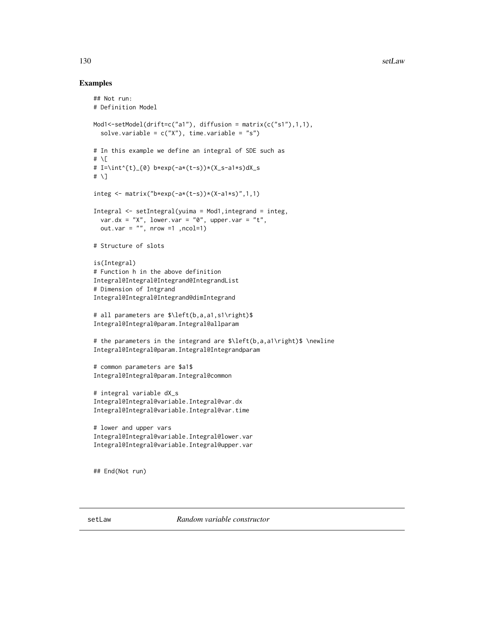## Examples

```
## Not run:
# Definition Model
Mod1<-setModel(drift=c("a1"), diffusion = matrix(c("s1"),1,1),
  solve.variable = c("X"), time.variable = "s")
# In this example we define an integral of SDE such as
# \setminus \Gamma# I=\int^{t}_{0} b*exp(-a*(t-s))*(X_s-a1*s)dX_s
# \]
integ \leq matrix("b*exp(-a*(t-s))*(X-a1*s)",1,1)
Integral <- setIntegral(yuima = Mod1,integrand = integ,
  var.dx = "X", lower.var = "0", upper.var = "t",
  out.var = ", nrow =1 ,ncol=1)
# Structure of slots
is(Integral)
# Function h in the above definition
Integral@Integral@Integrand@IntegrandList
# Dimension of Intgrand
Integral@Integral@Integrand@dimIntegrand
# all parameters are $\left(b,a,a1,s1\right)$
Integral@Integral@param.Integral@allparam
# the parameters in the integrand are $\left(b,a,a1\right)$ \newline
Integral@Integral@param.Integral@Integrandparam
# common parameters are $a1$
Integral@Integral@param.Integral@common
# integral variable dX_s
Integral@Integral@variable.Integral@var.dx
Integral@Integral@variable.Integral@var.time
# lower and upper vars
Integral@Integral@variable.Integral@lower.var
Integral@Integral@variable.Integral@upper.var
## End(Not run)
```
setLaw *Random variable constructor*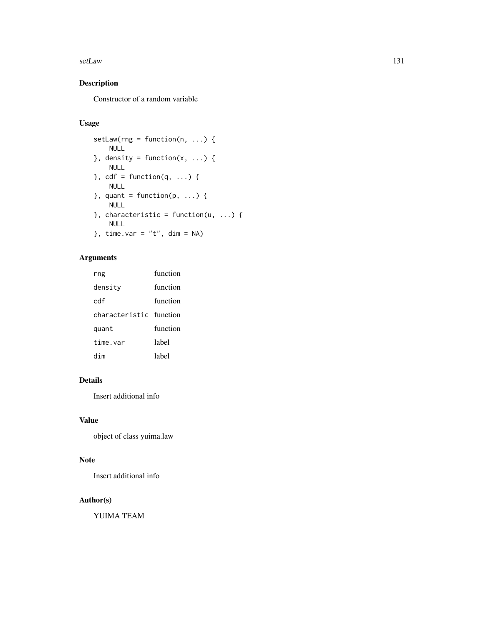#### setLaw 131

# Description

Constructor of a random variable

# Usage

```
setLaw(rng = function(n, ...)) {
    NULL
}, density = function(x, ...) {
    NULL
\}, cdf = function(q, ...) {
    NULL
}, quant = function(p, ...) {
    NULL
}, characteristic = function(u, ...) {
   NULL
}, time.var = "t", dim = NA)
```
# Arguments

| rng                     | function |
|-------------------------|----------|
| density                 | function |
| cdf                     | function |
| characteristic function |          |
| quant                   | function |
| time.var                | label    |
| dim                     | label    |

# Details

Insert additional info

# Value

object of class yuima.law

## Note

Insert additional info

# Author(s)

YUIMA TEAM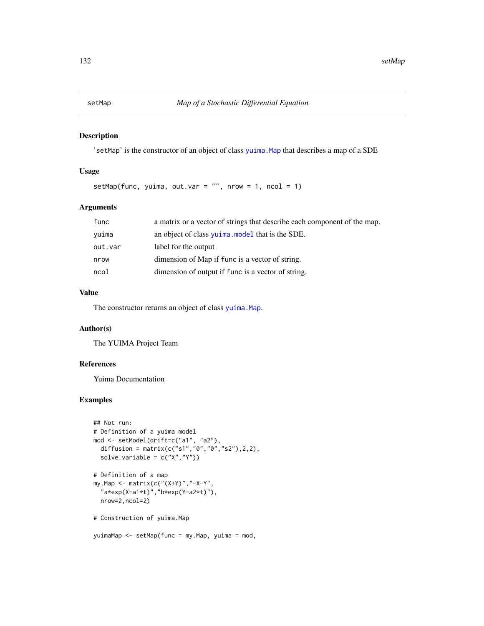# Description

'setMap' is the constructor of an object of class [yuima.Map](#page-177-0) that describes a map of a SDE

## Usage

setMap(func, yuima, out.var =  $"$ , nrow = 1, ncol = 1)

# Arguments

| func    | a matrix or a vector of strings that describe each component of the map. |
|---------|--------------------------------------------------------------------------|
| vuima   | an object of class yuima, model that is the SDE.                         |
| out.var | label for the output                                                     |
| nrow    | dimension of Map if func is a vector of string.                          |
| ncol    | dimension of output if func is a vector of string.                       |

## Value

The constructor returns an object of class [yuima.Map](#page-177-0).

# Author(s)

The YUIMA Project Team

# References

Yuima Documentation

# Examples

```
## Not run:
# Definition of a yuima model
mod <- setModel(drift=c("a1", "a2"),
  diffusion = matrix(c("s1","0","0","s2"),2,2),
  solve.variable = c("X","Y"))
# Definition of a map
my.Map <- matrix(c("(X+Y)","-X-Y",
  "a*exp(X-a1*t)","b*exp(Y-a2*t)"),
 nrow=2,ncol=2)
# Construction of yuima.Map
```
yuimaMap <- setMap(func = my.Map, yuima = mod,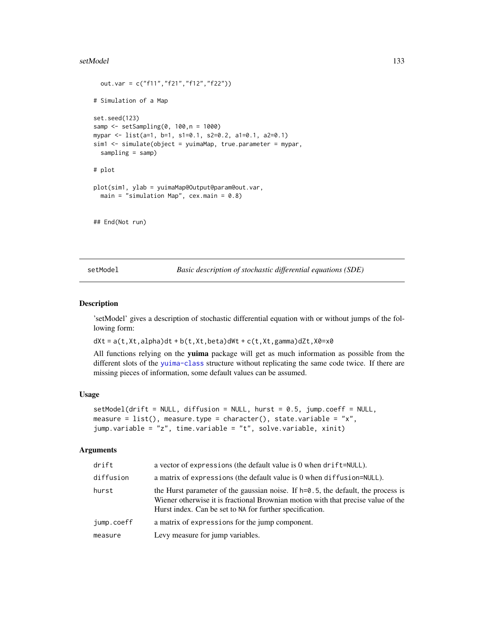#### setModel 133

```
out.var = c("f11","f21","f12","f22"))
# Simulation of a Map
set.seed(123)
samp <- setSampling(0, 100,n = 1000)
mypar <- list(a=1, b=1, s1=0.1, s2=0.2, a1=0.1, a2=0.1)
sim1 <- simulate(object = yuimaMap, true.parameter = mypar,
 sampling = samp)
# plot
plot(sim1, ylab = yuimaMap@Output@param@out.var,
 main = "simulation Map", cex.mainloop = 0.8)
## End(Not run)
```
<span id="page-132-0"></span>setModel *Basic description of stochastic differential equations (SDE)*

## Description

'setModel' gives a description of stochastic differential equation with or without jumps of the following form:

 $dXt = a(t, Xt, a1pha)dt + b(t, Xt, beta)dWt + c(t, Xt, gamma)dZt, X0=x0$ 

All functions relying on the yuima package will get as much information as possible from the different slots of the [yuima-class](#page-166-0) structure without replicating the same code twice. If there are missing pieces of information, some default values can be assumed.

#### Usage

```
setModel(drift = NULL, diffusion = NULL, hurst = 0.5, jump.coeff = NULL,
measure = list(), measure.type = character(), state.variable = "x",
jump.variable = "z", time.variable = "t", solve.variable, xinit)
```
#### Arguments

| drift      | a vector of expressions (the default value is 0 when drift=NULL).                                                                                                                                                                   |
|------------|-------------------------------------------------------------------------------------------------------------------------------------------------------------------------------------------------------------------------------------|
| diffusion  | a matrix of expressions (the default value is $0$ when diffusion= $NULL$ ).                                                                                                                                                         |
| hurst      | the Hurst parameter of the gaussian noise. If $h=0.5$ , the default, the process is<br>Wiener otherwise it is fractional Brownian motion with that precise value of the<br>Hurst index. Can be set to NA for further specification. |
| jump.coeff | a matrix of expressions for the jump component.                                                                                                                                                                                     |
| measure    | Levy measure for jump variables.                                                                                                                                                                                                    |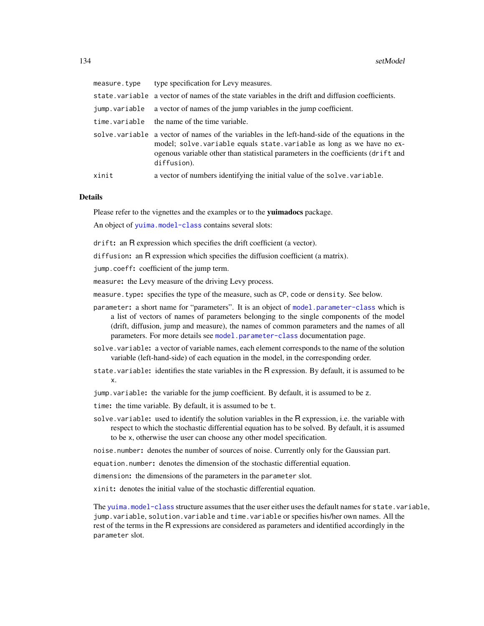| measure.type  | type specification for Levy measures.                                                                                                                                                                                                                                        |
|---------------|------------------------------------------------------------------------------------------------------------------------------------------------------------------------------------------------------------------------------------------------------------------------------|
|               | state. variable a vector of names of the state variables in the drift and diffusion coefficients.                                                                                                                                                                            |
| jump.variable | a vector of names of the jump variables in the jump coefficient.                                                                                                                                                                                                             |
|               | time.variable the name of the time variable.                                                                                                                                                                                                                                 |
|               | solve variable a vector of names of the variables in the left-hand-side of the equations in the<br>model; solve variable equals state variable as long as we have no ex-<br>ogenous variable other than statistical parameters in the coefficients (drift and<br>diffusion). |
| xinit         | a vector of numbers identifying the initial value of the solve variable.                                                                                                                                                                                                     |

#### Details

Please refer to the vignettes and the examples or to the yuimadocs package.

An object of [yuima.model-class](#page-178-0) contains several slots:

drift: an R expression which specifies the drift coefficient (a vector).

diffusion: an R expression which specifies the diffusion coefficient (a matrix).

jump.coeff: coefficient of the jump term.

measure: the Levy measure of the driving Levy process.

measure.type: specifies the type of the measure, such as CP, code or density. See below.

- parameter: a short name for "parameters". It is an object of [model.parameter-class](#page-86-0) which is a list of vectors of names of parameters belonging to the single components of the model (drift, diffusion, jump and measure), the names of common parameters and the names of all parameters. For more details see [model.parameter-class](#page-86-0) documentation page.
- solve. variable: a vector of variable names, each element corresponds to the name of the solution variable (left-hand-side) of each equation in the model, in the corresponding order.
- state.variable: identifies the state variables in the R expression. By default, it is assumed to be x.

jump.variable: the variable for the jump coefficient. By default, it is assumed to be z.

- time: the time variable. By default, it is assumed to be t.
- solve. variable: used to identify the solution variables in the R expression, i.e. the variable with respect to which the stochastic differential equation has to be solved. By default, it is assumed to be x, otherwise the user can choose any other model specification.

noise.number: denotes the number of sources of noise. Currently only for the Gaussian part.

equation.number: denotes the dimension of the stochastic differential equation.

dimension: the dimensions of the parameters in the parameter slot.

xinit: denotes the initial value of the stochastic differential equation.

The [yuima.model-class](#page-178-0) structure assumes that the user either uses the default names for state.variable, jump.variable, solution.variable and time.variable or specifies his/her own names. All the rest of the terms in the R expressions are considered as parameters and identified accordingly in the parameter slot.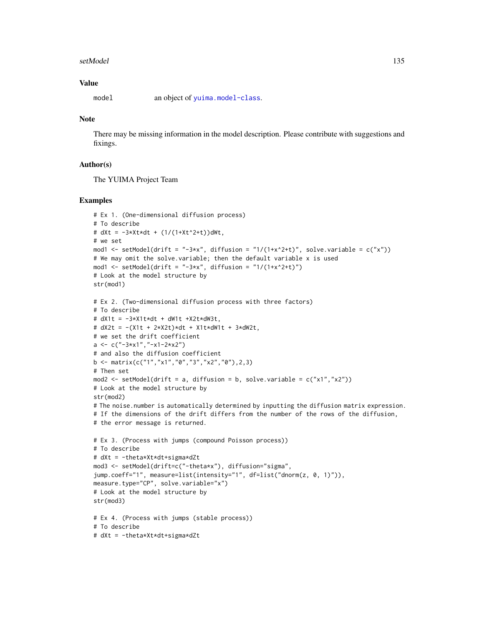#### setModel 135

# Value

model an object of [yuima.model-class](#page-178-0).

## Note

There may be missing information in the model description. Please contribute with suggestions and fixings.

## Author(s)

The YUIMA Project Team

```
# Ex 1. (One-dimensional diffusion process)
# To describe
# dXt = -3*Xt*dt + (1/(1+Xt^2+t))dWt,
# we set
mod1 <- setModel(drift = "-3*x", diffusion = "1/(1+x^2+t)", solve.variable = c("x"))
# We may omit the solve.variable; then the default variable x is used
mod1 <- setModel(drift = "-3*x", diffusion = "1/(1+x^2+t)")
# Look at the model structure by
str(mod1)
# Ex 2. (Two-dimensional diffusion process with three factors)
# To describe
# dX1t = -3*X1t*dt + dW1t +X2t*dW3t,
# dX2t = -(X1t + 2*X2t)*dt + X1t*dW1t + 3*dW2t,
# we set the drift coefficient
a <- c("-3*x1", "-x1-2*x2")# and also the diffusion coefficient
b \leq matrix(c("1","x1","0","3","x2","0"),2,3)
# Then set
mod2 \leq setModel(drift = a, diffusion = b, solve.variable = c("x1", "x2"))# Look at the model structure by
str(mod2)
# The noise.number is automatically determined by inputting the diffusion matrix expression.
# If the dimensions of the drift differs from the number of the rows of the diffusion,
# the error message is returned.
# Ex 3. (Process with jumps (compound Poisson process))
# To describe
# dXt = -theta*Xt*dt+sigma*dZt
mod3 <- setModel(drift=c("-theta*x"), diffusion="sigma",
jump.coeff="1", measure=list(intensity="1", df=list("dnorm(z, 0, 1)")),
measure.type="CP", solve.variable="x")
# Look at the model structure by
str(mod3)
# Ex 4. (Process with jumps (stable process))
# To describe
# dXt = -theta*Xt*dt+sigma*dZt
```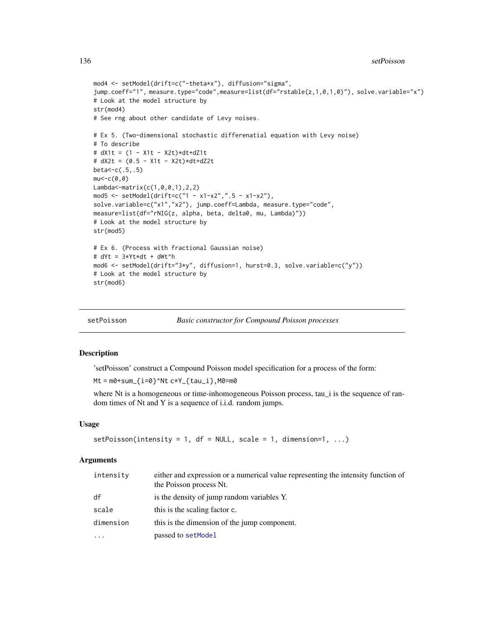```
mod4 <- setModel(drift=c("-theta*x"), diffusion="sigma",
jump.coeff="1", measure.type="code",measure=list(df="rstable(z,1,0,1,0)"), solve.variable="x")
# Look at the model structure by
str(mod4)
# See rng about other candidate of Levy noises.
# Ex 5. (Two-dimensional stochastic differenatial equation with Levy noise)
# To describe
# dX1t = (1 - X1t - X2t)*dt + dZ1t# dX2t = (0.5 - X1t - X2t)*dt+dZ2t
beta<-c(.5,.5)
mu < -c(0, 0)Lambda<-matrix(c(1,0,0,1),2,2)
mod5 <- setModel(drift=c("1 - x1-x2",".5 - x1-x2"),
solve.variable=c("x1","x2"), jump.coeff=Lambda, measure.type="code",
measure=list(df="rNIG(z, alpha, beta, delta0, mu, Lambda)"))
# Look at the model structure by
str(mod5)
# Ex 6. (Process with fractional Gaussian noise)
# dYt = 3*Yt*dt + dWt^h
mod6 <- setModel(drift="3*y", diffusion=1, hurst=0.3, solve.variable=c("y"))
# Look at the model structure by
str(mod6)
```

| setPoisson | <b>Basic constructor for Compound Poisson processes</b> |  |
|------------|---------------------------------------------------------|--|
|            |                                                         |  |

## Description

'setPoisson' construct a Compound Poisson model specification for a process of the form:

 $Mt = m0 + sum_{i=0}^N$  Nt  $c*Y_{i}$  tau\_i }, M0=m0

where Nt is a homogeneous or time-inhomogeneous Poisson process, tau\_i is the sequence of random times of Nt and Y is a sequence of i.i.d. random jumps.

#### Usage

```
setPoisson(intensity = 1, df = NULL, scale = 1, dimension=1, ...)
```
## Arguments

| intensity | either and expression or a numerical value representing the intensity function of<br>the Poisson process Nt. |
|-----------|--------------------------------------------------------------------------------------------------------------|
| df        | is the density of jump random variables Y.                                                                   |
| scale     | this is the scaling factor c.                                                                                |
| dimension | this is the dimension of the jump component.                                                                 |
| $\ddotsc$ | passed to setModel                                                                                           |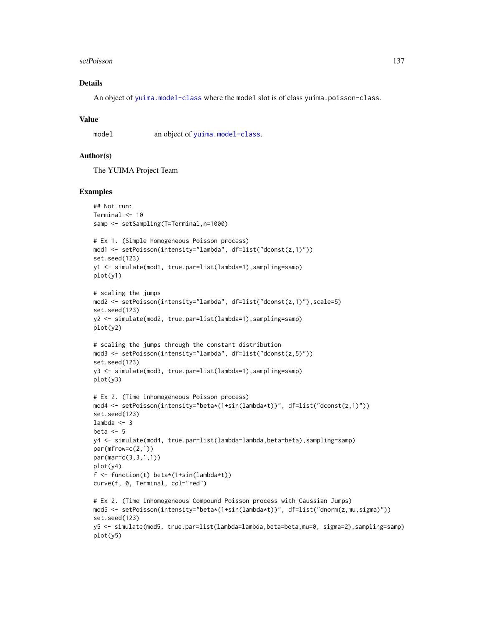#### setPoisson and the setPoisson and the setPoisson and the setPoisson and the setPoisson and the setPoisson and the setPoisson and the setPoisson and the setPoisson and the setPoisson and the setPoisson and the setPoisson an

# Details

An object of [yuima.model-class](#page-178-0) where the model slot is of class yuima.poisson-class.

#### Value

model an object of [yuima.model-class](#page-178-0).

### Author(s)

The YUIMA Project Team

```
## Not run:
Terminal <- 10
samp <- setSampling(T=Terminal,n=1000)
# Ex 1. (Simple homogeneous Poisson process)
mod1 <- setPoisson(intensity="lambda", df=list("dconst(z,1)"))
set.seed(123)
y1 <- simulate(mod1, true.par=list(lambda=1),sampling=samp)
plot(y1)
# scaling the jumps
mod2 <- setPoisson(intensity="lambda", df=list("dconst(z,1)"),scale=5)
set.seed(123)
y2 <- simulate(mod2, true.par=list(lambda=1),sampling=samp)
plot(y2)
# scaling the jumps through the constant distribution
mod3 <- setPoisson(intensity="lambda", df=list("dconst(z,5)"))
set.seed(123)
y3 <- simulate(mod3, true.par=list(lambda=1),sampling=samp)
plot(y3)
# Ex 2. (Time inhomogeneous Poisson process)
mod4 <- setPoisson(intensity="beta*(1+sin(lambda*t))", df=list("dconst(z,1)"))
set.seed(123)
lambda < -3beta <-5y4 <- simulate(mod4, true.par=list(lambda=lambda,beta=beta),sampling=samp)
par(mfrow=c(2,1))
par(mar=c(3,3,1,1))
plot(y4)
f <- function(t) beta*(1+sin(lambda*t))
curve(f, 0, Terminal, col="red")
# Ex 2. (Time inhomogeneous Compound Poisson process with Gaussian Jumps)
mod5 <- setPoisson(intensity="beta*(1+sin(lambda*t))", df=list("dnorm(z,mu,sigma)"))
set.seed(123)
y5 <- simulate(mod5, true.par=list(lambda=lambda,beta=beta,mu=0, sigma=2),sampling=samp)
plot(y5)
```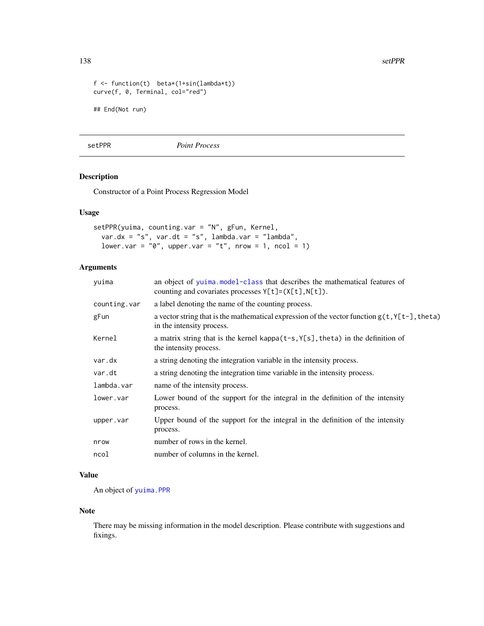138 setPPR

```
f <- function(t) beta*(1+sin(lambda*t))
curve(f, 0, Terminal, col="red")
## End(Not run)
```
setPPR *Point Process*

## Description

Constructor of a Point Process Regression Model

# Usage

```
setPPR(yuima, counting.var = "N", gFun, Kernel,
 var.dx = "s", var.dt = "s", lambda.var = "lambda",
 lower.var = \sqrt[n]{\theta}, upper.var = "t", nrow = 1, ncol = 1)
```
# Arguments

| yuima        | an object of yuima.model-class that describes the mathematical features of<br>counting and covariates processes $Y[t] = (X[t], N[t])$ . |  |  |
|--------------|-----------------------------------------------------------------------------------------------------------------------------------------|--|--|
| counting.var | a label denoting the name of the counting process.                                                                                      |  |  |
| gFun         | a vector string that is the mathematical expression of the vector function $g(t, Y[t-],theta)$<br>in the intensity process.             |  |  |
| Kernel       | a matrix string that is the kernel kappa $(t-s, Y[s], t)$ heta) in the definition of<br>the intensity process.                          |  |  |
| var.dx       | a string denoting the integration variable in the intensity process.                                                                    |  |  |
| var.dt       | a string denoting the integration time variable in the intensity process.                                                               |  |  |
| lambda.var   | name of the intensity process.                                                                                                          |  |  |
| lower.var    | Lower bound of the support for the integral in the definition of the intensity<br>process.                                              |  |  |
| upper.var    | Upper bound of the support for the integral in the definition of the intensity<br>process.                                              |  |  |
| nrow         | number of rows in the kernel.                                                                                                           |  |  |
| ncol         | number of columns in the kernel.                                                                                                        |  |  |
|              |                                                                                                                                         |  |  |

# Value

An object of [yuima.PPR](#page-183-0)

# Note

There may be missing information in the model description. Please contribute with suggestions and fixings.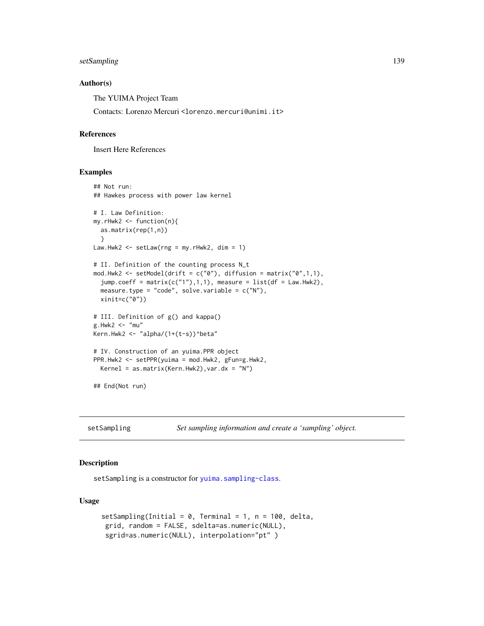# setSampling 139

## Author(s)

The YUIMA Project Team

Contacts: Lorenzo Mercuri <lorenzo.mercuri@unimi.it>

#### References

Insert Here References

# Examples

```
## Not run:
## Hawkes process with power law kernel
# I. Law Definition:
my.rHwk2 <- function(n){
  as.matrix(rep(1,n))
  }
Law.Hwk2 <- setLaw(rng = my.rHwk2, dim = 1)
# II. Definition of the counting process N_t
mod.Hwk2 <- setModel(drift = c("0"), diffusion = matrix("0",1,1),
  jump.coeff = matrix(c("1"), 1, 1), measure = list(df = Law.Hwk2),measure.type = "code", solve.variable = c("N"),
  xinit=c("0"))
# III. Definition of g() and kappa()
g.Hwk2 < - "mu"
Kern.Hwk2 <- "alpha/(1+(t-s))^beta"
# IV. Construction of an yuima.PPR object
PPR.Hwk2 <- setPPR(yuima = mod.Hwk2, gFun=g.Hwk2,
  Kernel = as.matrix(Kern.Hwk2), var.dx = "N")
## End(Not run)
```
setSampling *Set sampling information and create a 'sampling' object.*

## Description

setSampling is a constructor for [yuima.sampling-class](#page-185-0).

## Usage

```
setSampling(Initial = 0, Terminal = 1, n = 100, delta,
grid, random = FALSE, sdelta=as.numeric(NULL),
sgrid=as.numeric(NULL), interpolation="pt" )
```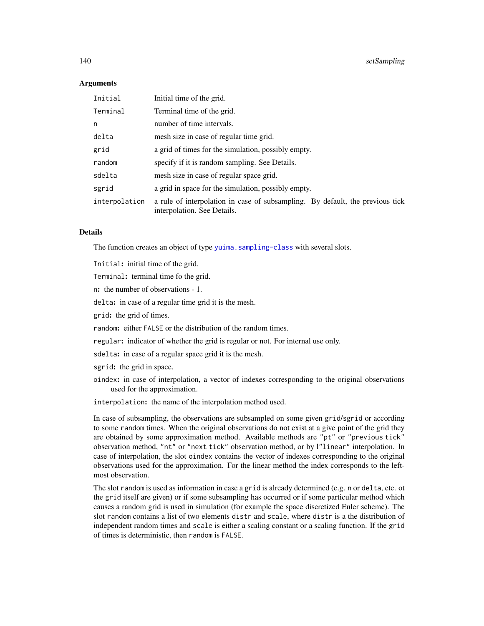## Arguments

| Initial       | Initial time of the grid.                                                                                    |
|---------------|--------------------------------------------------------------------------------------------------------------|
| Terminal      | Terminal time of the grid.                                                                                   |
| n             | number of time intervals.                                                                                    |
| delta         | mesh size in case of regular time grid.                                                                      |
| grid          | a grid of times for the simulation, possibly empty.                                                          |
| random        | specify if it is random sampling. See Details.                                                               |
| sdelta        | mesh size in case of regular space grid.                                                                     |
| sgrid         | a grid in space for the simulation, possibly empty.                                                          |
| interpolation | a rule of interpolation in case of subsampling. By default, the previous tick<br>interpolation. See Details. |

## Details

The function creates an object of type [yuima.sampling-class](#page-185-0) with several slots.

Initial: initial time of the grid.

Terminal: terminal time fo the grid.

n: the number of observations - 1.

delta: in case of a regular time grid it is the mesh.

grid: the grid of times.

random: either FALSE or the distribution of the random times.

regular: indicator of whether the grid is regular or not. For internal use only.

sdelta: in case of a regular space grid it is the mesh.

sgrid: the grid in space.

oindex: in case of interpolation, a vector of indexes corresponding to the original observations used for the approximation.

interpolation: the name of the interpolation method used.

In case of subsampling, the observations are subsampled on some given grid/sgrid or according to some random times. When the original observations do not exist at a give point of the grid they are obtained by some approximation method. Available methods are "pt" or "previous tick" observation method, "nt" or "next tick" observation method, or by l"linear" interpolation. In case of interpolation, the slot oindex contains the vector of indexes corresponding to the original observations used for the approximation. For the linear method the index corresponds to the leftmost observation.

The slot random is used as information in case a grid is already determined (e.g. n or delta, etc. ot the grid itself are given) or if some subsampling has occurred or if some particular method which causes a random grid is used in simulation (for example the space discretized Euler scheme). The slot random contains a list of two elements distr and scale, where distr is a the distribution of independent random times and scale is either a scaling constant or a scaling function. If the grid of times is deterministic, then random is FALSE.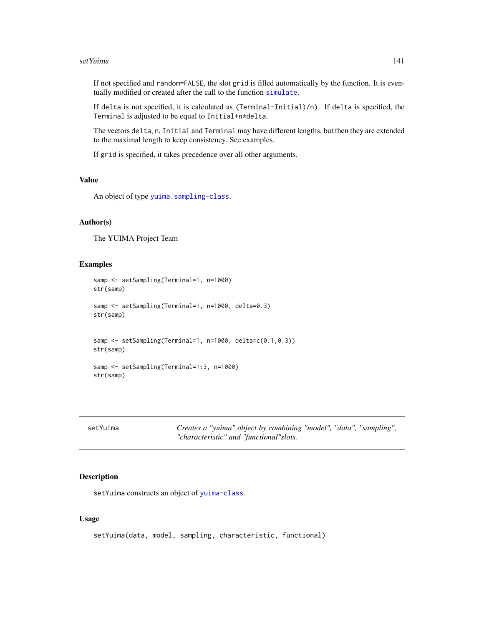#### set Yuima and the set Yuima and the set Yuima and the set Yuima and the set Yuima and the set Yuima and the set Yuima and the set Yuima and the set Yuima and the set Yuima and the set Yuima and the set Yuima and the set Yu

If not specified and random=FALSE, the slot grid is filled automatically by the function. It is eventually modified or created after the call to the function [simulate](#page-146-0).

If delta is not specified, it is calculated as (Terminal-Initial)/n). If delta is specified, the Terminal is adjusted to be equal to Initial+n\*delta.

The vectors delta, n, Initial and Terminal may have different lengths, but then they are extended to the maximal length to keep consistency. See examples.

If grid is specified, it takes precedence over all other arguments.

# Value

An object of type [yuima.sampling-class](#page-185-0).

# Author(s)

The YUIMA Project Team

## Examples

```
samp <- setSampling(Terminal=1, n=1000)
str(samp)
samp <- setSampling(Terminal=1, n=1000, delta=0.3)
str(samp)
samp <- setSampling(Terminal=1, n=1000, delta=c(0.1,0.3))
str(samp)
samp <- setSampling(Terminal=1:3, n=1000)
str(samp)
```

| setYuima | Creates a "yuima" object by combining "model", "data", "sampling", |  |  |
|----------|--------------------------------------------------------------------|--|--|
|          | "characteristic" and "functional"slots.                            |  |  |

# Description

setYuima constructs an object of [yuima-class](#page-166-0).

# Usage

```
setYuima(data, model, sampling, characteristic, functional)
```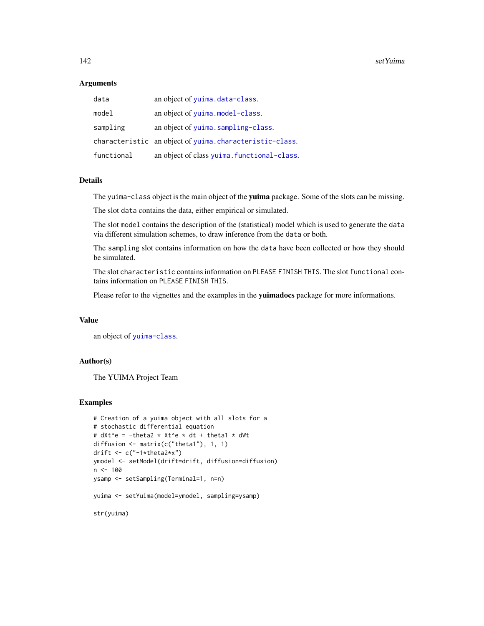142 setYuima

#### **Arguments**

| data       | an object of yuima.data-class.                          |
|------------|---------------------------------------------------------|
| model      | an object of yuima.model-class.                         |
| sampling   | an object of yuima.sampling-class.                      |
|            | characteristic an object of yuima.characteristic-class. |
| functional | an object of class yuima. functional-class.             |

# Details

The yuima-class object is the main object of the yuima package. Some of the slots can be missing.

The slot data contains the data, either empirical or simulated.

The slot model contains the description of the (statistical) model which is used to generate the data via different simulation schemes, to draw inference from the data or both.

The sampling slot contains information on how the data have been collected or how they should be simulated.

The slot characteristic contains information on PLEASE FINISH THIS. The slot functional contains information on PLEASE FINISH THIS.

Please refer to the vignettes and the examples in the yuimadocs package for more informations.

# Value

an object of [yuima-class](#page-166-0).

# Author(s)

The YUIMA Project Team

```
# Creation of a yuima object with all slots for a
# stochastic differential equation
# dXt^e = -theta2 * Xt^e * dt + theta1 * dWt
diffusion <- matrix(c("theta1"), 1, 1)
drift \leq c("-1*theta2*x")
ymodel <- setModel(drift=drift, diffusion=diffusion)
n < -100ysamp <- setSampling(Terminal=1, n=n)
yuima <- setYuima(model=ymodel, sampling=ysamp)
str(yuima)
```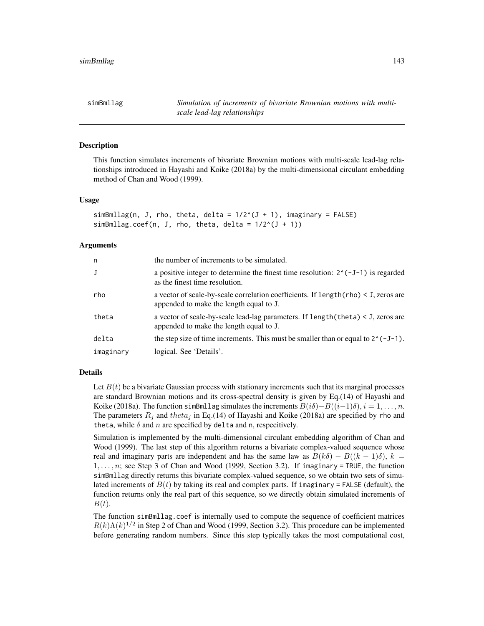simBmllag *Simulation of increments of bivariate Brownian motions with multiscale lead-lag relationships*

#### **Description**

This function simulates increments of bivariate Brownian motions with multi-scale lead-lag relationships introduced in Hayashi and Koike (2018a) by the multi-dimensional circulant embedding method of Chan and Wood (1999).

## Usage

```
simBmllag(n, J, rho, theta, delta = <math>1/2^{(1 + 1)}</math>, imaginary = FALSE)simBmllag.coef(n, J, rho, theta, delta = 1/2^{(J + 1)})
```
#### Arguments

| n         | the number of increments to be simulated.                                                                                        |
|-----------|----------------------------------------------------------------------------------------------------------------------------------|
| J         | a positive integer to determine the finest time resolution: $2^{(3)}(-1)$ is regarded<br>as the finest time resolution.          |
| rho       | a vector of scale-by-scale correlation coefficients. If $length(rho) < J$ , zeros are<br>appended to make the length equal to J. |
| theta     | a vector of scale-by-scale lead-lag parameters. If $length(theta) < J$ , zeros are<br>appended to make the length equal to J.    |
| delta     | the step size of time increments. This must be smaller than or equal to $2^(-J-1)$ .                                             |
| imaginary | logical. See 'Details'.                                                                                                          |

## Details

Let  $B(t)$  be a bivariate Gaussian process with stationary increments such that its marginal processes are standard Brownian motions and its cross-spectral density is given by Eq.(14) of Hayashi and Koike (2018a). The function simBmllag simulates the increments  $B(i\delta)-B((i-1)\delta)$ ,  $i=1,\ldots,n$ . The parameters  $R_i$  and theta<sub>j</sub> in Eq.(14) of Hayashi and Koike (2018a) are specified by rho and theta, while  $\delta$  and  $n$  are specified by delta and n, respecitively.

Simulation is implemented by the multi-dimensional circulant embedding algorithm of Chan and Wood (1999). The last step of this algorithm returns a bivariate complex-valued sequence whose real and imaginary parts are independent and has the same law as  $B(k\delta) - B((k-1)\delta)$ ,  $k =$  $1, \ldots, n$ ; see Step 3 of Chan and Wood (1999, Section 3.2). If imaginary = TRUE, the function simBmllag directly returns this bivariate complex-valued sequence, so we obtain two sets of simulated increments of  $B(t)$  by taking its real and complex parts. If imaginary = FALSE (default), the function returns only the real part of this sequence, so we directly obtain simulated increments of  $B(t).$ 

The function simBmllag.coef is internally used to compute the sequence of coefficient matrices  $R(k)\Lambda(k)^{1/2}$  in Step 2 of Chan and Wood (1999, Section 3.2). This procedure can be implemented before generating random numbers. Since this step typically takes the most computational cost,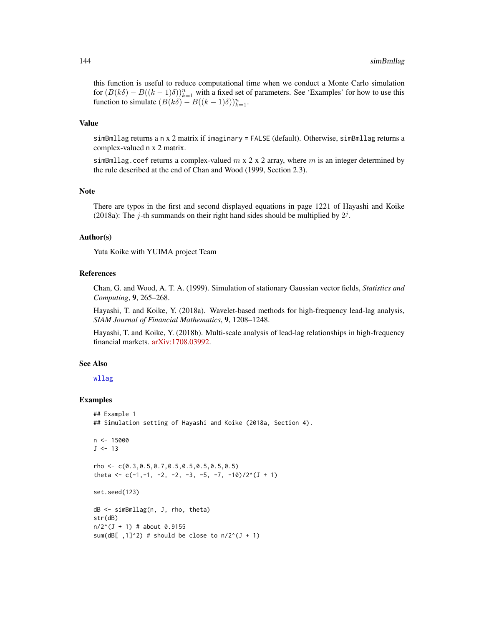this function is useful to reduce computational time when we conduct a Monte Carlo simulation for  $(B(k\delta) - B((k-1)\delta))_{k=1}^n$  with a fixed set of parameters. See 'Examples' for how to use this function to simulate  $(B(k\delta) - B((k-1)\delta))_{k=1}^n$ .

#### Value

simBmllag returns a n x 2 matrix if imaginary = FALSE (default). Otherwise, simBmllag returns a complex-valued n x 2 matrix.

simBmllag.coef returns a complex-valued  $m \times 2 \times 2$  array, where m is an integer determined by the rule described at the end of Chan and Wood (1999, Section 2.3).

## Note

There are typos in the first and second displayed equations in page 1221 of Hayashi and Koike (2018a): The j-th summands on their right hand sides should be multiplied by  $2^j$ .

#### Author(s)

Yuta Koike with YUIMA project Team

### References

Chan, G. and Wood, A. T. A. (1999). Simulation of stationary Gaussian vector fields, *Statistics and Computing*, 9, 265–268.

Hayashi, T. and Koike, Y. (2018a). Wavelet-based methods for high-frequency lead-lag analysis, *SIAM Journal of Financial Mathematics*, 9, 1208–1248.

Hayashi, T. and Koike, Y. (2018b). Multi-scale analysis of lead-lag relationships in high-frequency financial markets. [arXiv:1708.03992.](https://arxiv.org/abs/1708.03992)

## See Also

[wllag](#page-163-0)

```
## Example 1
## Simulation setting of Hayashi and Koike (2018a, Section 4).
n < -15000J < -13rho <- c(0.3,0.5,0.7,0.5,0.5,0.5,0.5,0.5)
theta <- c(-1,-1, -2, -2, -3, -5, -7, -10)/2^(J + 1)
set.seed(123)
dB <- simBmllag(n, J, rho, theta)
str(dB)
n/2^{(J + 1)} # about 0.9155
sum(dB[ , 1]^2) # should be close to n/2^(J + 1)
```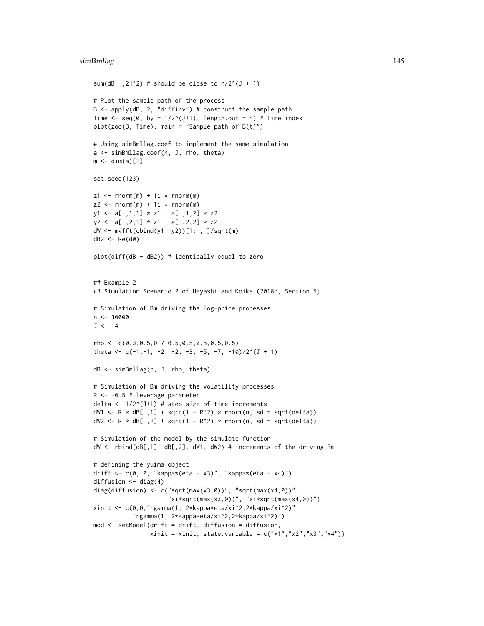```
sum(dB[ ,2]^2) # should be close to n/2^(J + 1)# Plot the sample path of the process
B \leq - apply(dB, 2, "diffinv") # construct the sample path
Time \leq seq(0, by = 1/2^(J+1), length.out = n) # Time index
plot(zoo(B, Time), main = "Sample path of <math>B(t)</math>")# Using simBmllag.coef to implement the same simulation
a <- simBmllag.coef(n, J, rho, theta)
m \leftarrow \dim(a)[1]set.seed(123)
z1 \leq -\text{norm}(m) + 1i \times \text{norm}(m)z2 \le rnorm(m) + 1i * rnorm(m)
y1 \leftarrow a[ ,1,1] * z1 + a[ ,1,2] * z2y2 \leq a[-2,1] * z1 + a[-2,2] * z2dW <- mvfft(cbind(y1, y2))[1:n, ]/sqrt(m)
dB2 < - Re(dW)
plot(diff(dB - dB2)) # identically equal to zero
## Example 2
## Simulation Scenario 2 of Hayashi and Koike (2018b, Section 5).
# Simulation of Bm driving the log-price processes
n < -30000J < -14rho <- c(0.3,0.5,0.7,0.5,0.5,0.5,0.5,0.5)
theta \leq c(-1,-1, -2, -2, -3, -5, -7, -10)/2^(J + 1)
dB <- simBmllag(n, J, rho, theta)
# Simulation of Bm driving the volatility processes
R <- -0.5 # leverage parameter
delta <- 1/2^{(J+1)} # step size of time increments
dW1 <- R * dB[ ,1] + sqrt(1 - R^2) * rnorm(n, sd = sqrt(delta))
dW2 \le R * dB[, 2] + sqrt(1 - R^2) * rnorm(n, sd = sqrt(delta))# Simulation of the model by the simulate function
dW <- rbind(dB[,1], dB[,2], dW1, dW2) # increments of the driving Bm
# defining the yuima object
drift <- c(0, 0, "kappa*(eta - x3)", "kappa*(eta - x4)")
diffusion <- diag(4)
diag(diffusion) <- c("sqrt(max(x3,0))", "sqrt(max(x4,0))",
                      "xi*sqrt(max(x3,0))", "xi*sqrt(max(x4,0))")
xinit <- c(0,0,"rgamma(1, 2*kappa*eta/xi^2,2*kappa/xi^2)",
           "rgamma(1, 2*kappa*eta/xi^2,2*kappa/xi^2)")
mod <- setModel(drift = drift, diffusion = diffusion,
                xinit = xinit, state.variable = c("x1", "x2", "x3", "x4"))
```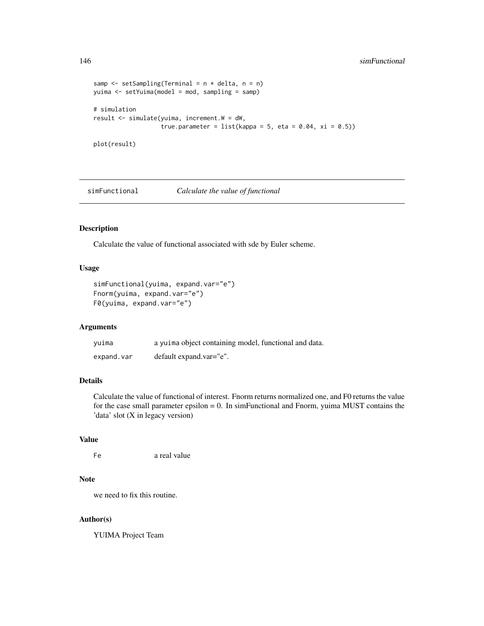```
samp \leq setSampling(Terminal = n * delta, n = n)
yuima <- setYuima(model = mod, sampling = samp)
# simulation
result <- simulate(yuima, increment.W = dW,
                   true.parameter = list(kappa = 5, eta = 0.04, xi = 0.5))
```

```
plot(result)
```
simFunctional *Calculate the value of functional*

# Description

Calculate the value of functional associated with sde by Euler scheme.

# Usage

```
simFunctional(yuima, expand.var="e")
Fnorm(yuima, expand.var="e")
F0(yuima, expand.var="e")
```
#### Arguments

| yuima      | a yuima object containing model, functional and data. |
|------------|-------------------------------------------------------|
| expand.var | default expand.var="e".                               |

# Details

Calculate the value of functional of interest. Fnorm returns normalized one, and F0 returns the value for the case small parameter epsilon = 0. In simFunctional and Fnorm, yuima MUST contains the 'data' slot (X in legacy version)

# Value

```
Fe a real value
```
## Note

we need to fix this routine.

## Author(s)

YUIMA Project Team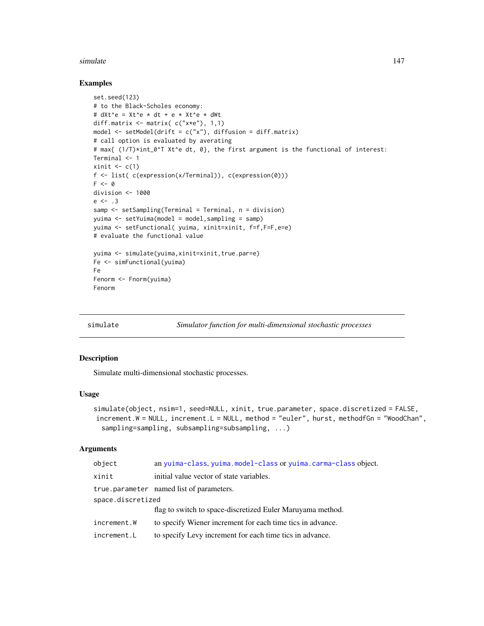#### simulate the contract of the contract of the contract of the contract of the contract of the contract of the contract of the contract of the contract of the contract of the contract of the contract of the contract of the c

## Examples

```
set.seed(123)
# to the Black-Scholes economy:
# dXt^e = Xt^e * dt + e * Xt^e * dWtdiff.matrix <- matrix( c("x*e"), 1,1)
model \le setModel(drift = c("x"), diffusion = diff.matrix)
# call option is evaluated by averating
# max{ (1/T)*int_0^T Xt^e dt, 0}, the first argument is the functional of interest:
Terminal <- 1
xinit \leftarrow c(1)
f <- list( c(expression(x/Terminal)), c(expression(0)))
F \leftarrow 0division <- 1000
e \le -13samp <- setSampling(Terminal = Terminal, n = division)
yuima <- setYuima(model = model,sampling = samp)
yuima <- setFunctional( yuima, xinit=xinit, f=f,F=F,e=e)
# evaluate the functional value
yuima <- simulate(yuima,xinit=xinit,true.par=e)
Fe <- simFunctional(yuima)
Fe
Fenorm <- Fnorm(yuima)
Fenorm
```
<span id="page-146-0"></span>

simulate *Simulator function for multi-dimensional stochastic processes*

## Description

Simulate multi-dimensional stochastic processes.

## Usage

```
simulate(object, nsim=1, seed=NULL, xinit, true.parameter, space.discretized = FALSE,
increment.W = NULL, increment.L = NULL, method = "euler", hurst, methodfGn = "WoodChan",
  sampling=sampling, subsampling=subsampling, ...)
```
#### Arguments

| object            | an yuima-class, yuima.model-class or yuima.carma-class object. |  |
|-------------------|----------------------------------------------------------------|--|
| xinit             | initial value vector of state variables.                       |  |
|                   | true.parameter named list of parameters.                       |  |
| space.discretized |                                                                |  |
|                   | flag to switch to space-discretized Euler Maruyama method.     |  |
| increment.W       | to specify Wiener increment for each time tics in advance.     |  |
| increment.L       | to specify Levy increment for each time tics in advance.       |  |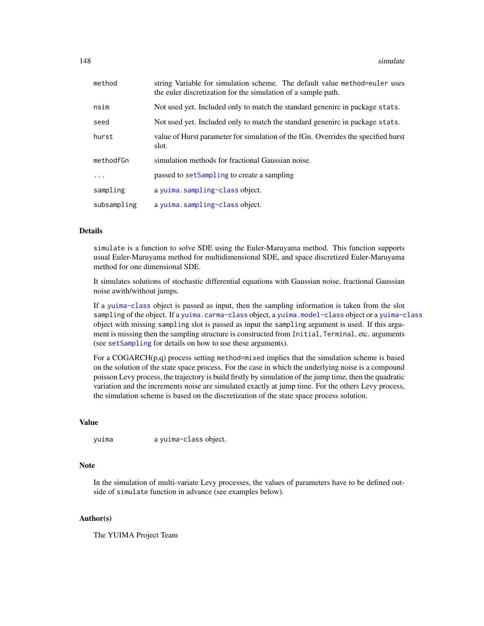| method      | string Variable for simulation scheme. The default value method=euler uses<br>the euler discretization for the simulation of a sample path. |
|-------------|---------------------------------------------------------------------------------------------------------------------------------------------|
| nsim        | Not used yet. Included only to match the standard genenirc in package stats.                                                                |
| seed        | Not used yet. Included only to match the standard genenirc in package stats.                                                                |
| hurst       | value of Hurst parameter for simulation of the fGn. Overrides the specified hurst<br>slot.                                                  |
| methodfGn   | simulation methods for fractional Gaussian noise.                                                                                           |
| .           | passed to setSampling to create a sampling                                                                                                  |
| sampling    | a yuima.sampling-class object.                                                                                                              |
| subsampling | a yuima.sampling-class object.                                                                                                              |

# Details

simulate is a function to solve SDE using the Euler-Maruyama method. This function supports usual Euler-Maruyama method for multidimensional SDE, and space discretized Euler-Maruyama method for one dimensional SDE.

It simulates solutions of stochastic differential equations with Gaussian noise, fractional Gaussian noise awith/without jumps.

If a [yuima-class](#page-166-0) object is passed as input, then the sampling information is taken from the slot sampling of the object. If a [yuima.carma-class](#page-168-0) object, a [yuima.model-class](#page-178-0) object or a [yuima-class](#page-166-0) object with missing sampling slot is passed as input the sampling argument is used. If this argument is missing then the sampling structure is constructed from Initial, Terminal, etc. arguments (see [setSampling](#page-138-0) for details on how to use these arguments).

For a COGARCH(p,q) process setting method=mixed implies that the simulation scheme is based on the solution of the state space process. For the case in which the underlying noise is a compound poisson Levy process, the trajectory is build firstly by simulation of the jump time, then the quadratic variation and the increments noise are simulated exactly at jump time. For the others Levy process, the simulation scheme is based on the discretization of the state space process solution.

# Value

yuima a yuima-class object.

# Note

In the simulation of multi-variate Levy processes, the values of parameters have to be defined outside of simulate function in advance (see examples below).

# Author(s)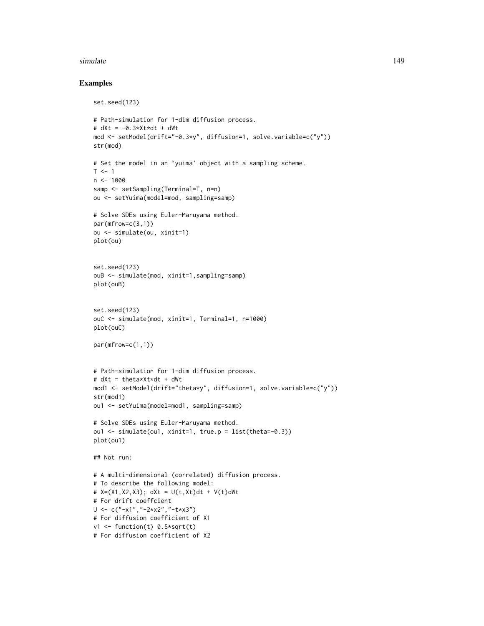#### simulate the contract of the contract of the contract of the contract of the contract of the contract of the contract of the contract of the contract of the contract of the contract of the contract of the contract of the c

## Examples

```
set.seed(123)
# Path-simulation for 1-dim diffusion process.
# dXt = -0.3*Xt*dt + dWtmod <- setModel(drift="-0.3*y", diffusion=1, solve.variable=c("y"))
str(mod)
# Set the model in an `yuima' object with a sampling scheme.
T < -1n < -1000samp <- setSampling(Terminal=T, n=n)
ou <- setYuima(model=mod, sampling=samp)
# Solve SDEs using Euler-Maruyama method.
par(mfrow=c(3,1))
ou <- simulate(ou, xinit=1)
plot(ou)
set.seed(123)
ouB <- simulate(mod, xinit=1,sampling=samp)
plot(ouB)
set.seed(123)
ouC <- simulate(mod, xinit=1, Terminal=1, n=1000)
plot(ouC)
par(mfrow=c(1,1))
# Path-simulation for 1-dim diffusion process.
# dXt = theta*Xt*dt + dWt
mod1 <- setModel(drift="theta*y", diffusion=1, solve.variable=c("y"))
str(mod1)
ou1 <- setYuima(model=mod1, sampling=samp)
# Solve SDEs using Euler-Maruyama method.
ou1 <- simulate(ou1, xinit=1, true.p = list(theta=-0.3))
plot(ou1)
## Not run:
# A multi-dimensional (correlated) diffusion process.
# To describe the following model:
# X=(X1, X2, X3); dXt = U(t, Xt)dt + V(t) dWt# For drift coeffcient
U <- c("-x1","-2*x2","-t*x3")
# For diffusion coefficient of X1
v1 <- function(t) 0.5*sqrt(t)
# For diffusion coefficient of X2
```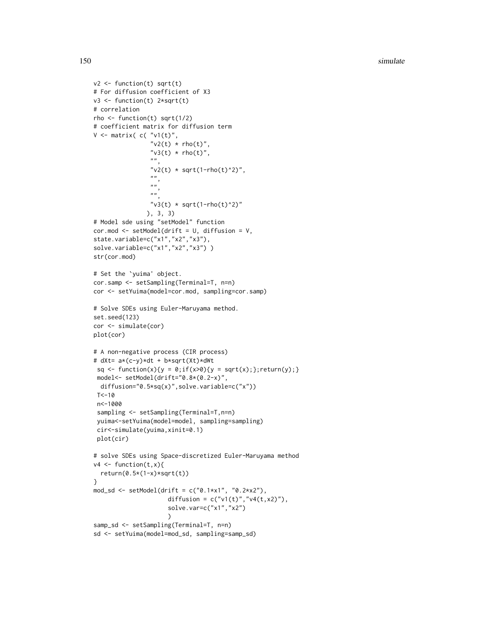```
v2 \leftarrow function(t) sqrt(t)
# For diffusion coefficient of X3
v3 <- function(t) 2*sqrt(t)
# correlation
rho \le function(t) sqrt(1/2)
# coefficient matrix for diffusion term
V \leq matrix( c( "v1(t)",
                "v2(t) * rho(t)","v3(t) * rho(t)",""v2(t) * sqrt(1-rho(t)^2)",
                ",
                "''""''"v3(t) * sqrt(1-rho(t)^2)"), 3, 3)
# Model sde using "setModel" function
cor.mod <- setModel(drift = U, diffusion = V,
state.variable=c("x1","x2","x3"),
solve.variable=c("x1","x2","x3"))
str(cor.mod)
# Set the `yuima' object.
cor.samp <- setSampling(Terminal=T, n=n)
cor <- setYuima(model=cor.mod, sampling=cor.samp)
# Solve SDEs using Euler-Maruyama method.
set.seed(123)
cor <- simulate(cor)
plot(cor)
# A non-negative process (CIR process)
# dXt= a*(c-y)*dt + b*sqrt(Xt)*dWt
 sq \leftarrow function(x){y = 0;if(x>0){y = sqrt(x);};return(y);}
 model<- setModel(drift="0.8*(0.2-x)",
 diffusion="0.5*sq(x)",solve.variable=c("x"))
 T < -10n<-1000
 sampling <- setSampling(Terminal=T,n=n)
 yuima<-setYuima(model=model, sampling=sampling)
 cir<-simulate(yuima,xinit=0.1)
 plot(cir)
# solve SDEs using Space-discretized Euler-Maruyama method
v4 \leq function(t,x){
  return(0.5*(1-x)*sqrt(t))}
mod_sd <- setModel(drift = c("0.1*x1", "0.2*x2"),
                     diffusion = c("v1(t)", v4(t,x2)"),solve.var=c("x1","x2")
                     )
samp_sd <- setSampling(Terminal=T, n=n)
sd <- setYuima(model=mod_sd, sampling=samp_sd)
```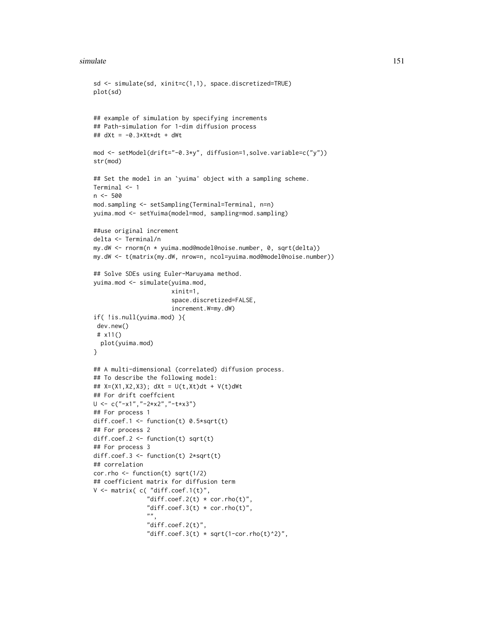#### simulate 151

```
sd <- simulate(sd, xinit=c(1,1), space.discretized=TRUE)
plot(sd)
## example of simulation by specifying increments
## Path-simulation for 1-dim diffusion process
## dXt = -0.3*Xt*dt + dWtmod <- setModel(drift="-0.3*y", diffusion=1,solve.variable=c("y"))
str(mod)
## Set the model in an `yuima' object with a sampling scheme.
Terminal <- 1
n < -500mod.sampling <- setSampling(Terminal=Terminal, n=n)
yuima.mod <- setYuima(model=mod, sampling=mod.sampling)
##use original increment
delta <- Terminal/n
my.dW <- rnorm(n * yuima.mod@model@noise.number, 0, sqrt(delta))
my.dW <- t(matrix(my.dW, nrow=n, ncol=yuima.mod@model@noise.number))
## Solve SDEs using Euler-Maruyama method.
yuima.mod <- simulate(yuima.mod,
                      xinit=1,
                      space.discretized=FALSE,
                      increment.W=my.dW)
if( !is.null(yuima.mod) ){
 dev.new()
 # x11()
  plot(yuima.mod)
}
## A multi-dimensional (correlated) diffusion process.
## To describe the following model:
## X=(X1,X2,X3); dXt = U(t,Xt)dt + V(t)dWt
## For drift coeffcient
U <- c("-x1","-2*x2","-t*x3")
## For process 1
diff.coef.1 <- function(t) 0.5*sqrt(t)## For process 2
diff.coef.2 <- function(t) sqrt(t)
## For process 3
diff.coef.3 <- function(t) 2*sqrt(t)
## correlation
cor.rho \le function(t) sqrt(1/2)
## coefficient matrix for diffusion term
V \leq matrix( c( "diff.coef.1(t)",
               "diff.coef.2(t) * cor.rho(t)",
               "diff.coef.3(t) * cor.rho(t)",
               "",
               "diff.coef.2(t)",
               "diff.coef.3(t) * sqrt(1-cor.rho(t)^2)",
```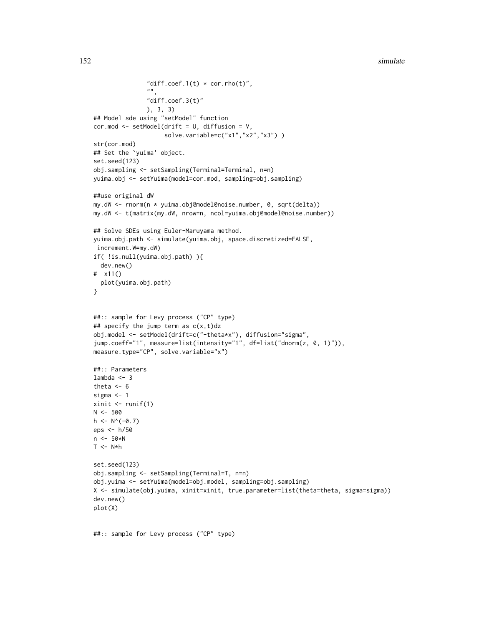```
"diff.coef.1(t) * cor.rho(t)",
               "",
               "diff.coef.3(t)"
               ), 3, 3)
## Model sde using "setModel" function
cor.mod <- setModel(drift = U, diffusion = V,
                    solve.variable=c("x1","x2","x3") )
str(cor.mod)
## Set the `yuima' object.
set.seed(123)
obj.sampling <- setSampling(Terminal=Terminal, n=n)
yuima.obj <- setYuima(model=cor.mod, sampling=obj.sampling)
##use original dW
my.dW <- rnorm(n * yuima.obj@model@noise.number, 0, sqrt(delta))
my.dW <- t(matrix(my.dW, nrow=n, ncol=yuima.obj@model@noise.number))
## Solve SDEs using Euler-Maruyama method.
yuima.obj.path <- simulate(yuima.obj, space.discretized=FALSE,
increment.W=my.dW)
if( !is.null(yuima.obj.path) ){
  dev.new()
# x11()
  plot(yuima.obj.path)
}
##:: sample for Levy process ("CP" type)
## specify the jump term as c(x,t)dzobj.model <- setModel(drift=c("-theta*x"), diffusion="sigma",
jump.coeff="1", measure=list(intensity="1", df=list("dnorm(z, 0, 1)")),
measure.type="CP", solve.variable="x")
##:: Parameters
lambda <-3theta <-6sigma <- 1
xinit \le runif(1)
N < -500h \leq N^{(0)}(-0.7)eps <- h/50
n <- 50*N
T < -N*hset.seed(123)
obj.sampling <- setSampling(Terminal=T, n=n)
obj.yuima <- setYuima(model=obj.model, sampling=obj.sampling)
X <- simulate(obj.yuima, xinit=xinit, true.parameter=list(theta=theta, sigma=sigma))
dev.new()
plot(X)
```
##:: sample for Levy process ("CP" type)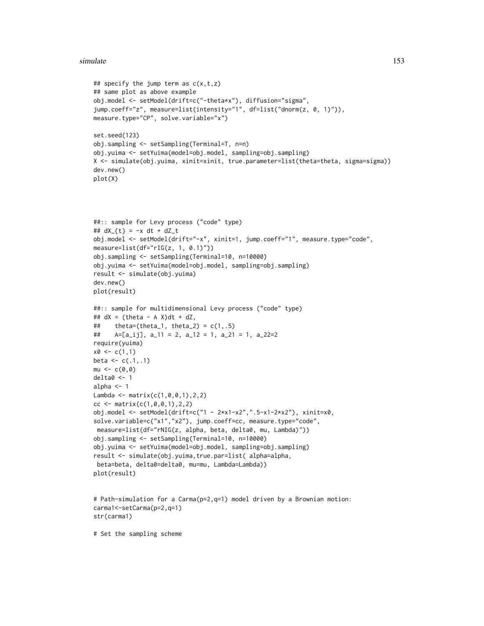#### simulate the contract of the contract of the contract of the contract of the contract of the contract of the contract of the contract of the contract of the contract of the contract of the contract of the contract of the c

```
## specify the jump term as c(x,t,z)## same plot as above example
obj.model <- setModel(drift=c("-theta*x"), diffusion="sigma",
jump.coeff="z", measure=list(intensity="1", df=list("dnorm(z, 0, 1)")),
measure.type="CP", solve.variable="x")
set.seed(123)
obj.sampling <- setSampling(Terminal=T, n=n)
obj.yuima <- setYuima(model=obj.model, sampling=obj.sampling)
X <- simulate(obj.yuima, xinit=xinit, true.parameter=list(theta=theta, sigma=sigma))
dev.new()
plot(X)
##:: sample for Levy process ("code" type)
## dX_{t} = -x dt + dZ_{t}obj.model <- setModel(drift="-x", xinit=1, jump.coeff="1", measure.type="code",
measure=list(df='rIG(z, 1, 0.1)"))
obj.sampling <- setSampling(Terminal=10, n=10000)
obj.yuima <- setYuima(model=obj.model, sampling=obj.sampling)
result <- simulate(obj.yuima)
dev.new()
plot(result)
##:: sample for multidimensional Levy process ("code" type)
## dX = (theta - A X)dt + dZ,## theta=(theta_1, theta_2) = c(1, .5)## A=[a_ij], a_11 = 2, a_12 = 1, a_21 = 1, a_22=2
require(yuima)
x0 \leq c(1,1)beta \leq c(.1, .1)mu < -c(0, 0)delta0 <- 1
alpha <-1Lambda <- matrix(c(1,0,0,1),2,2)
cc <- matrix(c(1, 0, 0, 1), 2, 2)obj.model <- setModel(drift=c("1 - 2*x1-x2",".5-x1-2*x2"), xinit=x0,
solve.variable=c("x1","x2"), jump.coeff=cc, measure.type="code",
measure=list(df="rNIG(z, alpha, beta, delta0, mu, Lambda)"))
obj.sampling <- setSampling(Terminal=10, n=10000)
obj.yuima <- setYuima(model=obj.model, sampling=obj.sampling)
result <- simulate(obj.yuima,true.par=list( alpha=alpha,
beta=beta, delta0=delta0, mu=mu, Lambda=Lambda))
plot(result)
# Path-simulation for a Carma(p=2,q=1) model driven by a Brownian motion:
carma1<-setCarma(p=2,q=1)
str(carma1)
```
# Set the sampling scheme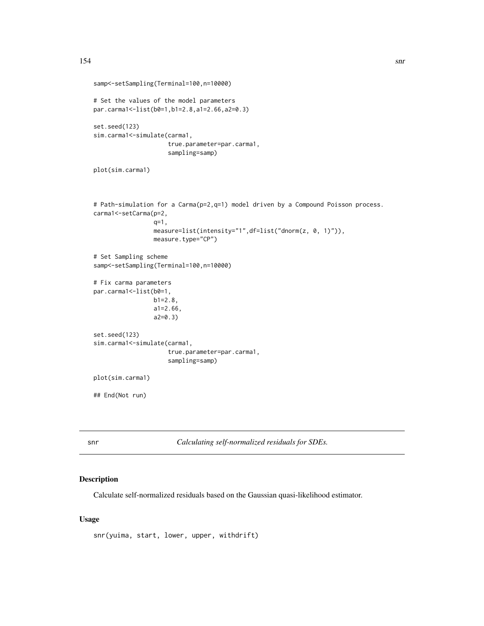```
samp<-setSampling(Terminal=100,n=10000)
# Set the values of the model parameters
par.carma1<-list(b0=1,b1=2.8,a1=2.66,a2=0.3)
set.seed(123)
sim.carma1<-simulate(carma1,
                     true.parameter=par.carma1,
                     sampling=samp)
plot(sim.carma1)
# Path-simulation for a Carma(p=2,q=1) model driven by a Compound Poisson process.
carma1<-setCarma(p=2,
                 q=1,
                 measure=list(intensity="1",df=list("dnorm(z, 0, 1)")),
                 measure.type="CP")
# Set Sampling scheme
samp<-setSampling(Terminal=100,n=10000)
# Fix carma parameters
par.carma1 <- list(b0=1,
                 b1=2.8,
                 a1=2.66,
                 a2=0.3)
set.seed(123)
sim.carma1<-simulate(carma1,
                     true.parameter=par.carma1,
                     sampling=samp)
plot(sim.carma1)
## End(Not run)
```
snr *Calculating self-normalized residuals for SDEs.*

# Description

Calculate self-normalized residuals based on the Gaussian quasi-likelihood estimator.

## Usage

snr(yuima, start, lower, upper, withdrift)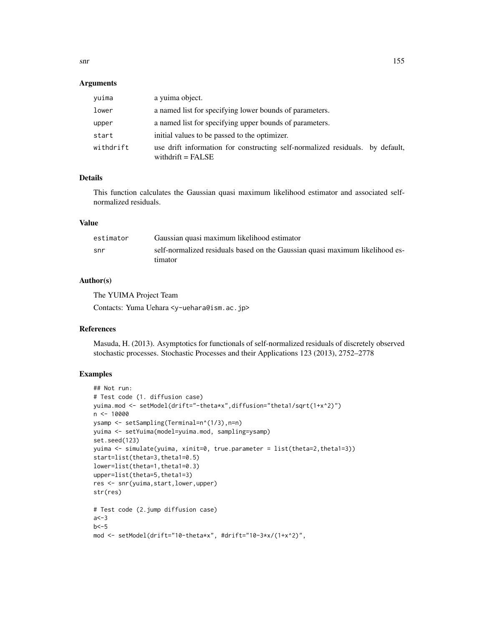#### Arguments

| vuima     | a yuima object.                                                                                      |  |
|-----------|------------------------------------------------------------------------------------------------------|--|
| lower     | a named list for specifying lower bounds of parameters.                                              |  |
| upper     | a named list for specifying upper bounds of parameters.                                              |  |
| start     | initial values to be passed to the optimizer.                                                        |  |
| withdrift | use drift information for constructing self-normalized residuals. by default,<br>withdrift = $FALSE$ |  |

# Details

This function calculates the Gaussian quasi maximum likelihood estimator and associated selfnormalized residuals.

#### Value

| estimator | Gaussian quasi maximum likelihood estimator                                  |
|-----------|------------------------------------------------------------------------------|
| snr       | self-normalized residuals based on the Gaussian quasi maximum likelihood es- |
|           | timator                                                                      |

## Author(s)

The YUIMA Project Team

Contacts: Yuma Uehara <y-uehara@ism.ac.jp>

## References

Masuda, H. (2013). Asymptotics for functionals of self-normalized residuals of discretely observed stochastic processes. Stochastic Processes and their Applications 123 (2013), 2752–2778

# Examples

```
## Not run:
# Test code (1. diffusion case)
yuima.mod <- setModel(drift="-theta*x",diffusion="theta1/sqrt(1+x^2)")
n <- 10000
ysamp <- setSampling(Terminal=n^(1/3),n=n)
yuima <- setYuima(model=yuima.mod, sampling=ysamp)
set.seed(123)
yuima <- simulate(yuima, xinit=0, true.parameter = list(theta=2,theta1=3))
start=list(theta=3,theta1=0.5)
lower=list(theta=1,theta1=0.3)
upper=list(theta=5,theta1=3)
res <- snr(yuima,start,lower,upper)
str(res)
# Test code (2.jump diffusion case)
a < -3b < -5mod <- setModel(drift="10-theta*x", #drift="10-3*x/(1+x^2)",
```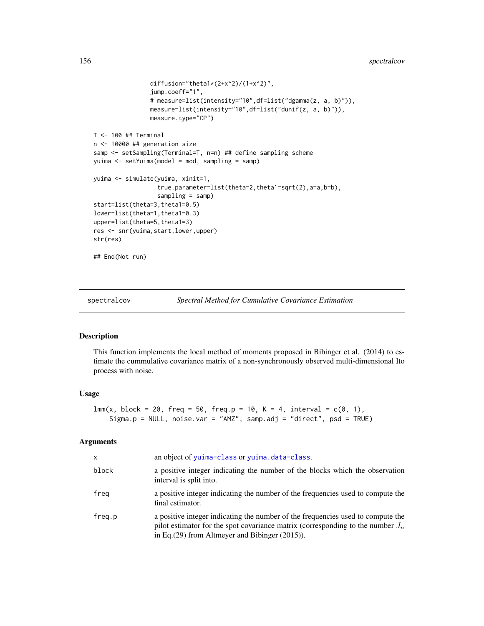```
diffusion="theta1*(2+x^2)/(1+x^2)",
                jump.coeff="1",
                # measure=list(intensity="10",df=list("dgamma(z, a, b)")),
                measure=list(intensity="10",df=list("dunif(z, a, b)")),
                measure.type="CP")
T <- 100 ## Terminal
n <- 10000 ## generation size
samp <- setSampling(Terminal=T, n=n) ## define sampling scheme
yuima <- setYuima(model = mod, sampling = samp)
yuima <- simulate(yuima, xinit=1,
                  true.parameter=list(theta=2,theta1=sqrt(2),a=a,b=b),
                  sampling = samp)
start=list(theta=3,theta1=0.5)
lower=list(theta=1,theta1=0.3)
upper=list(theta=5,theta1=3)
res <- snr(yuima,start,lower,upper)
str(res)
## End(Not run)
```
spectralcov *Spectral Method for Cumulative Covariance Estimation*

# Description

This function implements the local method of moments proposed in Bibinger et al. (2014) to estimate the cummulative covariance matrix of a non-synchronously observed multi-dimensional Ito process with noise.

#### Usage

```
lmm(x, block = 20, freq = 50, freq.p = 10, K = 4, interval = c(0, 1),Sigma.p = NULL, noise.var = "AMZ", samp.adj = "direct", psd = TRUE)
```
#### Arguments

| X      | an object of yuima-class or yuima.data-class.                                                                                                                                                                                |
|--------|------------------------------------------------------------------------------------------------------------------------------------------------------------------------------------------------------------------------------|
| block  | a positive integer indicating the number of the blocks which the observation<br>interval is split into.                                                                                                                      |
| freg   | a positive integer indicating the number of the frequencies used to compute the<br>final estimator.                                                                                                                          |
| freq.p | a positive integer indicating the number of the frequencies used to compute the<br>pilot estimator for the spot covariance matrix (corresponding to the number $J_n$<br>in Eq. $(29)$ from Altmeyer and Bibinger $(2015)$ ). |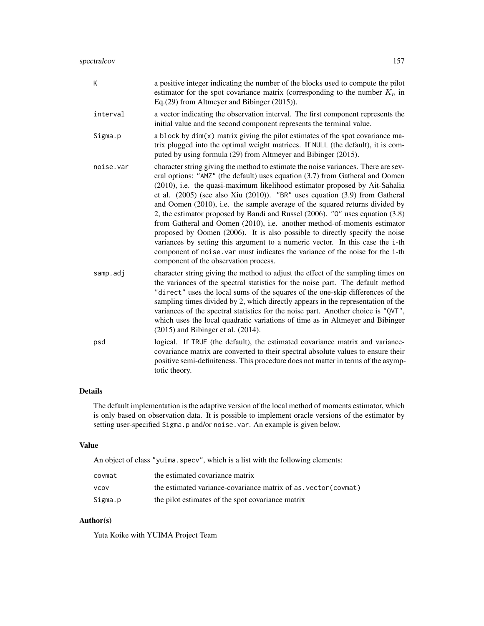| K         | a positive integer indicating the number of the blocks used to compute the pilot<br>estimator for the spot covariance matrix (corresponding to the number $K_n$ in<br>Eq. $(29)$ from Altmeyer and Bibinger $(2015)$ ).                                                                                                                                                                                                                                                                                                                                                                                                                                                                                                                                                                                                                                                        |
|-----------|--------------------------------------------------------------------------------------------------------------------------------------------------------------------------------------------------------------------------------------------------------------------------------------------------------------------------------------------------------------------------------------------------------------------------------------------------------------------------------------------------------------------------------------------------------------------------------------------------------------------------------------------------------------------------------------------------------------------------------------------------------------------------------------------------------------------------------------------------------------------------------|
| interval  | a vector indicating the observation interval. The first component represents the<br>initial value and the second component represents the terminal value.                                                                                                                                                                                                                                                                                                                                                                                                                                                                                                                                                                                                                                                                                                                      |
| Sigma.p   | a block by dim(x) matrix giving the pilot estimates of the spot covariance ma-<br>trix plugged into the optimal weight matrices. If NULL (the default), it is com-<br>puted by using formula (29) from Altmeyer and Bibinger (2015).                                                                                                                                                                                                                                                                                                                                                                                                                                                                                                                                                                                                                                           |
| noise.var | character string giving the method to estimate the noise variances. There are sev-<br>eral options: "AMZ" (the default) uses equation (3.7) from Gatheral and Oomen<br>(2010), i.e. the quasi-maximum likelihood estimator proposed by Ait-Sahalia<br>et al. $(2005)$ (see also Xiu $(2010)$ ). "BR" uses equation $(3.9)$ from Gatheral<br>and Oomen (2010), i.e. the sample average of the squared returns divided by<br>2, the estimator proposed by Bandi and Russel (2006). "0" uses equation (3.8)<br>from Gatheral and Oomen (2010), i.e. another method-of-moments estimator<br>proposed by Oomen (2006). It is also possible to directly specify the noise<br>variances by setting this argument to a numeric vector. In this case the i-th<br>component of noise. var must indicates the variance of the noise for the i-th<br>component of the observation process. |
| samp.adj  | character string giving the method to adjust the effect of the sampling times on<br>the variances of the spectral statistics for the noise part. The default method<br>"direct" uses the local sums of the squares of the one-skip differences of the<br>sampling times divided by 2, which directly appears in the representation of the<br>variances of the spectral statistics for the noise part. Another choice is "QVT",<br>which uses the local quadratic variations of time as in Altmeyer and Bibinger<br>$(2015)$ and Bibinger et al. $(2014)$ .                                                                                                                                                                                                                                                                                                                     |
| psd       | logical. If TRUE (the default), the estimated covariance matrix and variance-<br>covariance matrix are converted to their spectral absolute values to ensure their<br>positive semi-definiteness. This procedure does not matter in terms of the asymp-<br>totic theory.                                                                                                                                                                                                                                                                                                                                                                                                                                                                                                                                                                                                       |

# Details

The default implementation is the adaptive version of the local method of moments estimator, which is only based on observation data. It is possible to implement oracle versions of the estimator by setting user-specified Sigma.p and/or noise.var. An example is given below.

# Value

An object of class "yuima.specv", which is a list with the following elements:

| covmat      | the estimated covariance matrix                                |
|-------------|----------------------------------------------------------------|
| <b>VCOV</b> | the estimated variance-covariance matrix of as vector (covmat) |
| Sigma.p     | the pilot estimates of the spot covariance matrix              |

# Author(s)

Yuta Koike with YUIMA Project Team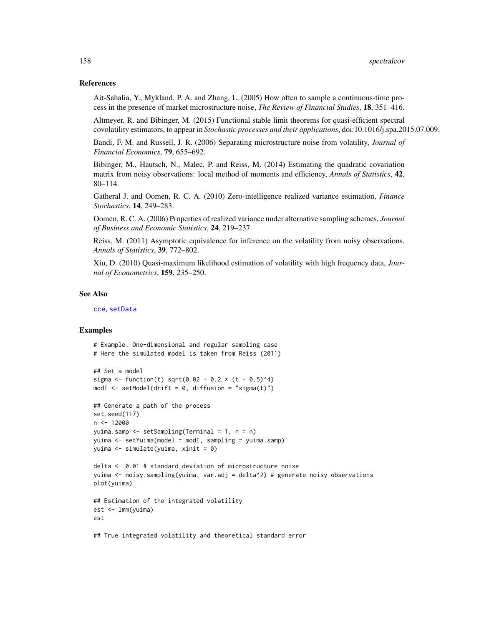## References

Ait-Sahalia, Y., Mykland, P. A. and Zhang, L. (2005) How often to sample a continuous-time process in the presence of market microstructure noise, *The Review of Financial Studies*, 18, 351–416.

Altmeyer, R. and Bibinger, M. (2015) Functional stable limit theorems for quasi-efficient spectral covolatility estimators, to appear in *Stochastic processes and their applications*, doi:10.1016/j.spa.2015.07.009.

Bandi, F. M. and Russell, J. R. (2006) Separating microstructure noise from volatility, *Journal of Financial Economics*, 79, 655–692.

Bibinger, M., Hautsch, N., Malec, P. and Reiss, M. (2014) Estimating the quadratic covariation matrix from noisy observations: local method of moments and efficiency, *Annals of Statistics*, 42, 80–114.

Gatheral J. and Oomen, R. C. A. (2010) Zero-intelligence realized variance estimation, *Finance Stochastics*, 14, 249–283.

Oomen, R. C. A. (2006) Properties of realized variance under alternative sampling schemes, *Journal of Business and Economic Statistics*, 24, 219–237.

Reiss, M. (2011) Asymptotic equivalence for inference on the volatility from noisy observations, *Annals of Statistics*, 39, 772–802.

Xiu, D. (2010) Quasi-maximum likelihood estimation of volatility with high frequency data, *Journal of Econometrics*, 159, 235–250.

#### See Also

[cce](#page-23-0), [setData](#page-123-0)

# Examples

```
# Example. One-dimensional and regular sampling case
# Here the simulated model is taken from Reiss (2011)
## Set a model
sigma <- function(t) sqrt(0.02 + 0.2 * (t - 0.5)^4)
modI <- setModel(drift = 0, diffusion = "sigma(t)")
## Generate a path of the process
set.seed(117)
n < -12000yuima.samp <- setSampling(Terminal = 1, n = n)
yuima <- setYuima(model = modI, sampling = yuima.samp)
yuima <- simulate(yuima, xinit = 0)
delta <- 0.01 # standard deviation of microstructure noise
yuima <- noisy.sampling(yuima, var.adj = delta^2) # generate noisy observations
plot(yuima)
## Estimation of the integrated volatility
est <- lmm(yuima)
est
## True integrated volatility and theoretical standard error
```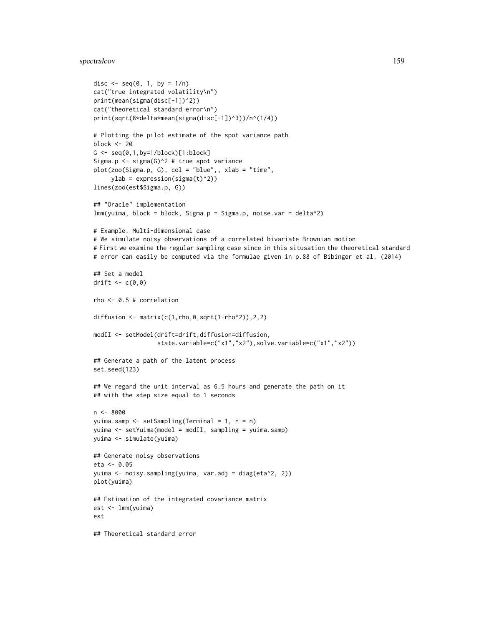# spectralcov 159

```
disc \leq seq(0, 1, by = 1/n)
cat("true integrated volatility\n")
print(mean(sigma(disc[-1])^2))
cat("theoretical standard error\n")
print(sqrt(8*delta*mean(sigma(disc[-1])^3))/n^(1/4))
# Plotting the pilot estimate of the spot variance path
block <- 20
G \leftarrow \text{seq}(0, 1, \text{by=1/block})[1:block]
Sigma.p <- sigma(G)^2 # true spot variance
plot(zoo(Sigma.p, G), col = "blue",, xlab = "time",
     ylab = expression(sigma(t)^2)lines(zoo(est$Sigma.p, G))
## "Oracle" implementation
lmm(yuima, block = block, Sigma.p = Sigma.p, noise.var = delta^2)
# Example. Multi-dimensional case
# We simulate noisy observations of a correlated bivariate Brownian motion
# First we examine the regular sampling case since in this situsation the theoretical standard
# error can easily be computed via the formulae given in p.88 of Bibinger et al. (2014)
## Set a model
drift \leq c(0,0)rho <- 0.5 # correlation
diffusion \leq matrix(c(1, rho, 0, sqrt(1-rho^2)), 2, 2)
modII <- setModel(drift=drift,diffusion=diffusion,
                  state.variable=c("x1","x2"),solve.variable=c("x1","x2"))
## Generate a path of the latent process
set.seed(123)
## We regard the unit interval as 6.5 hours and generate the path on it
## with the step size equal to 1 seconds
n <- 8000
yuima.samp <- setSampling(Terminal = 1, n = n)
yuima <- setYuima(model = modII, sampling = yuima.samp)
yuima <- simulate(yuima)
## Generate noisy observations
eta <- 0.05
yuima <- noisy.sampling(yuima, var.adj = diag(eta^2, 2))
plot(yuima)
## Estimation of the integrated covariance matrix
est <- lmm(yuima)
est
## Theoretical standard error
```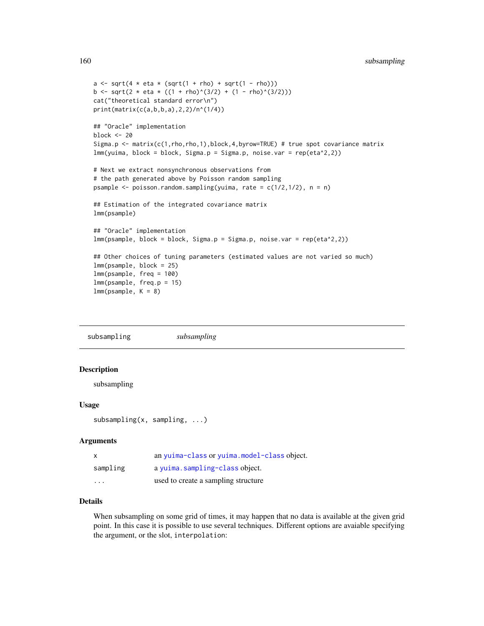```
a \leq \sqrt{4 \times 1} + eta \sqrt{2} (sqrt(1 + rho) + sqrt(1 - rho)))
b <- sqrt(2 * eta * ((1 + rho)^(3/2) + (1 - rho)^(3/2)))
cat("theoretical standard error\n")
print(matrix(c(a,b,b,a),2,2)/n^(1/4))
## "Oracle" implementation
block <- 20
Sigma.p <- matrix(c(1,rho,rho,1),block,4,byrow=TRUE) # true spot covariance matrix
lmm(yuima, block = block, Sigma.p = Sigma.p, noise.var = rep(eta^2,2))
# Next we extract nonsynchronous observations from
# the path generated above by Poisson random sampling
psample \leq poisson.random.sampling(yuima, rate = c(1/2,1/2), n = n)
## Estimation of the integrated covariance matrix
lmm(psample)
## "Oracle" implementation
lmm(psample, block = block, Sigma.p = Sigma.p, noise.var = rep(eta^2,2))
## Other choices of tuning parameters (estimated values are not varied so much)
lmm(psample, block = 25)
lmm(psample, freq = 100)
lmm(psample, freq.p = 15)
lmm(psample, K = 8)
```
subsampling *subsampling*

## Description

subsampling

## Usage

subsampling(x, sampling, ...)

## Arguments

| $\boldsymbol{\mathsf{x}}$ | an yuima-class or yuima.model-class object. |
|---------------------------|---------------------------------------------|
| sampling                  | a yuima.sampling-class object.              |
| $\cdot$                   | used to create a sampling structure         |

# Details

When subsampling on some grid of times, it may happen that no data is available at the given grid point. In this case it is possible to use several techniques. Different options are avaiable specifying the argument, or the slot, interpolation: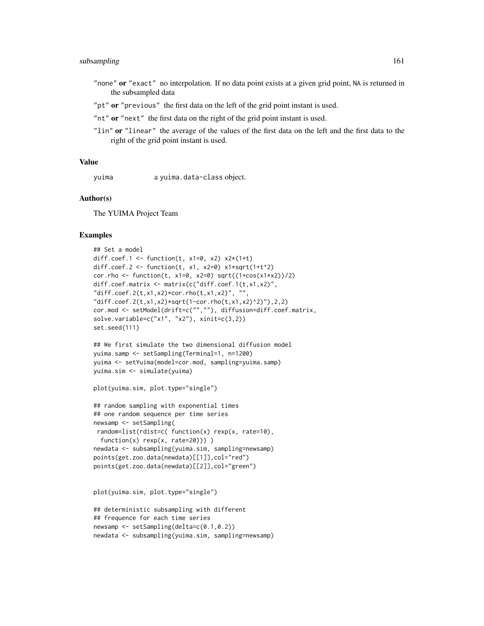# subsampling 161

- "none" or "exact" no interpolation. If no data point exists at a given grid point, NA is returned in the subsampled data
- "pt" or "previous" the first data on the left of the grid point instant is used.
- "nt" or "next" the first data on the right of the grid point instant is used.
- "lin" or "linear" the average of the values of the first data on the left and the first data to the right of the grid point instant is used.

#### Value

yuima a yuima.data-class object.

## Author(s)

The YUIMA Project Team

#### Examples

```
## Set a model
diff.coef.1 <- function(t, x1=0, x2) x2*(1+t)diff.coef.2 <- function(t, x1, x2=0) x1*sqrt(1+t^2)cor.rho <- function(t, x1=0, x2=0) sqrt((1+cos(x1+x2))/2)diff.coef.matrix <- matrix(c("diff.coef.1(t,x1,x2)",
"diff.coef.2(t,x1,x2)*cor.rho(t,x1,x2)", "",
"diff.coef.2(t,x1,x2)*sqrt(1-cor.rho(t,x1,x2)^2)"),2,2)
cor.mod <- setModel(drift=c("",""), diffusion=diff.coef.matrix,
solve.variable=c("x1", "x2"), xinit=c(3,2))
set.seed(111)
## We first simulate the two dimensional diffusion model
```

```
yuima.samp <- setSampling(Terminal=1, n=1200)
yuima <- setYuima(model=cor.mod, sampling=yuima.samp)
yuima.sim <- simulate(yuima)
```

```
plot(yuima.sim, plot.type="single")
```

```
## random sampling with exponential times
## one random sequence per time series
newsamp <- setSampling(
random=list(rdist=c( function(x) rexp(x, rate=10),
 function(x) rexp(x, rate=20)))
newdata <- subsampling(yuima.sim, sampling=newsamp)
points(get.zoo.data(newdata)[[1]],col="red")
points(get.zoo.data(newdata)[[2]],col="green")
```

```
plot(yuima.sim, plot.type="single")
```

```
## deterministic subsampling with different
## frequence for each time series
newsamp <- setSampling(delta=c(0.1,0.2))
newdata <- subsampling(yuima.sim, sampling=newsamp)
```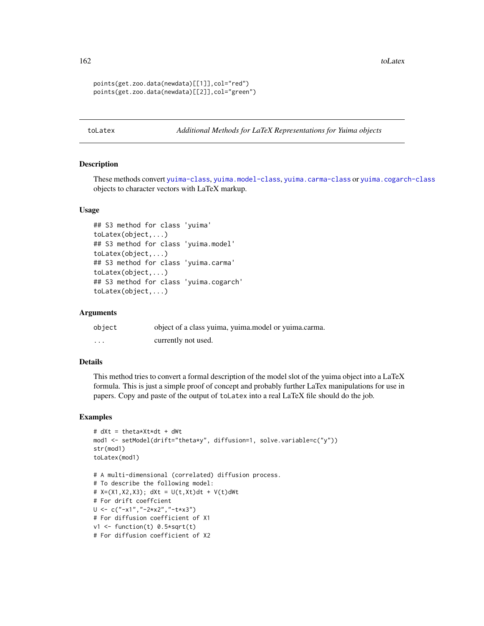162 toLatex to the control of the control of the control of the control of the control of the control of the control of the control of the control of the control of the control of the control of the control of the control

```
points(get.zoo.data(newdata)[[1]],col="red")
points(get.zoo.data(newdata)[[2]],col="green")
```
toLatex *Additional Methods for LaTeX Representations for Yuima objects*

## Description

These methods convert [yuima-class](#page-166-0), [yuima.model-class](#page-178-0), [yuima.carma-class](#page-168-0) or [yuima.cogarch-class](#page-170-0) objects to character vectors with LaTeX markup.

## Usage

```
## S3 method for class 'yuima'
toLatex(object,...)
## S3 method for class 'yuima.model'
toLatex(object,...)
## S3 method for class 'yuima.carma'
toLatex(object,...)
## S3 method for class 'yuima.cogarch'
toLatex(object,...)
```
# Arguments

| object   | object of a class yuima, yuima.model or yuima.carma. |
|----------|------------------------------------------------------|
| $\cdots$ | currently not used.                                  |

# Details

This method tries to convert a formal description of the model slot of the yuima object into a LaTeX formula. This is just a simple proof of concept and probably further LaTex manipulations for use in papers. Copy and paste of the output of toLatex into a real LaTeX file should do the job.

#### Examples

```
# dXt = theta*Xt*dt + dWt
mod1 <- setModel(drift="theta*y", diffusion=1, solve.variable=c("y"))
str(mod1)
toLatex(mod1)
# A multi-dimensional (correlated) diffusion process.
# To describe the following model:
# X=(X1, X2, X3); dXt = U(t, Xt)dt + V(t) dWt# For drift coeffcient
U \leq C("-x1", "-2*x2", "-txx3")# For diffusion coefficient of X1
v1 <- function(t) 0.5*sqrt(t)
# For diffusion coefficient of X2
```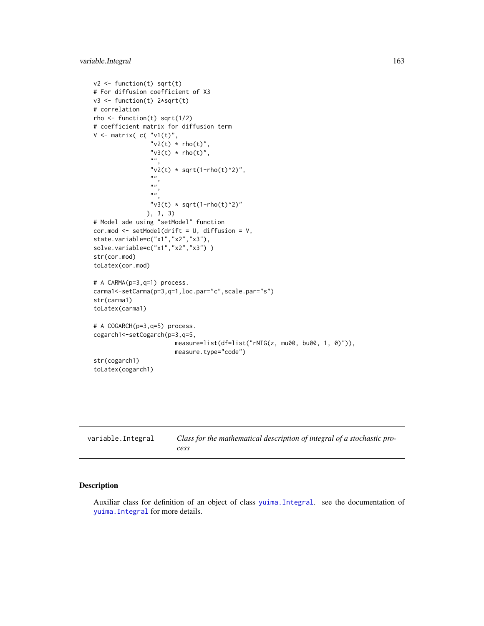```
v2 \leftarrow function(t) sqrt(t)
# For diffusion coefficient of X3
v3 <- function(t) 2*sqrt(t)
# correlation
rho \le function(t) sqrt(1/2)
# coefficient matrix for diffusion term
V \leq matrix( c( "v1(t)",
                 "v2(t) * rho(t)","v3(t) * rho(t)",".
                 "v2(t) * sqrt(1-rho(t)^2)",
                 ",
                 \hat{\bar{n}} \hat{\bar{n}}",
                 "v3(t) * sqrt(1-rho(t)^2)"), 3, 3)
# Model sde using "setModel" function
cor.mod <- setModel(drift = U, diffusion = V,
state.variable=c("x1","x2","x3"),
solve.variable=c("x1","x2","x3"))
str(cor.mod)
toLatex(cor.mod)
# A CARMA(p=3,q=1) process.
carma1<-setCarma(p=3,q=1,loc.par="c",scale.par="s")
str(carma1)
toLatex(carma1)
# A COGARCH(p=3,q=5) process.
cogarch1<-setCogarch(p=3,q=5,
                        measure=list(df=list("rNIG(z, mu00, bu00, 1, 0)")),
                        measure.type="code")
str(cogarch1)
toLatex(cogarch1)
```

| variable.Integral | Class for the mathematical description of integral of a stochastic pro- |
|-------------------|-------------------------------------------------------------------------|
|                   | cess                                                                    |

Auxiliar class for definition of an object of class [yuima.Integral](#page-175-0). see the documentation of [yuima.Integral](#page-175-0) for more details.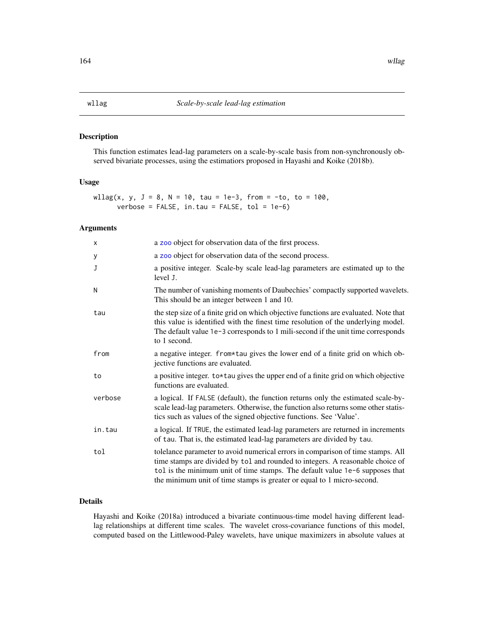This function estimates lead-lag parameters on a scale-by-scale basis from non-synchronously observed bivariate processes, using the estimatiors proposed in Hayashi and Koike (2018b).

# Usage

wllag(x, y, J = 8, N = 10, tau = 1e-3, from = -to, to = 100,  $verbose = FALSE, in.tau = FALSE, tol = 1e-6)$ 

# Arguments

| $\times$     | a zoo object for observation data of the first process.                                                                                                                                                                                                                                                                     |
|--------------|-----------------------------------------------------------------------------------------------------------------------------------------------------------------------------------------------------------------------------------------------------------------------------------------------------------------------------|
| у            | a zoo object for observation data of the second process.                                                                                                                                                                                                                                                                    |
| $\mathbf{J}$ | a positive integer. Scale-by scale lead-lag parameters are estimated up to the<br>level J.                                                                                                                                                                                                                                  |
| N            | The number of vanishing moments of Daubechies' compactly supported wavelets.<br>This should be an integer between 1 and 10.                                                                                                                                                                                                 |
| tau          | the step size of a finite grid on which objective functions are evaluated. Note that<br>this value is identified with the finest time resolution of the underlying model.<br>The default value 1e-3 corresponds to 1 mili-second if the unit time corresponds<br>to 1 second.                                               |
| from         | a negative integer. from*tau gives the lower end of a finite grid on which ob-<br>jective functions are evaluated.                                                                                                                                                                                                          |
| to           | a positive integer. to*tau gives the upper end of a finite grid on which objective<br>functions are evaluated.                                                                                                                                                                                                              |
| verbose      | a logical. If FALSE (default), the function returns only the estimated scale-by-<br>scale lead-lag parameters. Otherwise, the function also returns some other statis-<br>tics such as values of the signed objective functions. See 'Value'.                                                                               |
| in.tau       | a logical. If TRUE, the estimated lead-lag parameters are returned in increments<br>of tau. That is, the estimated lead-lag parameters are divided by tau.                                                                                                                                                                  |
| tol          | tolelance parameter to avoid numerical errors in comparison of time stamps. All<br>time stamps are divided by tol and rounded to integers. A reasonable choice of<br>tol is the minimum unit of time stamps. The default value 1e-6 supposes that<br>the minimum unit of time stamps is greater or equal to 1 micro-second. |

# Details

Hayashi and Koike (2018a) introduced a bivariate continuous-time model having different leadlag relationships at different time scales. The wavelet cross-covariance functions of this model, computed based on the Littlewood-Paley wavelets, have unique maximizers in absolute values at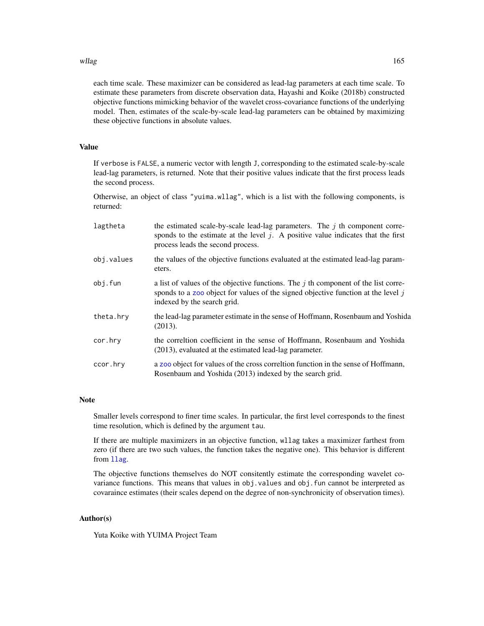#### willag and the state of the state of the state of the state of the state of the state of the state of the state of the state of the state of the state of the state of the state of the state of the state of the state of the

each time scale. These maximizer can be considered as lead-lag parameters at each time scale. To estimate these parameters from discrete observation data, Hayashi and Koike (2018b) constructed objective functions mimicking behavior of the wavelet cross-covariance functions of the underlying model. Then, estimates of the scale-by-scale lead-lag parameters can be obtained by maximizing these objective functions in absolute values.

# Value

If verbose is FALSE, a numeric vector with length J, corresponding to the estimated scale-by-scale lead-lag parameters, is returned. Note that their positive values indicate that the first process leads the second process.

Otherwise, an object of class "yuima.wllag", which is a list with the following components, is returned:

| lagtheta   | the estimated scale-by-scale lead-lag parameters. The $j$ th component corre-<br>sponds to the estimate at the level $j$ . A positive value indicates that the first<br>process leads the second process.  |
|------------|------------------------------------------------------------------------------------------------------------------------------------------------------------------------------------------------------------|
| obj.values | the values of the objective functions evaluated at the estimated lead-lag param-<br>eters.                                                                                                                 |
| obj.fun    | a list of values of the objective functions. The $j$ th component of the list corre-<br>sponds to a zoo object for values of the signed objective function at the level $j$<br>indexed by the search grid. |
| theta.hry  | the lead-lag parameter estimate in the sense of Hoffmann, Rosenbaum and Yoshida<br>(2013).                                                                                                                 |
| cor.hry    | the correltion coefficient in the sense of Hoffmann, Rosenbaum and Yoshida<br>(2013), evaluated at the estimated lead-lag parameter.                                                                       |
| ccor.hry   | a zoo object for values of the cross correlation function in the sense of Hoffmann,<br>Rosenbaum and Yoshida (2013) indexed by the search grid.                                                            |

## Note

Smaller levels correspond to finer time scales. In particular, the first level corresponds to the finest time resolution, which is defined by the argument tau.

If there are multiple maximizers in an objective function, wllag takes a maximizer farthest from zero (if there are two such values, the function takes the negative one). This behavior is different from [llag](#page-70-0).

The objective functions themselves do NOT consitently estimate the corresponding wavelet covariance functions. This means that values in obj.values and obj.fun cannot be interpreted as covaraince estimates (their scales depend on the degree of non-synchronicity of observation times).

## Author(s)

Yuta Koike with YUIMA Project Team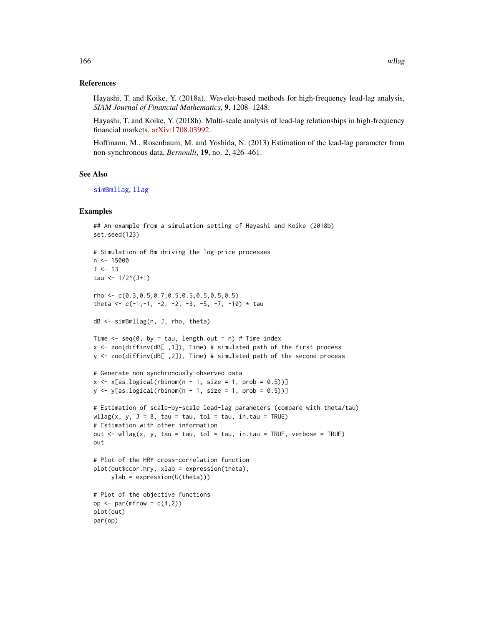## References

Hayashi, T. and Koike, Y. (2018a). Wavelet-based methods for high-frequency lead-lag analysis, *SIAM Journal of Financial Mathematics*, 9, 1208–1248.

Hayashi, T. and Koike, Y. (2018b). Multi-scale analysis of lead-lag relationships in high-frequency financial markets. [arXiv:1708.03992.](https://arxiv.org/abs/1708.03992)

Hoffmann, M., Rosenbaum, M. and Yoshida, N. (2013) Estimation of the lead-lag parameter from non-synchronous data, *Bernoulli*, 19, no. 2, 426–461.

# See Also

[simBmllag](#page-142-0), [llag](#page-70-0)

## Examples

```
## An example from a simulation setting of Hayashi and Koike (2018b)
set.seed(123)
# Simulation of Bm driving the log-price processes
n < -15000J < -13tau <- 1/2^(J+1)
rho <- c(0.3,0.5,0.7,0.5,0.5,0.5,0.5,0.5)
theta <- c(-1, -1, -2, -2, -3, -5, -7, -10) * tau
dB <- simBmllag(n, J, rho, theta)
Time \leq seq(0, by = tau, length.out = n) # Time index
x <- zoo(diffinv(dB[ ,1]), Time) # simulated path of the first process
y <- zoo(diffinv(dB[ ,2]), Time) # simulated path of the second process
# Generate non-synchronously observed data
x \leq x[as.logical(rbinom(n + 1, size = 1, prob = 0.5))]
y \le y [as.logical(rbinom(n + 1, size = 1, prob = 0.5))]
# Estimation of scale-by-scale lead-lag parameters (compare with theta/tau)
wllag(x, y, J = 8, tau = tau, tol = tau, in.tau = TRUE)
# Estimation with other information
out \le wllag(x, y, tau = tau, tol = tau, in.tau = TRUE, verbose = TRUE)
out
# Plot of the HRY cross-correlation function
plot(out$ccor.hry, xlab = expression(theta),
     ylab = expression(U(theta)))
# Plot of the objective functions
op \leq par(mfrow = c(4,2))
plot(out)
par(op)
```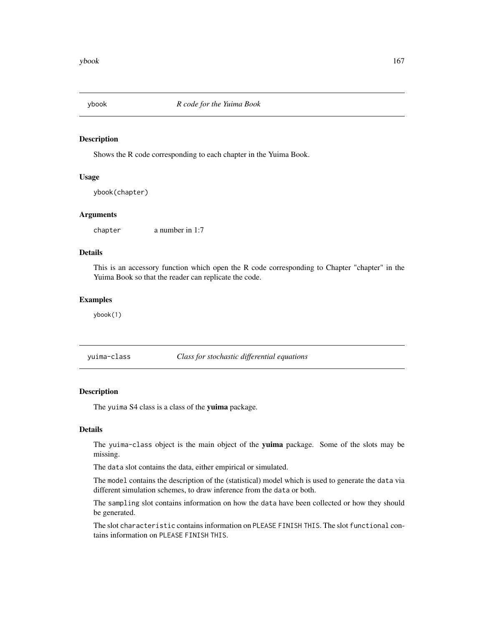Shows the R code corresponding to each chapter in the Yuima Book.

# Usage

```
ybook(chapter)
```
# Arguments

chapter a number in 1:7

# Details

This is an accessory function which open the R code corresponding to Chapter "chapter" in the Yuima Book so that the reader can replicate the code.

## Examples

ybook(1)

<span id="page-166-0"></span>yuima-class *Class for stochastic differential equations*

# Description

The yuima S4 class is a class of the yuima package.

# Details

The yuima-class object is the main object of the yuima package. Some of the slots may be missing.

The data slot contains the data, either empirical or simulated.

The model contains the description of the (statistical) model which is used to generate the data via different simulation schemes, to draw inference from the data or both.

The sampling slot contains information on how the data have been collected or how they should be generated.

The slot characteristic contains information on PLEASE FINISH THIS. The slot functional contains information on PLEASE FINISH THIS.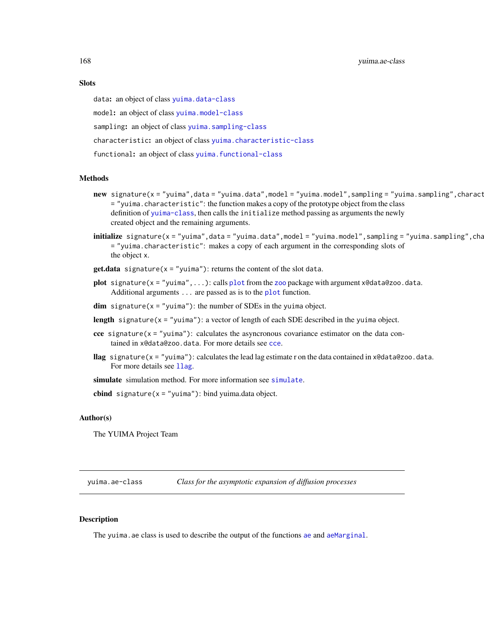168 yuima.ae-class

# **Slots**

data: an object of class [yuima.data-class](#page-173-0)

model: an object of class [yuima.model-class](#page-178-0)

sampling: an object of class [yuima.sampling-class](#page-185-0)

characteristic: an object of class [yuima.characteristic-class](#page-170-1)

functional: an object of class [yuima.functional-class](#page-174-0)

# Methods

- new signature(x = "yuima",data = "yuima.data",model = "yuima.model",sampling = "yuima.sampling",charact = "yuima.characteristic": the function makes a copy of the prototype object from the class definition of [yuima-class](#page-166-0), then calls the initialize method passing as arguments the newly created object and the remaining arguments.
- $initialize$  signature(x = "yuima",data = "yuima.data",model = "yuima.model",sampling = "yuima.sampling",cha = "yuima.characteristic": makes a copy of each argument in the corresponding slots of the object x.
- **get.data** signature( $x = "yujma")$ : returns the content of the slot data.
- [plot](#page-0-0) signature( $x = "y$ uima",...): calls plot from the [zoo](#page-0-0) package with argument x@data@zoo.data. Additional arguments ... are passed as is to the [plot](#page-0-0) function.
- **dim** signature( $x =$ "yuima"): the number of SDEs in the yuima object.
- length signature( $x =$ "yuima"): a vector of length of each SDE described in the yuima object.
- cce signature( $x =$ "yuima"): calculates the asyncronous covariance estimator on the data contained in x@data@zoo.data. For more details see [cce](#page-23-0).
- llag signature(x = "yuima"): calculates the lead lag estimate r on the data contained in x@data@zoo.data. For more details see 11ag.

[simulate](#page-146-0) simulation method. For more information see simulate.

**cbind** signature( $x = "y$ uima"): bind yuima.data object.

## Author(s)

The YUIMA Project Team

yuima.ae-class *Class for the asymptotic expansion of diffusion processes*

#### Description

The yuima. [ae](#page-5-0) class is used to describe the output of the functions ae and [aeMarginal](#page-11-0).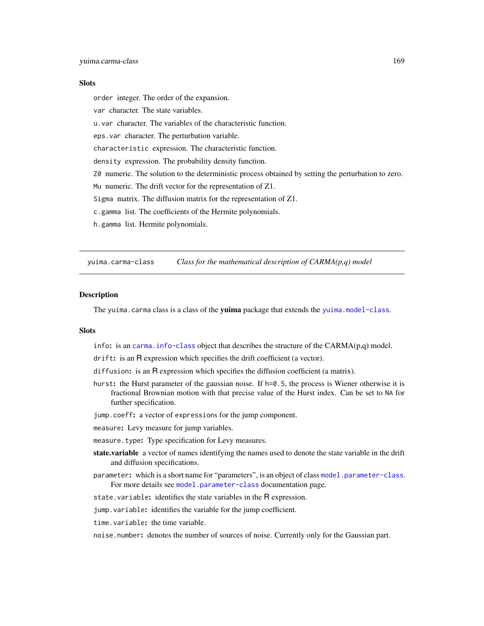## **Slots**

order integer. The order of the expansion.

var character. The state variables.

u.var character. The variables of the characteristic function.

eps.var character. The perturbation variable.

characteristic expression. The characteristic function.

density expression. The probability density function.

Z0 numeric. The solution to the deterministic process obtained by setting the perturbation to zero.

Mu numeric. The drift vector for the representation of Z1.

Sigma matrix. The diffusion matrix for the representation of Z1.

c.gamma list. The coefficients of the Hermite polynomials.

h.gamma list. Hermite polynomials.

<span id="page-168-0"></span>yuima.carma-class *Class for the mathematical description of CARMA(p,q) model*

#### **Description**

The yuima.carma class is a class of the yuima package that extends the [yuima.model-class](#page-178-0).

## **Slots**

info: is an carma. info-class object that describes the structure of the  $CARMA(p,q)$  model.

drift: is an R expression which specifies the drift coefficient (a vector).

- diffusion: is an R expression which specifies the diffusion coefficient (a matrix).
- hurst: the Hurst parameter of the gaussian noise. If h=0.5, the process is Wiener otherwise it is fractional Brownian motion with that precise value of the Hurst index. Can be set to NA for further specification.

jump.coeff: a vector of expressions for the jump component.

measure: Levy measure for jump variables.

measure.type: Type specification for Levy measures.

- state.variable a vector of names identifying the names used to denote the state variable in the drift and diffusion specifications.
- parameter: which is a short name for "parameters", is an object of class [model.parameter-class](#page-86-0). For more details see [model.parameter-class](#page-86-0) documentation page.

state.variable: identifies the state variables in the R expression.

jump.variable: identifies the variable for the jump coefficient.

time.variable: the time variable.

noise.number: denotes the number of sources of noise. Currently only for the Gaussian part.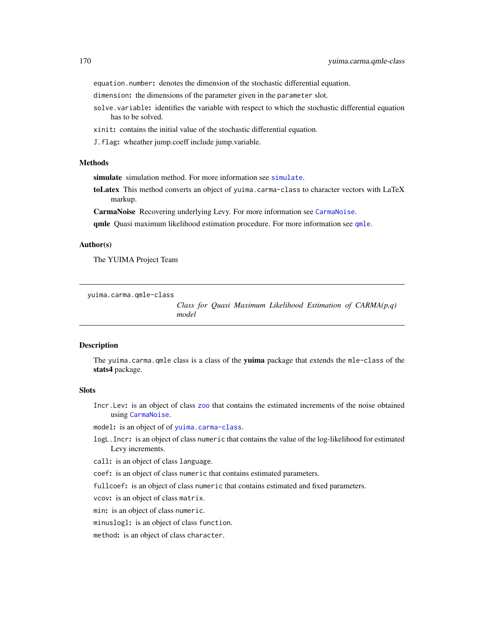equation.number: denotes the dimension of the stochastic differential equation.

dimension: the dimensions of the parameter given in the parameter slot.

- solve.variable: identifies the variable with respect to which the stochastic differential equation has to be solved.
- xinit: contains the initial value of the stochastic differential equation.
- J.flag: wheather jump.coeff include jump.variable.

#### Methods

[simulate](#page-146-0) simulation method. For more information see simulate.

toLatex This method converts an object of yuima.carma-class to character vectors with LaTeX markup.

CarmaNoise Recovering underlying Levy. For more information see [CarmaNoise](#page-21-0).

[qmle](#page-101-0) Quasi maximum likelihood estimation procedure. For more information see qmle.

## Author(s)

The YUIMA Project Team

yuima.carma.qmle-class

*Class for Quasi Maximum Likelihood Estimation of CARMA(p,q) model*

#### **Description**

The yuima.carma.qmle class is a class of the yuima package that extends the mle-class of the stats4 package.

# **Slots**

Incr.Lev: is an object of class [zoo](#page-0-0) that contains the estimated increments of the noise obtained using [CarmaNoise](#page-21-0).

model: is an object of of [yuima.carma-class](#page-168-0).

logL.Incr: is an object of class numeric that contains the value of the log-likelihood for estimated Levy increments.

call: is an object of class language.

coef: is an object of class numeric that contains estimated parameters.

fullcoef: is an object of class numeric that contains estimated and fixed parameters.

vcov: is an object of class matrix.

min: is an object of class numeric.

minuslogl: is an object of class function.

method: is an object of class character.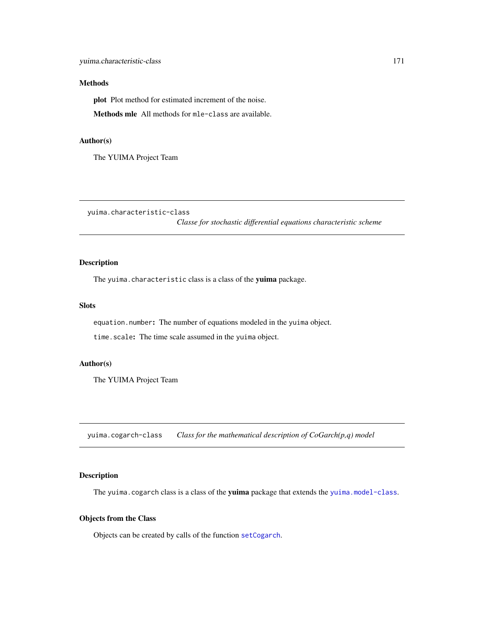## Methods

plot Plot method for estimated increment of the noise.

Methods mle All methods for mle-class are available.

## Author(s)

The YUIMA Project Team

<span id="page-170-1"></span>yuima.characteristic-class

*Classe for stochastic differential equations characteristic scheme*

# Description

The yuima.characteristic class is a class of the yuima package.

# Slots

equation.number: The number of equations modeled in the yuima object.

time.scale: The time scale assumed in the yuima object.

# Author(s)

The YUIMA Project Team

<span id="page-170-0"></span>yuima.cogarch-class *Class for the mathematical description of CoGarch(p,q) model*

# Description

The yuima.cogarch class is a class of the yuima package that extends the [yuima.model-class](#page-178-0).

# Objects from the Class

Objects can be created by calls of the function [setCogarch](#page-121-0).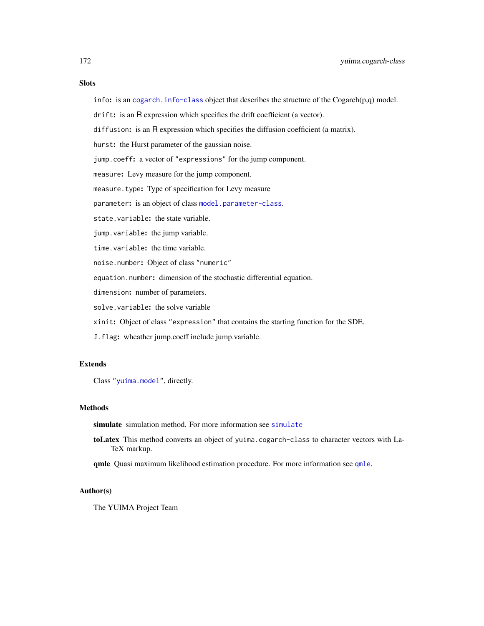# **Slots**

info: is an [cogarch.info-class](#page-40-0) object that describes the structure of the  $Cogarch(p,q)$  model.

drift: is an R expression which specifies the drift coefficient (a vector).

diffusion: is an R expression which specifies the diffusion coefficient (a matrix).

hurst: the Hurst parameter of the gaussian noise.

jump.coeff: a vector of "expressions" for the jump component.

measure: Levy measure for the jump component.

measure.type: Type of specification for Levy measure

parameter: is an object of class [model.parameter-class](#page-86-0).

state.variable: the state variable.

jump.variable: the jump variable.

time.variable: the time variable.

noise.number: Object of class "numeric"

equation.number: dimension of the stochastic differential equation.

dimension: number of parameters.

solve.variable: the solve variable

xinit: Object of class "expression" that contains the starting function for the SDE.

J.flag: wheather jump.coeff include jump.variable.

# Extends

Class ["yuima.model"](#page-178-0), directly.

## **Methods**

[simulate](#page-146-0) simulation method. For more information see simulate

toLatex This method converts an object of yuima.cogarch-class to character vectors with La-TeX markup.

[qmle](#page-101-0) Quasi maximum likelihood estimation procedure. For more information see qmle.

# Author(s)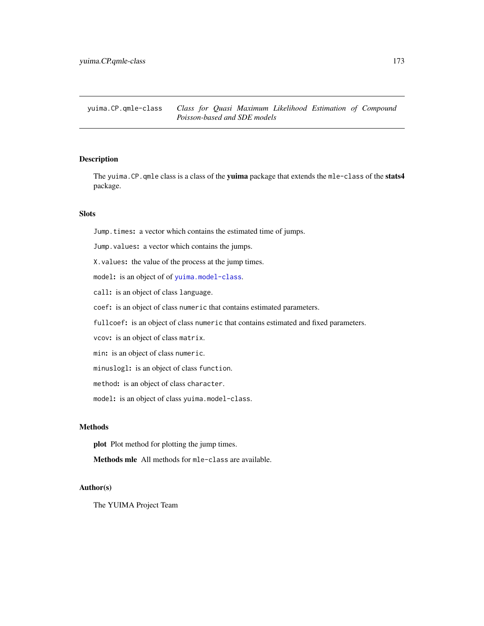The yuima.CP.qmle class is a class of the yuima package that extends the mle-class of the stats4 package.

# Slots

Jump.times: a vector which contains the estimated time of jumps.

Jump. values: a vector which contains the jumps.

X.values: the value of the process at the jump times.

model: is an object of of [yuima.model-class](#page-178-0).

call: is an object of class language.

coef: is an object of class numeric that contains estimated parameters.

fullcoef: is an object of class numeric that contains estimated and fixed parameters.

vcov: is an object of class matrix.

min: is an object of class numeric.

minuslogl: is an object of class function.

method: is an object of class character.

model: is an object of class yuima.model-class.

#### Methods

plot Plot method for plotting the jump times.

Methods mle All methods for mle-class are available.

## Author(s)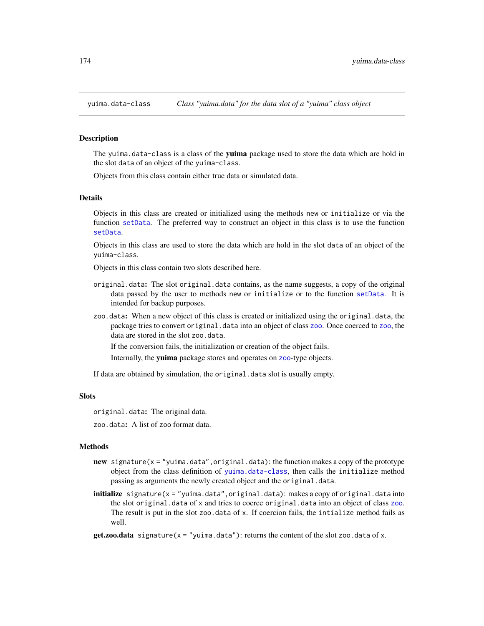<span id="page-173-0"></span>

The yuima.data-class is a class of the yuima package used to store the data which are hold in the slot data of an object of the yuima-class.

Objects from this class contain either true data or simulated data.

#### Details

Objects in this class are created or initialized using the methods new or initialize or via the function [setData](#page-123-0). The preferred way to construct an object in this class is to use the function [setData](#page-123-0).

Objects in this class are used to store the data which are hold in the slot data of an object of the yuima-class.

Objects in this class contain two slots described here.

- original.data: The slot original.data contains, as the name suggests, a copy of the original data passed by the user to methods new or initialize or to the function [setData](#page-123-0). It is intended for backup purposes.
- zoo.data: When a new object of this class is created or initialized using the original.data, the package tries to convert original.data into an object of class [zoo](#page-0-0). Once coerced to zoo, the data are stored in the slot zoo.data.

If the conversion fails, the initialization or creation of the object fails.

Internally, the yuima package stores and operates on [zoo](#page-0-0)-type objects.

If data are obtained by simulation, the original.data slot is usually empty.

#### Slots

original.data: The original data.

zoo.data: A list of zoo format data.

#### Methods

- new signature( $x =$ "yuima.data", original.data): the function makes a copy of the prototype object from the class definition of [yuima.data-class](#page-173-0), then calls the initialize method passing as arguments the newly created object and the original.data.
- **initialize** signature( $x = "y$ uima.data", original.data): makes a copy of original.data into the slot original.data of x and tries to coerce original.data into an object of class [zoo](#page-0-0). The result is put in the slot zoo.data of x. If coercion fails, the intialize method fails as well.

 $get.zoo.data$  signature( $x = "yuima.data"$ ): returns the content of the slot zoo.data of x.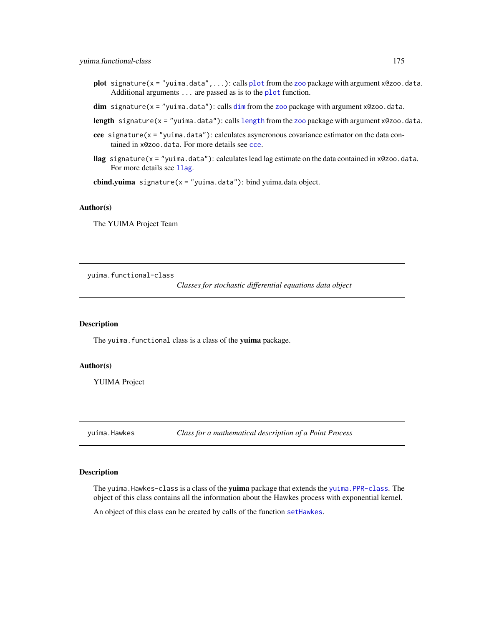- [plot](#page-0-0) signature( $x =$ "yuima.data",...): calls plot from the [zoo](#page-0-0) package with argument  $x@zoo$ .data. Additional arguments . . . are passed as is to the [plot](#page-0-0) function.
- $dim$  signature( $x = "y(uima.data")$ : calls  $dim$  from the [zoo](#page-0-0) package with argument  $x@zoo.data$ .

[length](#page-123-1) signature( $x =$  "yuima.data"): calls length from the [zoo](#page-0-0) package with argument  $x@zoo$ .data.

- cce signature( $x =$ "yuima.data"): calculates asyncronous covariance estimator on the data contained in x@zoo.data. For more details see [cce](#page-23-0).
- llag signature( $x =$  "yuima.data"): calculates lead lag estimate on the data contained in  $x@zoo$ .data. For more details see [llag](#page-70-0).

cbind.yuima signature( $x = "y$ uima.data"): bind yuima.data object.

# Author(s)

The YUIMA Project Team

<span id="page-174-0"></span>yuima.functional-class

*Classes for stochastic differential equations data object*

# Description

The yuima. functional class is a class of the yuima package.

# Author(s)

YUIMA Project

yuima.Hawkes *Class for a mathematical description of a Point Process*

## Description

The yuima. Hawkes-class is a class of the **yuima** package that extends the yuima. PPR-class. The object of this class contains all the information about the Hawkes process with exponential kernel.

An object of this class can be created by calls of the function [setHawkes](#page-126-0).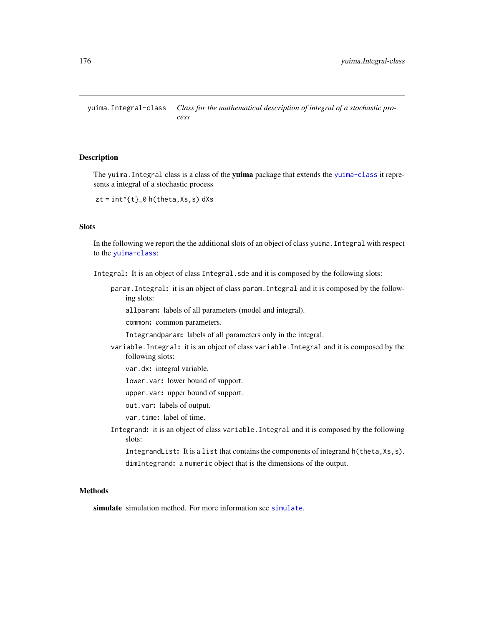yuima.Integral-class *Class for the mathematical description of integral of a stochastic process*

# <span id="page-175-0"></span>Description

The yuima. Integral class is a class of the **yuima** package that extends the [yuima-class](#page-166-0) it represents a integral of a stochastic process

 $zt = int^{(t)}_0 h(theta,Xs,s) dXs$ 

# Slots

In the following we report the the additional slots of an object of class yuima.Integral with respect to the [yuima-class](#page-166-0):

Integral: It is an object of class Integral.sde and it is composed by the following slots:

param.Integral: it is an object of class param.Integral and it is composed by the following slots:

allparam: labels of all parameters (model and integral).

common: common parameters.

Integrandparam: labels of all parameters only in the integral.

variable.Integral: it is an object of class variable.Integral and it is composed by the following slots:

var.dx: integral variable.

lower.var: lower bound of support.

upper.var: upper bound of support.

out.var: labels of output.

var.time: label of time.

Integrand: it is an object of class variable.Integral and it is composed by the following slots:

```
IntegrandList: It is a list that contains the components of integrand h(theta, Xs, s).
dimIntegrand: a numeric object that is the dimensions of the output.
```
# **Methods**

[simulate](#page-146-0) simulation method. For more information see simulate.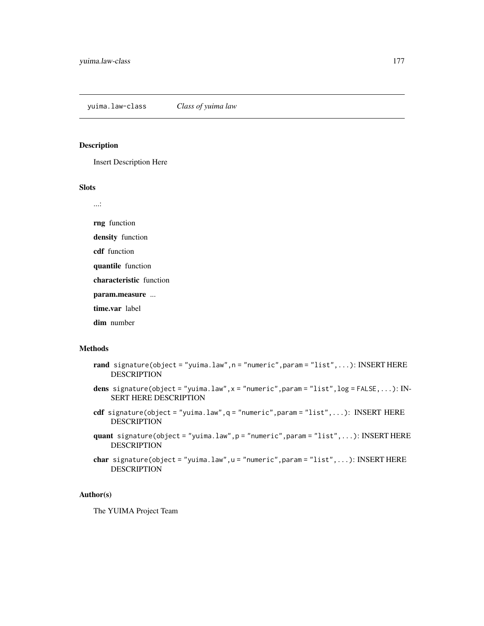Insert Description Here

# Slots

...:

rng function

density function

cdf function

quantile function

characteristic function

param.measure ...

time.var label

dim number

# Methods

- rand signature(object = "yuima.law", n = "numeric", param = "list", ...): INSERT HERE DESCRIPTION
- dens signature(object = "yuima.law", $x =$  "numeric", param = "list",  $log =$  FALSE,...): IN-SERT HERE DESCRIPTION
- cdf signature(object = "yuima.law",q = "numeric",param = "list",...): INSERT HERE DESCRIPTION
- quant signature(object = "yuima.law",p = "numeric",param = "list",...): INSERT HERE DESCRIPTION
- char signature(object = "yuima.law", u = "numeric", param = "list", ...): INSERT HERE DESCRIPTION

# Author(s)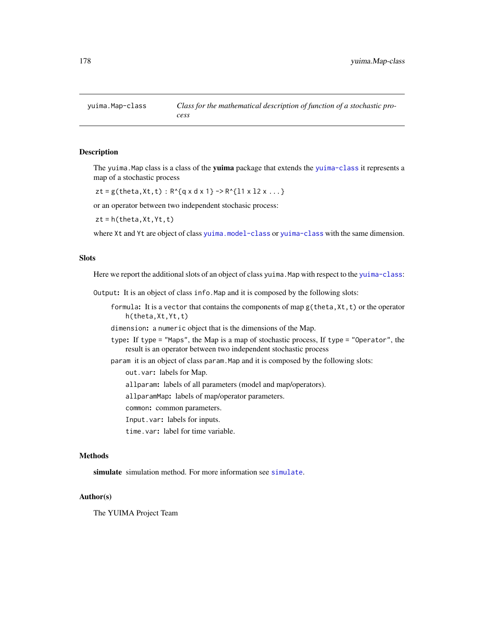The yuima. Map class is a class of the yuima package that extends the [yuima-class](#page-166-0) it represents a map of a stochastic process

 $zt = g(theta, Xt, t): R^{(q x d x 1)} \rightarrow R^{(11 x 12 x ...)}$ 

or an operator between two independent stochasic process:

 $zt = h(theta,Xt,Yt,t)$ 

where Xt and Yt are object of class [yuima.model-class](#page-178-0) or [yuima-class](#page-166-0) with the same dimension.

# **Slots**

Here we report the additional slots of an object of class yuima. Map with respect to the [yuima-class](#page-166-0):

Output: It is an object of class info.Map and it is composed by the following slots:

formula: It is a vector that contains the components of map  $g$ (theta,  $Xt, t$ ) or the operator h(theta,Xt,Yt,t)

dimension: a numeric object that is the dimensions of the Map.

- type: If type = "Maps", the Map is a map of stochastic process, If type = "Operator", the result is an operator between two independent stochastic process
- param it is an object of class param.Map and it is composed by the following slots:

out.var: labels for Map.

allparam: labels of all parameters (model and map/operators).

allparamMap: labels of map/operator parameters.

common: common parameters.

Input.var: labels for inputs.

time.var: label for time variable.

# Methods

[simulate](#page-146-0) simulation method. For more information see simulate.

## Author(s)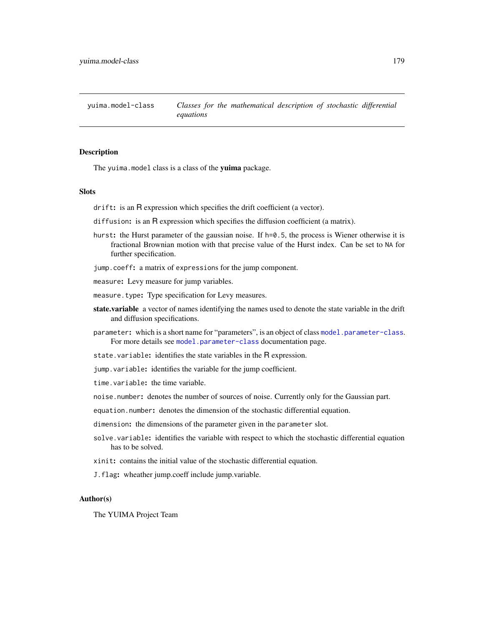<span id="page-178-0"></span>yuima.model-class *Classes for the mathematical description of stochastic differential equations*

## Description

The yuima.model class is a class of the yuima package.

#### Slots

drift: is an R expression which specifies the drift coefficient (a vector).

- diffusion: is an R expression which specifies the diffusion coefficient (a matrix).
- hurst: the Hurst parameter of the gaussian noise. If h=0.5, the process is Wiener otherwise it is fractional Brownian motion with that precise value of the Hurst index. Can be set to NA for further specification.
- jump.coeff: a matrix of expressions for the jump component.

measure: Levy measure for jump variables.

measure.type: Type specification for Levy measures.

- state.variable a vector of names identifying the names used to denote the state variable in the drift and diffusion specifications.
- parameter: which is a short name for "parameters", is an object of class [model.parameter-class](#page-86-0). For more details see [model.parameter-class](#page-86-0) documentation page.
- state.variable: identifies the state variables in the R expression.
- jump.variable: identifies the variable for the jump coefficient.

time.variable: the time variable.

noise.number: denotes the number of sources of noise. Currently only for the Gaussian part.

equation.number: denotes the dimension of the stochastic differential equation.

- dimension: the dimensions of the parameter given in the parameter slot.
- solve.variable: identifies the variable with respect to which the stochastic differential equation has to be solved.
- xinit: contains the initial value of the stochastic differential equation.
- J.flag: wheather jump.coeff include jump.variable.

# Author(s)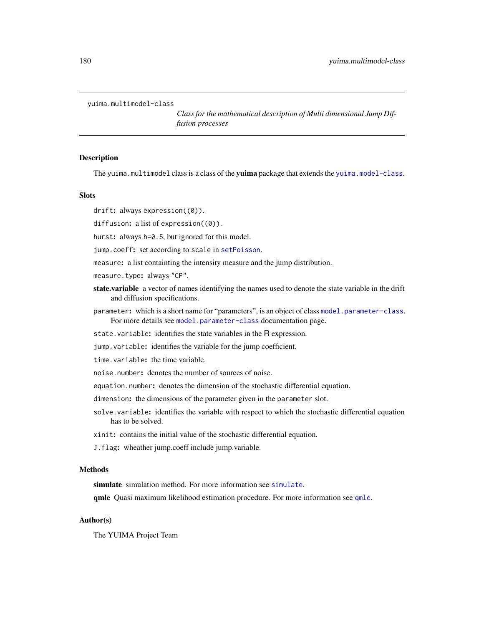```
yuima.multimodel-class
```
*Class for the mathematical description of Multi dimensional Jump Diffusion processes*

#### **Description**

The yuima.multimodel class is a class of the yuima package that extends the [yuima.model-class](#page-178-0).

# Slots

drift: always expression( $(0)$ ).

diffusion: a list of expression((0)).

hurst: always h=0.5, but ignored for this model.

jump.coeff: set according to scale in [setPoisson](#page-135-0).

measure: a list containting the intensity measure and the jump distribution.

measure.type: always "CP".

- state.variable a vector of names identifying the names used to denote the state variable in the drift and diffusion specifications.
- parameter: which is a short name for "parameters", is an object of class [model.parameter-class](#page-86-0). For more details see [model.parameter-class](#page-86-0) documentation page.

state.variable: identifies the state variables in the R expression.

jump.variable: identifies the variable for the jump coefficient.

time.variable: the time variable.

noise.number: denotes the number of sources of noise.

equation.number: denotes the dimension of the stochastic differential equation.

dimension: the dimensions of the parameter given in the parameter slot.

solve.variable: identifies the variable with respect to which the stochastic differential equation has to be solved.

xinit: contains the initial value of the stochastic differential equation.

J.flag: wheather jump.coeff include jump.variable.

## Methods

[simulate](#page-146-0) simulation method. For more information see simulate.

[qmle](#page-101-0) Quasi maximum likelihood estimation procedure. For more information see qmle.

# Author(s)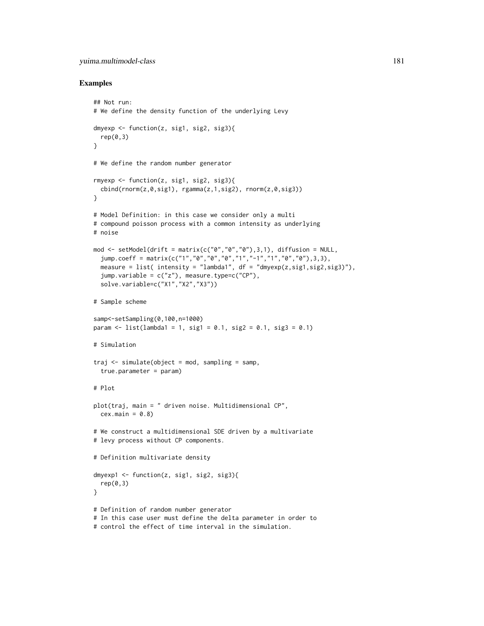## yuima.multimodel-class 181

#### Examples

```
## Not run:
# We define the density function of the underlying Levy
dmyexp \leq function(z, sig1, sig2, sig3){
  rep(0,3)
}
# We define the random number generator
rmyexp <- function(z, sig1, sig2, sig3){
  cbind(rnorm(z,0,sig1), rgamma(z,1,sig2), rnorm(z,0,sig3))
}
# Model Definition: in this case we consider only a multi
# compound poisson process with a common intensity as underlying
# noise
mod <- setModel(drift = matrix(c("0","0","0"),3,1), diffusion = NULL,
  jump.coeff = matrix(c("1","0","0","0","1","-1","1","0","0"),3,3),
  measure = list( intensity = "lambda1", df = "dmyexp(z,sig1,sig2,sig3)"),
  jump.variable = c("z"), measure.type=c("CP"),
  solve.variable=c("X1","X2","X3"))
# Sample scheme
samp<-setSampling(0,100,n=1000)
param \le list(lambda1 = 1, sig1 = 0.1, sig2 = 0.1, sig3 = 0.1)
# Simulation
traj \leq simulate(object = mod, sampling = samp,true.parameter = param)
# Plot
plot(traj, main = " driven noise. Multidimensional CP",
  cex.mainloop = 0.8# We construct a multidimensional SDE driven by a multivariate
# levy process without CP components.
# Definition multivariate density
dmyexp1 <- function(z, sig1, sig2, sig3){
  rep(0,3)
}
# Definition of random number generator
# In this case user must define the delta parameter in order to
# control the effect of time interval in the simulation.
```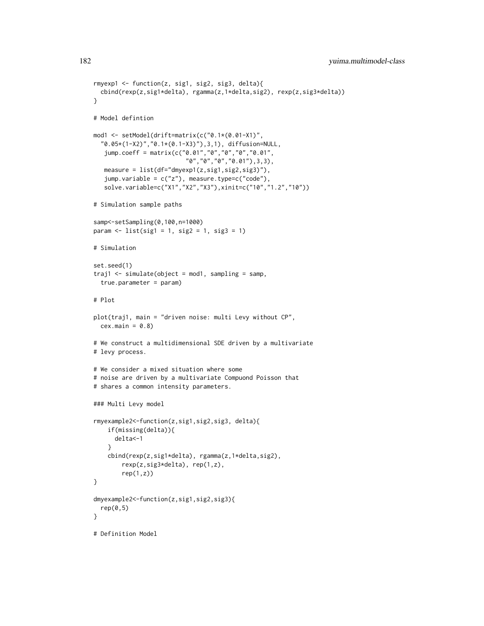```
rmyexp1 <- function(z, sig1, sig2, sig3, delta){
  cbind(rexp(z,sig1*delta), rgamma(z,1*delta,sig2), rexp(z,sig3*delta))
}
# Model defintion
mod1 <- setModel(drift=matrix(c("0.1*(0.01-X1)",
  "0.05*(1-X2)","0.1*(0.1-X3)"),3,1), diffusion=NULL,
   jump.coeff = matrix(c("0.01","0","0","0","0.01",
                          "0","0","0","0.01"),3,3),
   measure = list(df="dmyexp1(z,sig1,sig2,sig3)"),
   jump.variable = c("z"), measure.type=c("code"),
   solve.variable=c("X1","X2","X3"),xinit=c("10","1.2","10"))
# Simulation sample paths
samp<-setSampling(0,100,n=1000)
param < - list(sign = 1, sig2 = 1, sig3 = 1)# Simulation
set.seed(1)
traj1 <- simulate(object = mod1, sampling = samp,
  true.parameter = param)
# Plot
plot(traj1, main = "driven noise: multi Levy without CP",
  cex.mainloop = 0.8)# We construct a multidimensional SDE driven by a multivariate
# levy process.
# We consider a mixed situation where some
# noise are driven by a multivariate Compuond Poisson that
# shares a common intensity parameters.
### Multi Levy model
rmyexample2<-function(z,sig1,sig2,sig3, delta){
    if(missing(delta)){
      delta<-1
    }
    cbind(rexp(z,sig1*delta), rgamma(z,1*delta,sig2),
        rexp(z,sig3*delta), rep(1,z),
        rep(1,z)}
dmyexample2<-function(z,sig1,sig2,sig3){
  rep(0,5)}
# Definition Model
```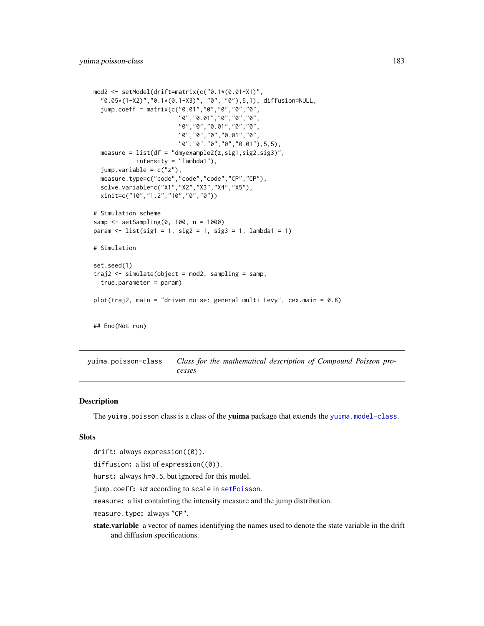```
mod2 <- setModel(drift=matrix(c("0.1*(0.01-X1)",
  "0.05*(1-X2)","0.1*(0.1-X3)", "0", "0"),5,1), diffusion=NULL,
  jump.coeff = matrix(c("0.01","0","0","0","0",
                        "0","0.01","0","0","0",
                        "0","0","0.01","0","0",
                        "0","0","0","0.01","0",
                        "0","0","0","0","0.01"),5,5),
  measure = list(df = "dmyexample2(z,sig1,sig2,sig3)",
            intensity = "lambda1"),
  jump.variable = c("z"),
  measure.type=c("code","code","code","CP","CP"),
  solve.variable=c("X1","X2","X3","X4","X5"),
  xinit=c("10","1.2","10","0","0"))
# Simulation scheme
samp <- setSampling(0, 100, n = 1000)
param <- list(sig1 = 1, sig2 = 1, sig3 = 1, lambda1 = 1)
# Simulation
set.seed(1)
traj2 <- simulate(object = mod2, sampling = samp,
  true.parameter = param)
plot(traj2, main = "driven noise: general multi Levy", cex.main = 0.8)
## End(Not run)
```
yuima.poisson-class *Class for the mathematical description of Compound Poisson processes*

## **Description**

The yuima.poisson class is a class of the yuima package that extends the [yuima.model-class](#page-178-0).

#### **Slots**

```
drift: always expression((0)).
```
diffusion: a list of expression( $(0)$ ).

hurst: always h=0.5, but ignored for this model.

jump.coeff: set according to scale in [setPoisson](#page-135-0).

measure: a list containting the intensity measure and the jump distribution.

measure.type: always "CP".

state.variable a vector of names identifying the names used to denote the state variable in the drift and diffusion specifications.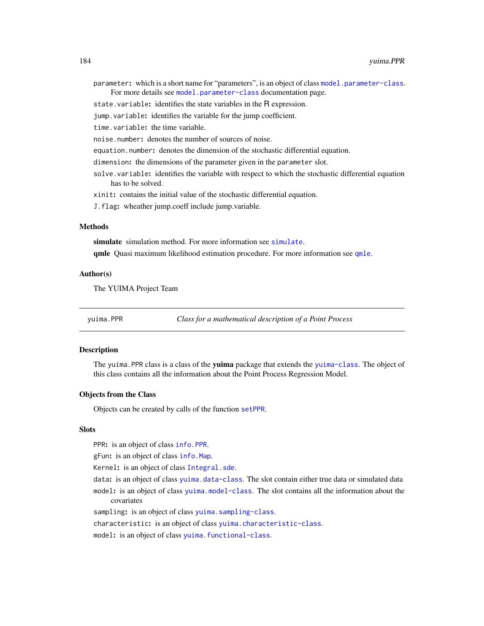- <span id="page-183-0"></span>parameter: which is a short name for "parameters", is an object of class [model.parameter-class](#page-86-0). For more details see [model.parameter-class](#page-86-0) documentation page.
- state.variable: identifies the state variables in the R expression.
- jump.variable: identifies the variable for the jump coefficient.

time.variable: the time variable.

- noise.number: denotes the number of sources of noise.
- equation.number: denotes the dimension of the stochastic differential equation.
- dimension: the dimensions of the parameter given in the parameter slot.
- solve.variable: identifies the variable with respect to which the stochastic differential equation has to be solved.

xinit: contains the initial value of the stochastic differential equation.

J.flag: wheather jump.coeff include jump.variable.

## Methods

[simulate](#page-146-0) simulation method. For more information see simulate.

[qmle](#page-101-0) Quasi maximum likelihood estimation procedure. For more information see qmle.

#### Author(s)

The YUIMA Project Team

yuima.PPR *Class for a mathematical description of a Point Process*

#### Description

The yuima. PPR class is a class of the yuima package that extends the [yuima-class](#page-166-0). The object of this class contains all the information about the Point Process Regression Model.

#### Objects from the Class

Objects can be created by calls of the function [setPPR](#page-137-0).

#### **Slots**

PPR: is an object of class [info.PPR](#page-63-0).

gFun: is an object of class [info.Map](#page-62-0).

Kernel: is an object of class [Integral.sde](#page-63-1).

data: is an object of class [yuima.data-class](#page-173-0). The slot contain either true data or simulated data model: is an object of class [yuima.model-class](#page-178-0). The slot contains all the information about the covariates

sampling: is an object of class [yuima.sampling-class](#page-185-0).

characteristic: is an object of class [yuima.characteristic-class](#page-170-0).

model: is an object of class [yuima.functional-class](#page-174-0).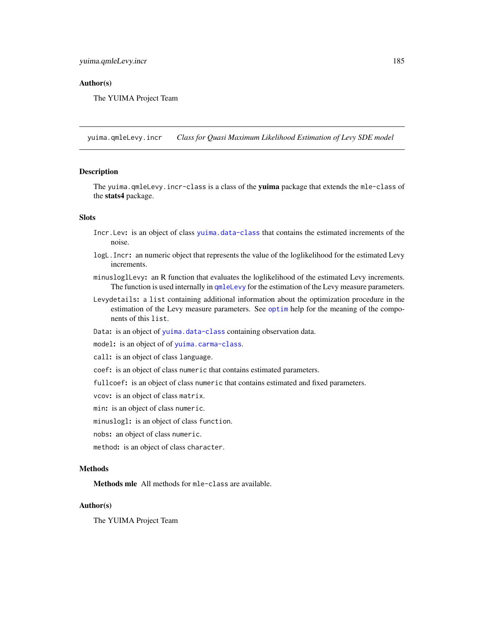## <span id="page-184-0"></span>Author(s)

The YUIMA Project Team

yuima.qmleLevy.incr *Class for Quasi Maximum Likelihood Estimation of Levy SDE model*

#### Description

The yuima.qmleLevy.incr-class is a class of the yuima package that extends the mle-class of the stats4 package.

## Slots

- Incr.Lev: is an object of class [yuima.data-class](#page-173-0) that contains the estimated increments of the noise.
- logL.Incr: an numeric object that represents the value of the loglikelihood for the estimated Levy increments.
- minusloglLevy: an R function that evaluates the loglikelihood of the estimated Levy increments. The function is used internally in [qmleLevy](#page-109-0) for the estimation of the Levy measure parameters.
- Levydetails: a list containing additional information about the optimization procedure in the estimation of the Levy measure parameters. See [optim](#page-0-0) help for the meaning of the components of this list.
- Data: is an object of [yuima.data-class](#page-173-0) containing observation data.
- model: is an object of of [yuima.carma-class](#page-168-0).
- call: is an object of class language.
- coef: is an object of class numeric that contains estimated parameters.
- fullcoef: is an object of class numeric that contains estimated and fixed parameters.

vcov: is an object of class matrix.

min: is an object of class numeric.

minuslogl: is an object of class function.

- nobs: an object of class numeric.
- method: is an object of class character.

## Methods

Methods mle All methods for mle-class are available.

## Author(s)

The YUIMA Project Team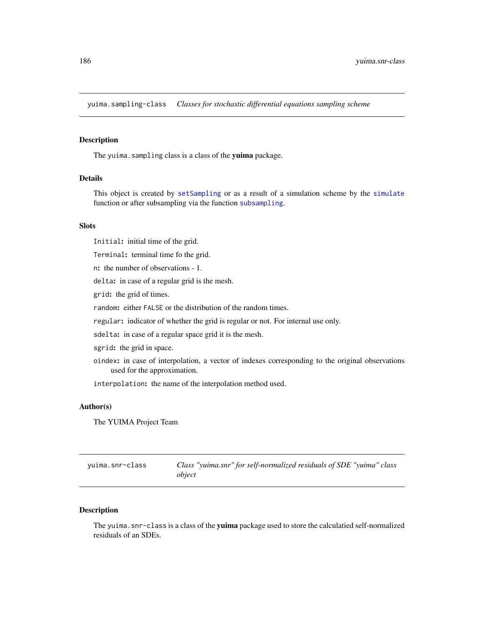<span id="page-185-1"></span><span id="page-185-0"></span>yuima.sampling-class *Classes for stochastic differential equations sampling scheme*

#### **Description**

The yuima. sampling class is a class of the yuima package.

## Details

This object is created by [setSampling](#page-138-0) or as a result of a simulation scheme by the [simulate](#page-146-0) function or after subsampling via the function [subsampling](#page-159-0).

## Slots

Initial: initial time of the grid.

Terminal: terminal time fo the grid.

n: the number of observations - 1.

delta: in case of a regular grid is the mesh.

grid: the grid of times.

random: either FALSE or the distribution of the random times.

regular: indicator of whether the grid is regular or not. For internal use only.

sdelta: in case of a regular space grid it is the mesh.

sgrid: the grid in space.

oindex: in case of interpolation, a vector of indexes corresponding to the original observations used for the approximation.

interpolation: the name of the interpolation method used.

#### Author(s)

The YUIMA Project Team

| yuima.snr-class | Class "yuima.snr" for self-normalized residuals of SDE "yuima" class |
|-----------------|----------------------------------------------------------------------|
|                 | object                                                               |

## Description

The yuima.snr-class is a class of the yuima package used to store the calculatied self-normalized residuals of an SDEs.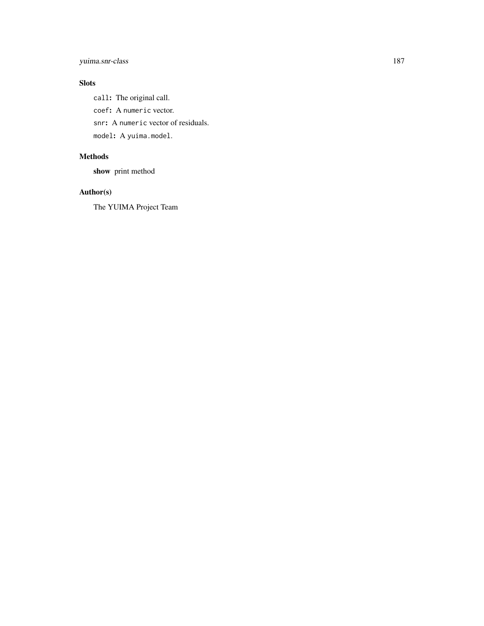# yuima.snr-class 187

# Slots

call: The original call. coef: A numeric vector. snr: A numeric vector of residuals. model: A yuima.model.

## Methods

show print method

# Author(s)

The YUIMA Project Team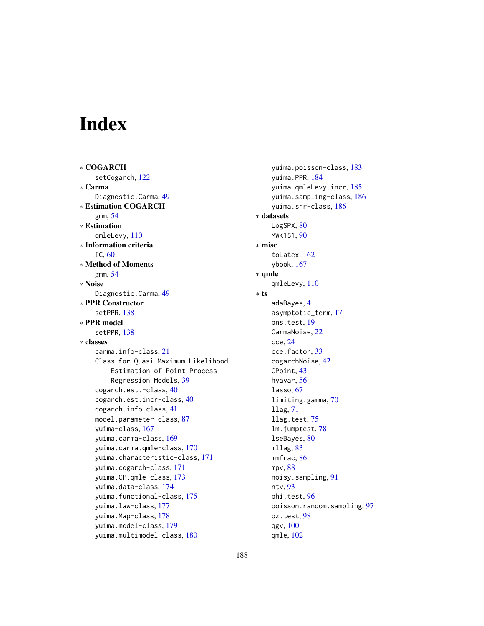# Index

∗ COGARCH setCogarch, [122](#page-121-0) ∗ Carma Diagnostic.Carma, [49](#page-48-0) ∗ Estimation COGARCH gmm, [54](#page-53-0) ∗ Estimation qmleLevy, [110](#page-109-1) ∗ Information criteria IC, [60](#page-59-0) ∗ Method of Moments gmm, [54](#page-53-0) ∗ Noise Diagnostic.Carma, [49](#page-48-0) ∗ PPR Constructor setPPR, [138](#page-137-1) ∗ PPR model setPPR, [138](#page-137-1) ∗ classes carma.info-class, [21](#page-20-0) Class for Quasi Maximum Likelihood Estimation of Point Process Regression Models, [39](#page-38-0) cogarch.est.-class, [40](#page-39-0) cogarch.est.incr-class, [40](#page-39-0) cogarch.info-class, [41](#page-40-0) model.parameter-class, [87](#page-86-1) yuima-class, [167](#page-166-1) yuima.carma-class, [169](#page-168-1) yuima.carma.qmle-class, [170](#page-169-0) yuima.characteristic-class, [171](#page-170-1) yuima.cogarch-class, [171](#page-170-1) yuima.CP.qmle-class, [173](#page-172-0) yuima.data-class, [174](#page-173-1) yuima.functional-class, [175](#page-174-1) yuima.law-class, [177](#page-176-0) yuima.Map-class, [178](#page-177-0) yuima.model-class, [179](#page-178-1) yuima.multimodel-class, [180](#page-179-0)

yuima.poisson-class, [183](#page-182-0) yuima.PPR, [184](#page-183-0) yuima.qmleLevy.incr, [185](#page-184-0) yuima.sampling-class, [186](#page-185-1) yuima.snr-class, [186](#page-185-1) ∗ datasets LogSPX, [80](#page-79-0) MWK151, [90](#page-89-0) ∗ misc toLatex, [162](#page-161-0) ybook, [167](#page-166-1) ∗ qmle qmleLevy, [110](#page-109-1) ∗ ts adaBayes, [4](#page-3-0) asymptotic\_term, [17](#page-16-0) bns.test, [19](#page-18-0) CarmaNoise, [22](#page-21-0) cce, [24](#page-23-0) cce.factor, [33](#page-32-0) cogarchNoise, [42](#page-41-0) CPoint, [43](#page-42-0) hyavar, [56](#page-55-0) lasso, [67](#page-66-0) limiting.gamma, [70](#page-69-0) llag, [71](#page-70-0) llag.test, [75](#page-74-0) lm.jumptest, [78](#page-77-0) lseBayes, [80](#page-79-0) mllag, [83](#page-82-0) mmfrac, [86](#page-85-0) mpv, [88](#page-87-0) noisy.sampling, [91](#page-90-0) ntv, [93](#page-92-0) phi.test, [96](#page-95-0) poisson.random.sampling, [97](#page-96-0) pz.test, [98](#page-97-0) qgv, [100](#page-99-0) qmle, [102](#page-101-1)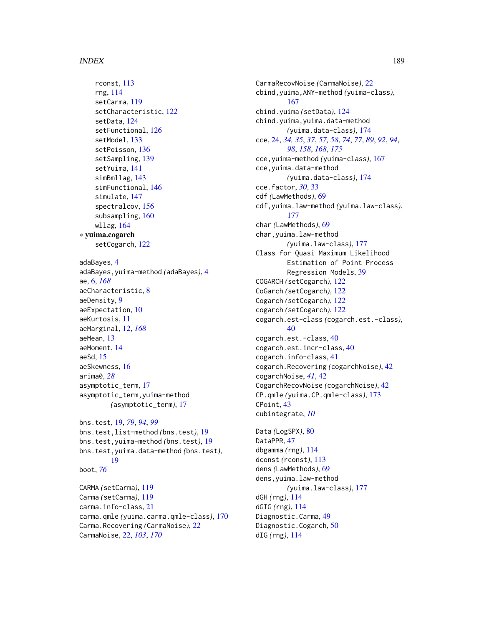#### INDEX  $189$

rconst, [113](#page-112-0) rng, [114](#page-113-0) setCarma, [119](#page-118-0) setCharacteristic, [122](#page-121-0) setData, [124](#page-123-0) setFunctional, [126](#page-125-0) setModel, [133](#page-132-0) setPoisson, [136](#page-135-1) setSampling, [139](#page-138-1) setYuima, [141](#page-140-0) simBmllag, [143](#page-142-0) simFunctional, [146](#page-145-0) simulate, [147](#page-146-1) spectralcov, [156](#page-155-0) subsampling, [160](#page-159-1) wllag, [164](#page-163-0) ∗ yuima.cogarch setCogarch, [122](#page-121-0) adaBayes, [4](#page-3-0) adaBayes,yuima-method *(*adaBayes*)*, [4](#page-3-0) ae, [6,](#page-5-0) *[168](#page-167-0)* aeCharacteristic, [8](#page-7-0) aeDensity, [9](#page-8-0) aeExpectation, [10](#page-9-0) aeKurtosis, [11](#page-10-0) aeMarginal, [12,](#page-11-0) *[168](#page-167-0)* aeMean, [13](#page-12-0) aeMoment, [14](#page-13-0) aeSd, [15](#page-14-0) aeSkewness, [16](#page-15-0) arima0, *[28](#page-27-0)* asymptotic\_term, [17](#page-16-0) asymptotic\_term,yuima-method *(*asymptotic\_term*)*, [17](#page-16-0) bns.test, [19,](#page-18-0) *[79](#page-78-0)*, *[94](#page-93-0)*, *[99](#page-98-0)* bns.test,list-method *(*bns.test*)*, [19](#page-18-0) bns.test,yuima-method *(*bns.test*)*, [19](#page-18-0) bns.test,yuima.data-method *(*bns.test*)*, [19](#page-18-0) boot, *[76](#page-75-0)* CARMA *(*setCarma*)*, [119](#page-118-0) Carma *(*setCarma*)*, [119](#page-118-0) carma.info-class, [21](#page-20-0) carma.qmle *(*yuima.carma.qmle-class*)*, [170](#page-169-0) Carma.Recovering *(*CarmaNoise*)*, [22](#page-21-0) CarmaNoise, [22,](#page-21-0) *[103](#page-102-0)*, *[170](#page-169-0)*

CarmaRecovNoise *(*CarmaNoise*)*, [22](#page-21-0) cbind,yuima,ANY-method *(*yuima-class*)*, [167](#page-166-1) cbind.yuima *(*setData*)*, [124](#page-123-0) cbind.yuima,yuima.data-method *(*yuima.data-class*)*, [174](#page-173-1) cce, [24,](#page-23-0) *[34,](#page-33-0) [35](#page-34-0)*, *[37](#page-36-0)*, *[57,](#page-56-0) [58](#page-57-0)*, *[74](#page-73-0)*, *[77](#page-76-0)*, *[89](#page-88-0)*, *[92](#page-91-0)*, *[94](#page-93-0)*, *[98](#page-97-0)*, *[158](#page-157-0)*, *[168](#page-167-0)*, *[175](#page-174-1)* cce,yuima-method *(*yuima-class*)*, [167](#page-166-1) cce,yuima.data-method *(*yuima.data-class*)*, [174](#page-173-1) cce.factor, *[30](#page-29-0)*, [33](#page-32-0) cdf *(*LawMethods*)*, [69](#page-68-0) cdf,yuima.law-method *(*yuima.law-class*)*, [177](#page-176-0) char *(*LawMethods*)*, [69](#page-68-0) char,yuima.law-method *(*yuima.law-class*)*, [177](#page-176-0) Class for Quasi Maximum Likelihood Estimation of Point Process Regression Models, [39](#page-38-0) COGARCH *(*setCogarch*)*, [122](#page-121-0) CoGarch *(*setCogarch*)*, [122](#page-121-0) Cogarch *(*setCogarch*)*, [122](#page-121-0) cogarch *(*setCogarch*)*, [122](#page-121-0) cogarch.est-class *(*cogarch.est.-class*)*, [40](#page-39-0) cogarch.est.-class, [40](#page-39-0) cogarch.est.incr-class, [40](#page-39-0) cogarch.info-class, [41](#page-40-0) cogarch.Recovering *(*cogarchNoise*)*, [42](#page-41-0) cogarchNoise, *[41](#page-40-0)*, [42](#page-41-0) CogarchRecovNoise *(*cogarchNoise*)*, [42](#page-41-0) CP.qmle *(*yuima.CP.qmle-class*)*, [173](#page-172-0) CPoint, [43](#page-42-0) cubintegrate, *[10](#page-9-0)* Data *(*LogSPX*)*, [80](#page-79-0) DataPPR, [47](#page-46-0) dbgamma *(*rng*)*, [114](#page-113-0) dconst *(*rconst*)*, [113](#page-112-0) dens *(*LawMethods*)*, [69](#page-68-0) dens,yuima.law-method *(*yuima.law-class*)*, [177](#page-176-0) dGH *(*rng*)*, [114](#page-113-0) dGIG *(*rng*)*, [114](#page-113-0) Diagnostic.Carma, [49](#page-48-0) Diagnostic.Cogarch, [50](#page-49-0)

dIG *(*rng*)*, [114](#page-113-0)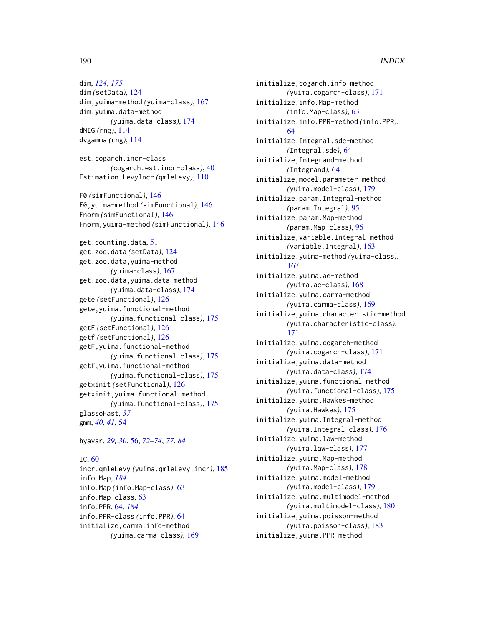## 190 INDEX

dim, *[124](#page-123-0)*, *[175](#page-174-1)* dim *(*setData*)*, [124](#page-123-0) dim,yuima-method *(*yuima-class*)*, [167](#page-166-1) dim,yuima.data-method *(*yuima.data-class*)*, [174](#page-173-1) dNIG *(*rng*)*, [114](#page-113-0) dvgamma *(*rng*)*, [114](#page-113-0)

est.cogarch.incr-class *(*cogarch.est.incr-class*)*, [40](#page-39-0) Estimation.LevyIncr *(*qmleLevy*)*, [110](#page-109-1)

F0 *(*simFunctional*)*, [146](#page-145-0) F0,yuima-method *(*simFunctional*)*, [146](#page-145-0) Fnorm *(*simFunctional*)*, [146](#page-145-0) Fnorm,yuima-method *(*simFunctional*)*, [146](#page-145-0)

get.counting.data, [51](#page-50-0) get.zoo.data *(*setData*)*, [124](#page-123-0) get.zoo.data,yuima-method *(*yuima-class*)*, [167](#page-166-1) get.zoo.data,yuima.data-method *(*yuima.data-class*)*, [174](#page-173-1) gete *(*setFunctional*)*, [126](#page-125-0) gete,yuima.functional-method *(*yuima.functional-class*)*, [175](#page-174-1) getF *(*setFunctional*)*, [126](#page-125-0) getf *(*setFunctional*)*, [126](#page-125-0) getF,yuima.functional-method *(*yuima.functional-class*)*, [175](#page-174-1) getf,yuima.functional-method *(*yuima.functional-class*)*, [175](#page-174-1) getxinit *(*setFunctional*)*, [126](#page-125-0) getxinit,yuima.functional-method *(*yuima.functional-class*)*, [175](#page-174-1) glassoFast, *[37](#page-36-0)* gmm, *[40,](#page-39-0) [41](#page-40-0)*, [54](#page-53-0)

hyavar, *[29,](#page-28-0) [30](#page-29-0)*, [56,](#page-55-0) *[72](#page-71-0)[–74](#page-73-0)*, *[77](#page-76-0)*, *[84](#page-83-0)*

## IC, [60](#page-59-0)

incr.qmleLevy *(*yuima.qmleLevy.incr*)*, [185](#page-184-0) info.Map, *[184](#page-183-0)* info.Map *(*info.Map-class*)*, [63](#page-62-1) info.Map-class, [63](#page-62-1) info.PPR, [64,](#page-63-2) *[184](#page-183-0)* info.PPR-class *(*info.PPR*)*, [64](#page-63-2) initialize,carma.info-method *(*yuima.carma-class*)*, [169](#page-168-1)

initialize,cogarch.info-method *(*yuima.cogarch-class*)*, [171](#page-170-1) initialize,info.Map-method *(*info.Map-class*)*, [63](#page-62-1) initialize,info.PPR-method *(*info.PPR*)*, [64](#page-63-2) initialize,Integral.sde-method *(*Integral.sde*)*, [64](#page-63-2) initialize,Integrand-method *(*Integrand*)*, [64](#page-63-2) initialize,model.parameter-method *(*yuima.model-class*)*, [179](#page-178-1) initialize,param.Integral-method *(*param.Integral*)*, [95](#page-94-0) initialize,param.Map-method *(*param.Map-class*)*, [96](#page-95-0) initialize,variable.Integral-method *(*variable.Integral*)*, [163](#page-162-0) initialize,yuima-method *(*yuima-class*)*, [167](#page-166-1) initialize,yuima.ae-method *(*yuima.ae-class*)*, [168](#page-167-0) initialize,yuima.carma-method *(*yuima.carma-class*)*, [169](#page-168-1) initialize,yuima.characteristic-method *(*yuima.characteristic-class*)*, [171](#page-170-1) initialize,yuima.cogarch-method *(*yuima.cogarch-class*)*, [171](#page-170-1) initialize,yuima.data-method *(*yuima.data-class*)*, [174](#page-173-1) initialize,yuima.functional-method *(*yuima.functional-class*)*, [175](#page-174-1) initialize,yuima.Hawkes-method *(*yuima.Hawkes*)*, [175](#page-174-1) initialize,yuima.Integral-method *(*yuima.Integral-class*)*, [176](#page-175-0) initialize,yuima.law-method *(*yuima.law-class*)*, [177](#page-176-0) initialize,yuima.Map-method *(*yuima.Map-class*)*, [178](#page-177-0) initialize,yuima.model-method *(*yuima.model-class*)*, [179](#page-178-1) initialize,yuima.multimodel-method *(*yuima.multimodel-class*)*, [180](#page-179-0) initialize,yuima.poisson-method *(*yuima.poisson-class*)*, [183](#page-182-0) initialize,yuima.PPR-method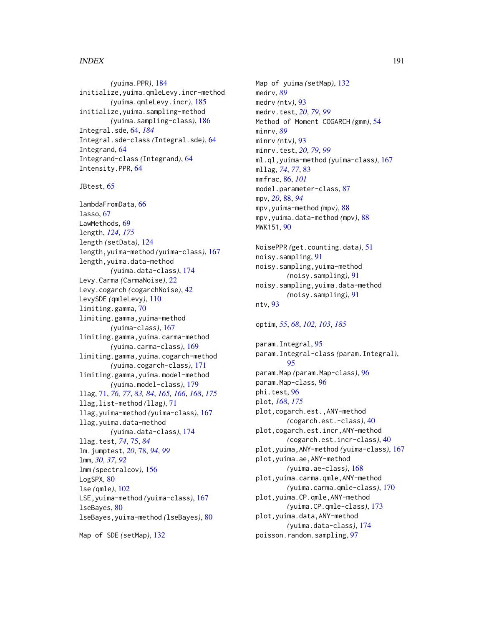#### $I<sub>ND</sub>E<sub>X</sub>$  191

*(*yuima.PPR*)*, [184](#page-183-0) initialize,yuima.qmleLevy.incr-method *(*yuima.qmleLevy.incr*)*, [185](#page-184-0) initialize,yuima.sampling-method *(*yuima.sampling-class*)*, [186](#page-185-1) Integral.sde, [64,](#page-63-2) *[184](#page-183-0)* Integral.sde-class *(*Integral.sde*)*, [64](#page-63-2) Integrand, [64](#page-63-2) Integrand-class *(*Integrand*)*, [64](#page-63-2) Intensity.PPR, [64](#page-63-2)

JBtest, [65](#page-64-0)

lambdaFromData, [66](#page-65-0) lasso, [67](#page-66-0) LawMethods, [69](#page-68-0) length, *[124](#page-123-0)*, *[175](#page-174-1)* length *(*setData*)*, [124](#page-123-0) length,yuima-method *(*yuima-class*)*, [167](#page-166-1) length,yuima.data-method *(*yuima.data-class*)*, [174](#page-173-1) Levy.Carma *(*CarmaNoise*)*, [22](#page-21-0) Levy.cogarch *(*cogarchNoise*)*, [42](#page-41-0) LevySDE *(*qmleLevy*)*, [110](#page-109-1) limiting.gamma, [70](#page-69-0) limiting.gamma,yuima-method *(*yuima-class*)*, [167](#page-166-1) limiting.gamma,yuima.carma-method *(*yuima.carma-class*)*, [169](#page-168-1) limiting.gamma,yuima.cogarch-method *(*yuima.cogarch-class*)*, [171](#page-170-1) limiting.gamma,yuima.model-method *(*yuima.model-class*)*, [179](#page-178-1) llag, [71,](#page-70-0) *[76,](#page-75-0) [77](#page-76-0)*, *[83,](#page-82-0) [84](#page-83-0)*, *[165,](#page-164-0) [166](#page-165-0)*, *[168](#page-167-0)*, *[175](#page-174-1)* llag,list-method *(*llag*)*, [71](#page-70-0) llag,yuima-method *(*yuima-class*)*, [167](#page-166-1) llag,yuima.data-method *(*yuima.data-class*)*, [174](#page-173-1) llag.test, *[74](#page-73-0)*, [75,](#page-74-0) *[84](#page-83-0)* lm.jumptest, *[20](#page-19-0)*, [78,](#page-77-0) *[94](#page-93-0)*, *[99](#page-98-0)* lmm, *[30](#page-29-0)*, *[37](#page-36-0)*, *[92](#page-91-0)* lmm *(*spectralcov*)*, [156](#page-155-0) LogSPX, [80](#page-79-0) lse *(*qmle*)*, [102](#page-101-1) LSE,yuima-method *(*yuima-class*)*, [167](#page-166-1) lseBayes, [80](#page-79-0) lseBayes,yuima-method *(*lseBayes*)*, [80](#page-79-0)

Map of SDE *(*setMap*)*, [132](#page-131-0)

Map of yuima *(*setMap*)*, [132](#page-131-0) medrv, *[89](#page-88-0)* medrv *(*ntv*)*, [93](#page-92-0) medrv.test, *[20](#page-19-0)*, *[79](#page-78-0)*, *[99](#page-98-0)* Method of Moment COGARCH *(*gmm*)*, [54](#page-53-0) minrv, *[89](#page-88-0)* minrv *(*ntv*)*, [93](#page-92-0) minrv.test, *[20](#page-19-0)*, *[79](#page-78-0)*, *[99](#page-98-0)* ml.ql,yuima-method *(*yuima-class*)*, [167](#page-166-1) mllag, *[74](#page-73-0)*, *[77](#page-76-0)*, [83](#page-82-0) mmfrac, [86,](#page-85-0) *[101](#page-100-0)* model.parameter-class, [87](#page-86-1) mpv, *[20](#page-19-0)*, [88,](#page-87-0) *[94](#page-93-0)* mpv,yuima-method *(*mpv*)*, [88](#page-87-0) mpv,yuima.data-method *(*mpv*)*, [88](#page-87-0) MWK151, [90](#page-89-0)

NoisePPR *(*get.counting.data*)*, [51](#page-50-0) noisy.sampling, [91](#page-90-0) noisy.sampling,yuima-method *(*noisy.sampling*)*, [91](#page-90-0) noisy.sampling,yuima.data-method *(*noisy.sampling*)*, [91](#page-90-0) ntv, [93](#page-92-0)

#### optim, *[55](#page-54-0)*, *[68](#page-67-0)*, *[102,](#page-101-1) [103](#page-102-0)*, *[185](#page-184-0)*

param.Integral, [95](#page-94-0) param.Integral-class *(*param.Integral*)*, [95](#page-94-0) param.Map *(*param.Map-class*)*, [96](#page-95-0) param.Map-class, [96](#page-95-0) phi.test, [96](#page-95-0) plot, *[168](#page-167-0)*, *[175](#page-174-1)* plot,cogarch.est.,ANY-method *(*cogarch.est.-class*)*, [40](#page-39-0) plot,cogarch.est.incr,ANY-method *(*cogarch.est.incr-class*)*, [40](#page-39-0) plot,yuima,ANY-method *(*yuima-class*)*, [167](#page-166-1) plot,yuima.ae,ANY-method *(*yuima.ae-class*)*, [168](#page-167-0) plot,yuima.carma.qmle,ANY-method *(*yuima.carma.qmle-class*)*, [170](#page-169-0) plot,yuima.CP.qmle,ANY-method *(*yuima.CP.qmle-class*)*, [173](#page-172-0) plot,yuima.data,ANY-method *(*yuima.data-class*)*, [174](#page-173-1) poisson.random.sampling, [97](#page-96-0)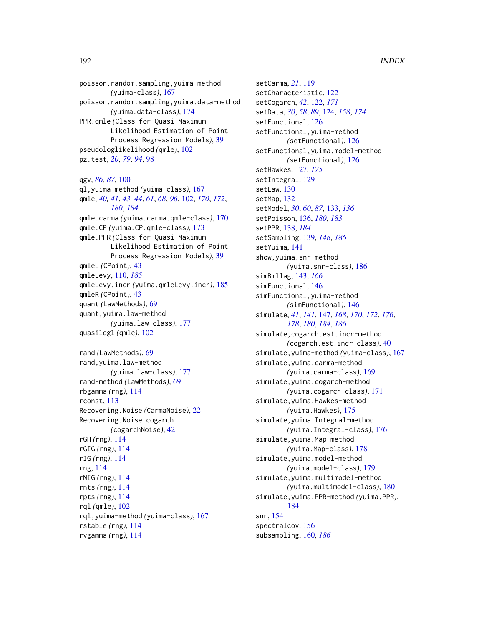poisson.random.sampling,yuima-method *(*yuima-class*)*, [167](#page-166-1) poisson.random.sampling,yuima.data-method *(*yuima.data-class*)*, [174](#page-173-1) PPR.qmle *(*Class for Quasi Maximum Likelihood Estimation of Point Process Regression Models*)*, [39](#page-38-0) pseudologlikelihood *(*qmle*)*, [102](#page-101-1) pz.test, *[20](#page-19-0)*, *[79](#page-78-0)*, *[94](#page-93-0)*, [98](#page-97-0)

qgv, *[86,](#page-85-0) [87](#page-86-1)*, [100](#page-99-0) ql,yuima-method *(*yuima-class*)*, [167](#page-166-1) qmle, *[40,](#page-39-0) [41](#page-40-0)*, *[43,](#page-42-0) [44](#page-43-0)*, *[61](#page-60-0)*, *[68](#page-67-0)*, *[96](#page-95-0)*, [102,](#page-101-1) *[170](#page-169-0)*, *[172](#page-171-0)*, *[180](#page-179-0)*, *[184](#page-183-0)* qmle.carma *(*yuima.carma.qmle-class*)*, [170](#page-169-0) qmle.CP *(*yuima.CP.qmle-class*)*, [173](#page-172-0) qmle.PPR *(*Class for Quasi Maximum Likelihood Estimation of Point Process Regression Models*)*, [39](#page-38-0) qmleL *(*CPoint*)*, [43](#page-42-0) qmleLevy, [110,](#page-109-1) *[185](#page-184-0)* qmleLevy.incr *(*yuima.qmleLevy.incr*)*, [185](#page-184-0) qmleR *(*CPoint*)*, [43](#page-42-0) quant *(*LawMethods*)*, [69](#page-68-0) quant,yuima.law-method *(*yuima.law-class*)*, [177](#page-176-0) quasilogl *(*qmle*)*, [102](#page-101-1)

rand *(*LawMethods*)*, [69](#page-68-0) rand,yuima.law-method *(*yuima.law-class*)*, [177](#page-176-0) rand-method *(*LawMethods*)*, [69](#page-68-0) rbgamma *(*rng*)*, [114](#page-113-0) rconst, [113](#page-112-0) Recovering.Noise *(*CarmaNoise*)*, [22](#page-21-0) Recovering.Noise.cogarch *(*cogarchNoise*)*, [42](#page-41-0) rGH *(*rng*)*, [114](#page-113-0) rGIG *(*rng*)*, [114](#page-113-0) rIG *(*rng*)*, [114](#page-113-0) rng, [114](#page-113-0) rNIG *(*rng*)*, [114](#page-113-0) rnts *(*rng*)*, [114](#page-113-0) rpts *(*rng*)*, [114](#page-113-0) rql *(*qmle*)*, [102](#page-101-1) rql,yuima-method *(*yuima-class*)*, [167](#page-166-1) rstable *(*rng*)*, [114](#page-113-0) rvgamma *(*rng*)*, [114](#page-113-0)

setCarma, *[21](#page-20-0)*, [119](#page-118-0) setCharacteristic, [122](#page-121-0) setCogarch, *[42](#page-41-0)*, [122,](#page-121-0) *[171](#page-170-1)* setData, *[30](#page-29-0)*, *[58](#page-57-0)*, *[89](#page-88-0)*, [124,](#page-123-0) *[158](#page-157-0)*, *[174](#page-173-1)* setFunctional, [126](#page-125-0) setFunctional,yuima-method *(*setFunctional*)*, [126](#page-125-0) setFunctional,yuima.model-method *(*setFunctional*)*, [126](#page-125-0) setHawkes, [127,](#page-126-0) *[175](#page-174-1)* setIntegral, [129](#page-128-0) setLaw, [130](#page-129-0) setMap, [132](#page-131-0) setModel, *[30](#page-29-0)*, *[60](#page-59-0)*, *[87](#page-86-1)*, [133,](#page-132-0) *[136](#page-135-1)* setPoisson, [136,](#page-135-1) *[180](#page-179-0)*, *[183](#page-182-0)* setPPR, [138,](#page-137-1) *[184](#page-183-0)* setSampling, [139,](#page-138-1) *[148](#page-147-0)*, *[186](#page-185-1)* setYuima, [141](#page-140-0) show,yuima.snr-method *(*yuima.snr-class*)*, [186](#page-185-1) simBmllag, [143,](#page-142-0) *[166](#page-165-0)* simFunctional, [146](#page-145-0) simFunctional,yuima-method *(*simFunctional*)*, [146](#page-145-0) simulate, *[41](#page-40-0)*, *[141](#page-140-0)*, [147,](#page-146-1) *[168](#page-167-0)*, *[170](#page-169-0)*, *[172](#page-171-0)*, *[176](#page-175-0)*, *[178](#page-177-0)*, *[180](#page-179-0)*, *[184](#page-183-0)*, *[186](#page-185-1)* simulate,cogarch.est.incr-method *(*cogarch.est.incr-class*)*, [40](#page-39-0) simulate,yuima-method *(*yuima-class*)*, [167](#page-166-1) simulate,yuima.carma-method *(*yuima.carma-class*)*, [169](#page-168-1) simulate,yuima.cogarch-method *(*yuima.cogarch-class*)*, [171](#page-170-1) simulate,yuima.Hawkes-method *(*yuima.Hawkes*)*, [175](#page-174-1) simulate,yuima.Integral-method *(*yuima.Integral-class*)*, [176](#page-175-0) simulate,yuima.Map-method *(*yuima.Map-class*)*, [178](#page-177-0) simulate,yuima.model-method *(*yuima.model-class*)*, [179](#page-178-1) simulate,yuima.multimodel-method *(*yuima.multimodel-class*)*, [180](#page-179-0) simulate,yuima.PPR-method *(*yuima.PPR*)*, [184](#page-183-0) snr, [154](#page-153-0) spectralcov, [156](#page-155-0) subsampling, [160,](#page-159-1) *[186](#page-185-1)*